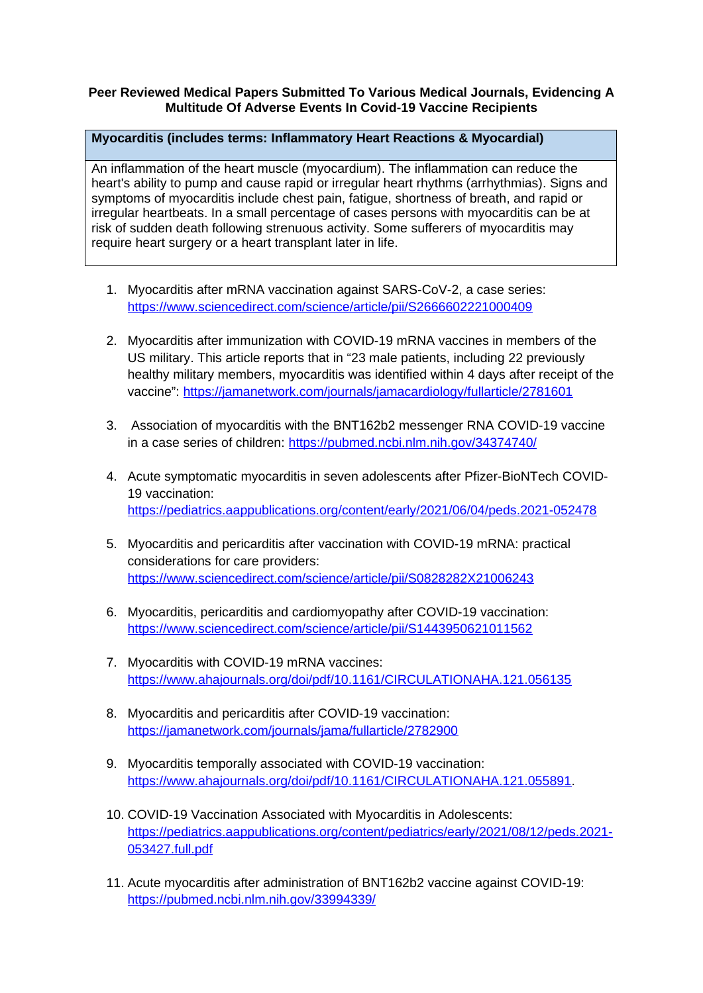## **Peer Reviewed Medical Papers Submitted To Various Medical Journals, Evidencing A Multitude Of Adverse Events In Covid-19 Vaccine Recipients**

## **Myocarditis (includes terms: Inflammatory Heart Reactions & Myocardial)**

An inflammation of the heart muscle (myocardium). The inflammation can reduce the heart's ability to pump and cause rapid or irregular heart rhythms (arrhythmias). Signs and symptoms of myocarditis include chest pain, fatigue, shortness of breath, and rapid or irregular heartbeats. In a small percentage of cases persons with myocarditis can be at risk of sudden death following strenuous activity. Some sufferers of myocarditis may require heart surgery or a heart transplant later in life.

- 1. Myocarditis after mRNA vaccination against SARS-CoV-2, a case series: <https://www.sciencedirect.com/science/article/pii/S2666602221000409>
- 2. Myocarditis after immunization with COVID-19 mRNA vaccines in members of the US military. This article reports that in "23 male patients, including 22 previously healthy military members, myocarditis was identified within 4 days after receipt of the vaccine":<https://jamanetwork.com/journals/jamacardiology/fullarticle/2781601>
- 3. Association of myocarditis with the BNT162b2 messenger RNA COVID-19 vaccine in a case series of children:<https://pubmed.ncbi.nlm.nih.gov/34374740/>
- 4. Acute symptomatic myocarditis in seven adolescents after Pfizer-BioNTech COVID-19 vaccination: <https://pediatrics.aappublications.org/content/early/2021/06/04/peds.2021-052478>
- 5. Myocarditis and pericarditis after vaccination with COVID-19 mRNA: practical considerations for care providers: <https://www.sciencedirect.com/science/article/pii/S0828282X21006243>
- 6. Myocarditis, pericarditis and cardiomyopathy after COVID-19 vaccination: <https://www.sciencedirect.com/science/article/pii/S1443950621011562>
- 7. Myocarditis with COVID-19 mRNA vaccines: <https://www.ahajournals.org/doi/pdf/10.1161/CIRCULATIONAHA.121.056135>
- 8. Myocarditis and pericarditis after COVID-19 vaccination: <https://jamanetwork.com/journals/jama/fullarticle/2782900>
- 9. Myocarditis temporally associated with COVID-19 vaccination: <https://www.ahajournals.org/doi/pdf/10.1161/CIRCULATIONAHA.121.055891>.
- 10. COVID-19 Vaccination Associated with Myocarditis in Adolescents: [https://pediatrics.aappublications.org/content/pediatrics/early/2021/08/12/peds.2021-](https://pediatrics.aappublications.org/content/pediatrics/early/2021/08/12/peds.2021-053427.full.pdf) [053427.full.pdf](https://pediatrics.aappublications.org/content/pediatrics/early/2021/08/12/peds.2021-053427.full.pdf)
- 11. Acute myocarditis after administration of BNT162b2 vaccine against COVID-19: <https://pubmed.ncbi.nlm.nih.gov/33994339/>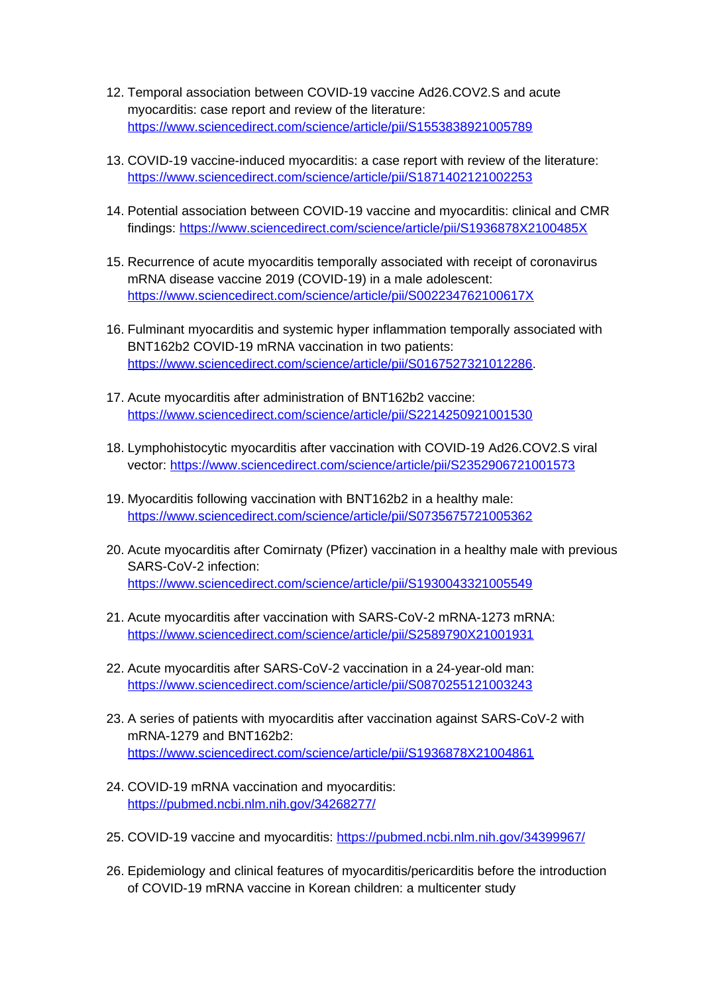- 12. Temporal association between COVID-19 vaccine Ad26.COV2.S and acute myocarditis: case report and review of the literature: <https://www.sciencedirect.com/science/article/pii/S1553838921005789>
- 13. COVID-19 vaccine-induced myocarditis: a case report with review of the literature: <https://www.sciencedirect.com/science/article/pii/S1871402121002253>
- 14. Potential association between COVID-19 vaccine and myocarditis: clinical and CMR findings:<https://www.sciencedirect.com/science/article/pii/S1936878X2100485X>
- 15. Recurrence of acute myocarditis temporally associated with receipt of coronavirus mRNA disease vaccine 2019 (COVID-19) in a male adolescent: <https://www.sciencedirect.com/science/article/pii/S002234762100617X>
- 16. Fulminant myocarditis and systemic hyper inflammation temporally associated with BNT162b2 COVID-19 mRNA vaccination in two patients: <https://www.sciencedirect.com/science/article/pii/S0167527321012286>.
- 17. Acute myocarditis after administration of BNT162b2 vaccine: <https://www.sciencedirect.com/science/article/pii/S2214250921001530>
- 18. Lymphohistocytic myocarditis after vaccination with COVID-19 Ad26.COV2.S viral vector:<https://www.sciencedirect.com/science/article/pii/S2352906721001573>
- 19. Myocarditis following vaccination with BNT162b2 in a healthy male: <https://www.sciencedirect.com/science/article/pii/S0735675721005362>
- 20. Acute myocarditis after Comirnaty (Pfizer) vaccination in a healthy male with previous SARS-CoV-2 infection: <https://www.sciencedirect.com/science/article/pii/S1930043321005549>
- 21. Acute myocarditis after vaccination with SARS-CoV-2 mRNA-1273 mRNA: <https://www.sciencedirect.com/science/article/pii/S2589790X21001931>
- 22. Acute myocarditis after SARS-CoV-2 vaccination in a 24-year-old man: <https://www.sciencedirect.com/science/article/pii/S0870255121003243>
- 23. A series of patients with myocarditis after vaccination against SARS-CoV-2 with mRNA-1279 and BNT162b2: <https://www.sciencedirect.com/science/article/pii/S1936878X21004861>
- 24. COVID-19 mRNA vaccination and myocarditis: <https://pubmed.ncbi.nlm.nih.gov/34268277/>
- 25. COVID-19 vaccine and myocarditis:<https://pubmed.ncbi.nlm.nih.gov/34399967/>
- 26. Epidemiology and clinical features of myocarditis/pericarditis before the introduction of COVID-19 mRNA vaccine in Korean children: a multicenter study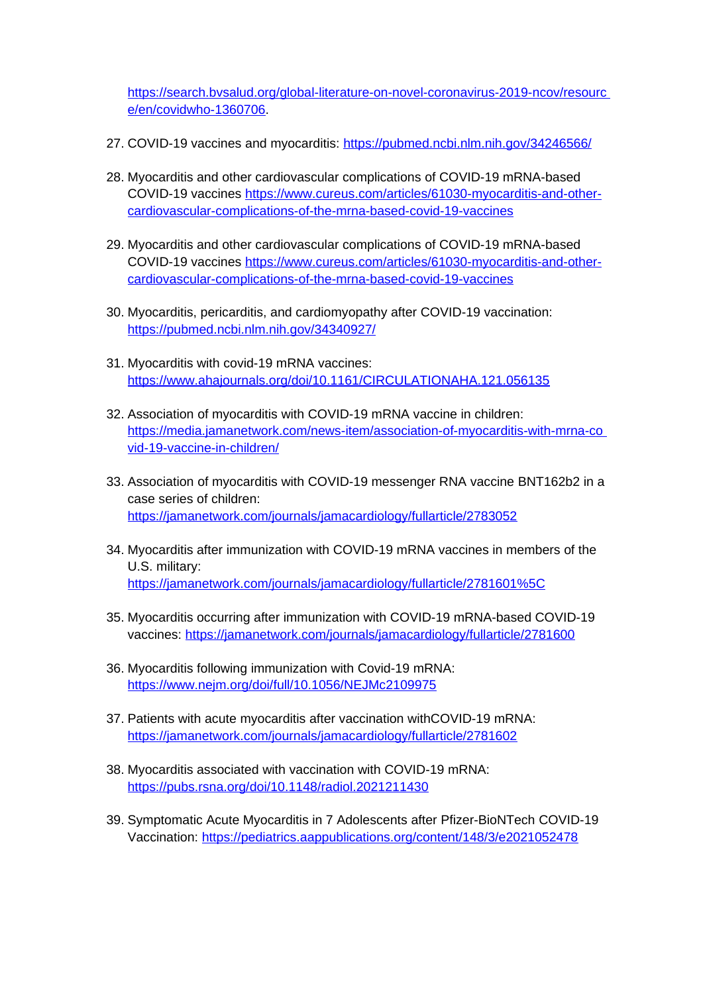[https://search.bvsalud.org/global-literature-on-novel-coronavirus-2019-ncov/resourc](https://search.bvsalud.org/global-literature-on-novel-coronavirus-2019-ncov/resourc%20e/en/covidwho-1360706)  [e/en/covidwho-1360706.](https://search.bvsalud.org/global-literature-on-novel-coronavirus-2019-ncov/resourc%20e/en/covidwho-1360706)

- 27. COVID-19 vaccines and myocarditis: <https://pubmed.ncbi.nlm.nih.gov/34246566/>
- 28. Myocarditis and other cardiovascular complications of COVID-19 mRNA-based COVID-19 vaccines [https://www.cureus.com/articles/61030-myocarditis-and-other](https://www.cureus.com/articles/61030-myocarditis-and-other-cardiovascular-complications-of-the-mrna-based-covid-19-vaccines)[cardiovascular-complications-of-the-mrna-based-covid-19-vaccines](https://www.cureus.com/articles/61030-myocarditis-and-other-cardiovascular-complications-of-the-mrna-based-covid-19-vaccines)
- 29. Myocarditis and other cardiovascular complications of COVID-19 mRNA-based COVID-19 vaccines [https://www.cureus.com/articles/61030-myocarditis-and-other](https://www.cureus.com/articles/61030-myocarditis-and-other-cardiovascular-complications-of-the-mrna-based-covid-19-vaccines)[cardiovascular-complications-of-the-mrna-based-covid-19-vaccines](https://www.cureus.com/articles/61030-myocarditis-and-other-cardiovascular-complications-of-the-mrna-based-covid-19-vaccines)
- 30. Myocarditis, pericarditis, and cardiomyopathy after COVID-19 vaccination: <https://pubmed.ncbi.nlm.nih.gov/34340927/>
- 31. Myocarditis with covid-19 mRNA vaccines: <https://www.ahajournals.org/doi/10.1161/CIRCULATIONAHA.121.056135>
- 32. Association of myocarditis with COVID-19 mRNA vaccine in children: [https://media.jamanetwork.com/news-item/association-of-myocarditis-with-mrna-co](https://media.jamanetwork.com/news-item/association-of-myocarditis-with-mrna-co%20vid-19-vaccine-in-children/)  [vid-19-vaccine-in-children/](https://media.jamanetwork.com/news-item/association-of-myocarditis-with-mrna-co%20vid-19-vaccine-in-children/)
- 33. Association of myocarditis with COVID-19 messenger RNA vaccine BNT162b2 in a case series of children: <https://jamanetwork.com/journals/jamacardiology/fullarticle/2783052>
- 34. Myocarditis after immunization with COVID-19 mRNA vaccines in members of the U.S. military: <https://jamanetwork.com/journals/jamacardiology/fullarticle/2781601%5C>
- 35. Myocarditis occurring after immunization with COVID-19 mRNA-based COVID-19 vaccines:<https://jamanetwork.com/journals/jamacardiology/fullarticle/2781600>
- 36. Myocarditis following immunization with Covid-19 mRNA: <https://www.nejm.org/doi/full/10.1056/NEJMc2109975>
- 37. Patients with acute myocarditis after vaccination withCOVID-19 mRNA: <https://jamanetwork.com/journals/jamacardiology/fullarticle/2781602>
- 38. Myocarditis associated with vaccination with COVID-19 mRNA: <https://pubs.rsna.org/doi/10.1148/radiol.2021211430>
- 39. Symptomatic Acute Myocarditis in 7 Adolescents after Pfizer-BioNTech COVID-19 Vaccination:<https://pediatrics.aappublications.org/content/148/3/e2021052478>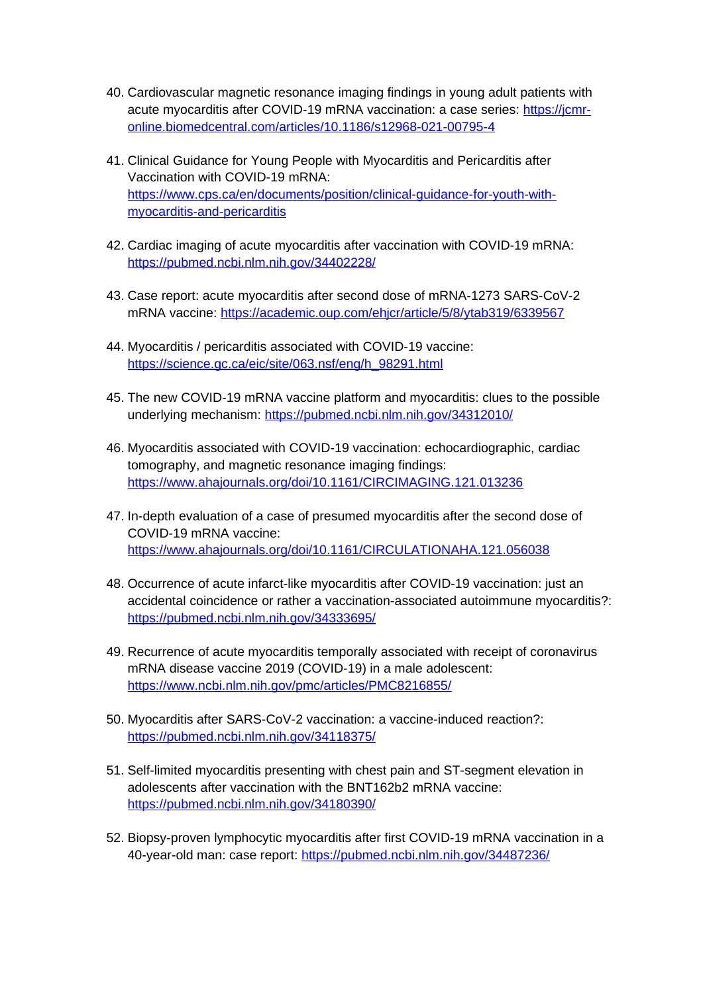- 40. Cardiovascular magnetic resonance imaging findings in young adult patients with acute myocarditis after COVID-19 mRNA vaccination: a case series: [https://jcmr](https://jcmr-online.biomedcentral.com/articles/10.1186/s12968-021-00795-4)[online.biomedcentral.com/articles/10.1186/s12968-021-00795-4](https://jcmr-online.biomedcentral.com/articles/10.1186/s12968-021-00795-4)
- 41. Clinical Guidance for Young People with Myocarditis and Pericarditis after Vaccination with COVID-19 mRNA: [https://www.cps.ca/en/documents/position/clinical-guidance-for-youth-with](https://www.cps.ca/en/documents/position/clinical-guidance-for-youth-with-myocarditis-and-pericarditis)[myocarditis-and-pericarditis](https://www.cps.ca/en/documents/position/clinical-guidance-for-youth-with-myocarditis-and-pericarditis)
- 42. Cardiac imaging of acute myocarditis after vaccination with COVID-19 mRNA: <https://pubmed.ncbi.nlm.nih.gov/34402228/>
- 43. Case report: acute myocarditis after second dose of mRNA-1273 SARS-CoV-2 mRNA vaccine: <https://academic.oup.com/ehjcr/article/5/8/ytab319/6339567>
- 44. Myocarditis / pericarditis associated with COVID-19 vaccine: [https://science.gc.ca/eic/site/063.nsf/eng/h\\_98291.html](https://science.gc.ca/eic/site/063.nsf/eng/h_98291.html)
- 45. The new COVID-19 mRNA vaccine platform and myocarditis: clues to the possible underlying mechanism:<https://pubmed.ncbi.nlm.nih.gov/34312010/>
- 46. Myocarditis associated with COVID-19 vaccination: echocardiographic, cardiac tomography, and magnetic resonance imaging findings: <https://www.ahajournals.org/doi/10.1161/CIRCIMAGING.121.013236>
- 47. In-depth evaluation of a case of presumed myocarditis after the second dose of COVID-19 mRNA vaccine: <https://www.ahajournals.org/doi/10.1161/CIRCULATIONAHA.121.056038>
- 48. Occurrence of acute infarct-like myocarditis after COVID-19 vaccination: just an accidental coincidence or rather a vaccination-associated autoimmune myocarditis?: <https://pubmed.ncbi.nlm.nih.gov/34333695/>
- 49. Recurrence of acute myocarditis temporally associated with receipt of coronavirus mRNA disease vaccine 2019 (COVID-19) in a male adolescent: <https://www.ncbi.nlm.nih.gov/pmc/articles/PMC8216855/>
- 50. Myocarditis after SARS-CoV-2 vaccination: a vaccine-induced reaction?: <https://pubmed.ncbi.nlm.nih.gov/34118375/>
- 51. Self-limited myocarditis presenting with chest pain and ST-segment elevation in adolescents after vaccination with the BNT162b2 mRNA vaccine: <https://pubmed.ncbi.nlm.nih.gov/34180390/>
- 52. Biopsy-proven lymphocytic myocarditis after first COVID-19 mRNA vaccination in a 40-year-old man: case report:<https://pubmed.ncbi.nlm.nih.gov/34487236/>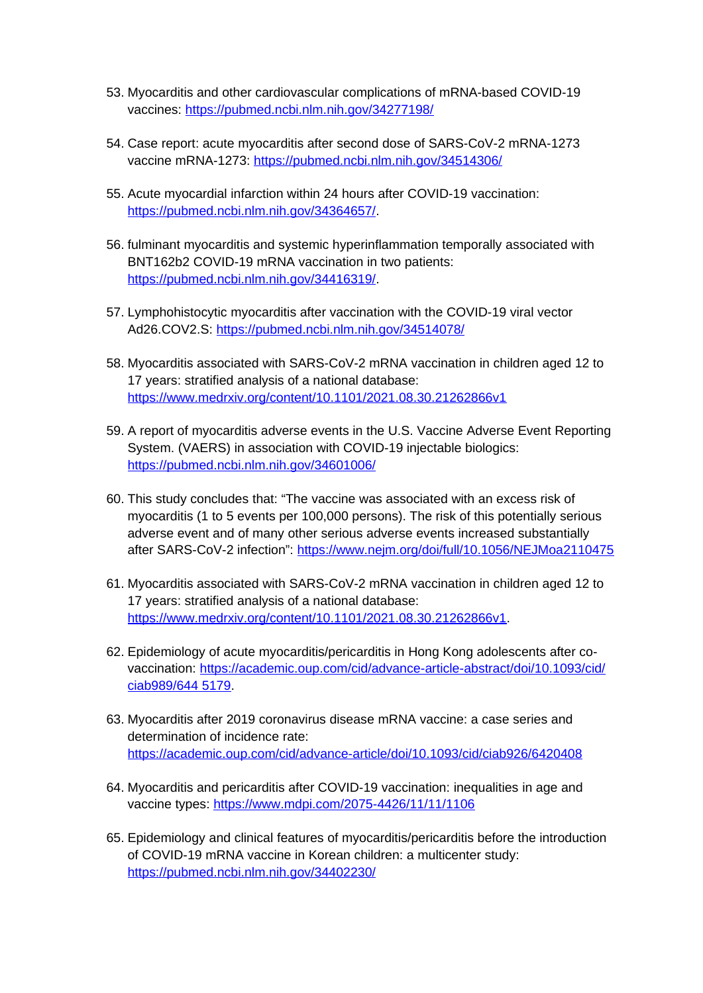- 53. Myocarditis and other cardiovascular complications of mRNA-based COVID-19 vaccines:<https://pubmed.ncbi.nlm.nih.gov/34277198/>
- 54. Case report: acute myocarditis after second dose of SARS-CoV-2 mRNA-1273 vaccine mRNA-1273:<https://pubmed.ncbi.nlm.nih.gov/34514306/>
- 55. Acute myocardial infarction within 24 hours after COVID-19 vaccination: <https://pubmed.ncbi.nlm.nih.gov/34364657/>.
- 56. fulminant myocarditis and systemic hyperinflammation temporally associated with BNT162b2 COVID-19 mRNA vaccination in two patients: <https://pubmed.ncbi.nlm.nih.gov/34416319/>.
- 57. Lymphohistocytic myocarditis after vaccination with the COVID-19 viral vector Ad26.COV2.S:<https://pubmed.ncbi.nlm.nih.gov/34514078/>
- 58. Myocarditis associated with SARS-CoV-2 mRNA vaccination in children aged 12 to 17 years: stratified analysis of a national database: <https://www.medrxiv.org/content/10.1101/2021.08.30.21262866v1>
- 59. A report of myocarditis adverse events in the U.S. Vaccine Adverse Event Reporting System. (VAERS) in association with COVID-19 injectable biologics: <https://pubmed.ncbi.nlm.nih.gov/34601006/>
- 60. This study concludes that: "The vaccine was associated with an excess risk of myocarditis (1 to 5 events per 100,000 persons). The risk of this potentially serious adverse event and of many other serious adverse events increased substantially after SARS-CoV-2 infection": <https://www.nejm.org/doi/full/10.1056/NEJMoa2110475>
- 61. Myocarditis associated with SARS-CoV-2 mRNA vaccination in children aged 12 to 17 years: stratified analysis of a national database: <https://www.medrxiv.org/content/10.1101/2021.08.30.21262866v1>.
- 62. Epidemiology of acute myocarditis/pericarditis in Hong Kong adolescents after covaccination: [https://academic.oup.com/cid/advance-article-abstract/doi/10.1093/cid/](https://academic.oup.com/cid/advance-article-abstract/doi/10.1093/cid/ciab989/644%205179) [ciab989/644 5179.](https://academic.oup.com/cid/advance-article-abstract/doi/10.1093/cid/ciab989/644%205179)
- 63. Myocarditis after 2019 coronavirus disease mRNA vaccine: a case series and determination of incidence rate: <https://academic.oup.com/cid/advance-article/doi/10.1093/cid/ciab926/6420408>
- 64. Myocarditis and pericarditis after COVID-19 vaccination: inequalities in age and vaccine types: <https://www.mdpi.com/2075-4426/11/11/1106>
- 65. Epidemiology and clinical features of myocarditis/pericarditis before the introduction of COVID-19 mRNA vaccine in Korean children: a multicenter study: <https://pubmed.ncbi.nlm.nih.gov/34402230/>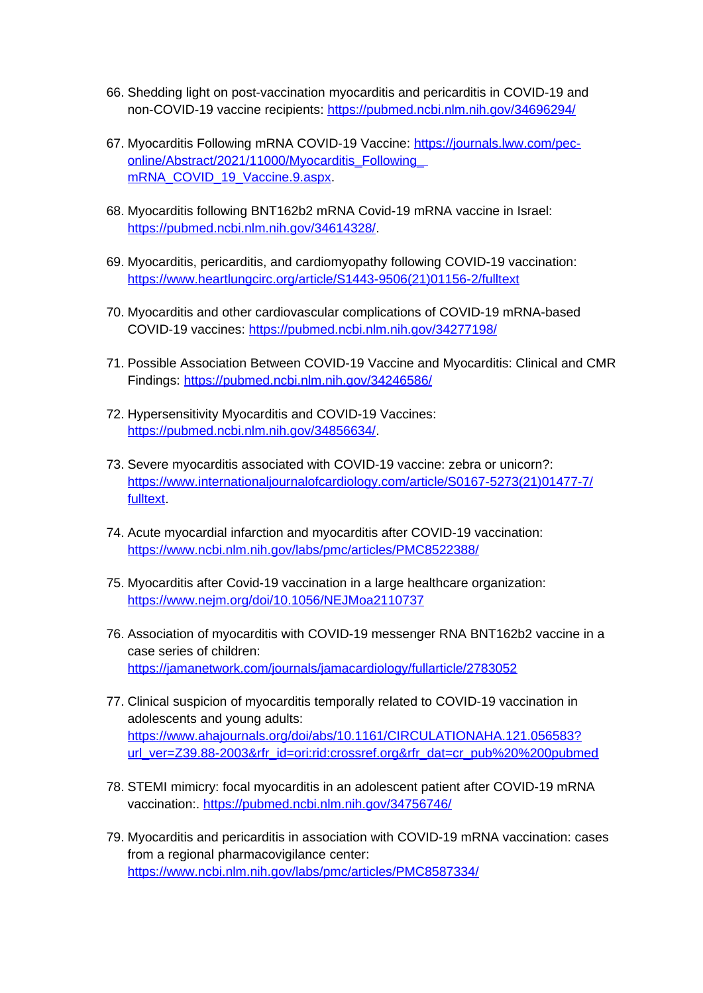- 66. Shedding light on post-vaccination myocarditis and pericarditis in COVID-19 and non-COVID-19 vaccine recipients:<https://pubmed.ncbi.nlm.nih.gov/34696294/>
- 67. Myocarditis Following mRNA COVID-19 Vaccine: [https://journals.lww.com/pec](https://journals.lww.com/pec-online/Abstract/2021/11000/Myocarditis_Following_%20mRNA_COVID_19_Vaccine.9.aspx)online/Abstract/2021/11000/Myocarditis\_Following [mRNA\\_COVID\\_19\\_Vaccine.9.aspx](https://journals.lww.com/pec-online/Abstract/2021/11000/Myocarditis_Following_%20mRNA_COVID_19_Vaccine.9.aspx).
- 68. Myocarditis following BNT162b2 mRNA Covid-19 mRNA vaccine in Israel: <https://pubmed.ncbi.nlm.nih.gov/34614328/>.
- 69. Myocarditis, pericarditis, and cardiomyopathy following COVID-19 vaccination: [https://www.heartlungcirc.org/article/S1443-9506\(21\)01156-2/fulltext](https://www.heartlungcirc.org/article/S1443-9506(21)01156-2/fulltext)
- 70. Myocarditis and other cardiovascular complications of COVID-19 mRNA-based COVID-19 vaccines: <https://pubmed.ncbi.nlm.nih.gov/34277198/>
- 71. Possible Association Between COVID-19 Vaccine and Myocarditis: Clinical and CMR Findings: <https://pubmed.ncbi.nlm.nih.gov/34246586/>
- 72. Hypersensitivity Myocarditis and COVID-19 Vaccines: <https://pubmed.ncbi.nlm.nih.gov/34856634/>.
- 73. Severe myocarditis associated with COVID-19 vaccine: zebra or unicorn?: [https://www.internationaljournalofcardiology.com/article/S0167-5273\(21\)01477-7/](https://www.internationaljournalofcardiology.com/article/S0167-5273(21)01477-7/fulltext) [fulltext.](https://www.internationaljournalofcardiology.com/article/S0167-5273(21)01477-7/fulltext)
- 74. Acute myocardial infarction and myocarditis after COVID-19 vaccination: <https://www.ncbi.nlm.nih.gov/labs/pmc/articles/PMC8522388/>
- 75. Myocarditis after Covid-19 vaccination in a large healthcare organization: <https://www.nejm.org/doi/10.1056/NEJMoa2110737>
- 76. Association of myocarditis with COVID-19 messenger RNA BNT162b2 vaccine in a case series of children: <https://jamanetwork.com/journals/jamacardiology/fullarticle/2783052>
- 77. Clinical suspicion of myocarditis temporally related to COVID-19 vaccination in adolescents and young adults: [https://www.ahajournals.org/doi/abs/10.1161/CIRCULATIONAHA.121.056583?](https://www.ahajournals.org/doi/abs/10.1161/CIRCULATIONAHA.121.056583?url_ver=Z39.88-2003&rfr_id=ori:rid:crossref.org&rfr_dat=cr_pub%20%200pubmed) [url\\_ver=Z39.88-2003&rfr\\_id=ori:rid:crossref.org&rfr\\_dat=cr\\_pub%20%200pubmed](https://www.ahajournals.org/doi/abs/10.1161/CIRCULATIONAHA.121.056583?url_ver=Z39.88-2003&rfr_id=ori:rid:crossref.org&rfr_dat=cr_pub%20%200pubmed)
- 78. STEMI mimicry: focal myocarditis in an adolescent patient after COVID-19 mRNA vaccination:.<https://pubmed.ncbi.nlm.nih.gov/34756746/>
- 79. Myocarditis and pericarditis in association with COVID-19 mRNA vaccination: cases from a regional pharmacovigilance center: <https://www.ncbi.nlm.nih.gov/labs/pmc/articles/PMC8587334/>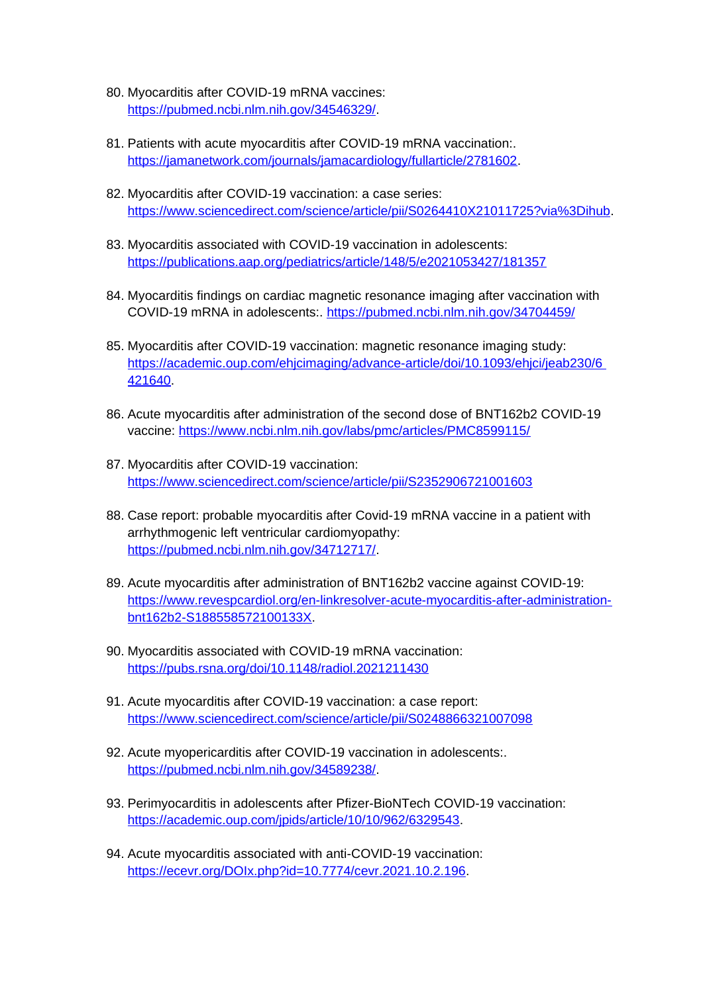- 80. Myocarditis after COVID-19 mRNA vaccines: <https://pubmed.ncbi.nlm.nih.gov/34546329/>.
- 81. Patients with acute myocarditis after COVID-19 mRNA vaccination:. <https://jamanetwork.com/journals/jamacardiology/fullarticle/2781602>.
- 82. Myocarditis after COVID-19 vaccination: a case series: <https://www.sciencedirect.com/science/article/pii/S0264410X21011725?via%3Dihub>.
- 83. Myocarditis associated with COVID-19 vaccination in adolescents: <https://publications.aap.org/pediatrics/article/148/5/e2021053427/181357>
- 84. Myocarditis findings on cardiac magnetic resonance imaging after vaccination with COVID-19 mRNA in adolescents:. <https://pubmed.ncbi.nlm.nih.gov/34704459/>
- 85. Myocarditis after COVID-19 vaccination: magnetic resonance imaging study: [https://academic.oup.com/ehjcimaging/advance-article/doi/10.1093/ehjci/jeab230/6](https://academic.oup.com/ehjcimaging/advance-article/doi/10.1093/ehjci/jeab230/6%20421640)  [421640.](https://academic.oup.com/ehjcimaging/advance-article/doi/10.1093/ehjci/jeab230/6%20421640)
- 86. Acute myocarditis after administration of the second dose of BNT162b2 COVID-19 vaccine:<https://www.ncbi.nlm.nih.gov/labs/pmc/articles/PMC8599115/>
- 87. Myocarditis after COVID-19 vaccination: <https://www.sciencedirect.com/science/article/pii/S2352906721001603>
- 88. Case report: probable myocarditis after Covid-19 mRNA vaccine in a patient with arrhythmogenic left ventricular cardiomyopathy: <https://pubmed.ncbi.nlm.nih.gov/34712717/>.
- 89. Acute myocarditis after administration of BNT162b2 vaccine against COVID-19: [https://www.revespcardiol.org/en-linkresolver-acute-myocarditis-after-administration](https://www.revespcardiol.org/en-linkresolver-acute-myocarditis-after-administration-bnt162b2-S188558572100133X)[bnt162b2-S188558572100133X](https://www.revespcardiol.org/en-linkresolver-acute-myocarditis-after-administration-bnt162b2-S188558572100133X).
- 90. Myocarditis associated with COVID-19 mRNA vaccination: <https://pubs.rsna.org/doi/10.1148/radiol.2021211430>
- 91. Acute myocarditis after COVID-19 vaccination: a case report: <https://www.sciencedirect.com/science/article/pii/S0248866321007098>
- 92. Acute myopericarditis after COVID-19 vaccination in adolescents:. <https://pubmed.ncbi.nlm.nih.gov/34589238/>.
- 93. Perimyocarditis in adolescents after Pfizer-BioNTech COVID-19 vaccination: <https://academic.oup.com/jpids/article/10/10/962/6329543>.
- 94. Acute myocarditis associated with anti-COVID-19 vaccination: [https://ecevr.org/DOIx.php?id=10.7774/cevr.2021.10.2.196.](https://ecevr.org/DOIx.php?id=10.7774/cevr.2021.10.2.196)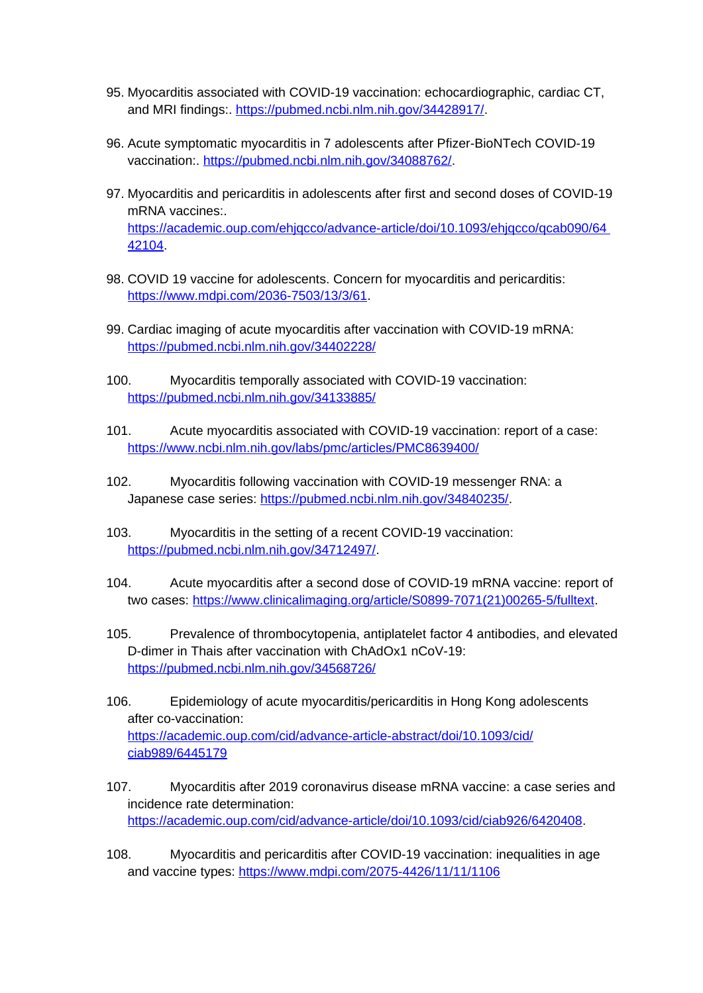- 95. Myocarditis associated with COVID-19 vaccination: echocardiographic, cardiac CT, and MRI findings:. <https://pubmed.ncbi.nlm.nih.gov/34428917/>.
- 96. Acute symptomatic myocarditis in 7 adolescents after Pfizer-BioNTech COVID-19 vaccination:. [https://pubmed.ncbi.nlm.nih.gov/34088762/.](https://pubmed.ncbi.nlm.nih.gov/34088762/)
- 97. Myocarditis and pericarditis in adolescents after first and second doses of COVID-19 mRNA vaccines:. [https://academic.oup.com/ehjqcco/advance-article/doi/10.1093/ehjqcco/qcab090/64](https://academic.oup.com/ehjqcco/advance-article/doi/10.1093/ehjqcco/qcab090/64%2042104)  [42104.](https://academic.oup.com/ehjqcco/advance-article/doi/10.1093/ehjqcco/qcab090/64%2042104)
- 98. COVID 19 vaccine for adolescents. Concern for myocarditis and pericarditis: <https://www.mdpi.com/2036-7503/13/3/61>.
- 99. Cardiac imaging of acute myocarditis after vaccination with COVID-19 mRNA: <https://pubmed.ncbi.nlm.nih.gov/34402228/>
- 100. Myocarditis temporally associated with COVID-19 vaccination: <https://pubmed.ncbi.nlm.nih.gov/34133885/>
- 101. Acute myocarditis associated with COVID-19 vaccination: report of a case: <https://www.ncbi.nlm.nih.gov/labs/pmc/articles/PMC8639400/>
- 102. Myocarditis following vaccination with COVID-19 messenger RNA: a Japanese case series:<https://pubmed.ncbi.nlm.nih.gov/34840235/>.
- 103. Myocarditis in the setting of a recent COVID-19 vaccination: <https://pubmed.ncbi.nlm.nih.gov/34712497/>.
- 104. Acute myocarditis after a second dose of COVID-19 mRNA vaccine: report of two cases: [https://www.clinicalimaging.org/article/S0899-7071\(21\)00265-5/fulltext.](https://www.clinicalimaging.org/article/S0899-7071(21)00265-5/fulltext)
- 105. Prevalence of thrombocytopenia, antiplatelet factor 4 antibodies, and elevated D-dimer in Thais after vaccination with ChAdOx1 nCoV-19: <https://pubmed.ncbi.nlm.nih.gov/34568726/>
- 106. Epidemiology of acute myocarditis/pericarditis in Hong Kong adolescents after co-vaccination: [https://academic.oup.com/cid/advance-article-abstract/doi/10.1093/cid/](https://academic.oup.com/cid/advance-article-abstract/doi/10.1093/cid/ciab989/6445179) [ciab989/6445179](https://academic.oup.com/cid/advance-article-abstract/doi/10.1093/cid/ciab989/6445179)
- 107. Myocarditis after 2019 coronavirus disease mRNA vaccine: a case series and incidence rate determination: <https://academic.oup.com/cid/advance-article/doi/10.1093/cid/ciab926/6420408>.
- 108. Myocarditis and pericarditis after COVID-19 vaccination: inequalities in age and vaccine types:<https://www.mdpi.com/2075-4426/11/11/1106>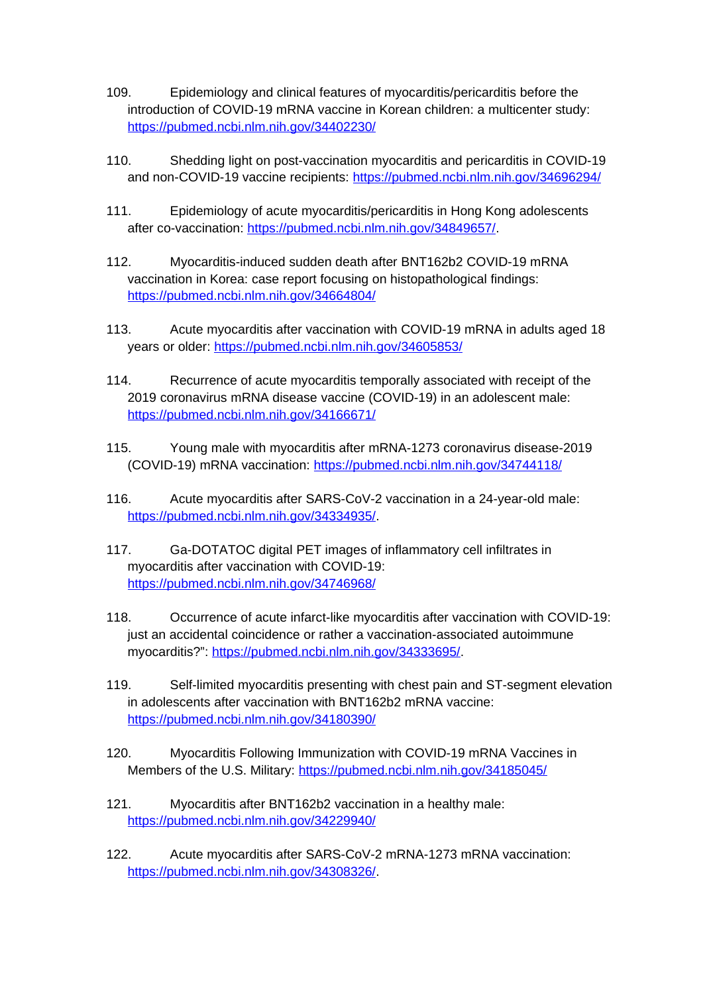- 109. Epidemiology and clinical features of myocarditis/pericarditis before the introduction of COVID-19 mRNA vaccine in Korean children: a multicenter study: <https://pubmed.ncbi.nlm.nih.gov/34402230/>
- 110. Shedding light on post-vaccination myocarditis and pericarditis in COVID-19 and non-COVID-19 vaccine recipients: <https://pubmed.ncbi.nlm.nih.gov/34696294/>
- 111. Epidemiology of acute myocarditis/pericarditis in Hong Kong adolescents after co-vaccination:<https://pubmed.ncbi.nlm.nih.gov/34849657/>.
- 112. Myocarditis-induced sudden death after BNT162b2 COVID-19 mRNA vaccination in Korea: case report focusing on histopathological findings: <https://pubmed.ncbi.nlm.nih.gov/34664804/>
- 113. Acute myocarditis after vaccination with COVID-19 mRNA in adults aged 18 years or older:<https://pubmed.ncbi.nlm.nih.gov/34605853/>
- 114. Recurrence of acute myocarditis temporally associated with receipt of the 2019 coronavirus mRNA disease vaccine (COVID-19) in an adolescent male: <https://pubmed.ncbi.nlm.nih.gov/34166671/>
- 115. Young male with myocarditis after mRNA-1273 coronavirus disease-2019 (COVID-19) mRNA vaccination: <https://pubmed.ncbi.nlm.nih.gov/34744118/>
- 116. Acute myocarditis after SARS-CoV-2 vaccination in a 24-year-old male: <https://pubmed.ncbi.nlm.nih.gov/34334935/>.
- 117. Ga-DOTATOC digital PET images of inflammatory cell infiltrates in myocarditis after vaccination with COVID-19: <https://pubmed.ncbi.nlm.nih.gov/34746968/>
- 118. Occurrence of acute infarct-like myocarditis after vaccination with COVID-19: just an accidental coincidence or rather a vaccination-associated autoimmune myocarditis?": <https://pubmed.ncbi.nlm.nih.gov/34333695/>.
- 119. Self-limited myocarditis presenting with chest pain and ST-segment elevation in adolescents after vaccination with BNT162b2 mRNA vaccine: <https://pubmed.ncbi.nlm.nih.gov/34180390/>
- 120. Myocarditis Following Immunization with COVID-19 mRNA Vaccines in Members of the U.S. Military: <https://pubmed.ncbi.nlm.nih.gov/34185045/>
- 121. Myocarditis after BNT162b2 vaccination in a healthy male: <https://pubmed.ncbi.nlm.nih.gov/34229940/>
- 122. Acute myocarditis after SARS-CoV-2 mRNA-1273 mRNA vaccination: <https://pubmed.ncbi.nlm.nih.gov/34308326/>.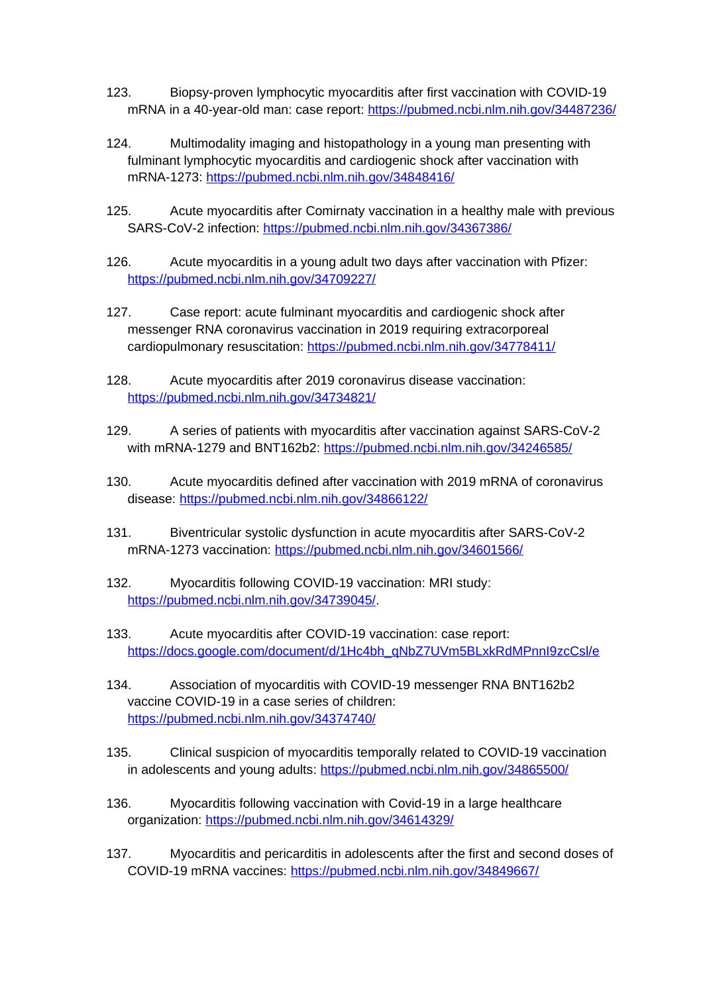- 123. Biopsy-proven lymphocytic myocarditis after first vaccination with COVID-19 mRNA in a 40-year-old man: case report: <https://pubmed.ncbi.nlm.nih.gov/34487236/>
- 124. Multimodality imaging and histopathology in a young man presenting with fulminant lymphocytic myocarditis and cardiogenic shock after vaccination with mRNA-1273: <https://pubmed.ncbi.nlm.nih.gov/34848416/>
- 125. Acute myocarditis after Comirnaty vaccination in a healthy male with previous SARS-CoV-2 infection:<https://pubmed.ncbi.nlm.nih.gov/34367386/>
- 126. Acute myocarditis in a young adult two days after vaccination with Pfizer: <https://pubmed.ncbi.nlm.nih.gov/34709227/>
- 127. Case report: acute fulminant myocarditis and cardiogenic shock after messenger RNA coronavirus vaccination in 2019 requiring extracorporeal cardiopulmonary resuscitation:<https://pubmed.ncbi.nlm.nih.gov/34778411/>
- 128. Acute myocarditis after 2019 coronavirus disease vaccination: <https://pubmed.ncbi.nlm.nih.gov/34734821/>
- 129. A series of patients with myocarditis after vaccination against SARS-CoV-2 with mRNA-1279 and BNT162b2:<https://pubmed.ncbi.nlm.nih.gov/34246585/>
- 130. Acute myocarditis defined after vaccination with 2019 mRNA of coronavirus disease:<https://pubmed.ncbi.nlm.nih.gov/34866122/>
- 131. Biventricular systolic dysfunction in acute myocarditis after SARS-CoV-2 mRNA-1273 vaccination: <https://pubmed.ncbi.nlm.nih.gov/34601566/>
- 132. Myocarditis following COVID-19 vaccination: MRI study: <https://pubmed.ncbi.nlm.nih.gov/34739045/>.
- 133. Acute myocarditis after COVID-19 vaccination: case report: [https://docs.google.com/document/d/1Hc4bh\\_qNbZ7UVm5BLxkRdMPnnI9zcCsl/e](https://docs.google.com/document/d/1Hc4bh_qNbZ7UVm5BLxkRdMPnnI9zcCsl/e)
- 134. Association of myocarditis with COVID-19 messenger RNA BNT162b2 vaccine COVID-19 in a case series of children: <https://pubmed.ncbi.nlm.nih.gov/34374740/>
- 135. Clinical suspicion of myocarditis temporally related to COVID-19 vaccination in adolescents and young adults:<https://pubmed.ncbi.nlm.nih.gov/34865500/>
- 136. Myocarditis following vaccination with Covid-19 in a large healthcare organization:<https://pubmed.ncbi.nlm.nih.gov/34614329/>
- 137. Myocarditis and pericarditis in adolescents after the first and second doses of COVID-19 mRNA vaccines:<https://pubmed.ncbi.nlm.nih.gov/34849667/>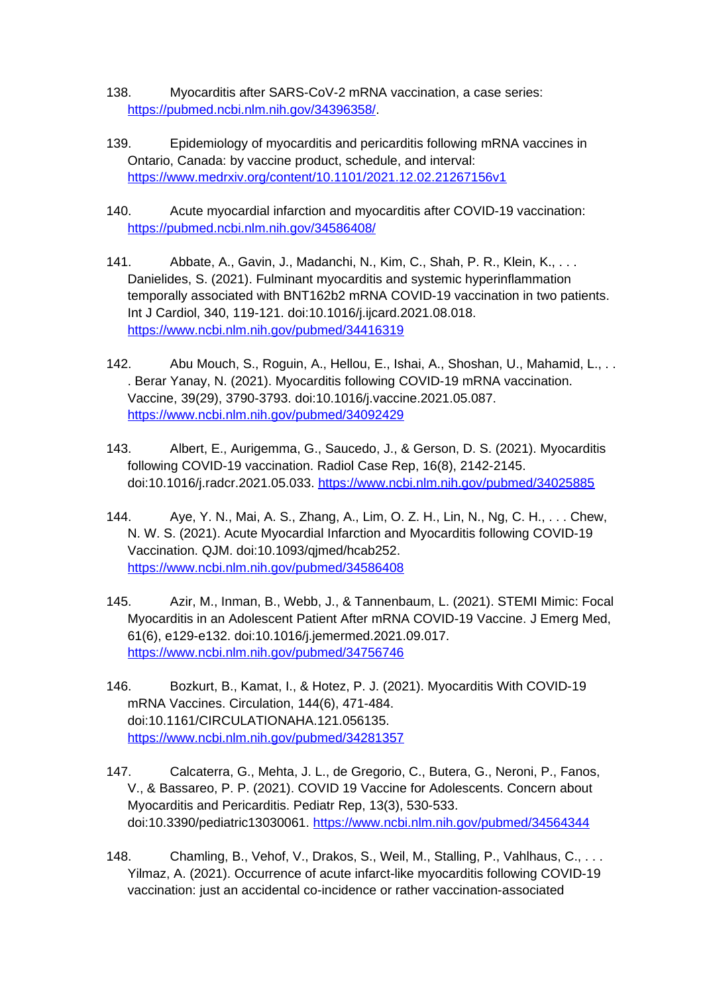- 138. Myocarditis after SARS-CoV-2 mRNA vaccination, a case series: <https://pubmed.ncbi.nlm.nih.gov/34396358/>.
- 139. Epidemiology of myocarditis and pericarditis following mRNA vaccines in Ontario, Canada: by vaccine product, schedule, and interval: <https://www.medrxiv.org/content/10.1101/2021.12.02.21267156v1>
- 140. Acute myocardial infarction and myocarditis after COVID-19 vaccination: <https://pubmed.ncbi.nlm.nih.gov/34586408/>
- 141. Abbate, A., Gavin, J., Madanchi, N., Kim, C., Shah, P. R., Klein, K., . . . Danielides, S. (2021). Fulminant myocarditis and systemic hyperinflammation temporally associated with BNT162b2 mRNA COVID-19 vaccination in two patients. Int J Cardiol, 340, 119-121. doi:10.1016/j.ijcard.2021.08.018. <https://www.ncbi.nlm.nih.gov/pubmed/34416319>
- 142. Abu Mouch, S., Roguin, A., Hellou, E., Ishai, A., Shoshan, U., Mahamid, L., . . . Berar Yanay, N. (2021). Myocarditis following COVID-19 mRNA vaccination. Vaccine, 39(29), 3790-3793. doi:10.1016/j.vaccine.2021.05.087. <https://www.ncbi.nlm.nih.gov/pubmed/34092429>
- 143. Albert, E., Aurigemma, G., Saucedo, J., & Gerson, D. S. (2021). Myocarditis following COVID-19 vaccination. Radiol Case Rep, 16(8), 2142-2145. doi:10.1016/j.radcr.2021.05.033.<https://www.ncbi.nlm.nih.gov/pubmed/34025885>
- 144. Aye, Y. N., Mai, A. S., Zhang, A., Lim, O. Z. H., Lin, N., Ng, C. H., . . . Chew, N. W. S. (2021). Acute Myocardial Infarction and Myocarditis following COVID-19 Vaccination. QJM. doi:10.1093/qjmed/hcab252. <https://www.ncbi.nlm.nih.gov/pubmed/34586408>
- 145. Azir, M., Inman, B., Webb, J., & Tannenbaum, L. (2021). STEMI Mimic: Focal Myocarditis in an Adolescent Patient After mRNA COVID-19 Vaccine. J Emerg Med, 61(6), e129-e132. doi:10.1016/j.jemermed.2021.09.017. <https://www.ncbi.nlm.nih.gov/pubmed/34756746>
- 146. Bozkurt, B., Kamat, I., & Hotez, P. J. (2021). Myocarditis With COVID-19 mRNA Vaccines. Circulation, 144(6), 471-484. doi:10.1161/CIRCULATIONAHA.121.056135. <https://www.ncbi.nlm.nih.gov/pubmed/34281357>
- 147. Calcaterra, G., Mehta, J. L., de Gregorio, C., Butera, G., Neroni, P., Fanos, V., & Bassareo, P. P. (2021). COVID 19 Vaccine for Adolescents. Concern about Myocarditis and Pericarditis. Pediatr Rep, 13(3), 530-533. doi:10.3390/pediatric13030061.<https://www.ncbi.nlm.nih.gov/pubmed/34564344>
- 148. Chamling, B., Vehof, V., Drakos, S., Weil, M., Stalling, P., Vahlhaus, C., . . . Yilmaz, A. (2021). Occurrence of acute infarct-like myocarditis following COVID-19 vaccination: just an accidental co-incidence or rather vaccination-associated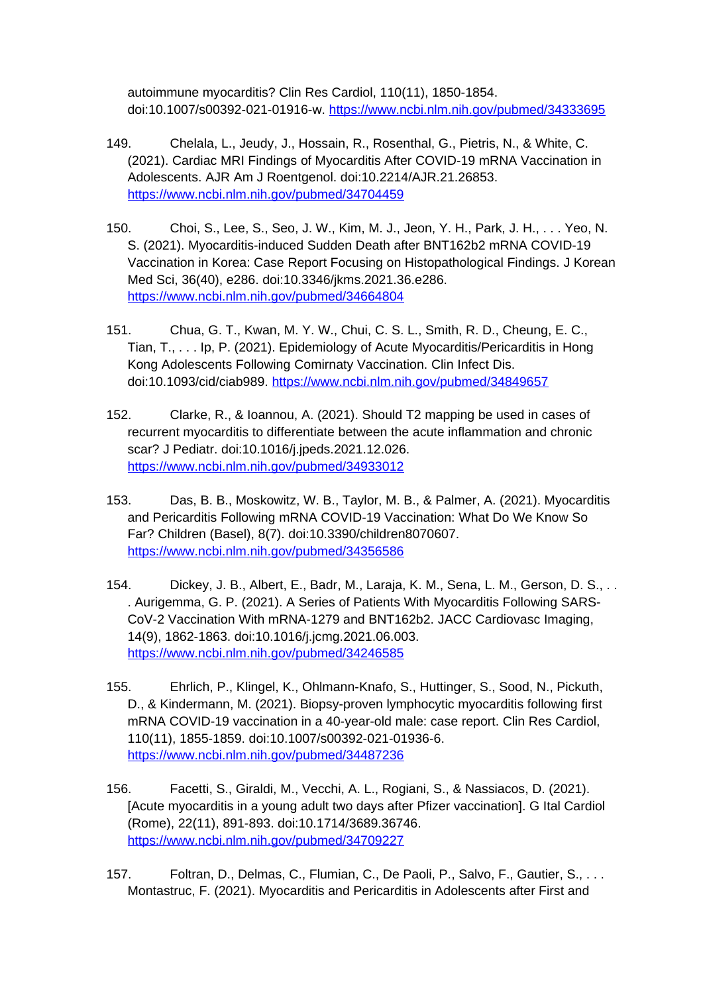autoimmune myocarditis? Clin Res Cardiol, 110(11), 1850-1854. doi:10.1007/s00392-021-01916-w. <https://www.ncbi.nlm.nih.gov/pubmed/34333695>

- 149. Chelala, L., Jeudy, J., Hossain, R., Rosenthal, G., Pietris, N., & White, C. (2021). Cardiac MRI Findings of Myocarditis After COVID-19 mRNA Vaccination in Adolescents. AJR Am J Roentgenol. doi:10.2214/AJR.21.26853. <https://www.ncbi.nlm.nih.gov/pubmed/34704459>
- 150. Choi, S., Lee, S., Seo, J. W., Kim, M. J., Jeon, Y. H., Park, J. H., . . . Yeo, N. S. (2021). Myocarditis-induced Sudden Death after BNT162b2 mRNA COVID-19 Vaccination in Korea: Case Report Focusing on Histopathological Findings. J Korean Med Sci, 36(40), e286. doi:10.3346/jkms.2021.36.e286. <https://www.ncbi.nlm.nih.gov/pubmed/34664804>
- 151. Chua, G. T., Kwan, M. Y. W., Chui, C. S. L., Smith, R. D., Cheung, E. C., Tian, T., . . . Ip, P. (2021). Epidemiology of Acute Myocarditis/Pericarditis in Hong Kong Adolescents Following Comirnaty Vaccination. Clin Infect Dis. doi:10.1093/cid/ciab989.<https://www.ncbi.nlm.nih.gov/pubmed/34849657>
- 152. Clarke, R., & Ioannou, A. (2021). Should T2 mapping be used in cases of recurrent myocarditis to differentiate between the acute inflammation and chronic scar? J Pediatr. doi:10.1016/j.jpeds.2021.12.026. <https://www.ncbi.nlm.nih.gov/pubmed/34933012>
- 153. Das, B. B., Moskowitz, W. B., Taylor, M. B., & Palmer, A. (2021). Myocarditis and Pericarditis Following mRNA COVID-19 Vaccination: What Do We Know So Far? Children (Basel), 8(7). doi:10.3390/children8070607. <https://www.ncbi.nlm.nih.gov/pubmed/34356586>
- 154. Dickey, J. B., Albert, E., Badr, M., Laraja, K. M., Sena, L. M., Gerson, D. S., . . . Aurigemma, G. P. (2021). A Series of Patients With Myocarditis Following SARS-CoV-2 Vaccination With mRNA-1279 and BNT162b2. JACC Cardiovasc Imaging, 14(9), 1862-1863. doi:10.1016/j.jcmg.2021.06.003. <https://www.ncbi.nlm.nih.gov/pubmed/34246585>
- 155. Ehrlich, P., Klingel, K., Ohlmann-Knafo, S., Huttinger, S., Sood, N., Pickuth, D., & Kindermann, M. (2021). Biopsy-proven lymphocytic myocarditis following first mRNA COVID-19 vaccination in a 40-year-old male: case report. Clin Res Cardiol, 110(11), 1855-1859. doi:10.1007/s00392-021-01936-6. <https://www.ncbi.nlm.nih.gov/pubmed/34487236>
- 156. Facetti, S., Giraldi, M., Vecchi, A. L., Rogiani, S., & Nassiacos, D. (2021). [Acute myocarditis in a young adult two days after Pfizer vaccination]. G Ital Cardiol (Rome), 22(11), 891-893. doi:10.1714/3689.36746. <https://www.ncbi.nlm.nih.gov/pubmed/34709227>
- 157. Foltran, D., Delmas, C., Flumian, C., De Paoli, P., Salvo, F., Gautier, S., ... Montastruc, F. (2021). Myocarditis and Pericarditis in Adolescents after First and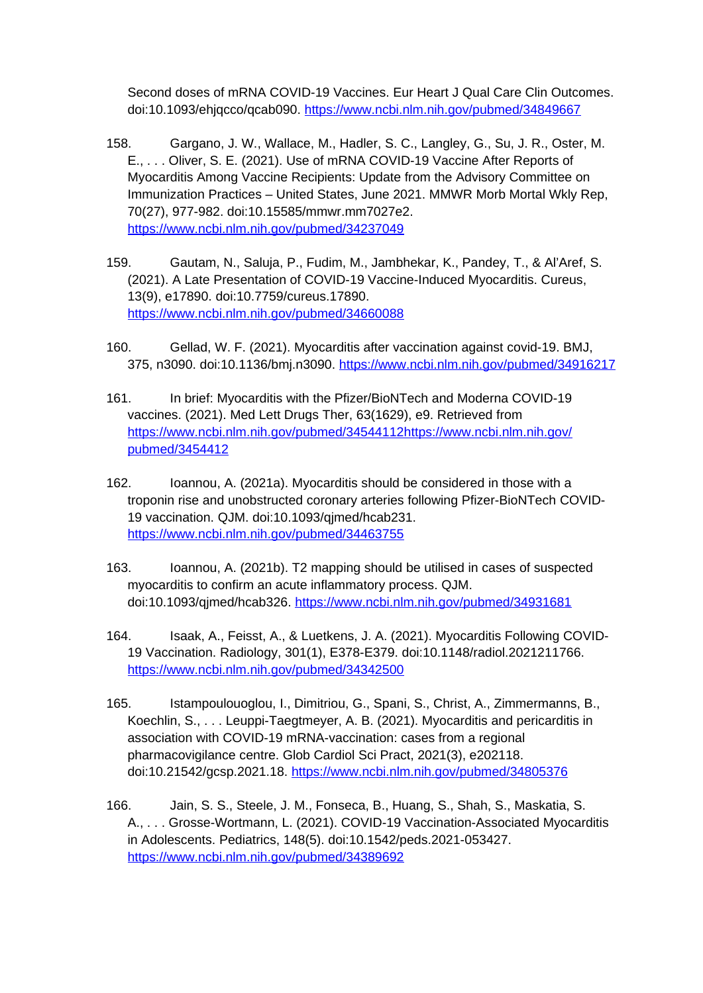Second doses of mRNA COVID-19 Vaccines. Eur Heart J Qual Care Clin Outcomes. doi:10.1093/ehjqcco/qcab090. <https://www.ncbi.nlm.nih.gov/pubmed/34849667>

- 158. Gargano, J. W., Wallace, M., Hadler, S. C., Langley, G., Su, J. R., Oster, M. E., . . . Oliver, S. E. (2021). Use of mRNA COVID-19 Vaccine After Reports of Myocarditis Among Vaccine Recipients: Update from the Advisory Committee on Immunization Practices – United States, June 2021. MMWR Morb Mortal Wkly Rep, 70(27), 977-982. doi:10.15585/mmwr.mm7027e2. <https://www.ncbi.nlm.nih.gov/pubmed/34237049>
- 159. Gautam, N., Saluja, P., Fudim, M., Jambhekar, K., Pandey, T., & Al'Aref, S. (2021). A Late Presentation of COVID-19 Vaccine-Induced Myocarditis. Cureus, 13(9), e17890. doi:10.7759/cureus.17890. <https://www.ncbi.nlm.nih.gov/pubmed/34660088>
- 160. Gellad, W. F. (2021). Myocarditis after vaccination against covid-19. BMJ, 375, n3090. doi:10.1136/bmj.n3090.<https://www.ncbi.nlm.nih.gov/pubmed/34916217>
- 161. In brief: Myocarditis with the Pfizer/BioNTech and Moderna COVID-19 vaccines. (2021). Med Lett Drugs Ther, 63(1629), e9. Retrieved from [https://www.ncbi.nlm.nih.gov/pubmed/34544112https://www.ncbi.nlm.nih.gov/](https://www.ncbi.nlm.nih.gov/pubmed/34544112https:/www.ncbi.nlm.nih.gov/pubmed/3454412) [pubmed/3454412](https://www.ncbi.nlm.nih.gov/pubmed/34544112https:/www.ncbi.nlm.nih.gov/pubmed/3454412)
- 162. Ioannou, A. (2021a). Myocarditis should be considered in those with a troponin rise and unobstructed coronary arteries following Pfizer-BioNTech COVID-19 vaccination. QJM. doi:10.1093/qjmed/hcab231. <https://www.ncbi.nlm.nih.gov/pubmed/34463755>
- 163. Ioannou, A. (2021b). T2 mapping should be utilised in cases of suspected myocarditis to confirm an acute inflammatory process. QJM. doi:10.1093/qjmed/hcab326.<https://www.ncbi.nlm.nih.gov/pubmed/34931681>
- 164. Isaak, A., Feisst, A., & Luetkens, J. A. (2021). Myocarditis Following COVID-19 Vaccination. Radiology, 301(1), E378-E379. doi:10.1148/radiol.2021211766. <https://www.ncbi.nlm.nih.gov/pubmed/34342500>
- 165. Istampoulouoglou, I., Dimitriou, G., Spani, S., Christ, A., Zimmermanns, B., Koechlin, S., . . . Leuppi-Taegtmeyer, A. B. (2021). Myocarditis and pericarditis in association with COVID-19 mRNA-vaccination: cases from a regional pharmacovigilance centre. Glob Cardiol Sci Pract, 2021(3), e202118. doi:10.21542/gcsp.2021.18. <https://www.ncbi.nlm.nih.gov/pubmed/34805376>
- 166. Jain, S. S., Steele, J. M., Fonseca, B., Huang, S., Shah, S., Maskatia, S. A., . . . Grosse-Wortmann, L. (2021). COVID-19 Vaccination-Associated Myocarditis in Adolescents. Pediatrics, 148(5). doi:10.1542/peds.2021-053427. <https://www.ncbi.nlm.nih.gov/pubmed/34389692>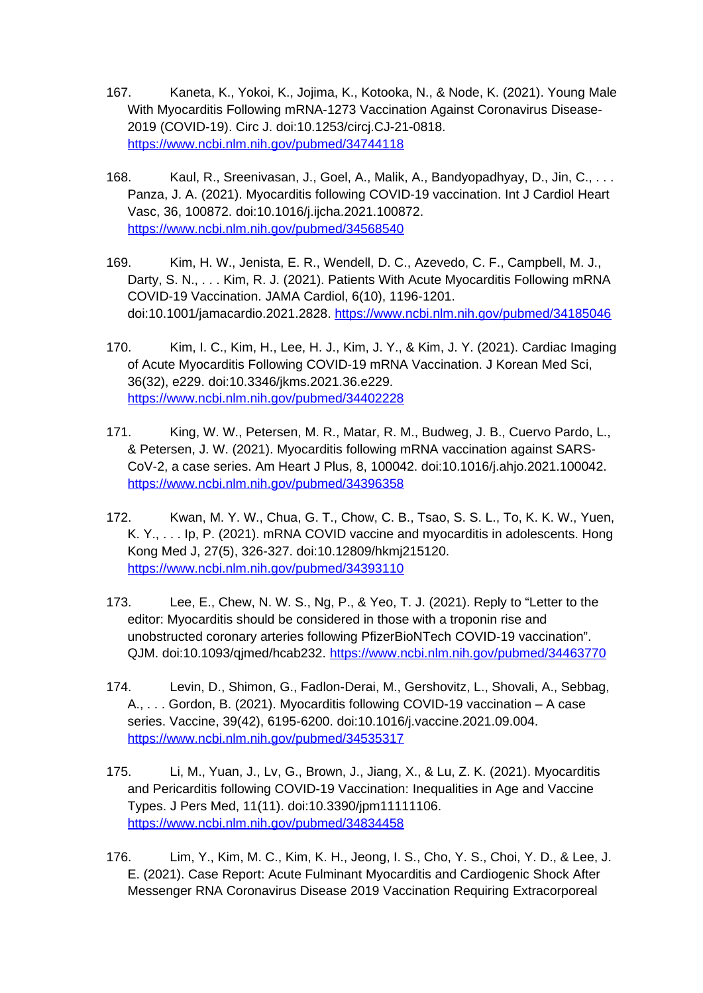- 167. Kaneta, K., Yokoi, K., Jojima, K., Kotooka, N., & Node, K. (2021). Young Male With Myocarditis Following mRNA-1273 Vaccination Against Coronavirus Disease-2019 (COVID-19). Circ J. doi:10.1253/circj.CJ-21-0818. <https://www.ncbi.nlm.nih.gov/pubmed/34744118>
- 168. Kaul, R., Sreenivasan, J., Goel, A., Malik, A., Bandyopadhyay, D., Jin, C., . . . Panza, J. A. (2021). Myocarditis following COVID-19 vaccination. Int J Cardiol Heart Vasc, 36, 100872. doi:10.1016/j.ijcha.2021.100872. <https://www.ncbi.nlm.nih.gov/pubmed/34568540>
- 169. Kim, H. W., Jenista, E. R., Wendell, D. C., Azevedo, C. F., Campbell, M. J., Darty, S. N., . . . Kim, R. J. (2021). Patients With Acute Myocarditis Following mRNA COVID-19 Vaccination. JAMA Cardiol, 6(10), 1196-1201. doi:10.1001/jamacardio.2021.2828.<https://www.ncbi.nlm.nih.gov/pubmed/34185046>
- 170. Kim, I. C., Kim, H., Lee, H. J., Kim, J. Y., & Kim, J. Y. (2021). Cardiac Imaging of Acute Myocarditis Following COVID-19 mRNA Vaccination. J Korean Med Sci, 36(32), e229. doi:10.3346/jkms.2021.36.e229. <https://www.ncbi.nlm.nih.gov/pubmed/34402228>
- 171. King, W. W., Petersen, M. R., Matar, R. M., Budweg, J. B., Cuervo Pardo, L., & Petersen, J. W. (2021). Myocarditis following mRNA vaccination against SARS-CoV-2, a case series. Am Heart J Plus, 8, 100042. doi:10.1016/j.ahjo.2021.100042. <https://www.ncbi.nlm.nih.gov/pubmed/34396358>
- 172. Kwan, M. Y. W., Chua, G. T., Chow, C. B., Tsao, S. S. L., To, K. K. W., Yuen, K. Y., . . . Ip, P. (2021). mRNA COVID vaccine and myocarditis in adolescents. Hong Kong Med J, 27(5), 326-327. doi:10.12809/hkmj215120. <https://www.ncbi.nlm.nih.gov/pubmed/34393110>
- 173. Lee, E., Chew, N. W. S., Ng, P., & Yeo, T. J. (2021). Reply to "Letter to the editor: Myocarditis should be considered in those with a troponin rise and unobstructed coronary arteries following PfizerBioNTech COVID-19 vaccination". QJM. doi:10.1093/qjmed/hcab232.<https://www.ncbi.nlm.nih.gov/pubmed/34463770>
- 174. Levin, D., Shimon, G., Fadlon-Derai, M., Gershovitz, L., Shovali, A., Sebbag, A., . . . Gordon, B. (2021). Myocarditis following COVID-19 vaccination – A case series. Vaccine, 39(42), 6195-6200. doi:10.1016/j.vaccine.2021.09.004. <https://www.ncbi.nlm.nih.gov/pubmed/34535317>
- 175. Li, M., Yuan, J., Lv, G., Brown, J., Jiang, X., & Lu, Z. K. (2021). Myocarditis and Pericarditis following COVID-19 Vaccination: Inequalities in Age and Vaccine Types. J Pers Med, 11(11). doi:10.3390/jpm11111106. <https://www.ncbi.nlm.nih.gov/pubmed/34834458>
- 176. Lim, Y., Kim, M. C., Kim, K. H., Jeong, I. S., Cho, Y. S., Choi, Y. D., & Lee, J. E. (2021). Case Report: Acute Fulminant Myocarditis and Cardiogenic Shock After Messenger RNA Coronavirus Disease 2019 Vaccination Requiring Extracorporeal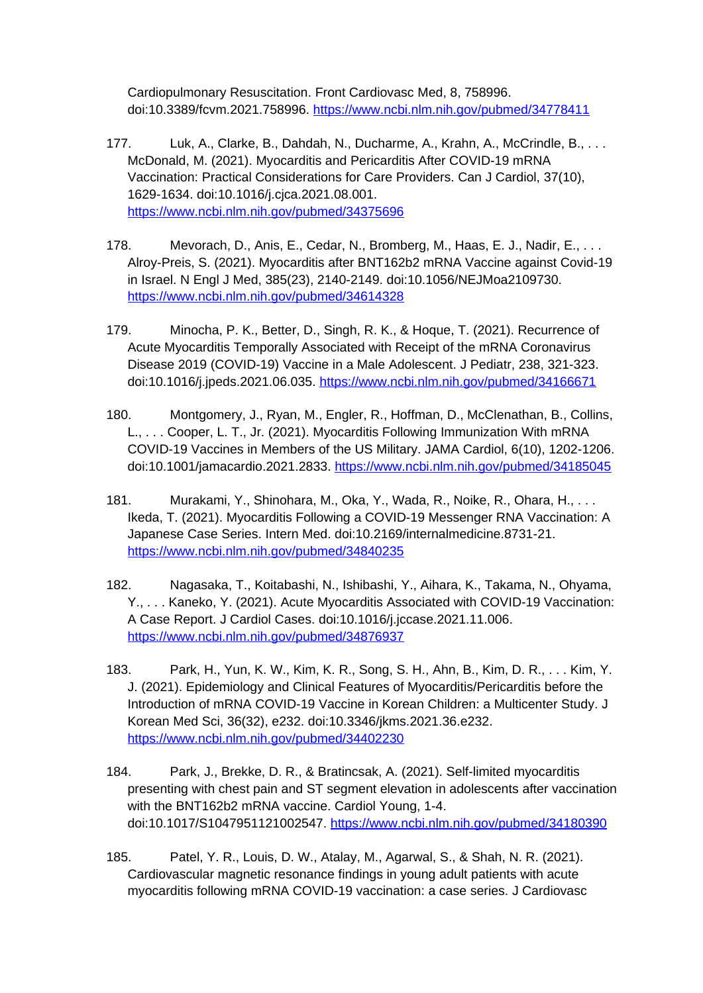Cardiopulmonary Resuscitation. Front Cardiovasc Med, 8, 758996. doi:10.3389/fcvm.2021.758996.<https://www.ncbi.nlm.nih.gov/pubmed/34778411>

- 177. Luk, A., Clarke, B., Dahdah, N., Ducharme, A., Krahn, A., McCrindle, B., . . . McDonald, M. (2021). Myocarditis and Pericarditis After COVID-19 mRNA Vaccination: Practical Considerations for Care Providers. Can J Cardiol, 37(10), 1629-1634. doi:10.1016/j.cjca.2021.08.001. <https://www.ncbi.nlm.nih.gov/pubmed/34375696>
- 178. Mevorach, D., Anis, E., Cedar, N., Bromberg, M., Haas, E. J., Nadir, E., . . . Alroy-Preis, S. (2021). Myocarditis after BNT162b2 mRNA Vaccine against Covid-19 in Israel. N Engl J Med, 385(23), 2140-2149. doi:10.1056/NEJMoa2109730. <https://www.ncbi.nlm.nih.gov/pubmed/34614328>
- 179. Minocha, P. K., Better, D., Singh, R. K., & Hoque, T. (2021). Recurrence of Acute Myocarditis Temporally Associated with Receipt of the mRNA Coronavirus Disease 2019 (COVID-19) Vaccine in a Male Adolescent. J Pediatr, 238, 321-323. doi:10.1016/j.jpeds.2021.06.035. <https://www.ncbi.nlm.nih.gov/pubmed/34166671>
- 180. Montgomery, J., Ryan, M., Engler, R., Hoffman, D., McClenathan, B., Collins, L., . . . Cooper, L. T., Jr. (2021). Myocarditis Following Immunization With mRNA COVID-19 Vaccines in Members of the US Military. JAMA Cardiol, 6(10), 1202-1206. doi:10.1001/jamacardio.2021.2833.<https://www.ncbi.nlm.nih.gov/pubmed/34185045>
- 181. Murakami, Y., Shinohara, M., Oka, Y., Wada, R., Noike, R., Ohara, H., . . . Ikeda, T. (2021). Myocarditis Following a COVID-19 Messenger RNA Vaccination: A Japanese Case Series. Intern Med. doi:10.2169/internalmedicine.8731-21. <https://www.ncbi.nlm.nih.gov/pubmed/34840235>
- 182. Nagasaka, T., Koitabashi, N., Ishibashi, Y., Aihara, K., Takama, N., Ohyama, Y., . . . Kaneko, Y. (2021). Acute Myocarditis Associated with COVID-19 Vaccination: A Case Report. J Cardiol Cases. doi:10.1016/j.jccase.2021.11.006. <https://www.ncbi.nlm.nih.gov/pubmed/34876937>
- 183. Park, H., Yun, K. W., Kim, K. R., Song, S. H., Ahn, B., Kim, D. R., . . . Kim, Y. J. (2021). Epidemiology and Clinical Features of Myocarditis/Pericarditis before the Introduction of mRNA COVID-19 Vaccine in Korean Children: a Multicenter Study. J Korean Med Sci, 36(32), e232. doi:10.3346/jkms.2021.36.e232. <https://www.ncbi.nlm.nih.gov/pubmed/34402230>
- 184. Park, J., Brekke, D. R., & Bratincsak, A. (2021). Self-limited myocarditis presenting with chest pain and ST segment elevation in adolescents after vaccination with the BNT162b2 mRNA vaccine. Cardiol Young, 1-4. doi:10.1017/S1047951121002547.<https://www.ncbi.nlm.nih.gov/pubmed/34180390>
- 185. Patel, Y. R., Louis, D. W., Atalay, M., Agarwal, S., & Shah, N. R. (2021). Cardiovascular magnetic resonance findings in young adult patients with acute myocarditis following mRNA COVID-19 vaccination: a case series. J Cardiovasc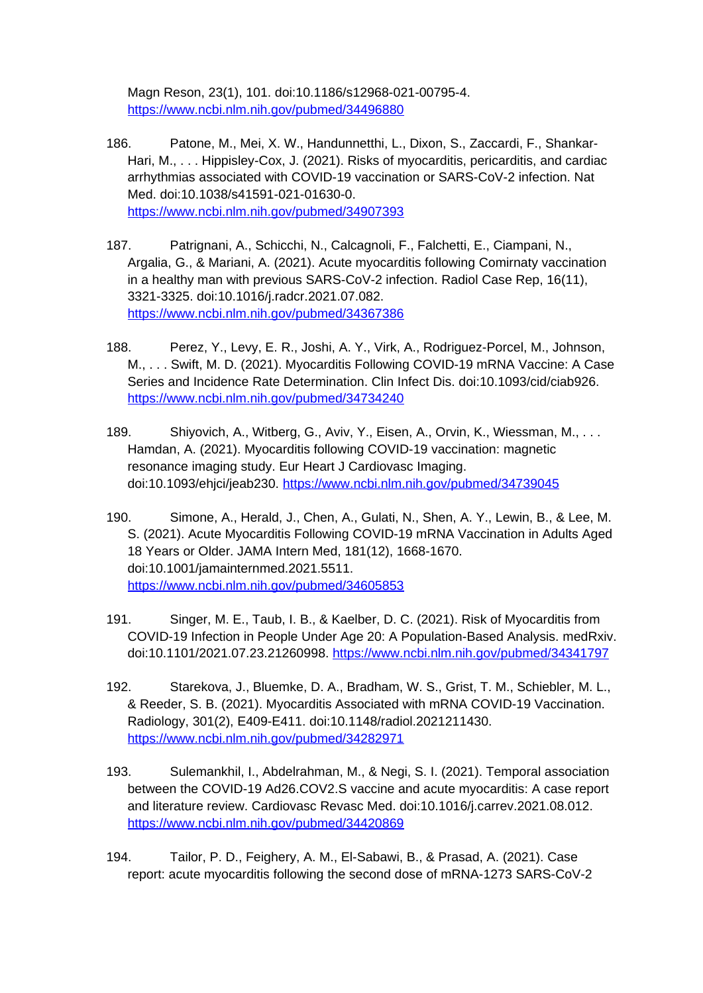Magn Reson, 23(1), 101. doi:10.1186/s12968-021-00795-4. <https://www.ncbi.nlm.nih.gov/pubmed/34496880>

- 186. Patone, M., Mei, X. W., Handunnetthi, L., Dixon, S., Zaccardi, F., Shankar-Hari, M., . . . Hippisley-Cox, J. (2021). Risks of myocarditis, pericarditis, and cardiac arrhythmias associated with COVID-19 vaccination or SARS-CoV-2 infection. Nat Med. doi:10.1038/s41591-021-01630-0. <https://www.ncbi.nlm.nih.gov/pubmed/34907393>
- 187. Patrignani, A., Schicchi, N., Calcagnoli, F., Falchetti, E., Ciampani, N., Argalia, G., & Mariani, A. (2021). Acute myocarditis following Comirnaty vaccination in a healthy man with previous SARS-CoV-2 infection. Radiol Case Rep, 16(11), 3321-3325. doi:10.1016/j.radcr.2021.07.082. <https://www.ncbi.nlm.nih.gov/pubmed/34367386>
- 188. Perez, Y., Levy, E. R., Joshi, A. Y., Virk, A., Rodriguez-Porcel, M., Johnson, M., . . . Swift, M. D. (2021). Myocarditis Following COVID-19 mRNA Vaccine: A Case Series and Incidence Rate Determination. Clin Infect Dis. doi:10.1093/cid/ciab926. <https://www.ncbi.nlm.nih.gov/pubmed/34734240>
- 189. Shiyovich, A., Witberg, G., Aviv, Y., Eisen, A., Orvin, K., Wiessman, M., . . . Hamdan, A. (2021). Myocarditis following COVID-19 vaccination: magnetic resonance imaging study. Eur Heart J Cardiovasc Imaging. doi:10.1093/ehjci/jeab230.<https://www.ncbi.nlm.nih.gov/pubmed/34739045>
- 190. Simone, A., Herald, J., Chen, A., Gulati, N., Shen, A. Y., Lewin, B., & Lee, M. S. (2021). Acute Myocarditis Following COVID-19 mRNA Vaccination in Adults Aged 18 Years or Older. JAMA Intern Med, 181(12), 1668-1670. doi:10.1001/jamainternmed.2021.5511. <https://www.ncbi.nlm.nih.gov/pubmed/34605853>
- 191. Singer, M. E., Taub, I. B., & Kaelber, D. C. (2021). Risk of Myocarditis from COVID-19 Infection in People Under Age 20: A Population-Based Analysis. medRxiv. doi:10.1101/2021.07.23.21260998. <https://www.ncbi.nlm.nih.gov/pubmed/34341797>
- 192. Starekova, J., Bluemke, D. A., Bradham, W. S., Grist, T. M., Schiebler, M. L., & Reeder, S. B. (2021). Myocarditis Associated with mRNA COVID-19 Vaccination. Radiology, 301(2), E409-E411. doi:10.1148/radiol.2021211430. <https://www.ncbi.nlm.nih.gov/pubmed/34282971>
- 193. Sulemankhil, I., Abdelrahman, M., & Negi, S. I. (2021). Temporal association between the COVID-19 Ad26.COV2.S vaccine and acute myocarditis: A case report and literature review. Cardiovasc Revasc Med. doi:10.1016/j.carrev.2021.08.012. <https://www.ncbi.nlm.nih.gov/pubmed/34420869>
- 194. Tailor, P. D., Feighery, A. M., El-Sabawi, B., & Prasad, A. (2021). Case report: acute myocarditis following the second dose of mRNA-1273 SARS-CoV-2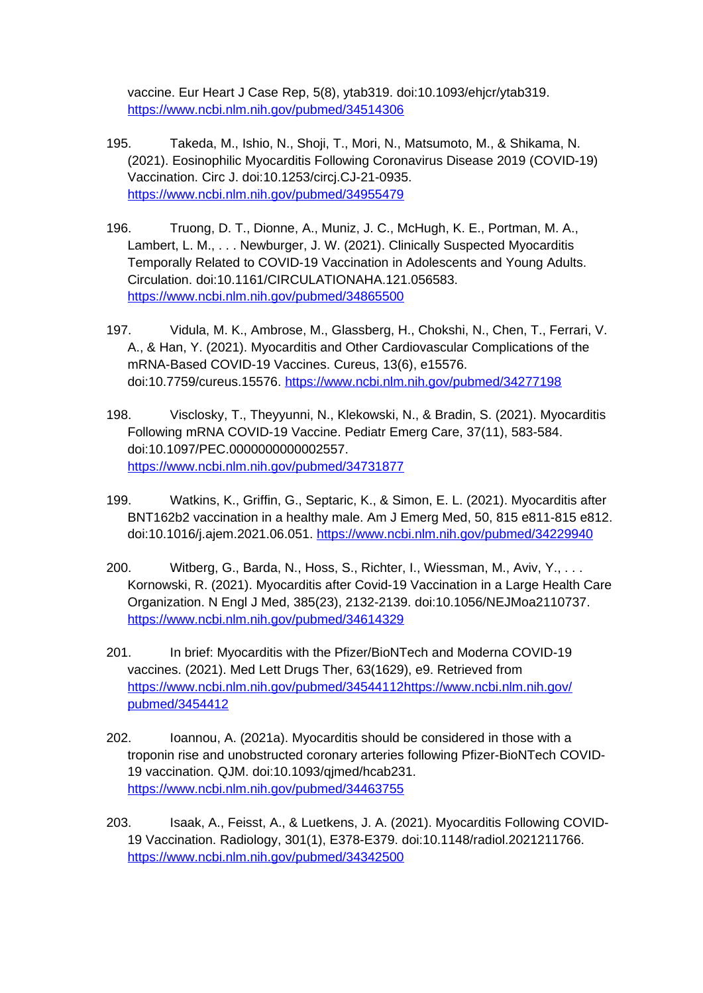vaccine. Eur Heart J Case Rep, 5(8), ytab319. doi:10.1093/ehjcr/ytab319. <https://www.ncbi.nlm.nih.gov/pubmed/34514306>

- 195. Takeda, M., Ishio, N., Shoji, T., Mori, N., Matsumoto, M., & Shikama, N. (2021). Eosinophilic Myocarditis Following Coronavirus Disease 2019 (COVID-19) Vaccination. Circ J. doi:10.1253/circj.CJ-21-0935. <https://www.ncbi.nlm.nih.gov/pubmed/34955479>
- 196. Truong, D. T., Dionne, A., Muniz, J. C., McHugh, K. E., Portman, M. A., Lambert, L. M., . . . Newburger, J. W. (2021). Clinically Suspected Myocarditis Temporally Related to COVID-19 Vaccination in Adolescents and Young Adults. Circulation. doi:10.1161/CIRCULATIONAHA.121.056583. <https://www.ncbi.nlm.nih.gov/pubmed/34865500>
- 197. Vidula, M. K., Ambrose, M., Glassberg, H., Chokshi, N., Chen, T., Ferrari, V. A., & Han, Y. (2021). Myocarditis and Other Cardiovascular Complications of the mRNA-Based COVID-19 Vaccines. Cureus, 13(6), e15576. doi:10.7759/cureus.15576.<https://www.ncbi.nlm.nih.gov/pubmed/34277198>
- 198. Visclosky, T., Theyyunni, N., Klekowski, N., & Bradin, S. (2021). Myocarditis Following mRNA COVID-19 Vaccine. Pediatr Emerg Care, 37(11), 583-584. doi:10.1097/PEC.0000000000002557. <https://www.ncbi.nlm.nih.gov/pubmed/34731877>
- 199. Watkins, K., Griffin, G., Septaric, K., & Simon, E. L. (2021). Myocarditis after BNT162b2 vaccination in a healthy male. Am J Emerg Med, 50, 815 e811-815 e812. doi:10.1016/j.ajem.2021.06.051.<https://www.ncbi.nlm.nih.gov/pubmed/34229940>
- 200. Witberg, G., Barda, N., Hoss, S., Richter, I., Wiessman, M., Aviv, Y., . . . Kornowski, R. (2021). Myocarditis after Covid-19 Vaccination in a Large Health Care Organization. N Engl J Med, 385(23), 2132-2139. doi:10.1056/NEJMoa2110737. <https://www.ncbi.nlm.nih.gov/pubmed/34614329>
- 201. In brief: Myocarditis with the Pfizer/BioNTech and Moderna COVID-19 vaccines. (2021). Med Lett Drugs Ther, 63(1629), e9. Retrieved from [https://www.ncbi.nlm.nih.gov/pubmed/34544112https://www.ncbi.nlm.nih.gov/](https://www.ncbi.nlm.nih.gov/pubmed/34544112https:/www.ncbi.nlm.nih.gov/pubmed/3454412) [pubmed/3454412](https://www.ncbi.nlm.nih.gov/pubmed/34544112https:/www.ncbi.nlm.nih.gov/pubmed/3454412)
- 202. Ioannou, A. (2021a). Myocarditis should be considered in those with a troponin rise and unobstructed coronary arteries following Pfizer-BioNTech COVID-19 vaccination. QJM. doi:10.1093/qjmed/hcab231. <https://www.ncbi.nlm.nih.gov/pubmed/34463755>
- 203. Isaak, A., Feisst, A., & Luetkens, J. A. (2021). Myocarditis Following COVID-19 Vaccination. Radiology, 301(1), E378-E379. doi:10.1148/radiol.2021211766. <https://www.ncbi.nlm.nih.gov/pubmed/34342500>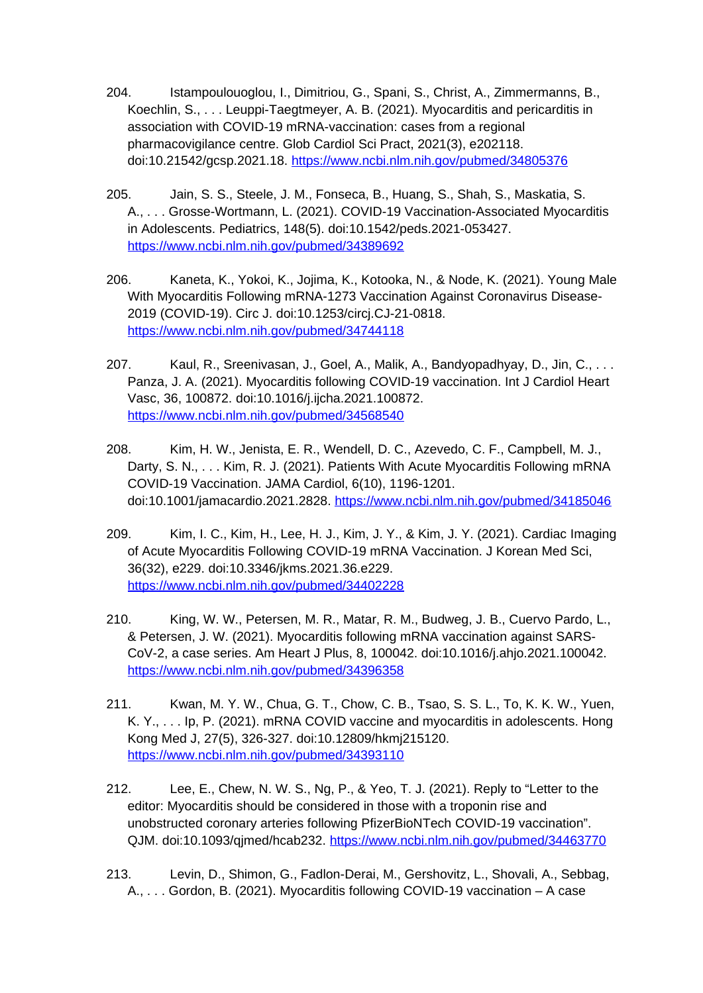- 204. Istampoulouoglou, I., Dimitriou, G., Spani, S., Christ, A., Zimmermanns, B., Koechlin, S., . . . Leuppi-Taegtmeyer, A. B. (2021). Myocarditis and pericarditis in association with COVID-19 mRNA-vaccination: cases from a regional pharmacovigilance centre. Glob Cardiol Sci Pract, 2021(3), e202118. doi:10.21542/gcsp.2021.18. <https://www.ncbi.nlm.nih.gov/pubmed/34805376>
- 205. Jain, S. S., Steele, J. M., Fonseca, B., Huang, S., Shah, S., Maskatia, S. A., . . . Grosse-Wortmann, L. (2021). COVID-19 Vaccination-Associated Myocarditis in Adolescents. Pediatrics, 148(5). doi:10.1542/peds.2021-053427. <https://www.ncbi.nlm.nih.gov/pubmed/34389692>
- 206. Kaneta, K., Yokoi, K., Jojima, K., Kotooka, N., & Node, K. (2021). Young Male With Myocarditis Following mRNA-1273 Vaccination Against Coronavirus Disease-2019 (COVID-19). Circ J. doi:10.1253/circj.CJ-21-0818. <https://www.ncbi.nlm.nih.gov/pubmed/34744118>
- 207. Kaul, R., Sreenivasan, J., Goel, A., Malik, A., Bandyopadhyay, D., Jin, C., . . . Panza, J. A. (2021). Myocarditis following COVID-19 vaccination. Int J Cardiol Heart Vasc, 36, 100872. doi:10.1016/j.ijcha.2021.100872. <https://www.ncbi.nlm.nih.gov/pubmed/34568540>
- 208. Kim, H. W., Jenista, E. R., Wendell, D. C., Azevedo, C. F., Campbell, M. J., Darty, S. N., . . . Kim, R. J. (2021). Patients With Acute Myocarditis Following mRNA COVID-19 Vaccination. JAMA Cardiol, 6(10), 1196-1201. doi:10.1001/jamacardio.2021.2828.<https://www.ncbi.nlm.nih.gov/pubmed/34185046>
- 209. Kim, I. C., Kim, H., Lee, H. J., Kim, J. Y., & Kim, J. Y. (2021). Cardiac Imaging of Acute Myocarditis Following COVID-19 mRNA Vaccination. J Korean Med Sci, 36(32), e229. doi:10.3346/jkms.2021.36.e229. <https://www.ncbi.nlm.nih.gov/pubmed/34402228>
- 210. King, W. W., Petersen, M. R., Matar, R. M., Budweg, J. B., Cuervo Pardo, L., & Petersen, J. W. (2021). Myocarditis following mRNA vaccination against SARS-CoV-2, a case series. Am Heart J Plus, 8, 100042. doi:10.1016/j.ahjo.2021.100042. <https://www.ncbi.nlm.nih.gov/pubmed/34396358>
- 211. Kwan, M. Y. W., Chua, G. T., Chow, C. B., Tsao, S. S. L., To, K. K. W., Yuen, K. Y., . . . Ip, P. (2021). mRNA COVID vaccine and myocarditis in adolescents. Hong Kong Med J, 27(5), 326-327. doi:10.12809/hkmj215120. <https://www.ncbi.nlm.nih.gov/pubmed/34393110>
- 212. Lee, E., Chew, N. W. S., Ng, P., & Yeo, T. J. (2021). Reply to "Letter to the editor: Myocarditis should be considered in those with a troponin rise and unobstructed coronary arteries following PfizerBioNTech COVID-19 vaccination". QJM. doi:10.1093/qjmed/hcab232.<https://www.ncbi.nlm.nih.gov/pubmed/34463770>
- 213. Levin, D., Shimon, G., Fadlon-Derai, M., Gershovitz, L., Shovali, A., Sebbag, A., . . . Gordon, B. (2021). Myocarditis following COVID-19 vaccination – A case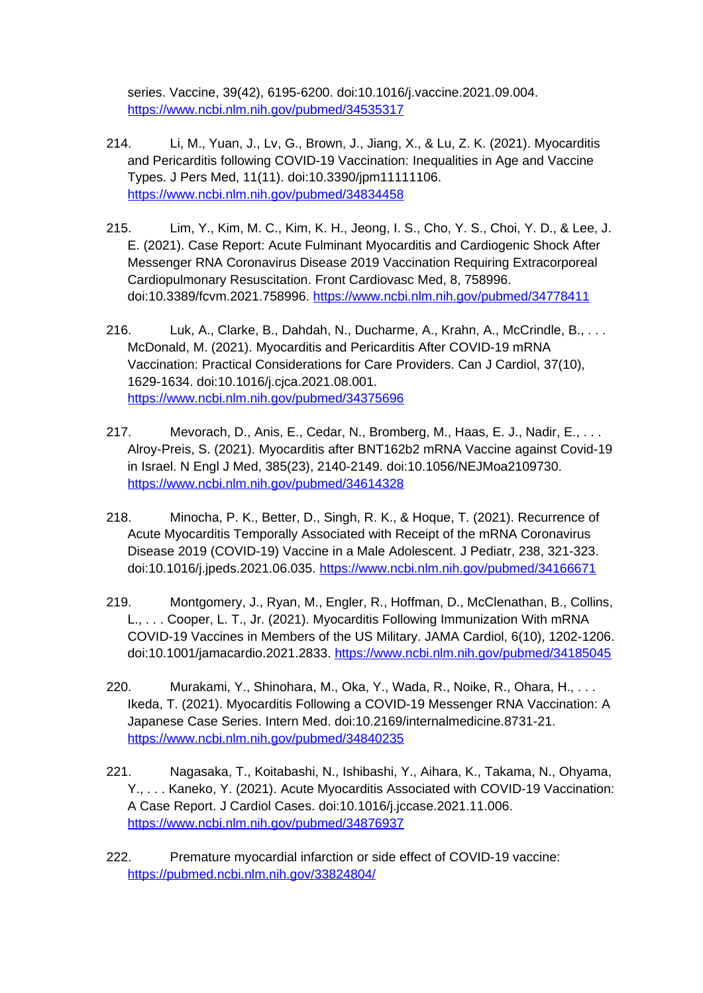series. Vaccine, 39(42), 6195-6200. doi:10.1016/j.vaccine.2021.09.004. <https://www.ncbi.nlm.nih.gov/pubmed/34535317>

- 214. Li, M., Yuan, J., Lv, G., Brown, J., Jiang, X., & Lu, Z. K. (2021). Myocarditis and Pericarditis following COVID-19 Vaccination: Inequalities in Age and Vaccine Types. J Pers Med, 11(11). doi:10.3390/jpm11111106. <https://www.ncbi.nlm.nih.gov/pubmed/34834458>
- 215. Lim, Y., Kim, M. C., Kim, K. H., Jeong, I. S., Cho, Y. S., Choi, Y. D., & Lee, J. E. (2021). Case Report: Acute Fulminant Myocarditis and Cardiogenic Shock After Messenger RNA Coronavirus Disease 2019 Vaccination Requiring Extracorporeal Cardiopulmonary Resuscitation. Front Cardiovasc Med, 8, 758996. doi:10.3389/fcvm.2021.758996.<https://www.ncbi.nlm.nih.gov/pubmed/34778411>
- 216. Luk, A., Clarke, B., Dahdah, N., Ducharme, A., Krahn, A., McCrindle, B., . . . McDonald, M. (2021). Myocarditis and Pericarditis After COVID-19 mRNA Vaccination: Practical Considerations for Care Providers. Can J Cardiol, 37(10), 1629-1634. doi:10.1016/j.cjca.2021.08.001. <https://www.ncbi.nlm.nih.gov/pubmed/34375696>
- 217. Mevorach, D., Anis, E., Cedar, N., Bromberg, M., Haas, E. J., Nadir, E., . . . Alroy-Preis, S. (2021). Myocarditis after BNT162b2 mRNA Vaccine against Covid-19 in Israel. N Engl J Med, 385(23), 2140-2149. doi:10.1056/NEJMoa2109730. <https://www.ncbi.nlm.nih.gov/pubmed/34614328>
- 218. Minocha, P. K., Better, D., Singh, R. K., & Hoque, T. (2021). Recurrence of Acute Myocarditis Temporally Associated with Receipt of the mRNA Coronavirus Disease 2019 (COVID-19) Vaccine in a Male Adolescent. J Pediatr, 238, 321-323. doi:10.1016/j.jpeds.2021.06.035. <https://www.ncbi.nlm.nih.gov/pubmed/34166671>
- 219. Montgomery, J., Ryan, M., Engler, R., Hoffman, D., McClenathan, B., Collins, L., . . . Cooper, L. T., Jr. (2021). Myocarditis Following Immunization With mRNA COVID-19 Vaccines in Members of the US Military. JAMA Cardiol, 6(10), 1202-1206. doi:10.1001/jamacardio.2021.2833.<https://www.ncbi.nlm.nih.gov/pubmed/34185045>
- 220. Murakami, Y., Shinohara, M., Oka, Y., Wada, R., Noike, R., Ohara, H., . . . Ikeda, T. (2021). Myocarditis Following a COVID-19 Messenger RNA Vaccination: A Japanese Case Series. Intern Med. doi:10.2169/internalmedicine.8731-21. <https://www.ncbi.nlm.nih.gov/pubmed/34840235>
- 221. Nagasaka, T., Koitabashi, N., Ishibashi, Y., Aihara, K., Takama, N., Ohyama, Y., . . . Kaneko, Y. (2021). Acute Myocarditis Associated with COVID-19 Vaccination: A Case Report. J Cardiol Cases. doi:10.1016/j.jccase.2021.11.006. <https://www.ncbi.nlm.nih.gov/pubmed/34876937>
- 222. Premature myocardial infarction or side effect of COVID-19 vaccine: <https://pubmed.ncbi.nlm.nih.gov/33824804/>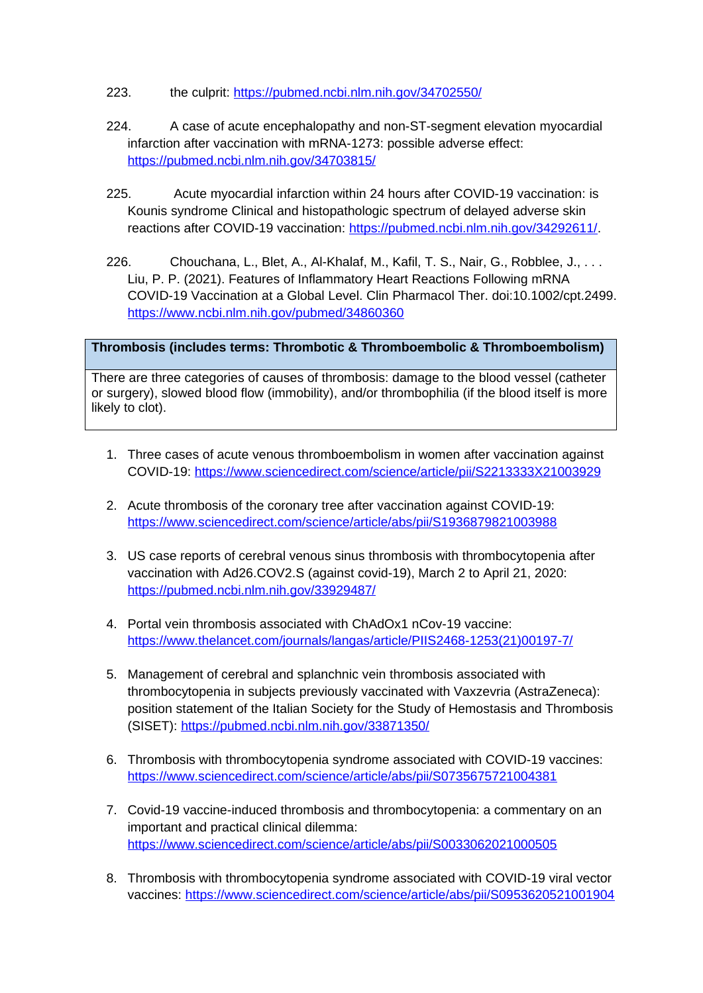- 223. the culprit: <https://pubmed.ncbi.nlm.nih.gov/34702550/>
- 224. A case of acute encephalopathy and non-ST-segment elevation myocardial infarction after vaccination with mRNA-1273: possible adverse effect: <https://pubmed.ncbi.nlm.nih.gov/34703815/>
- 225. Acute myocardial infarction within 24 hours after COVID-19 vaccination: is Kounis syndrome Clinical and histopathologic spectrum of delayed adverse skin reactions after COVID-19 vaccination: <https://pubmed.ncbi.nlm.nih.gov/34292611/>.
- 226. Chouchana, L., Blet, A., Al-Khalaf, M., Kafil, T. S., Nair, G., Robblee, J., . . . Liu, P. P. (2021). Features of Inflammatory Heart Reactions Following mRNA COVID-19 Vaccination at a Global Level. Clin Pharmacol Ther. doi:10.1002/cpt.2499. <https://www.ncbi.nlm.nih.gov/pubmed/34860360>

## **Thrombosis (includes terms: Thrombotic & Thromboembolic & Thromboembolism)**

There are three categories of causes of thrombosis: damage to the blood vessel (catheter or surgery), slowed blood flow (immobility), and/or thrombophilia (if the blood itself is more likely to clot).

- 1. Three cases of acute venous thromboembolism in women after vaccination against COVID-19: <https://www.sciencedirect.com/science/article/pii/S2213333X21003929>
- 2. Acute thrombosis of the coronary tree after vaccination against COVID-19: <https://www.sciencedirect.com/science/article/abs/pii/S1936879821003988>
- 3. US case reports of cerebral venous sinus thrombosis with thrombocytopenia after vaccination with Ad26.COV2.S (against covid-19), March 2 to April 21, 2020: <https://pubmed.ncbi.nlm.nih.gov/33929487/>
- 4. Portal vein thrombosis associated with ChAdOx1 nCov-19 vaccine: [https://www.thelancet.com/journals/langas/article/PIIS2468-1253\(21\)00197-7/](https://www.thelancet.com/journals/langas/article/PIIS2468-1253(21)00197-7/)
- 5. Management of cerebral and splanchnic vein thrombosis associated with thrombocytopenia in subjects previously vaccinated with Vaxzevria (AstraZeneca): position statement of the Italian Society for the Study of Hemostasis and Thrombosis (SISET):<https://pubmed.ncbi.nlm.nih.gov/33871350/>
- 6. Thrombosis with thrombocytopenia syndrome associated with COVID-19 vaccines: <https://www.sciencedirect.com/science/article/abs/pii/S0735675721004381>
- 7. Covid-19 vaccine-induced thrombosis and thrombocytopenia: a commentary on an important and practical clinical dilemma: <https://www.sciencedirect.com/science/article/abs/pii/S0033062021000505>
- 8. Thrombosis with thrombocytopenia syndrome associated with COVID-19 viral vector vaccines:<https://www.sciencedirect.com/science/article/abs/pii/S0953620521001904>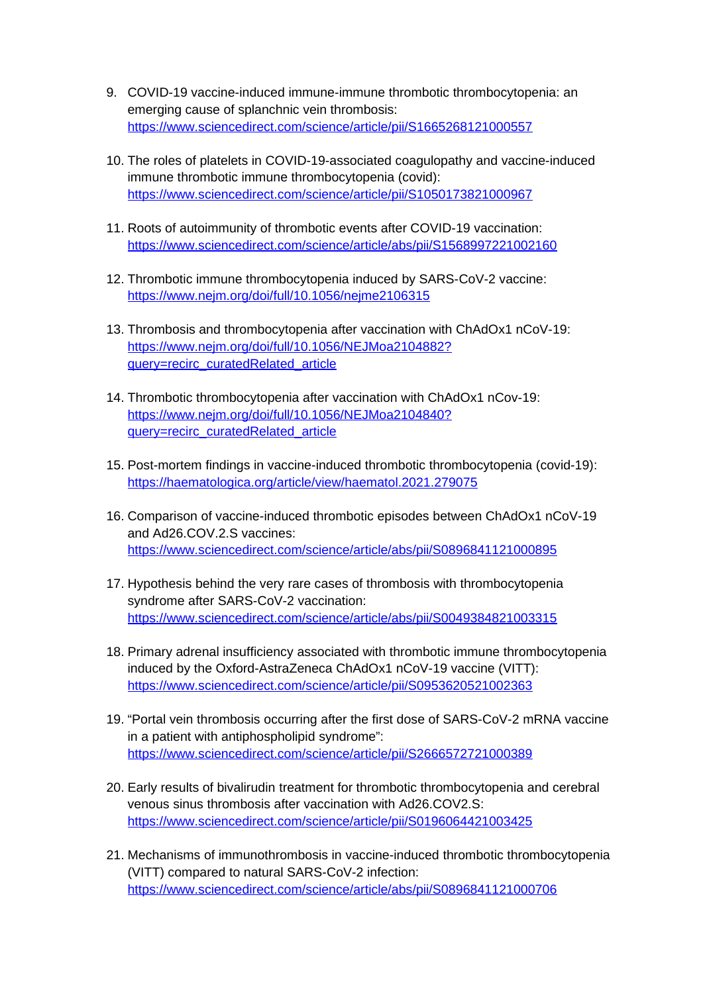- 9. COVID-19 vaccine-induced immune-immune thrombotic thrombocytopenia: an emerging cause of splanchnic vein thrombosis: <https://www.sciencedirect.com/science/article/pii/S1665268121000557>
- 10. The roles of platelets in COVID-19-associated coagulopathy and vaccine-induced immune thrombotic immune thrombocytopenia (covid): <https://www.sciencedirect.com/science/article/pii/S1050173821000967>
- 11. Roots of autoimmunity of thrombotic events after COVID-19 vaccination: <https://www.sciencedirect.com/science/article/abs/pii/S1568997221002160>
- 12. Thrombotic immune thrombocytopenia induced by SARS-CoV-2 vaccine: <https://www.nejm.org/doi/full/10.1056/nejme2106315>
- 13. Thrombosis and thrombocytopenia after vaccination with ChAdOx1 nCoV-19: [https://www.nejm.org/doi/full/10.1056/NEJMoa2104882?](https://www.nejm.org/doi/full/10.1056/NEJMoa2104882?query=recirc_curatedRelated_article) [query=recirc\\_curatedRelated\\_article](https://www.nejm.org/doi/full/10.1056/NEJMoa2104882?query=recirc_curatedRelated_article)
- 14. Thrombotic thrombocytopenia after vaccination with ChAdOx1 nCov-19: [https://www.nejm.org/doi/full/10.1056/NEJMoa2104840?](https://www.nejm.org/doi/full/10.1056/NEJMoa2104840?query=recirc_curatedRelated_article) [query=recirc\\_curatedRelated\\_article](https://www.nejm.org/doi/full/10.1056/NEJMoa2104840?query=recirc_curatedRelated_article)
- 15. Post-mortem findings in vaccine-induced thrombotic thrombocytopenia (covid-19): <https://haematologica.org/article/view/haematol.2021.279075>
- 16. Comparison of vaccine-induced thrombotic episodes between ChAdOx1 nCoV-19 and Ad26.COV.2.S vaccines: <https://www.sciencedirect.com/science/article/abs/pii/S0896841121000895>
- 17. Hypothesis behind the very rare cases of thrombosis with thrombocytopenia syndrome after SARS-CoV-2 vaccination: <https://www.sciencedirect.com/science/article/abs/pii/S0049384821003315>
- 18. Primary adrenal insufficiency associated with thrombotic immune thrombocytopenia induced by the Oxford-AstraZeneca ChAdOx1 nCoV-19 vaccine (VITT): <https://www.sciencedirect.com/science/article/pii/S0953620521002363>
- 19. "Portal vein thrombosis occurring after the first dose of SARS-CoV-2 mRNA vaccine in a patient with antiphospholipid syndrome": <https://www.sciencedirect.com/science/article/pii/S2666572721000389>
- 20. Early results of bivalirudin treatment for thrombotic thrombocytopenia and cerebral venous sinus thrombosis after vaccination with Ad26.COV2.S: <https://www.sciencedirect.com/science/article/pii/S0196064421003425>
- 21. Mechanisms of immunothrombosis in vaccine-induced thrombotic thrombocytopenia (VITT) compared to natural SARS-CoV-2 infection: <https://www.sciencedirect.com/science/article/abs/pii/S0896841121000706>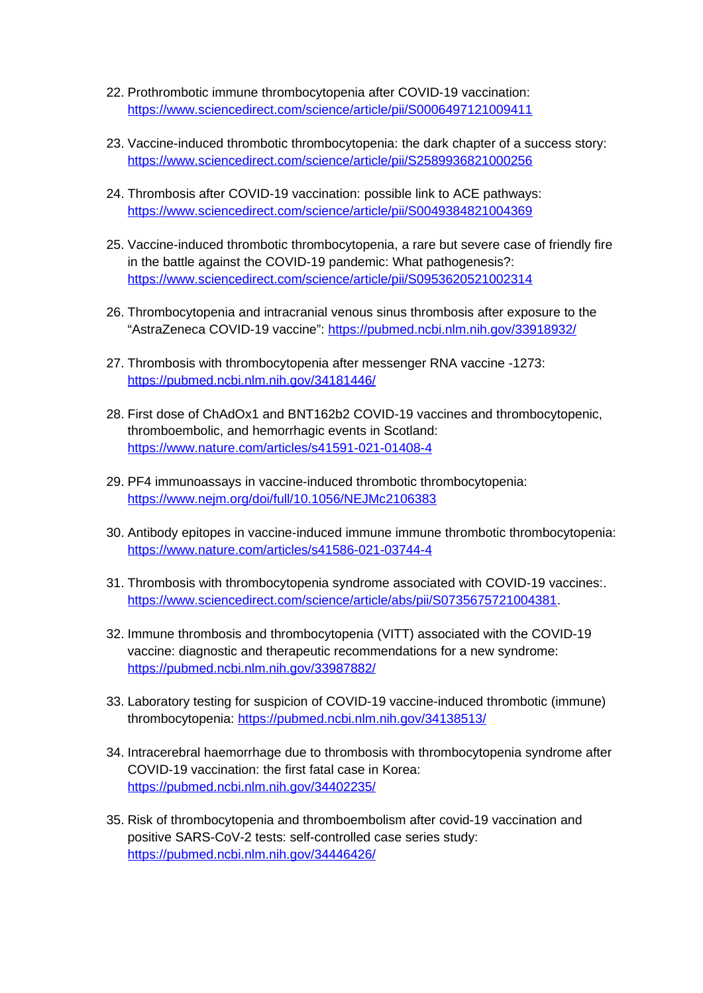- 22. Prothrombotic immune thrombocytopenia after COVID-19 vaccination: <https://www.sciencedirect.com/science/article/pii/S0006497121009411>
- 23. Vaccine-induced thrombotic thrombocytopenia: the dark chapter of a success story: <https://www.sciencedirect.com/science/article/pii/S2589936821000256>
- 24. Thrombosis after COVID-19 vaccination: possible link to ACE pathways: <https://www.sciencedirect.com/science/article/pii/S0049384821004369>
- 25. Vaccine-induced thrombotic thrombocytopenia, a rare but severe case of friendly fire in the battle against the COVID-19 pandemic: What pathogenesis?: <https://www.sciencedirect.com/science/article/pii/S0953620521002314>
- 26. Thrombocytopenia and intracranial venous sinus thrombosis after exposure to the "AstraZeneca COVID-19 vaccine": <https://pubmed.ncbi.nlm.nih.gov/33918932/>
- 27. Thrombosis with thrombocytopenia after messenger RNA vaccine -1273: <https://pubmed.ncbi.nlm.nih.gov/34181446/>
- 28. First dose of ChAdOx1 and BNT162b2 COVID-19 vaccines and thrombocytopenic, thromboembolic, and hemorrhagic events in Scotland: <https://www.nature.com/articles/s41591-021-01408-4>
- 29. PF4 immunoassays in vaccine-induced thrombotic thrombocytopenia: <https://www.nejm.org/doi/full/10.1056/NEJMc2106383>
- 30. Antibody epitopes in vaccine-induced immune immune thrombotic thrombocytopenia: <https://www.nature.com/articles/s41586-021-03744-4>
- 31. Thrombosis with thrombocytopenia syndrome associated with COVID-19 vaccines:. [https://www.sciencedirect.com/science/article/abs/pii/S0735675721004381.](https://www.sciencedirect.com/science/article/abs/pii/S0735675721004381)
- 32. Immune thrombosis and thrombocytopenia (VITT) associated with the COVID-19 vaccine: diagnostic and therapeutic recommendations for a new syndrome: <https://pubmed.ncbi.nlm.nih.gov/33987882/>
- 33. Laboratory testing for suspicion of COVID-19 vaccine-induced thrombotic (immune) thrombocytopenia: <https://pubmed.ncbi.nlm.nih.gov/34138513/>
- 34. Intracerebral haemorrhage due to thrombosis with thrombocytopenia syndrome after COVID-19 vaccination: the first fatal case in Korea: <https://pubmed.ncbi.nlm.nih.gov/34402235/>
- 35. Risk of thrombocytopenia and thromboembolism after covid-19 vaccination and positive SARS-CoV-2 tests: self-controlled case series study: <https://pubmed.ncbi.nlm.nih.gov/34446426/>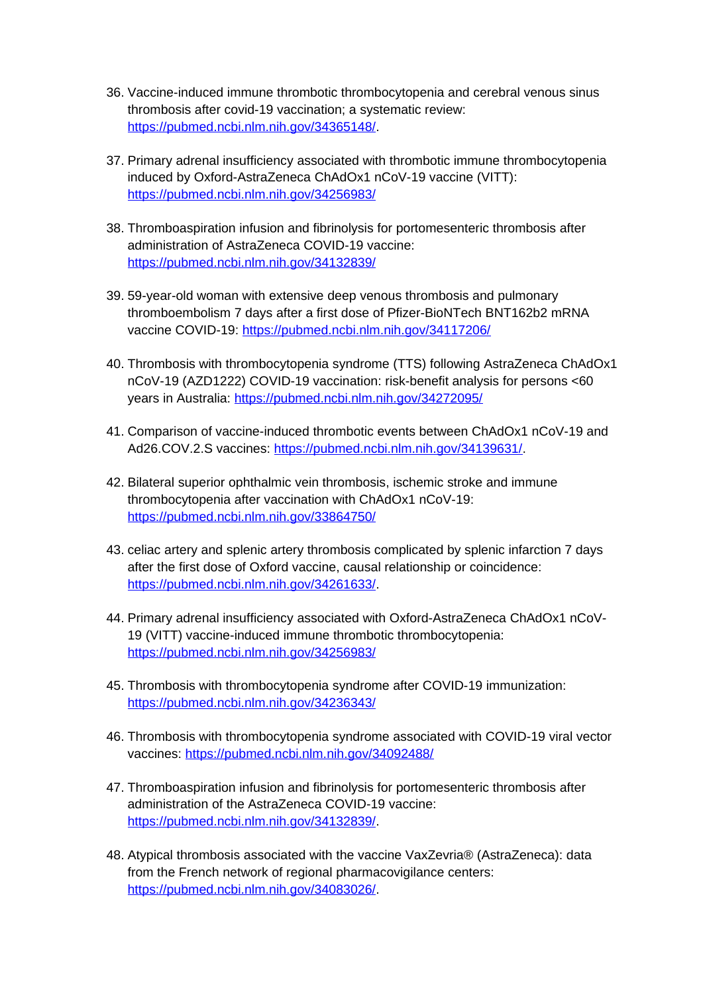- 36. Vaccine-induced immune thrombotic thrombocytopenia and cerebral venous sinus thrombosis after covid-19 vaccination; a systematic review: <https://pubmed.ncbi.nlm.nih.gov/34365148/>.
- 37. Primary adrenal insufficiency associated with thrombotic immune thrombocytopenia induced by Oxford-AstraZeneca ChAdOx1 nCoV-19 vaccine (VITT): <https://pubmed.ncbi.nlm.nih.gov/34256983/>
- 38. Thromboaspiration infusion and fibrinolysis for portomesenteric thrombosis after administration of AstraZeneca COVID-19 vaccine: <https://pubmed.ncbi.nlm.nih.gov/34132839/>
- 39. 59-year-old woman with extensive deep venous thrombosis and pulmonary thromboembolism 7 days after a first dose of Pfizer-BioNTech BNT162b2 mRNA vaccine COVID-19:<https://pubmed.ncbi.nlm.nih.gov/34117206/>
- 40. Thrombosis with thrombocytopenia syndrome (TTS) following AstraZeneca ChAdOx1 nCoV-19 (AZD1222) COVID-19 vaccination: risk-benefit analysis for persons <60 years in Australia:<https://pubmed.ncbi.nlm.nih.gov/34272095/>
- 41. Comparison of vaccine-induced thrombotic events between ChAdOx1 nCoV-19 and Ad26.COV.2.S vaccines: [https://pubmed.ncbi.nlm.nih.gov/34139631/.](https://pubmed.ncbi.nlm.nih.gov/34139631/)
- 42. Bilateral superior ophthalmic vein thrombosis, ischemic stroke and immune thrombocytopenia after vaccination with ChAdOx1 nCoV-19: <https://pubmed.ncbi.nlm.nih.gov/33864750/>
- 43. celiac artery and splenic artery thrombosis complicated by splenic infarction 7 days after the first dose of Oxford vaccine, causal relationship or coincidence: <https://pubmed.ncbi.nlm.nih.gov/34261633/>.
- 44. Primary adrenal insufficiency associated with Oxford-AstraZeneca ChAdOx1 nCoV-19 (VITT) vaccine-induced immune thrombotic thrombocytopenia: <https://pubmed.ncbi.nlm.nih.gov/34256983/>
- 45. Thrombosis with thrombocytopenia syndrome after COVID-19 immunization: <https://pubmed.ncbi.nlm.nih.gov/34236343/>
- 46. Thrombosis with thrombocytopenia syndrome associated with COVID-19 viral vector vaccines:<https://pubmed.ncbi.nlm.nih.gov/34092488/>
- 47. Thromboaspiration infusion and fibrinolysis for portomesenteric thrombosis after administration of the AstraZeneca COVID-19 vaccine: <https://pubmed.ncbi.nlm.nih.gov/34132839/>.
- 48. Atypical thrombosis associated with the vaccine VaxZevria® (AstraZeneca): data from the French network of regional pharmacovigilance centers: <https://pubmed.ncbi.nlm.nih.gov/34083026/>.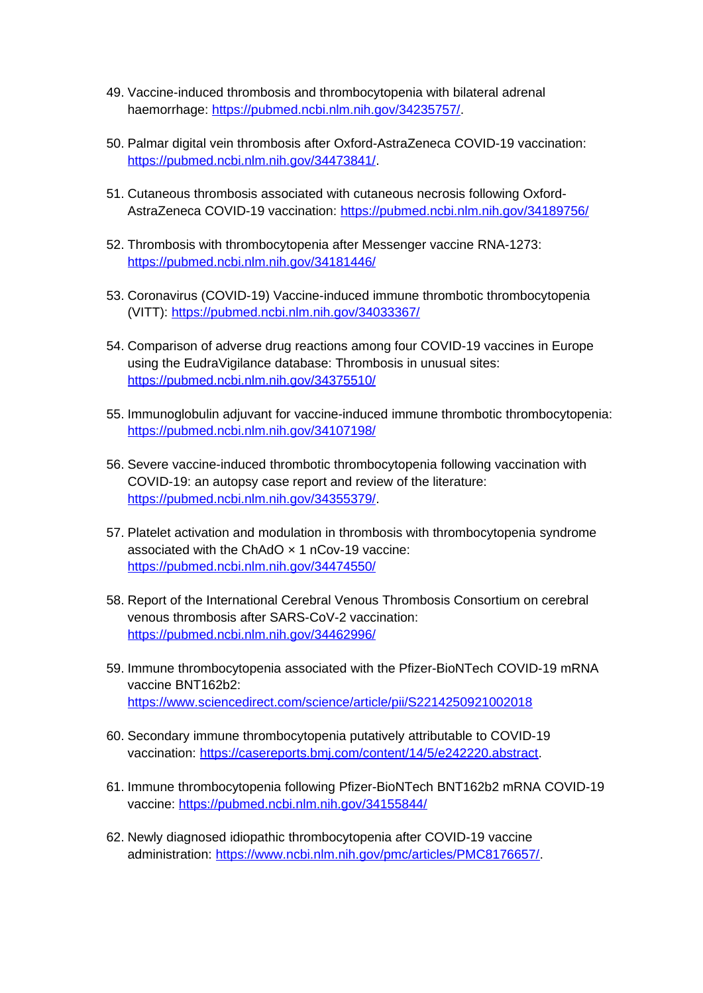- 49. Vaccine-induced thrombosis and thrombocytopenia with bilateral adrenal haemorrhage: <https://pubmed.ncbi.nlm.nih.gov/34235757/>.
- 50. Palmar digital vein thrombosis after Oxford-AstraZeneca COVID-19 vaccination: <https://pubmed.ncbi.nlm.nih.gov/34473841/>.
- 51. Cutaneous thrombosis associated with cutaneous necrosis following OxfordAstraZeneca COVID-19 vaccination:<https://pubmed.ncbi.nlm.nih.gov/34189756/>
- 52. Thrombosis with thrombocytopenia after Messenger vaccine RNA-1273: <https://pubmed.ncbi.nlm.nih.gov/34181446/>
- 53. Coronavirus (COVID-19) Vaccine-induced immune thrombotic thrombocytopenia (VITT):<https://pubmed.ncbi.nlm.nih.gov/34033367/>
- 54. Comparison of adverse drug reactions among four COVID-19 vaccines in Europe using the EudraVigilance database: Thrombosis in unusual sites: <https://pubmed.ncbi.nlm.nih.gov/34375510/>
- 55. Immunoglobulin adjuvant for vaccine-induced immune thrombotic thrombocytopenia: <https://pubmed.ncbi.nlm.nih.gov/34107198/>
- 56. Severe vaccine-induced thrombotic thrombocytopenia following vaccination with COVID-19: an autopsy case report and review of the literature: <https://pubmed.ncbi.nlm.nih.gov/34355379/>.
- 57. Platelet activation and modulation in thrombosis with thrombocytopenia syndrome associated with the ChAdO  $\times$  1 nCov-19 vaccine: <https://pubmed.ncbi.nlm.nih.gov/34474550/>
- 58. Report of the International Cerebral Venous Thrombosis Consortium on cerebral venous thrombosis after SARS-CoV-2 vaccination: <https://pubmed.ncbi.nlm.nih.gov/34462996/>
- 59. Immune thrombocytopenia associated with the Pfizer-BioNTech COVID-19 mRNA vaccine BNT162b2: <https://www.sciencedirect.com/science/article/pii/S2214250921002018>
- 60. Secondary immune thrombocytopenia putatively attributable to COVID-19 vaccination:<https://casereports.bmj.com/content/14/5/e242220.abstract>.
- 61. Immune thrombocytopenia following Pfizer-BioNTech BNT162b2 mRNA COVID-19 vaccine:<https://pubmed.ncbi.nlm.nih.gov/34155844/>
- 62. Newly diagnosed idiopathic thrombocytopenia after COVID-19 vaccine administration: <https://www.ncbi.nlm.nih.gov/pmc/articles/PMC8176657/>.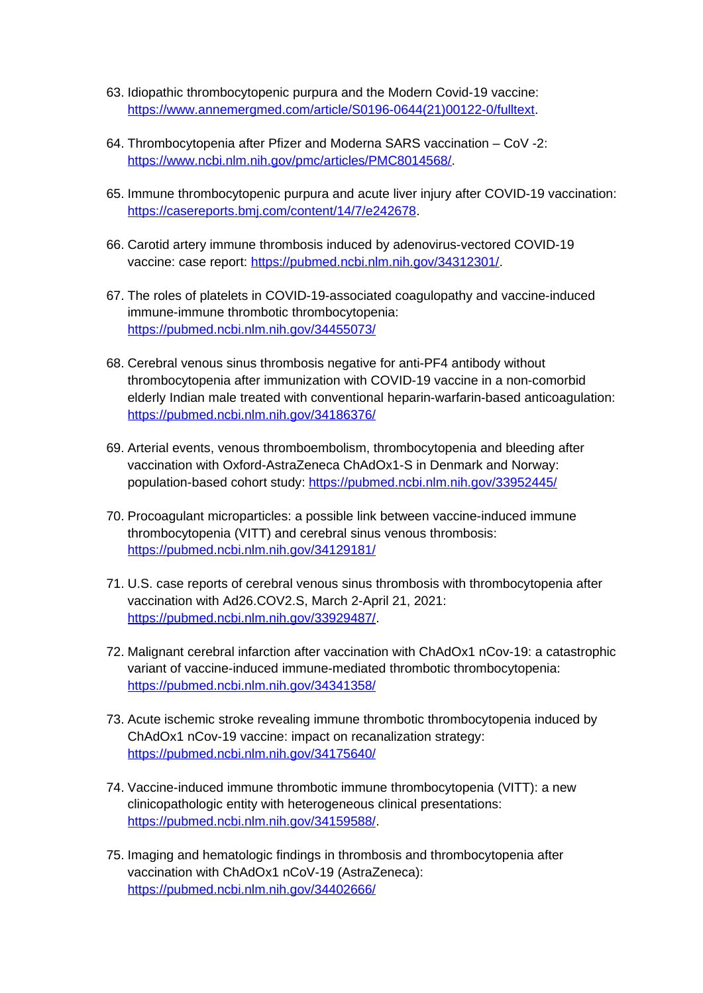- 63. Idiopathic thrombocytopenic purpura and the Modern Covid-19 vaccine: [https://www.annemergmed.com/article/S0196-0644\(21\)00122-0/fulltext](https://www.annemergmed.com/article/S0196-0644(21)00122-0/fulltext).
- 64. Thrombocytopenia after Pfizer and Moderna SARS vaccination CoV -2: [https://www.ncbi.nlm.nih.gov/pmc/articles/PMC8014568/.](https://www.ncbi.nlm.nih.gov/pmc/articles/PMC8014568/)
- 65. Immune thrombocytopenic purpura and acute liver injury after COVID-19 vaccination: [https://casereports.bmj.com/content/14/7/e242678.](https://casereports.bmj.com/content/14/7/e242678)
- 66. Carotid artery immune thrombosis induced by adenovirus-vectored COVID-19 vaccine: case report: <https://pubmed.ncbi.nlm.nih.gov/34312301/>.
- 67. The roles of platelets in COVID-19-associated coagulopathy and vaccine-induced immune-immune thrombotic thrombocytopenia: <https://pubmed.ncbi.nlm.nih.gov/34455073/>
- 68. Cerebral venous sinus thrombosis negative for anti-PF4 antibody without thrombocytopenia after immunization with COVID-19 vaccine in a non-comorbid elderly Indian male treated with conventional heparin-warfarin-based anticoagulation: <https://pubmed.ncbi.nlm.nih.gov/34186376/>
- 69. Arterial events, venous thromboembolism, thrombocytopenia and bleeding after vaccination with Oxford-AstraZeneca ChAdOx1-S in Denmark and Norway: population-based cohort study:<https://pubmed.ncbi.nlm.nih.gov/33952445/>
- 70. Procoagulant microparticles: a possible link between vaccine-induced immune thrombocytopenia (VITT) and cerebral sinus venous thrombosis: <https://pubmed.ncbi.nlm.nih.gov/34129181/>
- 71. U.S. case reports of cerebral venous sinus thrombosis with thrombocytopenia after vaccination with Ad26.COV2.S, March 2-April 21, 2021: <https://pubmed.ncbi.nlm.nih.gov/33929487/>.
- 72. Malignant cerebral infarction after vaccination with ChAdOx1 nCov-19: a catastrophic variant of vaccine-induced immune-mediated thrombotic thrombocytopenia: <https://pubmed.ncbi.nlm.nih.gov/34341358/>
- 73. Acute ischemic stroke revealing immune thrombotic thrombocytopenia induced by ChAdOx1 nCov-19 vaccine: impact on recanalization strategy: <https://pubmed.ncbi.nlm.nih.gov/34175640/>
- 74. Vaccine-induced immune thrombotic immune thrombocytopenia (VITT): a new clinicopathologic entity with heterogeneous clinical presentations: <https://pubmed.ncbi.nlm.nih.gov/34159588/>.
- 75. Imaging and hematologic findings in thrombosis and thrombocytopenia after vaccination with ChAdOx1 nCoV-19 (AstraZeneca): <https://pubmed.ncbi.nlm.nih.gov/34402666/>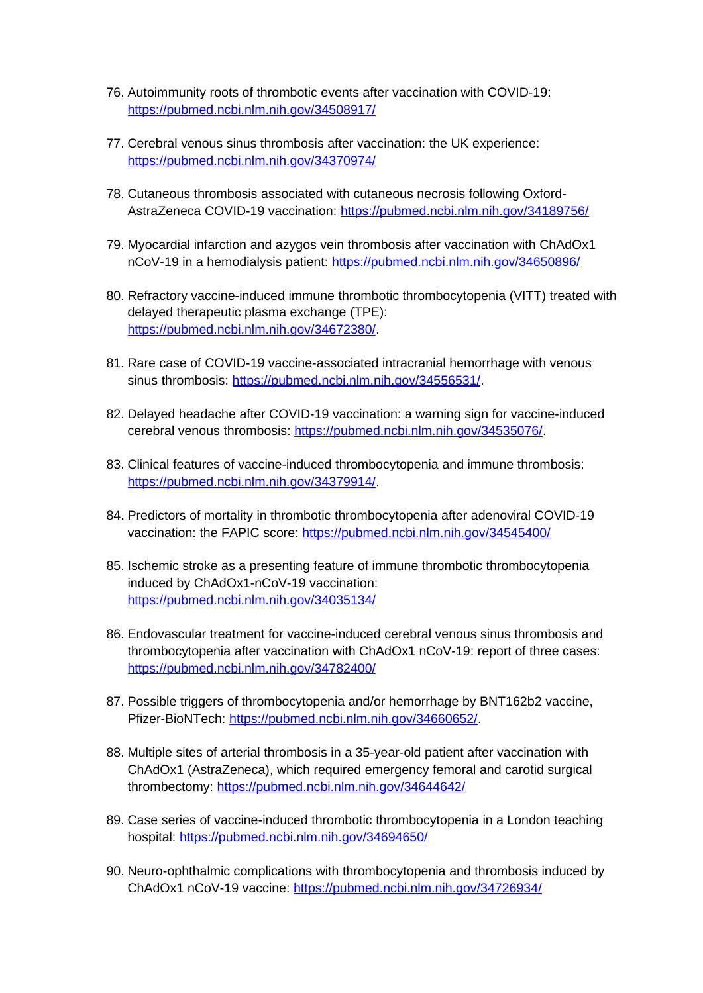- 76. Autoimmunity roots of thrombotic events after vaccination with COVID-19: <https://pubmed.ncbi.nlm.nih.gov/34508917/>
- 77. Cerebral venous sinus thrombosis after vaccination: the UK experience: <https://pubmed.ncbi.nlm.nih.gov/34370974/>
- 78. Cutaneous thrombosis associated with cutaneous necrosis following OxfordAstraZeneca COVID-19 vaccination:<https://pubmed.ncbi.nlm.nih.gov/34189756/>
- 79. Myocardial infarction and azygos vein thrombosis after vaccination with ChAdOx1 nCoV-19 in a hemodialysis patient:<https://pubmed.ncbi.nlm.nih.gov/34650896/>
- 80. Refractory vaccine-induced immune thrombotic thrombocytopenia (VITT) treated with delayed therapeutic plasma exchange (TPE): <https://pubmed.ncbi.nlm.nih.gov/34672380/>.
- 81. Rare case of COVID-19 vaccine-associated intracranial hemorrhage with venous sinus thrombosis: <https://pubmed.ncbi.nlm.nih.gov/34556531/>.
- 82. Delayed headache after COVID-19 vaccination: a warning sign for vaccine-induced cerebral venous thrombosis: [https://pubmed.ncbi.nlm.nih.gov/34535076/.](https://pubmed.ncbi.nlm.nih.gov/34535076/)
- 83. Clinical features of vaccine-induced thrombocytopenia and immune thrombosis: <https://pubmed.ncbi.nlm.nih.gov/34379914/>.
- 84. Predictors of mortality in thrombotic thrombocytopenia after adenoviral COVID-19 vaccination: the FAPIC score: <https://pubmed.ncbi.nlm.nih.gov/34545400/>
- 85. Ischemic stroke as a presenting feature of immune thrombotic thrombocytopenia induced by ChAdOx1-nCoV-19 vaccination: <https://pubmed.ncbi.nlm.nih.gov/34035134/>
- 86. Endovascular treatment for vaccine-induced cerebral venous sinus thrombosis and thrombocytopenia after vaccination with ChAdOx1 nCoV-19: report of three cases: <https://pubmed.ncbi.nlm.nih.gov/34782400/>
- 87. Possible triggers of thrombocytopenia and/or hemorrhage by BNT162b2 vaccine, Pfizer-BioNTech: [https://pubmed.ncbi.nlm.nih.gov/34660652/.](https://pubmed.ncbi.nlm.nih.gov/34660652/)
- 88. Multiple sites of arterial thrombosis in a 35-year-old patient after vaccination with ChAdOx1 (AstraZeneca), which required emergency femoral and carotid surgical thrombectomy: <https://pubmed.ncbi.nlm.nih.gov/34644642/>
- 89. Case series of vaccine-induced thrombotic thrombocytopenia in a London teaching hospital:<https://pubmed.ncbi.nlm.nih.gov/34694650/>
- 90. Neuro-ophthalmic complications with thrombocytopenia and thrombosis induced by ChAdOx1 nCoV-19 vaccine: <https://pubmed.ncbi.nlm.nih.gov/34726934/>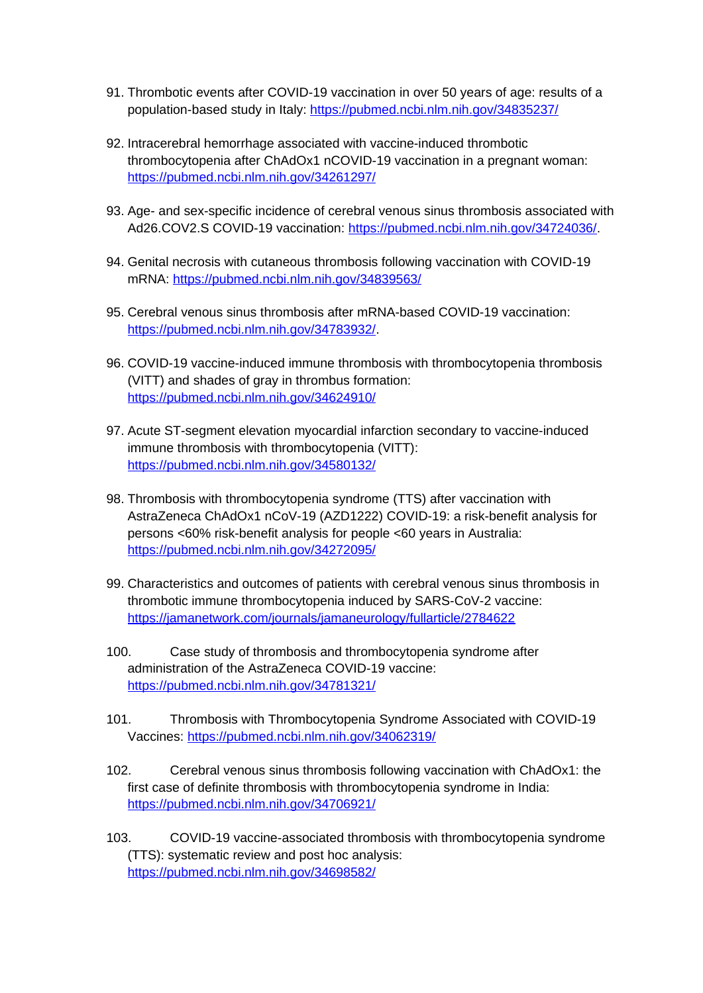- 91. Thrombotic events after COVID-19 vaccination in over 50 years of age: results of a population-based study in Italy: <https://pubmed.ncbi.nlm.nih.gov/34835237/>
- 92. Intracerebral hemorrhage associated with vaccine-induced thrombotic thrombocytopenia after ChAdOx1 nCOVID-19 vaccination in a pregnant woman: <https://pubmed.ncbi.nlm.nih.gov/34261297/>
- 93. Age- and sex-specific incidence of cerebral venous sinus thrombosis associated with Ad26.COV2.S COVID-19 vaccination: [https://pubmed.ncbi.nlm.nih.gov/34724036/.](https://pubmed.ncbi.nlm.nih.gov/34724036/)
- 94. Genital necrosis with cutaneous thrombosis following vaccination with COVID-19 mRNA:<https://pubmed.ncbi.nlm.nih.gov/34839563/>
- 95. Cerebral venous sinus thrombosis after mRNA-based COVID-19 vaccination: <https://pubmed.ncbi.nlm.nih.gov/34783932/>.
- 96. COVID-19 vaccine-induced immune thrombosis with thrombocytopenia thrombosis (VITT) and shades of gray in thrombus formation: <https://pubmed.ncbi.nlm.nih.gov/34624910/>
- 97. Acute ST-segment elevation myocardial infarction secondary to vaccine-induced immune thrombosis with thrombocytopenia (VITT): <https://pubmed.ncbi.nlm.nih.gov/34580132/>
- 98. Thrombosis with thrombocytopenia syndrome (TTS) after vaccination with AstraZeneca ChAdOx1 nCoV-19 (AZD1222) COVID-19: a risk-benefit analysis for persons <60% risk-benefit analysis for people <60 years in Australia: <https://pubmed.ncbi.nlm.nih.gov/34272095/>
- 99. Characteristics and outcomes of patients with cerebral venous sinus thrombosis in thrombotic immune thrombocytopenia induced by SARS-CoV-2 vaccine: <https://jamanetwork.com/journals/jamaneurology/fullarticle/2784622>
- 100. Case study of thrombosis and thrombocytopenia syndrome after administration of the AstraZeneca COVID-19 vaccine: <https://pubmed.ncbi.nlm.nih.gov/34781321/>
- 101. Thrombosis with Thrombocytopenia Syndrome Associated with COVID-19 Vaccines: <https://pubmed.ncbi.nlm.nih.gov/34062319/>
- 102. Cerebral venous sinus thrombosis following vaccination with ChAdOx1: the first case of definite thrombosis with thrombocytopenia syndrome in India: <https://pubmed.ncbi.nlm.nih.gov/34706921/>

103. COVID-19 vaccine-associated thrombosis with thrombocytopenia syndrome (TTS): systematic review and post hoc analysis: <https://pubmed.ncbi.nlm.nih.gov/34698582/>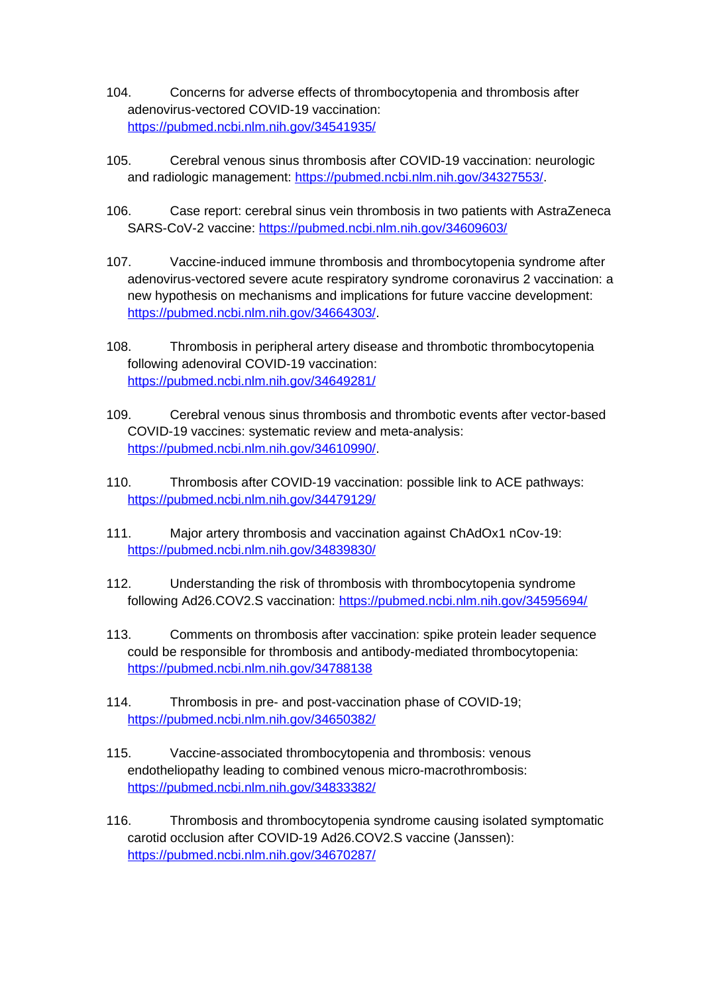- 104. Concerns for adverse effects of thrombocytopenia and thrombosis after adenovirus-vectored COVID-19 vaccination: <https://pubmed.ncbi.nlm.nih.gov/34541935/>
- 105. Cerebral venous sinus thrombosis after COVID-19 vaccination: neurologic and radiologic management: <https://pubmed.ncbi.nlm.nih.gov/34327553/>.
- 106. Case report: cerebral sinus vein thrombosis in two patients with AstraZeneca SARS-CoV-2 vaccine:<https://pubmed.ncbi.nlm.nih.gov/34609603/>
- 107. Vaccine-induced immune thrombosis and thrombocytopenia syndrome after adenovirus-vectored severe acute respiratory syndrome coronavirus 2 vaccination: a new hypothesis on mechanisms and implications for future vaccine development: <https://pubmed.ncbi.nlm.nih.gov/34664303/>.
- 108. Thrombosis in peripheral artery disease and thrombotic thrombocytopenia following adenoviral COVID-19 vaccination: <https://pubmed.ncbi.nlm.nih.gov/34649281/>
- 109. Cerebral venous sinus thrombosis and thrombotic events after vector-based COVID-19 vaccines: systematic review and meta-analysis: <https://pubmed.ncbi.nlm.nih.gov/34610990/>.
- 110. Thrombosis after COVID-19 vaccination: possible link to ACE pathways: <https://pubmed.ncbi.nlm.nih.gov/34479129/>
- 111. Major artery thrombosis and vaccination against ChAdOx1 nCov-19: <https://pubmed.ncbi.nlm.nih.gov/34839830/>
- 112. Understanding the risk of thrombosis with thrombocytopenia syndrome following Ad26.COV2.S vaccination:<https://pubmed.ncbi.nlm.nih.gov/34595694/>
- 113. Comments on thrombosis after vaccination: spike protein leader sequence could be responsible for thrombosis and antibody-mediated thrombocytopenia: <https://pubmed.ncbi.nlm.nih.gov/34788138>
- 114. Thrombosis in pre- and post-vaccination phase of COVID-19; <https://pubmed.ncbi.nlm.nih.gov/34650382/>
- 115. Vaccine-associated thrombocytopenia and thrombosis: venous endotheliopathy leading to combined venous micro-macrothrombosis: <https://pubmed.ncbi.nlm.nih.gov/34833382/>
- 116. Thrombosis and thrombocytopenia syndrome causing isolated symptomatic carotid occlusion after COVID-19 Ad26.COV2.S vaccine (Janssen): <https://pubmed.ncbi.nlm.nih.gov/34670287/>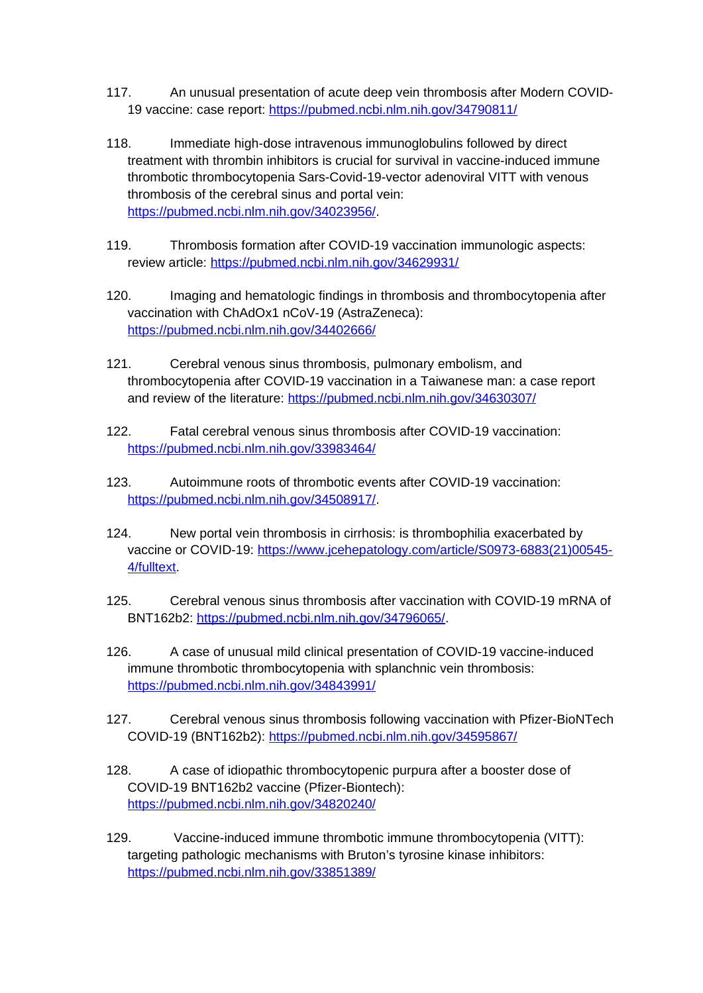- 117. An unusual presentation of acute deep vein thrombosis after Modern COVID-19 vaccine: case report: <https://pubmed.ncbi.nlm.nih.gov/34790811/>
- 118. Immediate high-dose intravenous immunoglobulins followed by direct treatment with thrombin inhibitors is crucial for survival in vaccine-induced immune thrombotic thrombocytopenia Sars-Covid-19-vector adenoviral VITT with venous thrombosis of the cerebral sinus and portal vein: <https://pubmed.ncbi.nlm.nih.gov/34023956/>.
- 119. Thrombosis formation after COVID-19 vaccination immunologic aspects: review article:<https://pubmed.ncbi.nlm.nih.gov/34629931/>
- 120. Imaging and hematologic findings in thrombosis and thrombocytopenia after vaccination with ChAdOx1 nCoV-19 (AstraZeneca): <https://pubmed.ncbi.nlm.nih.gov/34402666/>
- 121. Cerebral venous sinus thrombosis, pulmonary embolism, and thrombocytopenia after COVID-19 vaccination in a Taiwanese man: a case report and review of the literature: <https://pubmed.ncbi.nlm.nih.gov/34630307/>
- 122. Fatal cerebral venous sinus thrombosis after COVID-19 vaccination: <https://pubmed.ncbi.nlm.nih.gov/33983464/>
- 123. Autoimmune roots of thrombotic events after COVID-19 vaccination: <https://pubmed.ncbi.nlm.nih.gov/34508917/>.
- 124. New portal vein thrombosis in cirrhosis: is thrombophilia exacerbated by vaccine or COVID-19: [https://www.jcehepatology.com/article/S0973-6883\(21\)00545-](https://www.jcehepatology.com/article/S0973-6883(21)00545-4/fulltext) [4/fulltext](https://www.jcehepatology.com/article/S0973-6883(21)00545-4/fulltext).
- 125. Cerebral venous sinus thrombosis after vaccination with COVID-19 mRNA of BNT162b2: <https://pubmed.ncbi.nlm.nih.gov/34796065/>.
- 126. A case of unusual mild clinical presentation of COVID-19 vaccine-induced immune thrombotic thrombocytopenia with splanchnic vein thrombosis: <https://pubmed.ncbi.nlm.nih.gov/34843991/>
- 127. Cerebral venous sinus thrombosis following vaccination with Pfizer-BioNTech COVID-19 (BNT162b2): <https://pubmed.ncbi.nlm.nih.gov/34595867/>
- 128. A case of idiopathic thrombocytopenic purpura after a booster dose of COVID-19 BNT162b2 vaccine (Pfizer-Biontech): <https://pubmed.ncbi.nlm.nih.gov/34820240/>
- 129. Vaccine-induced immune thrombotic immune thrombocytopenia (VITT): targeting pathologic mechanisms with Bruton's tyrosine kinase inhibitors: <https://pubmed.ncbi.nlm.nih.gov/33851389/>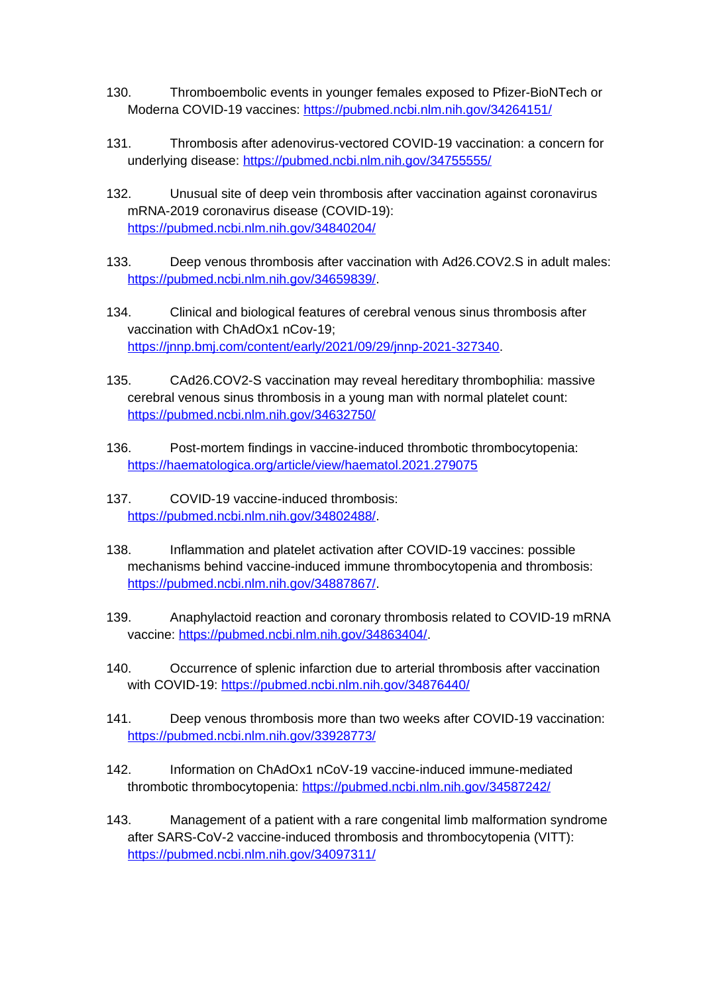- 130. Thromboembolic events in younger females exposed to Pfizer-BioNTech or Moderna COVID-19 vaccines:<https://pubmed.ncbi.nlm.nih.gov/34264151/>
- 131. Thrombosis after adenovirus-vectored COVID-19 vaccination: a concern for underlying disease: <https://pubmed.ncbi.nlm.nih.gov/34755555/>
- 132. Unusual site of deep vein thrombosis after vaccination against coronavirus mRNA-2019 coronavirus disease (COVID-19): <https://pubmed.ncbi.nlm.nih.gov/34840204/>
- 133. Deep venous thrombosis after vaccination with Ad26.COV2.S in adult males: <https://pubmed.ncbi.nlm.nih.gov/34659839/>.
- 134. Clinical and biological features of cerebral venous sinus thrombosis after vaccination with ChAdOx1 nCov-19; <https://jnnp.bmj.com/content/early/2021/09/29/jnnp-2021-327340>.
- 135. CAd26.COV2-S vaccination may reveal hereditary thrombophilia: massive cerebral venous sinus thrombosis in a young man with normal platelet count: <https://pubmed.ncbi.nlm.nih.gov/34632750/>
- 136. Post-mortem findings in vaccine-induced thrombotic thrombocytopenia: <https://haematologica.org/article/view/haematol.2021.279075>
- 137. COVID-19 vaccine-induced thrombosis: <https://pubmed.ncbi.nlm.nih.gov/34802488/>.
- 138. Inflammation and platelet activation after COVID-19 vaccines: possible mechanisms behind vaccine-induced immune thrombocytopenia and thrombosis: <https://pubmed.ncbi.nlm.nih.gov/34887867/>.
- 139. Anaphylactoid reaction and coronary thrombosis related to COVID-19 mRNA vaccine: [https://pubmed.ncbi.nlm.nih.gov/34863404/.](https://pubmed.ncbi.nlm.nih.gov/34863404/)
- 140. Occurrence of splenic infarction due to arterial thrombosis after vaccination with COVID-19:<https://pubmed.ncbi.nlm.nih.gov/34876440/>
- 141. Deep venous thrombosis more than two weeks after COVID-19 vaccination: <https://pubmed.ncbi.nlm.nih.gov/33928773/>
- 142. Information on ChAdOx1 nCoV-19 vaccine-induced immune-mediated thrombotic thrombocytopenia: <https://pubmed.ncbi.nlm.nih.gov/34587242/>
- 143. Management of a patient with a rare congenital limb malformation syndrome after SARS-CoV-2 vaccine-induced thrombosis and thrombocytopenia (VITT): <https://pubmed.ncbi.nlm.nih.gov/34097311/>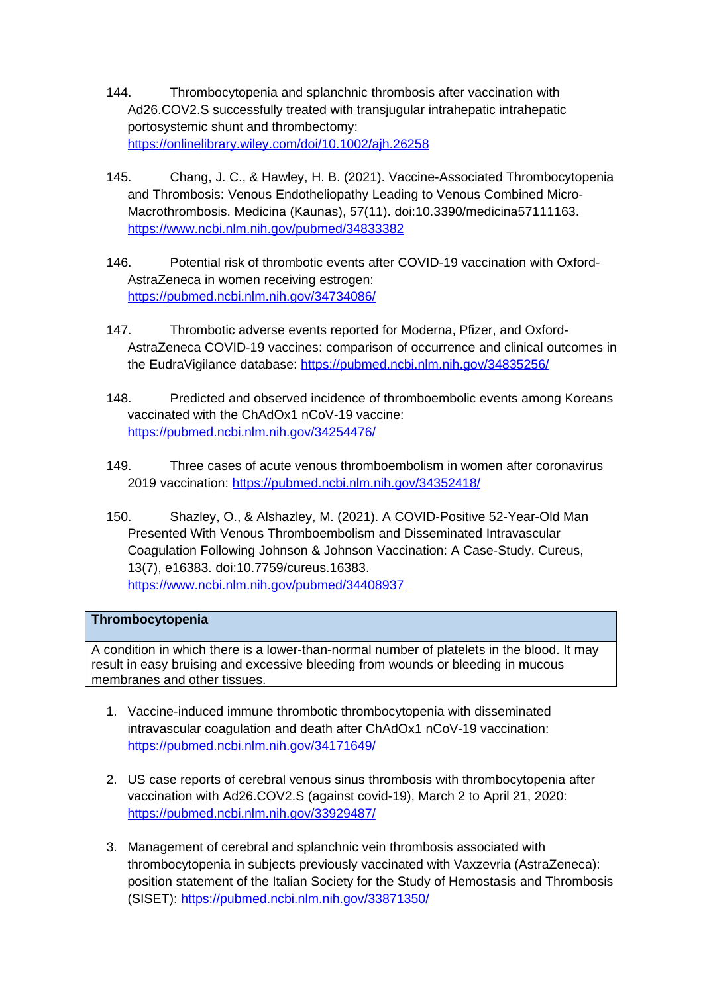- 144. Thrombocytopenia and splanchnic thrombosis after vaccination with Ad26.COV2.S successfully treated with transjugular intrahepatic intrahepatic portosystemic shunt and thrombectomy: <https://onlinelibrary.wiley.com/doi/10.1002/ajh.26258>
- 145. Chang, J. C., & Hawley, H. B. (2021). Vaccine-Associated Thrombocytopenia and Thrombosis: Venous Endotheliopathy Leading to Venous Combined Micro-Macrothrombosis. Medicina (Kaunas), 57(11). doi:10.3390/medicina57111163. <https://www.ncbi.nlm.nih.gov/pubmed/34833382>
- 146. Potential risk of thrombotic events after COVID-19 vaccination with Oxford-AstraZeneca in women receiving estrogen: <https://pubmed.ncbi.nlm.nih.gov/34734086/>
- 147. Thrombotic adverse events reported for Moderna, Pfizer, and Oxford-AstraZeneca COVID-19 vaccines: comparison of occurrence and clinical outcomes in the EudraVigilance database: <https://pubmed.ncbi.nlm.nih.gov/34835256/>
- 148. Predicted and observed incidence of thromboembolic events among Koreans vaccinated with the ChAdOx1 nCoV-19 vaccine: <https://pubmed.ncbi.nlm.nih.gov/34254476/>
- 149. Three cases of acute venous thromboembolism in women after coronavirus 2019 vaccination: <https://pubmed.ncbi.nlm.nih.gov/34352418/>
- 150. Shazley, O., & Alshazley, M. (2021). A COVID-Positive 52-Year-Old Man Presented With Venous Thromboembolism and Disseminated Intravascular Coagulation Following Johnson & Johnson Vaccination: A Case-Study. Cureus, 13(7), e16383. doi:10.7759/cureus.16383. <https://www.ncbi.nlm.nih.gov/pubmed/34408937>

## **Thrombocytopenia**

A condition in which there is a lower-than-normal number of platelets in the blood. It may result in easy bruising and excessive bleeding from wounds or bleeding in mucous membranes and other tissues.

- 1. Vaccine-induced immune thrombotic thrombocytopenia with disseminated intravascular coagulation and death after ChAdOx1 nCoV-19 vaccination: <https://pubmed.ncbi.nlm.nih.gov/34171649/>
- 2. US case reports of cerebral venous sinus thrombosis with thrombocytopenia after vaccination with Ad26.COV2.S (against covid-19), March 2 to April 21, 2020: <https://pubmed.ncbi.nlm.nih.gov/33929487/>
- 3. Management of cerebral and splanchnic vein thrombosis associated with thrombocytopenia in subjects previously vaccinated with Vaxzevria (AstraZeneca): position statement of the Italian Society for the Study of Hemostasis and Thrombosis (SISET):<https://pubmed.ncbi.nlm.nih.gov/33871350/>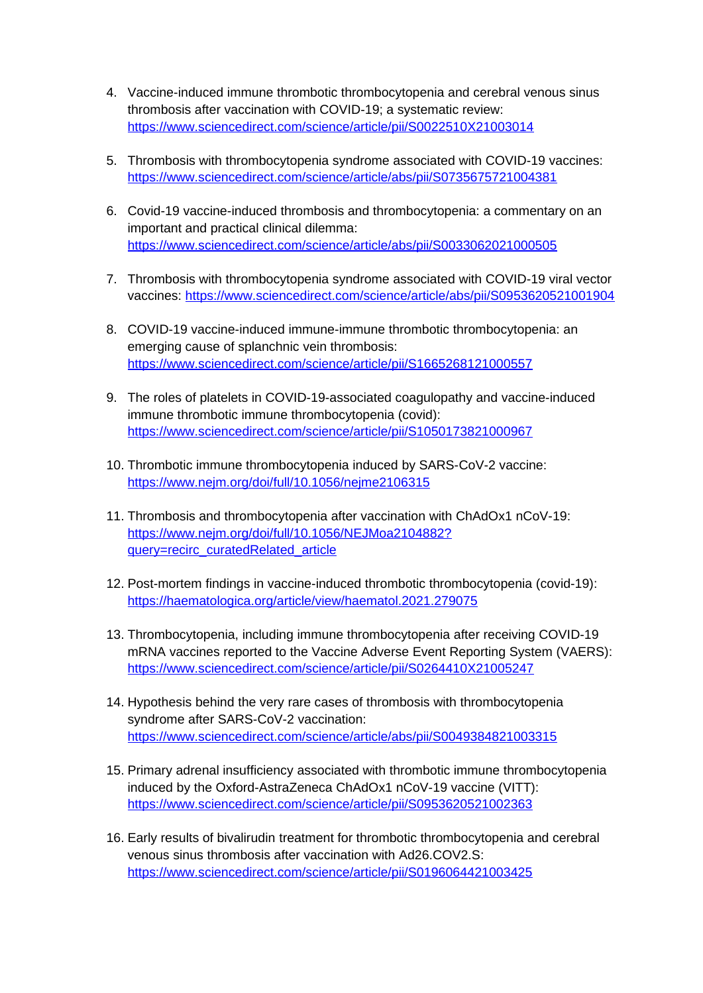- 4. Vaccine-induced immune thrombotic thrombocytopenia and cerebral venous sinus thrombosis after vaccination with COVID-19; a systematic review: <https://www.sciencedirect.com/science/article/pii/S0022510X21003014>
- 5. Thrombosis with thrombocytopenia syndrome associated with COVID-19 vaccines: <https://www.sciencedirect.com/science/article/abs/pii/S0735675721004381>
- 6. Covid-19 vaccine-induced thrombosis and thrombocytopenia: a commentary on an important and practical clinical dilemma: <https://www.sciencedirect.com/science/article/abs/pii/S0033062021000505>
- 7. Thrombosis with thrombocytopenia syndrome associated with COVID-19 viral vector vaccines:<https://www.sciencedirect.com/science/article/abs/pii/S0953620521001904>
- 8. COVID-19 vaccine-induced immune-immune thrombotic thrombocytopenia: an emerging cause of splanchnic vein thrombosis: <https://www.sciencedirect.com/science/article/pii/S1665268121000557>
- 9. The roles of platelets in COVID-19-associated coagulopathy and vaccine-induced immune thrombotic immune thrombocytopenia (covid): <https://www.sciencedirect.com/science/article/pii/S1050173821000967>
- 10. Thrombotic immune thrombocytopenia induced by SARS-CoV-2 vaccine: <https://www.nejm.org/doi/full/10.1056/nejme2106315>
- 11. Thrombosis and thrombocytopenia after vaccination with ChAdOx1 nCoV-19: [https://www.nejm.org/doi/full/10.1056/NEJMoa2104882?](https://www.nejm.org/doi/full/10.1056/NEJMoa2104882?query=recirc_curatedRelated_article) [query=recirc\\_curatedRelated\\_article](https://www.nejm.org/doi/full/10.1056/NEJMoa2104882?query=recirc_curatedRelated_article)
- 12. Post-mortem findings in vaccine-induced thrombotic thrombocytopenia (covid-19): <https://haematologica.org/article/view/haematol.2021.279075>
- 13. Thrombocytopenia, including immune thrombocytopenia after receiving COVID-19 mRNA vaccines reported to the Vaccine Adverse Event Reporting System (VAERS): <https://www.sciencedirect.com/science/article/pii/S0264410X21005247>
- 14. Hypothesis behind the very rare cases of thrombosis with thrombocytopenia syndrome after SARS-CoV-2 vaccination: <https://www.sciencedirect.com/science/article/abs/pii/S0049384821003315>
- 15. Primary adrenal insufficiency associated with thrombotic immune thrombocytopenia induced by the Oxford-AstraZeneca ChAdOx1 nCoV-19 vaccine (VITT): <https://www.sciencedirect.com/science/article/pii/S0953620521002363>
- 16. Early results of bivalirudin treatment for thrombotic thrombocytopenia and cerebral venous sinus thrombosis after vaccination with Ad26.COV2.S: <https://www.sciencedirect.com/science/article/pii/S0196064421003425>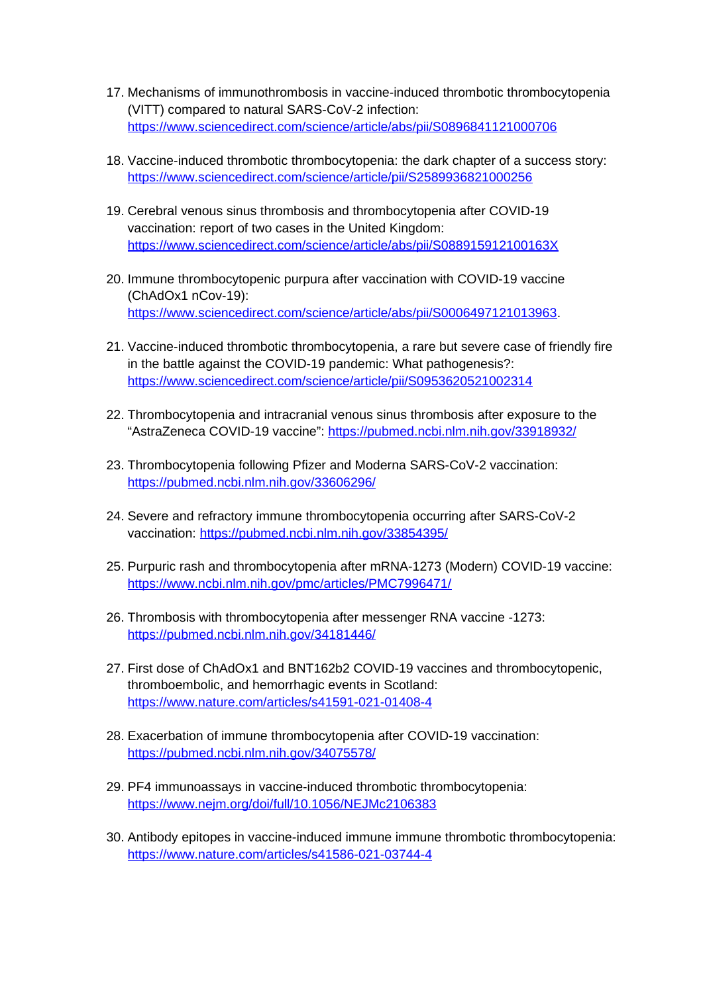- 17. Mechanisms of immunothrombosis in vaccine-induced thrombotic thrombocytopenia (VITT) compared to natural SARS-CoV-2 infection: <https://www.sciencedirect.com/science/article/abs/pii/S0896841121000706>
- 18. Vaccine-induced thrombotic thrombocytopenia: the dark chapter of a success story: <https://www.sciencedirect.com/science/article/pii/S2589936821000256>
- 19. Cerebral venous sinus thrombosis and thrombocytopenia after COVID-19 vaccination: report of two cases in the United Kingdom: <https://www.sciencedirect.com/science/article/abs/pii/S088915912100163X>
- 20. Immune thrombocytopenic purpura after vaccination with COVID-19 vaccine (ChAdOx1 nCov-19): [https://www.sciencedirect.com/science/article/abs/pii/S0006497121013963.](https://www.sciencedirect.com/science/article/abs/pii/S0006497121013963)
- 21. Vaccine-induced thrombotic thrombocytopenia, a rare but severe case of friendly fire in the battle against the COVID-19 pandemic: What pathogenesis?: <https://www.sciencedirect.com/science/article/pii/S0953620521002314>
- 22. Thrombocytopenia and intracranial venous sinus thrombosis after exposure to the "AstraZeneca COVID-19 vaccine": <https://pubmed.ncbi.nlm.nih.gov/33918932/>
- 23. Thrombocytopenia following Pfizer and Moderna SARS-CoV-2 vaccination: <https://pubmed.ncbi.nlm.nih.gov/33606296/>
- 24. Severe and refractory immune thrombocytopenia occurring after SARS-CoV-2 vaccination:<https://pubmed.ncbi.nlm.nih.gov/33854395/>
- 25. Purpuric rash and thrombocytopenia after mRNA-1273 (Modern) COVID-19 vaccine: <https://www.ncbi.nlm.nih.gov/pmc/articles/PMC7996471/>
- 26. Thrombosis with thrombocytopenia after messenger RNA vaccine -1273: <https://pubmed.ncbi.nlm.nih.gov/34181446/>
- 27. First dose of ChAdOx1 and BNT162b2 COVID-19 vaccines and thrombocytopenic, thromboembolic, and hemorrhagic events in Scotland: <https://www.nature.com/articles/s41591-021-01408-4>
- 28. Exacerbation of immune thrombocytopenia after COVID-19 vaccination: <https://pubmed.ncbi.nlm.nih.gov/34075578/>
- 29. PF4 immunoassays in vaccine-induced thrombotic thrombocytopenia: <https://www.nejm.org/doi/full/10.1056/NEJMc2106383>
- 30. Antibody epitopes in vaccine-induced immune immune thrombotic thrombocytopenia: <https://www.nature.com/articles/s41586-021-03744-4>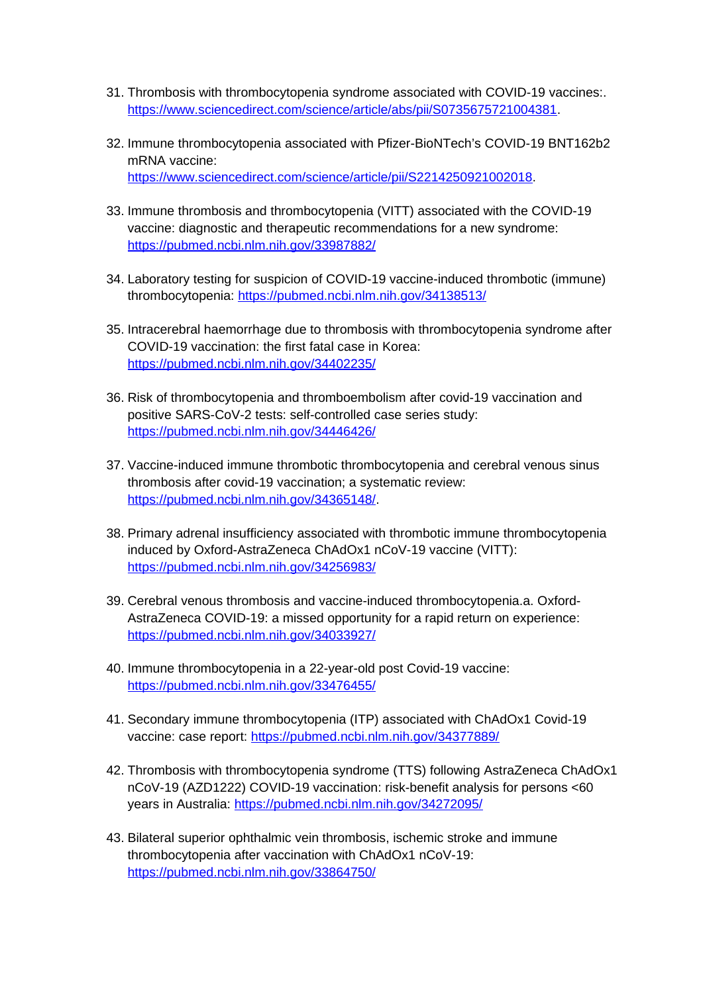- 31. Thrombosis with thrombocytopenia syndrome associated with COVID-19 vaccines:. [https://www.sciencedirect.com/science/article/abs/pii/S0735675721004381.](https://www.sciencedirect.com/science/article/abs/pii/S0735675721004381)
- 32. Immune thrombocytopenia associated with Pfizer-BioNTech's COVID-19 BNT162b2 mRNA vaccine: <https://www.sciencedirect.com/science/article/pii/S2214250921002018>.
- 33. Immune thrombosis and thrombocytopenia (VITT) associated with the COVID-19 vaccine: diagnostic and therapeutic recommendations for a new syndrome: <https://pubmed.ncbi.nlm.nih.gov/33987882/>
- 34. Laboratory testing for suspicion of COVID-19 vaccine-induced thrombotic (immune) thrombocytopenia: <https://pubmed.ncbi.nlm.nih.gov/34138513/>
- 35. Intracerebral haemorrhage due to thrombosis with thrombocytopenia syndrome after COVID-19 vaccination: the first fatal case in Korea: <https://pubmed.ncbi.nlm.nih.gov/34402235/>
- 36. Risk of thrombocytopenia and thromboembolism after covid-19 vaccination and positive SARS-CoV-2 tests: self-controlled case series study: <https://pubmed.ncbi.nlm.nih.gov/34446426/>
- 37. Vaccine-induced immune thrombotic thrombocytopenia and cerebral venous sinus thrombosis after covid-19 vaccination; a systematic review: <https://pubmed.ncbi.nlm.nih.gov/34365148/>.
- 38. Primary adrenal insufficiency associated with thrombotic immune thrombocytopenia induced by Oxford-AstraZeneca ChAdOx1 nCoV-19 vaccine (VITT): <https://pubmed.ncbi.nlm.nih.gov/34256983/>
- 39. Cerebral venous thrombosis and vaccine-induced thrombocytopenia.a. Oxford-AstraZeneca COVID-19: a missed opportunity for a rapid return on experience: <https://pubmed.ncbi.nlm.nih.gov/34033927/>
- 40. Immune thrombocytopenia in a 22-year-old post Covid-19 vaccine: <https://pubmed.ncbi.nlm.nih.gov/33476455/>
- 41. Secondary immune thrombocytopenia (ITP) associated with ChAdOx1 Covid-19 vaccine: case report: <https://pubmed.ncbi.nlm.nih.gov/34377889/>
- 42. Thrombosis with thrombocytopenia syndrome (TTS) following AstraZeneca ChAdOx1 nCoV-19 (AZD1222) COVID-19 vaccination: risk-benefit analysis for persons <60 years in Australia:<https://pubmed.ncbi.nlm.nih.gov/34272095/>
- 43. Bilateral superior ophthalmic vein thrombosis, ischemic stroke and immune thrombocytopenia after vaccination with ChAdOx1 nCoV-19: <https://pubmed.ncbi.nlm.nih.gov/33864750/>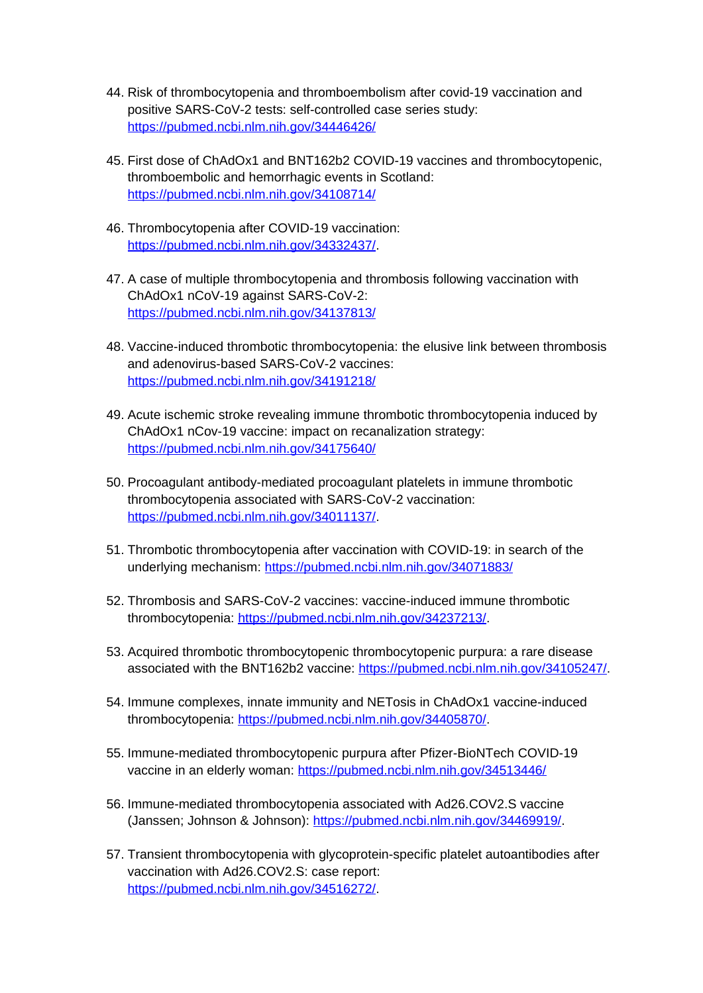- 44. Risk of thrombocytopenia and thromboembolism after covid-19 vaccination and positive SARS-CoV-2 tests: self-controlled case series study: <https://pubmed.ncbi.nlm.nih.gov/34446426/>
- 45. First dose of ChAdOx1 and BNT162b2 COVID-19 vaccines and thrombocytopenic, thromboembolic and hemorrhagic events in Scotland: <https://pubmed.ncbi.nlm.nih.gov/34108714/>
- 46. Thrombocytopenia after COVID-19 vaccination: <https://pubmed.ncbi.nlm.nih.gov/34332437/>.
- 47. A case of multiple thrombocytopenia and thrombosis following vaccination with ChAdOx1 nCoV-19 against SARS-CoV-2: <https://pubmed.ncbi.nlm.nih.gov/34137813/>
- 48. Vaccine-induced thrombotic thrombocytopenia: the elusive link between thrombosis and adenovirus-based SARS-CoV-2 vaccines: <https://pubmed.ncbi.nlm.nih.gov/34191218/>
- 49. Acute ischemic stroke revealing immune thrombotic thrombocytopenia induced by ChAdOx1 nCov-19 vaccine: impact on recanalization strategy: <https://pubmed.ncbi.nlm.nih.gov/34175640/>
- 50. Procoagulant antibody-mediated procoagulant platelets in immune thrombotic thrombocytopenia associated with SARS-CoV-2 vaccination: <https://pubmed.ncbi.nlm.nih.gov/34011137/>.
- 51. Thrombotic thrombocytopenia after vaccination with COVID-19: in search of the underlying mechanism:<https://pubmed.ncbi.nlm.nih.gov/34071883/>
- 52. Thrombosis and SARS-CoV-2 vaccines: vaccine-induced immune thrombotic thrombocytopenia: <https://pubmed.ncbi.nlm.nih.gov/34237213/>.
- 53. Acquired thrombotic thrombocytopenic thrombocytopenic purpura: a rare disease associated with the BNT162b2 vaccine: <https://pubmed.ncbi.nlm.nih.gov/34105247/>.
- 54. Immune complexes, innate immunity and NETosis in ChAdOx1 vaccine-induced thrombocytopenia: <https://pubmed.ncbi.nlm.nih.gov/34405870/>.
- 55. Immune-mediated thrombocytopenic purpura after Pfizer-BioNTech COVID-19 vaccine in an elderly woman:<https://pubmed.ncbi.nlm.nih.gov/34513446/>
- 56. Immune-mediated thrombocytopenia associated with Ad26.COV2.S vaccine (Janssen; Johnson & Johnson): [https://pubmed.ncbi.nlm.nih.gov/34469919/.](https://pubmed.ncbi.nlm.nih.gov/34469919/)
- 57. Transient thrombocytopenia with glycoprotein-specific platelet autoantibodies after vaccination with Ad26.COV2.S: case report: <https://pubmed.ncbi.nlm.nih.gov/34516272/>.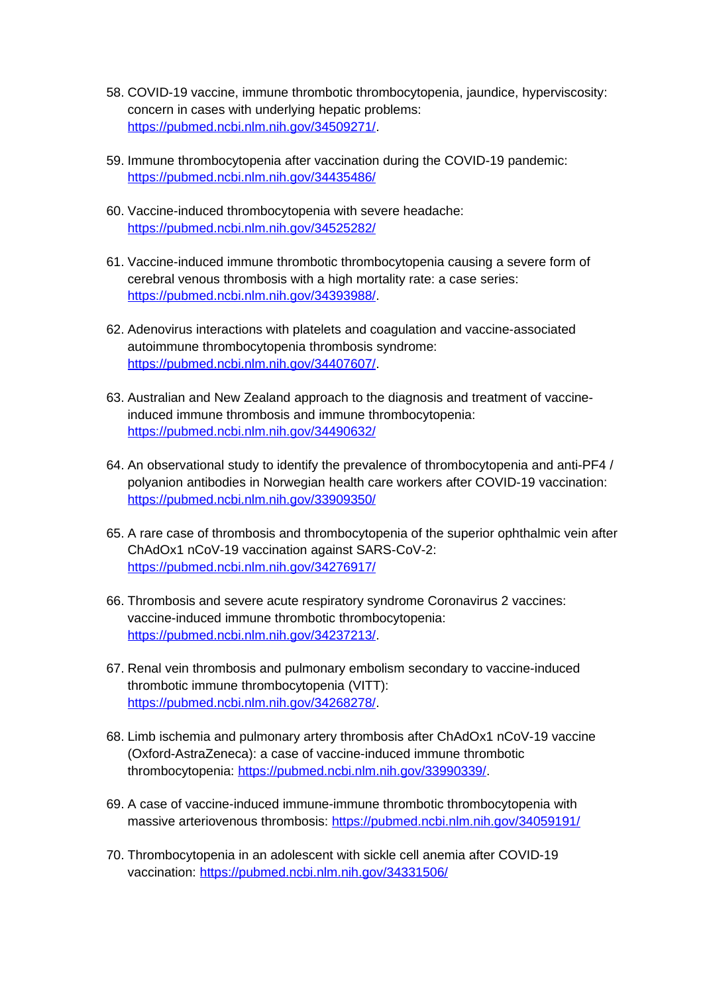- 58. COVID-19 vaccine, immune thrombotic thrombocytopenia, jaundice, hyperviscosity: concern in cases with underlying hepatic problems: <https://pubmed.ncbi.nlm.nih.gov/34509271/>.
- 59. Immune thrombocytopenia after vaccination during the COVID-19 pandemic: <https://pubmed.ncbi.nlm.nih.gov/34435486/>
- 60. Vaccine-induced thrombocytopenia with severe headache: <https://pubmed.ncbi.nlm.nih.gov/34525282/>
- 61. Vaccine-induced immune thrombotic thrombocytopenia causing a severe form of cerebral venous thrombosis with a high mortality rate: a case series: <https://pubmed.ncbi.nlm.nih.gov/34393988/>.
- 62. Adenovirus interactions with platelets and coagulation and vaccine-associated autoimmune thrombocytopenia thrombosis syndrome: <https://pubmed.ncbi.nlm.nih.gov/34407607/>.
- 63. Australian and New Zealand approach to the diagnosis and treatment of vaccineinduced immune thrombosis and immune thrombocytopenia: <https://pubmed.ncbi.nlm.nih.gov/34490632/>
- 64. An observational study to identify the prevalence of thrombocytopenia and anti-PF4 / polyanion antibodies in Norwegian health care workers after COVID-19 vaccination: <https://pubmed.ncbi.nlm.nih.gov/33909350/>
- 65. A rare case of thrombosis and thrombocytopenia of the superior ophthalmic vein after ChAdOx1 nCoV-19 vaccination against SARS-CoV-2: <https://pubmed.ncbi.nlm.nih.gov/34276917/>
- 66. Thrombosis and severe acute respiratory syndrome Coronavirus 2 vaccines: vaccine-induced immune thrombotic thrombocytopenia: <https://pubmed.ncbi.nlm.nih.gov/34237213/>.
- 67. Renal vein thrombosis and pulmonary embolism secondary to vaccine-induced thrombotic immune thrombocytopenia (VITT): <https://pubmed.ncbi.nlm.nih.gov/34268278/>.
- 68. Limb ischemia and pulmonary artery thrombosis after ChAdOx1 nCoV-19 vaccine (Oxford-AstraZeneca): a case of vaccine-induced immune thrombotic thrombocytopenia: <https://pubmed.ncbi.nlm.nih.gov/33990339/>.
- 69. A case of vaccine-induced immune-immune thrombotic thrombocytopenia with massive arteriovenous thrombosis:<https://pubmed.ncbi.nlm.nih.gov/34059191/>
- 70. Thrombocytopenia in an adolescent with sickle cell anemia after COVID-19 vaccination:<https://pubmed.ncbi.nlm.nih.gov/34331506/>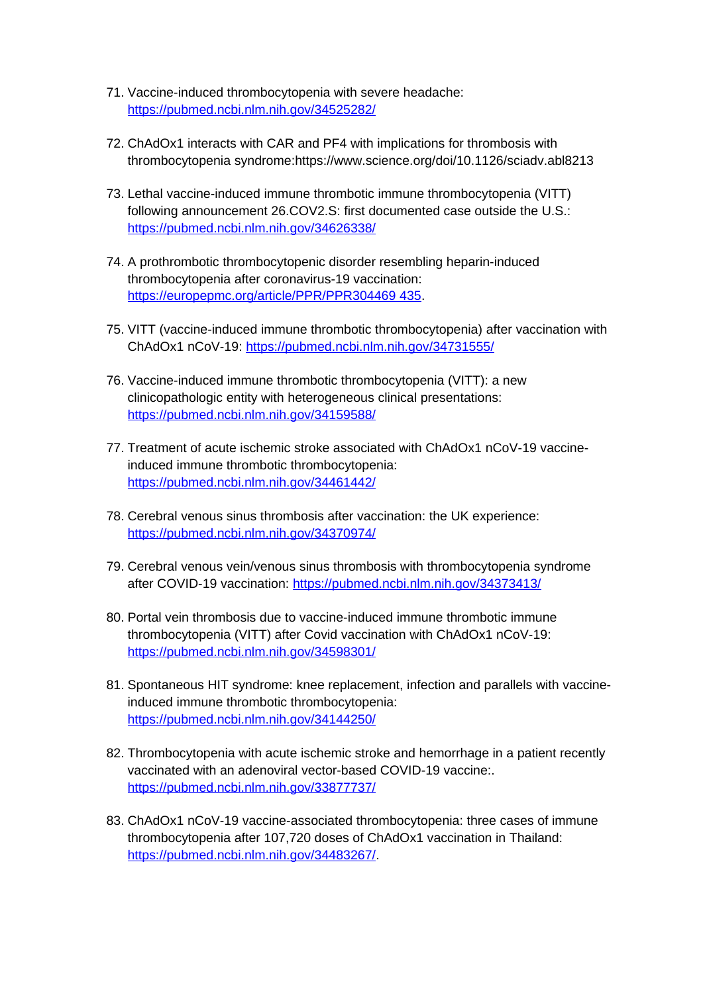- 71. Vaccine-induced thrombocytopenia with severe headache: <https://pubmed.ncbi.nlm.nih.gov/34525282/>
- 72. ChAdOx1 interacts with CAR and PF4 with implications for thrombosis with thrombocytopenia syndrome:https://www.science.org/doi/10.1126/sciadv.abl8213
- 73. Lethal vaccine-induced immune thrombotic immune thrombocytopenia (VITT) following announcement 26.COV2.S: first documented case outside the U.S.: <https://pubmed.ncbi.nlm.nih.gov/34626338/>
- 74. A prothrombotic thrombocytopenic disorder resembling heparin-induced thrombocytopenia after coronavirus-19 vaccination: [https://europepmc.org/article/PPR/PPR304469 435](https://europepmc.org/article/PPR/PPR304469%20435).
- 75. VITT (vaccine-induced immune thrombotic thrombocytopenia) after vaccination with ChAdOx1 nCoV-19:<https://pubmed.ncbi.nlm.nih.gov/34731555/>
- 76. Vaccine-induced immune thrombotic thrombocytopenia (VITT): a new clinicopathologic entity with heterogeneous clinical presentations: <https://pubmed.ncbi.nlm.nih.gov/34159588/>
- 77. Treatment of acute ischemic stroke associated with ChAdOx1 nCoV-19 vaccineinduced immune thrombotic thrombocytopenia: <https://pubmed.ncbi.nlm.nih.gov/34461442/>
- 78. Cerebral venous sinus thrombosis after vaccination: the UK experience: <https://pubmed.ncbi.nlm.nih.gov/34370974/>
- 79. Cerebral venous vein/venous sinus thrombosis with thrombocytopenia syndrome after COVID-19 vaccination:<https://pubmed.ncbi.nlm.nih.gov/34373413/>
- 80. Portal vein thrombosis due to vaccine-induced immune thrombotic immune thrombocytopenia (VITT) after Covid vaccination with ChAdOx1 nCoV-19: <https://pubmed.ncbi.nlm.nih.gov/34598301/>
- 81. Spontaneous HIT syndrome: knee replacement, infection and parallels with vaccineinduced immune thrombotic thrombocytopenia: <https://pubmed.ncbi.nlm.nih.gov/34144250/>
- 82. Thrombocytopenia with acute ischemic stroke and hemorrhage in a patient recently vaccinated with an adenoviral vector-based COVID-19 vaccine:. <https://pubmed.ncbi.nlm.nih.gov/33877737/>
- 83. ChAdOx1 nCoV-19 vaccine-associated thrombocytopenia: three cases of immune thrombocytopenia after 107,720 doses of ChAdOx1 vaccination in Thailand: <https://pubmed.ncbi.nlm.nih.gov/34483267/>.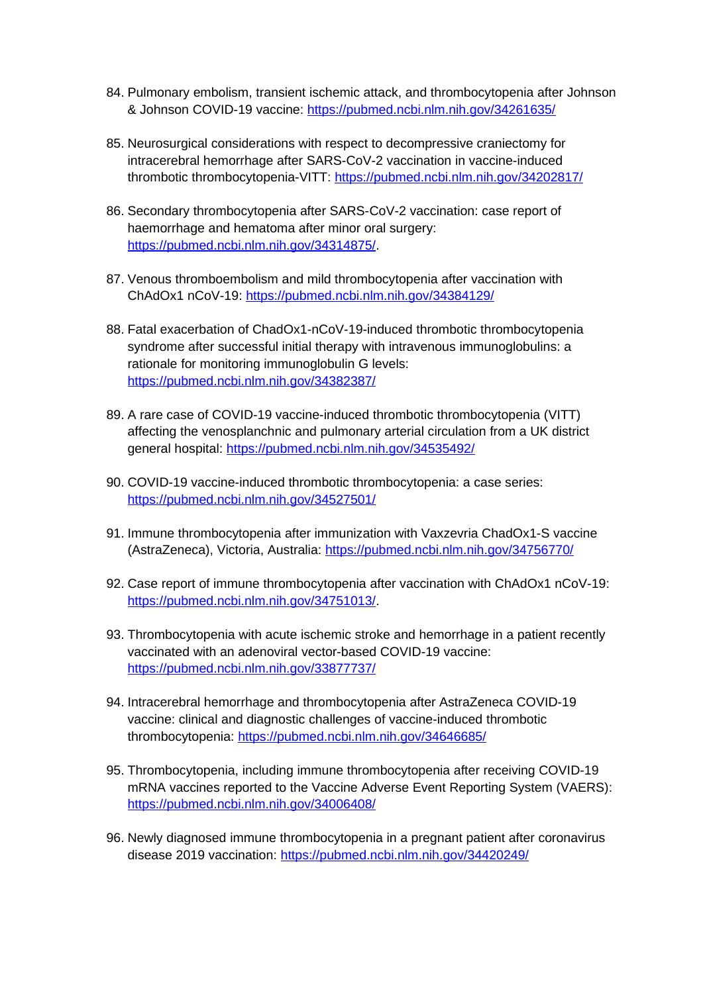- 84. Pulmonary embolism, transient ischemic attack, and thrombocytopenia after Johnson & Johnson COVID-19 vaccine:<https://pubmed.ncbi.nlm.nih.gov/34261635/>
- 85. Neurosurgical considerations with respect to decompressive craniectomy for intracerebral hemorrhage after SARS-CoV-2 vaccination in vaccine-induced thrombotic thrombocytopenia-VITT:<https://pubmed.ncbi.nlm.nih.gov/34202817/>
- 86. Secondary thrombocytopenia after SARS-CoV-2 vaccination: case report of haemorrhage and hematoma after minor oral surgery: <https://pubmed.ncbi.nlm.nih.gov/34314875/>.
- 87. Venous thromboembolism and mild thrombocytopenia after vaccination with ChAdOx1 nCoV-19:<https://pubmed.ncbi.nlm.nih.gov/34384129/>
- 88. Fatal exacerbation of ChadOx1-nCoV-19-induced thrombotic thrombocytopenia syndrome after successful initial therapy with intravenous immunoglobulins: a rationale for monitoring immunoglobulin G levels: <https://pubmed.ncbi.nlm.nih.gov/34382387/>
- 89. A rare case of COVID-19 vaccine-induced thrombotic thrombocytopenia (VITT) affecting the venosplanchnic and pulmonary arterial circulation from a UK district general hospital: <https://pubmed.ncbi.nlm.nih.gov/34535492/>
- 90. COVID-19 vaccine-induced thrombotic thrombocytopenia: a case series: <https://pubmed.ncbi.nlm.nih.gov/34527501/>
- 91. Immune thrombocytopenia after immunization with Vaxzevria ChadOx1-S vaccine (AstraZeneca), Victoria, Australia:<https://pubmed.ncbi.nlm.nih.gov/34756770/>
- 92. Case report of immune thrombocytopenia after vaccination with ChAdOx1 nCoV-19: <https://pubmed.ncbi.nlm.nih.gov/34751013/>.
- 93. Thrombocytopenia with acute ischemic stroke and hemorrhage in a patient recently vaccinated with an adenoviral vector-based COVID-19 vaccine: <https://pubmed.ncbi.nlm.nih.gov/33877737/>
- 94. Intracerebral hemorrhage and thrombocytopenia after AstraZeneca COVID-19 vaccine: clinical and diagnostic challenges of vaccine-induced thrombotic thrombocytopenia: <https://pubmed.ncbi.nlm.nih.gov/34646685/>
- 95. Thrombocytopenia, including immune thrombocytopenia after receiving COVID-19 mRNA vaccines reported to the Vaccine Adverse Event Reporting System (VAERS): <https://pubmed.ncbi.nlm.nih.gov/34006408/>
- 96. Newly diagnosed immune thrombocytopenia in a pregnant patient after coronavirus disease 2019 vaccination: <https://pubmed.ncbi.nlm.nih.gov/34420249/>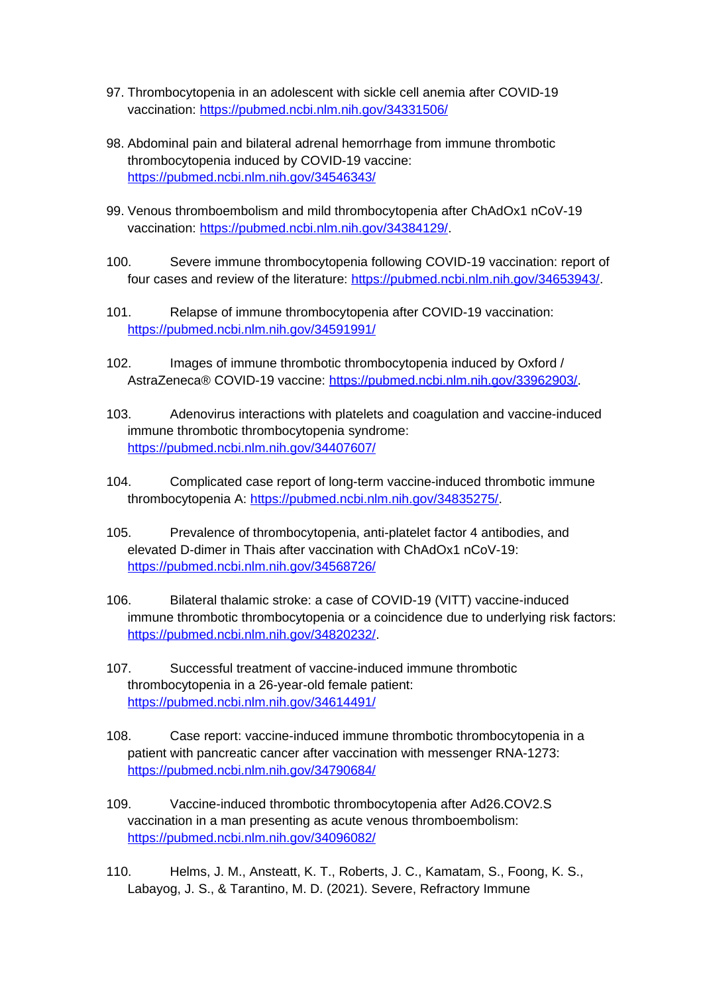- 97. Thrombocytopenia in an adolescent with sickle cell anemia after COVID-19 vaccination:<https://pubmed.ncbi.nlm.nih.gov/34331506/>
- 98. Abdominal pain and bilateral adrenal hemorrhage from immune thrombotic thrombocytopenia induced by COVID-19 vaccine: <https://pubmed.ncbi.nlm.nih.gov/34546343/>
- 99. Venous thromboembolism and mild thrombocytopenia after ChAdOx1 nCoV-19 vaccination: [https://pubmed.ncbi.nlm.nih.gov/34384129/.](https://pubmed.ncbi.nlm.nih.gov/34384129/)
- 100. Severe immune thrombocytopenia following COVID-19 vaccination: report of four cases and review of the literature: <https://pubmed.ncbi.nlm.nih.gov/34653943/>.
- 101. Relapse of immune thrombocytopenia after COVID-19 vaccination: <https://pubmed.ncbi.nlm.nih.gov/34591991/>
- 102. Images of immune thrombotic thrombocytopenia induced by Oxford / AstraZeneca® COVID-19 vaccine: <https://pubmed.ncbi.nlm.nih.gov/33962903/>.
- 103. Adenovirus interactions with platelets and coagulation and vaccine-induced immune thrombotic thrombocytopenia syndrome: <https://pubmed.ncbi.nlm.nih.gov/34407607/>
- 104. Complicated case report of long-term vaccine-induced thrombotic immune thrombocytopenia A:<https://pubmed.ncbi.nlm.nih.gov/34835275/>.
- 105. Prevalence of thrombocytopenia, anti-platelet factor 4 antibodies, and elevated D-dimer in Thais after vaccination with ChAdOx1 nCoV-19: <https://pubmed.ncbi.nlm.nih.gov/34568726/>
- 106. Bilateral thalamic stroke: a case of COVID-19 (VITT) vaccine-induced immune thrombotic thrombocytopenia or a coincidence due to underlying risk factors: <https://pubmed.ncbi.nlm.nih.gov/34820232/>.
- 107. Successful treatment of vaccine-induced immune thrombotic thrombocytopenia in a 26-year-old female patient: <https://pubmed.ncbi.nlm.nih.gov/34614491/>
- 108. Case report: vaccine-induced immune thrombotic thrombocytopenia in a patient with pancreatic cancer after vaccination with messenger RNA-1273: <https://pubmed.ncbi.nlm.nih.gov/34790684/>
- 109. Vaccine-induced thrombotic thrombocytopenia after Ad26.COV2.S vaccination in a man presenting as acute venous thromboembolism: <https://pubmed.ncbi.nlm.nih.gov/34096082/>
- 110. Helms, J. M., Ansteatt, K. T., Roberts, J. C., Kamatam, S., Foong, K. S., Labayog, J. S., & Tarantino, M. D. (2021). Severe, Refractory Immune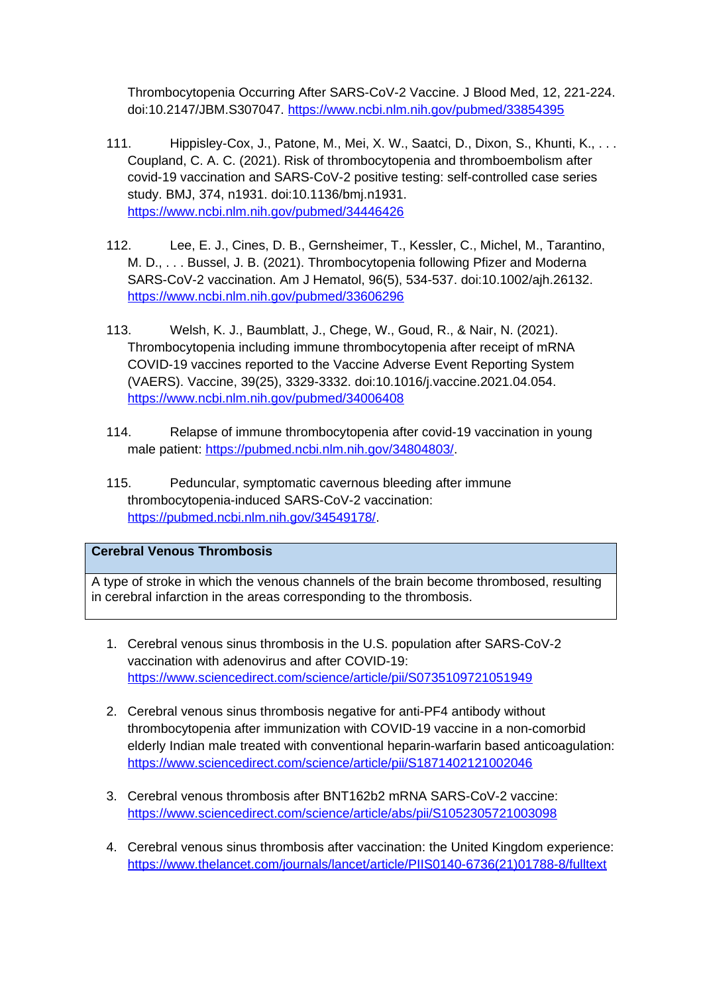Thrombocytopenia Occurring After SARS-CoV-2 Vaccine. J Blood Med, 12, 221-224. doi:10.2147/JBM.S307047. <https://www.ncbi.nlm.nih.gov/pubmed/33854395>

- 111. Hippisley-Cox, J., Patone, M., Mei, X. W., Saatci, D., Dixon, S., Khunti, K., ... Coupland, C. A. C. (2021). Risk of thrombocytopenia and thromboembolism after covid-19 vaccination and SARS-CoV-2 positive testing: self-controlled case series study. BMJ, 374, n1931. doi:10.1136/bmj.n1931. <https://www.ncbi.nlm.nih.gov/pubmed/34446426>
- 112. Lee, E. J., Cines, D. B., Gernsheimer, T., Kessler, C., Michel, M., Tarantino, M. D., . . . Bussel, J. B. (2021). Thrombocytopenia following Pfizer and Moderna SARS-CoV-2 vaccination. Am J Hematol, 96(5), 534-537. doi:10.1002/ajh.26132. <https://www.ncbi.nlm.nih.gov/pubmed/33606296>
- 113. Welsh, K. J., Baumblatt, J., Chege, W., Goud, R., & Nair, N. (2021). Thrombocytopenia including immune thrombocytopenia after receipt of mRNA COVID-19 vaccines reported to the Vaccine Adverse Event Reporting System (VAERS). Vaccine, 39(25), 3329-3332. doi:10.1016/j.vaccine.2021.04.054. <https://www.ncbi.nlm.nih.gov/pubmed/34006408>
- 114. Relapse of immune thrombocytopenia after covid-19 vaccination in young male patient:<https://pubmed.ncbi.nlm.nih.gov/34804803/>.
- 115. Peduncular, symptomatic cavernous bleeding after immune thrombocytopenia-induced SARS-CoV-2 vaccination: <https://pubmed.ncbi.nlm.nih.gov/34549178/>.

# **Cerebral Venous Thrombosis**

A type of stroke in which the venous channels of the brain become thrombosed, resulting in cerebral infarction in the areas corresponding to the thrombosis.

- 1. Cerebral venous sinus thrombosis in the U.S. population after SARS-CoV-2 vaccination with adenovirus and after COVID-19: <https://www.sciencedirect.com/science/article/pii/S0735109721051949>
- 2. Cerebral venous sinus thrombosis negative for anti-PF4 antibody without thrombocytopenia after immunization with COVID-19 vaccine in a non-comorbid elderly Indian male treated with conventional heparin-warfarin based anticoagulation: <https://www.sciencedirect.com/science/article/pii/S1871402121002046>
- 3. Cerebral venous thrombosis after BNT162b2 mRNA SARS-CoV-2 vaccine: <https://www.sciencedirect.com/science/article/abs/pii/S1052305721003098>
- 4. Cerebral venous sinus thrombosis after vaccination: the United Kingdom experience: [https://www.thelancet.com/journals/lancet/article/PIIS0140-6736\(21\)01788-8/fulltext](https://www.thelancet.com/journals/lancet/article/PIIS0140-6736(21)01788-8/fulltext)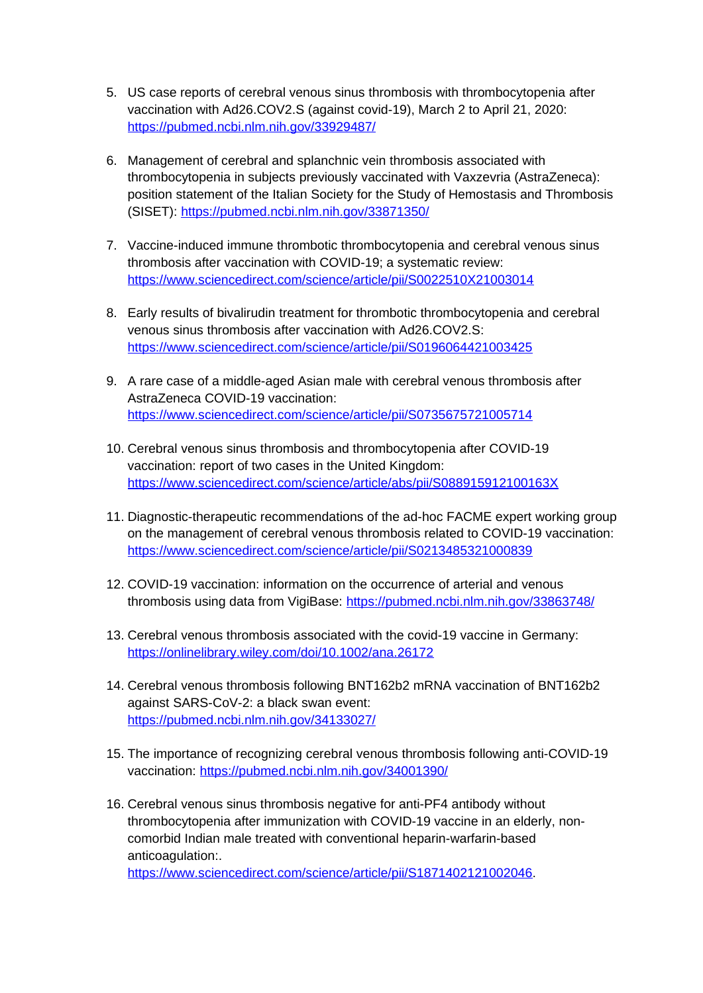- 5. US case reports of cerebral venous sinus thrombosis with thrombocytopenia after vaccination with Ad26.COV2.S (against covid-19), March 2 to April 21, 2020: <https://pubmed.ncbi.nlm.nih.gov/33929487/>
- 6. Management of cerebral and splanchnic vein thrombosis associated with thrombocytopenia in subjects previously vaccinated with Vaxzevria (AstraZeneca): position statement of the Italian Society for the Study of Hemostasis and Thrombosis (SISET):<https://pubmed.ncbi.nlm.nih.gov/33871350/>
- 7. Vaccine-induced immune thrombotic thrombocytopenia and cerebral venous sinus thrombosis after vaccination with COVID-19; a systematic review: <https://www.sciencedirect.com/science/article/pii/S0022510X21003014>
- 8. Early results of bivalirudin treatment for thrombotic thrombocytopenia and cerebral venous sinus thrombosis after vaccination with Ad26.COV2.S: <https://www.sciencedirect.com/science/article/pii/S0196064421003425>
- 9. A rare case of a middle-aged Asian male with cerebral venous thrombosis after AstraZeneca COVID-19 vaccination: <https://www.sciencedirect.com/science/article/pii/S0735675721005714>
- 10. Cerebral venous sinus thrombosis and thrombocytopenia after COVID-19 vaccination: report of two cases in the United Kingdom: <https://www.sciencedirect.com/science/article/abs/pii/S088915912100163X>
- 11. Diagnostic-therapeutic recommendations of the ad-hoc FACME expert working group on the management of cerebral venous thrombosis related to COVID-19 vaccination: <https://www.sciencedirect.com/science/article/pii/S0213485321000839>
- 12. COVID-19 vaccination: information on the occurrence of arterial and venous thrombosis using data from VigiBase:<https://pubmed.ncbi.nlm.nih.gov/33863748/>
- 13. Cerebral venous thrombosis associated with the covid-19 vaccine in Germany: <https://onlinelibrary.wiley.com/doi/10.1002/ana.26172>
- 14. Cerebral venous thrombosis following BNT162b2 mRNA vaccination of BNT162b2 against SARS-CoV-2: a black swan event: <https://pubmed.ncbi.nlm.nih.gov/34133027/>
- 15. The importance of recognizing cerebral venous thrombosis following anti-COVID-19 vaccination:<https://pubmed.ncbi.nlm.nih.gov/34001390/>
- 16. Cerebral venous sinus thrombosis negative for anti-PF4 antibody without thrombocytopenia after immunization with COVID-19 vaccine in an elderly, noncomorbid Indian male treated with conventional heparin-warfarin-based anticoagulation:.

<https://www.sciencedirect.com/science/article/pii/S1871402121002046>.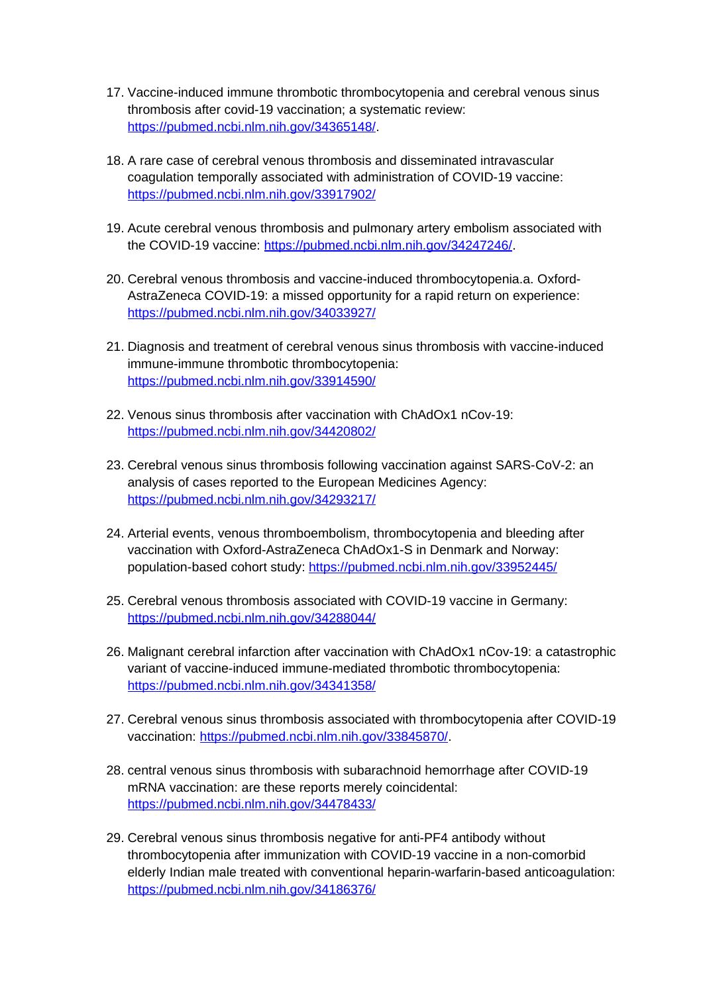- 17. Vaccine-induced immune thrombotic thrombocytopenia and cerebral venous sinus thrombosis after covid-19 vaccination; a systematic review: <https://pubmed.ncbi.nlm.nih.gov/34365148/>.
- 18. A rare case of cerebral venous thrombosis and disseminated intravascular coagulation temporally associated with administration of COVID-19 vaccine: <https://pubmed.ncbi.nlm.nih.gov/33917902/>
- 19. Acute cerebral venous thrombosis and pulmonary artery embolism associated with the COVID-19 vaccine: <https://pubmed.ncbi.nlm.nih.gov/34247246/>.
- 20. Cerebral venous thrombosis and vaccine-induced thrombocytopenia.a. Oxford-AstraZeneca COVID-19: a missed opportunity for a rapid return on experience: <https://pubmed.ncbi.nlm.nih.gov/34033927/>
- 21. Diagnosis and treatment of cerebral venous sinus thrombosis with vaccine-induced immune-immune thrombotic thrombocytopenia: <https://pubmed.ncbi.nlm.nih.gov/33914590/>
- 22. Venous sinus thrombosis after vaccination with ChAdOx1 nCov-19: <https://pubmed.ncbi.nlm.nih.gov/34420802/>
- 23. Cerebral venous sinus thrombosis following vaccination against SARS-CoV-2: an analysis of cases reported to the European Medicines Agency: <https://pubmed.ncbi.nlm.nih.gov/34293217/>
- 24. Arterial events, venous thromboembolism, thrombocytopenia and bleeding after vaccination with Oxford-AstraZeneca ChAdOx1-S in Denmark and Norway: population-based cohort study:<https://pubmed.ncbi.nlm.nih.gov/33952445/>
- 25. Cerebral venous thrombosis associated with COVID-19 vaccine in Germany: <https://pubmed.ncbi.nlm.nih.gov/34288044/>
- 26. Malignant cerebral infarction after vaccination with ChAdOx1 nCov-19: a catastrophic variant of vaccine-induced immune-mediated thrombotic thrombocytopenia: <https://pubmed.ncbi.nlm.nih.gov/34341358/>
- 27. Cerebral venous sinus thrombosis associated with thrombocytopenia after COVID-19 vaccination: [https://pubmed.ncbi.nlm.nih.gov/33845870/.](https://pubmed.ncbi.nlm.nih.gov/33845870/)
- 28. central venous sinus thrombosis with subarachnoid hemorrhage after COVID-19 mRNA vaccination: are these reports merely coincidental: <https://pubmed.ncbi.nlm.nih.gov/34478433/>
- 29. Cerebral venous sinus thrombosis negative for anti-PF4 antibody without thrombocytopenia after immunization with COVID-19 vaccine in a non-comorbid elderly Indian male treated with conventional heparin-warfarin-based anticoagulation: <https://pubmed.ncbi.nlm.nih.gov/34186376/>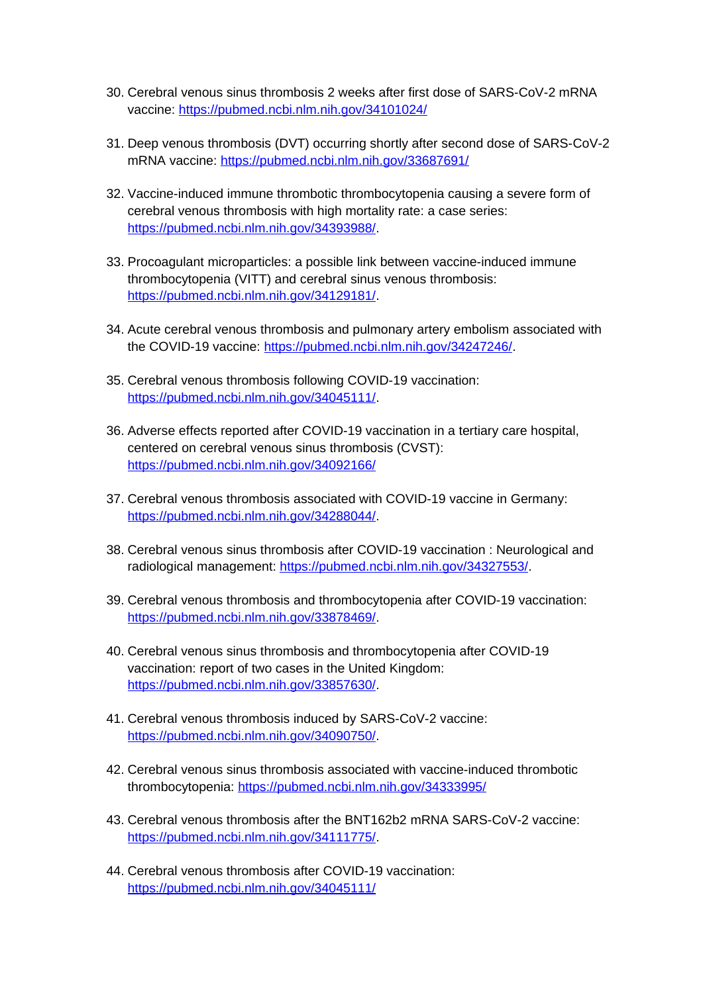- 30. Cerebral venous sinus thrombosis 2 weeks after first dose of SARS-CoV-2 mRNA vaccine:<https://pubmed.ncbi.nlm.nih.gov/34101024/>
- 31. Deep venous thrombosis (DVT) occurring shortly after second dose of SARS-CoV-2 mRNA vaccine: <https://pubmed.ncbi.nlm.nih.gov/33687691/>
- 32. Vaccine-induced immune thrombotic thrombocytopenia causing a severe form of cerebral venous thrombosis with high mortality rate: a case series: <https://pubmed.ncbi.nlm.nih.gov/34393988/>.
- 33. Procoagulant microparticles: a possible link between vaccine-induced immune thrombocytopenia (VITT) and cerebral sinus venous thrombosis: <https://pubmed.ncbi.nlm.nih.gov/34129181/>.
- 34. Acute cerebral venous thrombosis and pulmonary artery embolism associated with the COVID-19 vaccine: <https://pubmed.ncbi.nlm.nih.gov/34247246/>.
- 35. Cerebral venous thrombosis following COVID-19 vaccination: <https://pubmed.ncbi.nlm.nih.gov/34045111/>.
- 36. Adverse effects reported after COVID-19 vaccination in a tertiary care hospital, centered on cerebral venous sinus thrombosis (CVST): <https://pubmed.ncbi.nlm.nih.gov/34092166/>
- 37. Cerebral venous thrombosis associated with COVID-19 vaccine in Germany: <https://pubmed.ncbi.nlm.nih.gov/34288044/>.
- 38. Cerebral venous sinus thrombosis after COVID-19 vaccination : Neurological and radiological management:<https://pubmed.ncbi.nlm.nih.gov/34327553/>.
- 39. Cerebral venous thrombosis and thrombocytopenia after COVID-19 vaccination: <https://pubmed.ncbi.nlm.nih.gov/33878469/>.
- 40. Cerebral venous sinus thrombosis and thrombocytopenia after COVID-19 vaccination: report of two cases in the United Kingdom: <https://pubmed.ncbi.nlm.nih.gov/33857630/>.
- 41. Cerebral venous thrombosis induced by SARS-CoV-2 vaccine: <https://pubmed.ncbi.nlm.nih.gov/34090750/>.
- 42. Cerebral venous sinus thrombosis associated with vaccine-induced thrombotic thrombocytopenia: <https://pubmed.ncbi.nlm.nih.gov/34333995/>
- 43. Cerebral venous thrombosis after the BNT162b2 mRNA SARS-CoV-2 vaccine: <https://pubmed.ncbi.nlm.nih.gov/34111775/>.
- 44. Cerebral venous thrombosis after COVID-19 vaccination: <https://pubmed.ncbi.nlm.nih.gov/34045111/>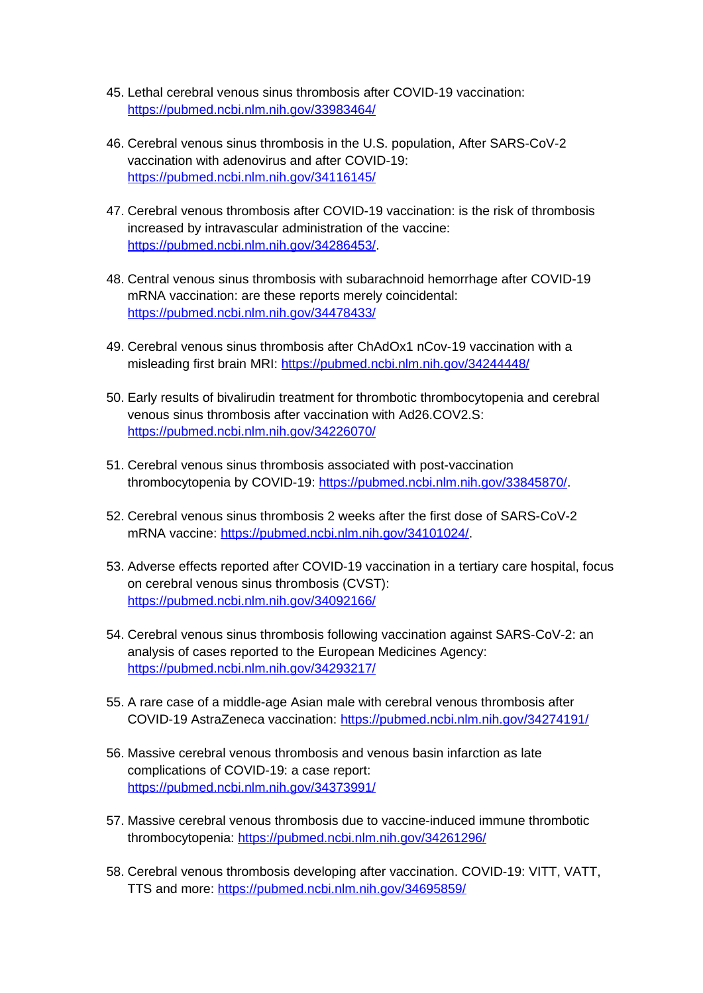- 45. Lethal cerebral venous sinus thrombosis after COVID-19 vaccination: <https://pubmed.ncbi.nlm.nih.gov/33983464/>
- 46. Cerebral venous sinus thrombosis in the U.S. population, After SARS-CoV-2 vaccination with adenovirus and after COVID-19: <https://pubmed.ncbi.nlm.nih.gov/34116145/>
- 47. Cerebral venous thrombosis after COVID-19 vaccination: is the risk of thrombosis increased by intravascular administration of the vaccine: <https://pubmed.ncbi.nlm.nih.gov/34286453/>.
- 48. Central venous sinus thrombosis with subarachnoid hemorrhage after COVID-19 mRNA vaccination: are these reports merely coincidental: <https://pubmed.ncbi.nlm.nih.gov/34478433/>
- 49. Cerebral venous sinus thrombosis after ChAdOx1 nCov-19 vaccination with a misleading first brain MRI:<https://pubmed.ncbi.nlm.nih.gov/34244448/>
- 50. Early results of bivalirudin treatment for thrombotic thrombocytopenia and cerebral venous sinus thrombosis after vaccination with Ad26.COV2.S: <https://pubmed.ncbi.nlm.nih.gov/34226070/>
- 51. Cerebral venous sinus thrombosis associated with post-vaccination thrombocytopenia by COVID-19:<https://pubmed.ncbi.nlm.nih.gov/33845870/>.
- 52. Cerebral venous sinus thrombosis 2 weeks after the first dose of SARS-CoV-2 mRNA vaccine: <https://pubmed.ncbi.nlm.nih.gov/34101024/>.
- 53. Adverse effects reported after COVID-19 vaccination in a tertiary care hospital, focus on cerebral venous sinus thrombosis (CVST): <https://pubmed.ncbi.nlm.nih.gov/34092166/>
- 54. Cerebral venous sinus thrombosis following vaccination against SARS-CoV-2: an analysis of cases reported to the European Medicines Agency: <https://pubmed.ncbi.nlm.nih.gov/34293217/>
- 55. A rare case of a middle-age Asian male with cerebral venous thrombosis after COVID-19 AstraZeneca vaccination:<https://pubmed.ncbi.nlm.nih.gov/34274191/>
- 56. Massive cerebral venous thrombosis and venous basin infarction as late complications of COVID-19: a case report: <https://pubmed.ncbi.nlm.nih.gov/34373991/>
- 57. Massive cerebral venous thrombosis due to vaccine-induced immune thrombotic thrombocytopenia: <https://pubmed.ncbi.nlm.nih.gov/34261296/>
- 58. Cerebral venous thrombosis developing after vaccination. COVID-19: VITT, VATT, TTS and more:<https://pubmed.ncbi.nlm.nih.gov/34695859/>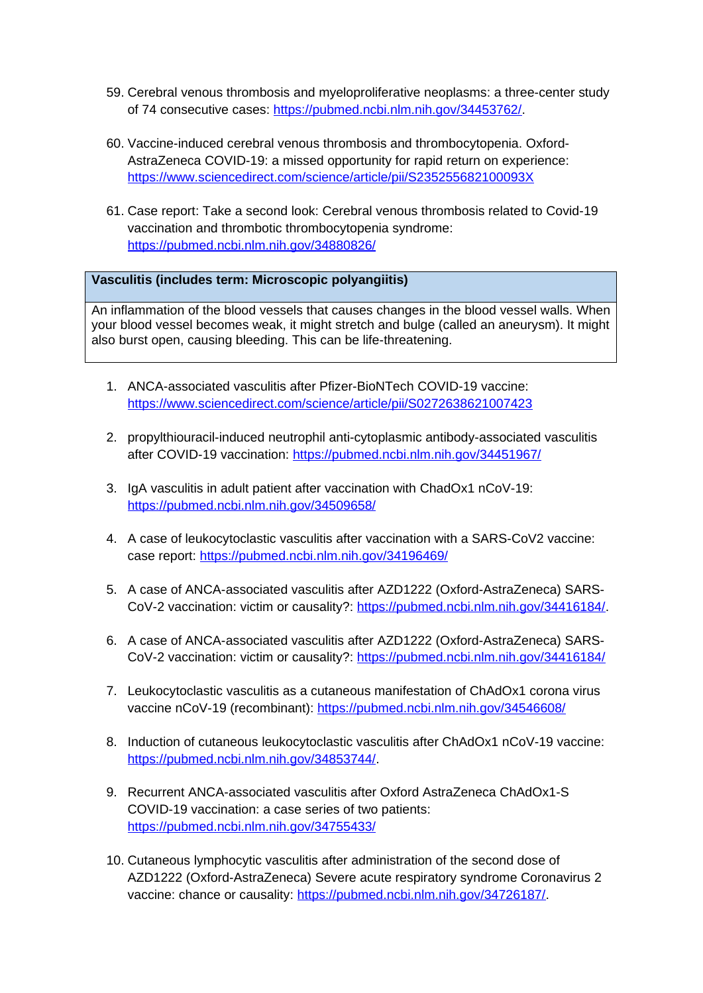- 59. Cerebral venous thrombosis and myeloproliferative neoplasms: a three-center study of 74 consecutive cases:<https://pubmed.ncbi.nlm.nih.gov/34453762/>.
- 60. Vaccine-induced cerebral venous thrombosis and thrombocytopenia. Oxford-AstraZeneca COVID-19: a missed opportunity for rapid return on experience: <https://www.sciencedirect.com/science/article/pii/S235255682100093X>
- 61. Case report: Take a second look: Cerebral venous thrombosis related to Covid-19 vaccination and thrombotic thrombocytopenia syndrome: <https://pubmed.ncbi.nlm.nih.gov/34880826/>

## **Vasculitis (includes term: Microscopic polyangiitis)**

An inflammation of the blood vessels that causes changes in the blood vessel walls. When your blood vessel becomes weak, it might stretch and bulge (called an aneurysm). It might also burst open, causing bleeding. This can be life-threatening.

- 1. ANCA-associated vasculitis after Pfizer-BioNTech COVID-19 vaccine: <https://www.sciencedirect.com/science/article/pii/S0272638621007423>
- 2. propylthiouracil-induced neutrophil anti-cytoplasmic antibody-associated vasculitis after COVID-19 vaccination:<https://pubmed.ncbi.nlm.nih.gov/34451967/>
- 3. IgA vasculitis in adult patient after vaccination with ChadOx1 nCoV-19: <https://pubmed.ncbi.nlm.nih.gov/34509658/>
- 4. A case of leukocytoclastic vasculitis after vaccination with a SARS-CoV2 vaccine: case report:<https://pubmed.ncbi.nlm.nih.gov/34196469/>
- 5. A case of ANCA-associated vasculitis after AZD1222 (Oxford-AstraZeneca) SARS-CoV-2 vaccination: victim or causality?: [https://pubmed.ncbi.nlm.nih.gov/34416184/.](https://pubmed.ncbi.nlm.nih.gov/34416184/)
- 6. A case of ANCA-associated vasculitis after AZD1222 (Oxford-AstraZeneca) SARS-CoV-2 vaccination: victim or causality?:<https://pubmed.ncbi.nlm.nih.gov/34416184/>
- 7. Leukocytoclastic vasculitis as a cutaneous manifestation of ChAdOx1 corona virus vaccine nCoV-19 (recombinant): <https://pubmed.ncbi.nlm.nih.gov/34546608/>
- 8. Induction of cutaneous leukocytoclastic vasculitis after ChAdOx1 nCoV-19 vaccine: <https://pubmed.ncbi.nlm.nih.gov/34853744/>.
- 9. Recurrent ANCA-associated vasculitis after Oxford AstraZeneca ChAdOx1-S COVID-19 vaccination: a case series of two patients: <https://pubmed.ncbi.nlm.nih.gov/34755433/>
- 10. Cutaneous lymphocytic vasculitis after administration of the second dose of AZD1222 (Oxford-AstraZeneca) Severe acute respiratory syndrome Coronavirus 2 vaccine: chance or causality: <https://pubmed.ncbi.nlm.nih.gov/34726187/>.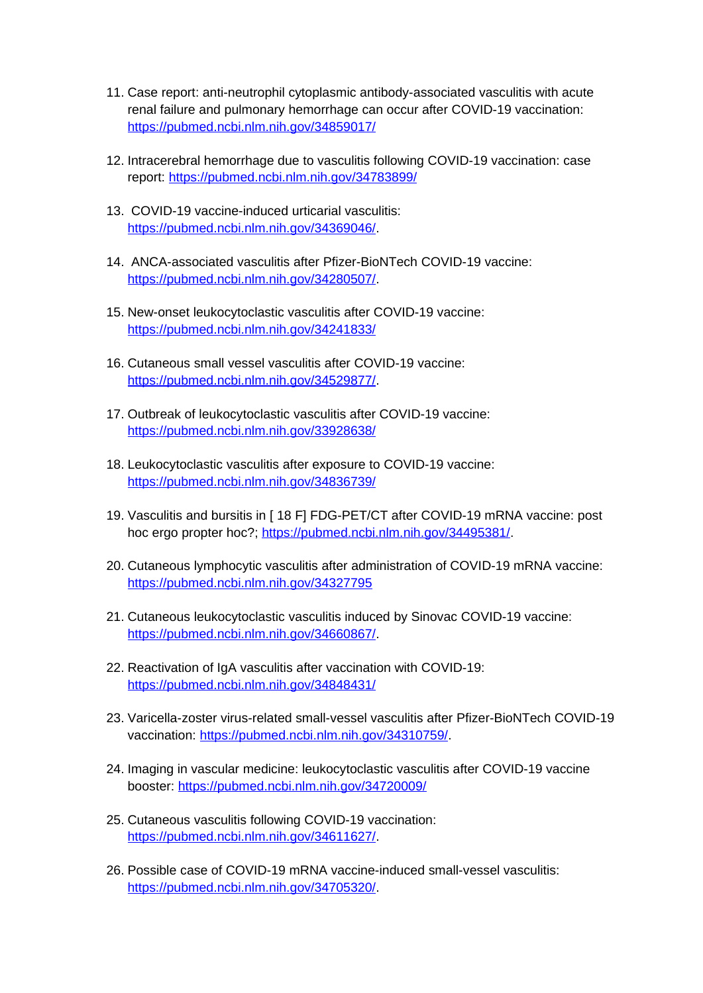- 11. Case report: anti-neutrophil cytoplasmic antibody-associated vasculitis with acute renal failure and pulmonary hemorrhage can occur after COVID-19 vaccination: <https://pubmed.ncbi.nlm.nih.gov/34859017/>
- 12. Intracerebral hemorrhage due to vasculitis following COVID-19 vaccination: case report: <https://pubmed.ncbi.nlm.nih.gov/34783899/>
- 13. COVID-19 vaccine-induced urticarial vasculitis: <https://pubmed.ncbi.nlm.nih.gov/34369046/>.
- 14. ANCA-associated vasculitis after Pfizer-BioNTech COVID-19 vaccine: <https://pubmed.ncbi.nlm.nih.gov/34280507/>.
- 15. New-onset leukocytoclastic vasculitis after COVID-19 vaccine: <https://pubmed.ncbi.nlm.nih.gov/34241833/>
- 16. Cutaneous small vessel vasculitis after COVID-19 vaccine: <https://pubmed.ncbi.nlm.nih.gov/34529877/>.
- 17. Outbreak of leukocytoclastic vasculitis after COVID-19 vaccine: <https://pubmed.ncbi.nlm.nih.gov/33928638/>
- 18. Leukocytoclastic vasculitis after exposure to COVID-19 vaccine: <https://pubmed.ncbi.nlm.nih.gov/34836739/>
- 19. Vasculitis and bursitis in [ 18 F] FDG-PET/CT after COVID-19 mRNA vaccine: post hoc ergo propter hoc?; <https://pubmed.ncbi.nlm.nih.gov/34495381/>.
- 20. Cutaneous lymphocytic vasculitis after administration of COVID-19 mRNA vaccine: <https://pubmed.ncbi.nlm.nih.gov/34327795>
- 21. Cutaneous leukocytoclastic vasculitis induced by Sinovac COVID-19 vaccine: <https://pubmed.ncbi.nlm.nih.gov/34660867/>.
- 22. Reactivation of IgA vasculitis after vaccination with COVID-19: <https://pubmed.ncbi.nlm.nih.gov/34848431/>
- 23. Varicella-zoster virus-related small-vessel vasculitis after Pfizer-BioNTech COVID-19 vaccination: [https://pubmed.ncbi.nlm.nih.gov/34310759/.](https://pubmed.ncbi.nlm.nih.gov/34310759/)
- 24. Imaging in vascular medicine: leukocytoclastic vasculitis after COVID-19 vaccine booster: <https://pubmed.ncbi.nlm.nih.gov/34720009/>
- 25. Cutaneous vasculitis following COVID-19 vaccination: <https://pubmed.ncbi.nlm.nih.gov/34611627/>.
- 26. Possible case of COVID-19 mRNA vaccine-induced small-vessel vasculitis: <https://pubmed.ncbi.nlm.nih.gov/34705320/>.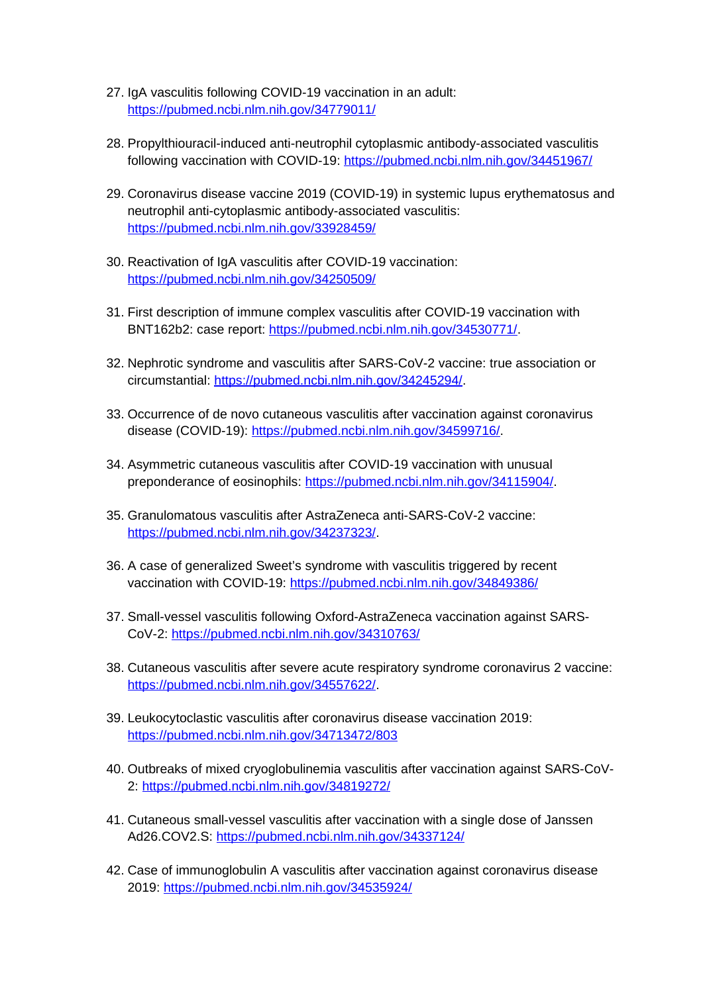- 27. IgA vasculitis following COVID-19 vaccination in an adult: <https://pubmed.ncbi.nlm.nih.gov/34779011/>
- 28. Propylthiouracil-induced anti-neutrophil cytoplasmic antibody-associated vasculitis following vaccination with COVID-19:<https://pubmed.ncbi.nlm.nih.gov/34451967/>
- 29. Coronavirus disease vaccine 2019 (COVID-19) in systemic lupus erythematosus and neutrophil anti-cytoplasmic antibody-associated vasculitis: <https://pubmed.ncbi.nlm.nih.gov/33928459/>
- 30. Reactivation of IgA vasculitis after COVID-19 vaccination: <https://pubmed.ncbi.nlm.nih.gov/34250509/>
- 31. First description of immune complex vasculitis after COVID-19 vaccination with BNT162b2: case report: <https://pubmed.ncbi.nlm.nih.gov/34530771/>.
- 32. Nephrotic syndrome and vasculitis after SARS-CoV-2 vaccine: true association or circumstantial: [https://pubmed.ncbi.nlm.nih.gov/34245294/.](https://pubmed.ncbi.nlm.nih.gov/34245294/)
- 33. Occurrence of de novo cutaneous vasculitis after vaccination against coronavirus disease (COVID-19): [https://pubmed.ncbi.nlm.nih.gov/34599716/.](https://pubmed.ncbi.nlm.nih.gov/34599716/)
- 34. Asymmetric cutaneous vasculitis after COVID-19 vaccination with unusual preponderance of eosinophils: [https://pubmed.ncbi.nlm.nih.gov/34115904/.](https://pubmed.ncbi.nlm.nih.gov/34115904/)
- 35. Granulomatous vasculitis after AstraZeneca anti-SARS-CoV-2 vaccine: <https://pubmed.ncbi.nlm.nih.gov/34237323/>.
- 36. A case of generalized Sweet's syndrome with vasculitis triggered by recent vaccination with COVID-19: <https://pubmed.ncbi.nlm.nih.gov/34849386/>
- 37. Small-vessel vasculitis following Oxford-AstraZeneca vaccination against SARS-CoV-2:<https://pubmed.ncbi.nlm.nih.gov/34310763/>
- 38. Cutaneous vasculitis after severe acute respiratory syndrome coronavirus 2 vaccine: <https://pubmed.ncbi.nlm.nih.gov/34557622/>.
- 39. Leukocytoclastic vasculitis after coronavirus disease vaccination 2019: <https://pubmed.ncbi.nlm.nih.gov/34713472/803>
- 40. Outbreaks of mixed cryoglobulinemia vasculitis after vaccination against SARS-CoV-2:<https://pubmed.ncbi.nlm.nih.gov/34819272/>
- 41. Cutaneous small-vessel vasculitis after vaccination with a single dose of Janssen Ad26.COV2.S:<https://pubmed.ncbi.nlm.nih.gov/34337124/>
- 42. Case of immunoglobulin A vasculitis after vaccination against coronavirus disease 2019: <https://pubmed.ncbi.nlm.nih.gov/34535924/>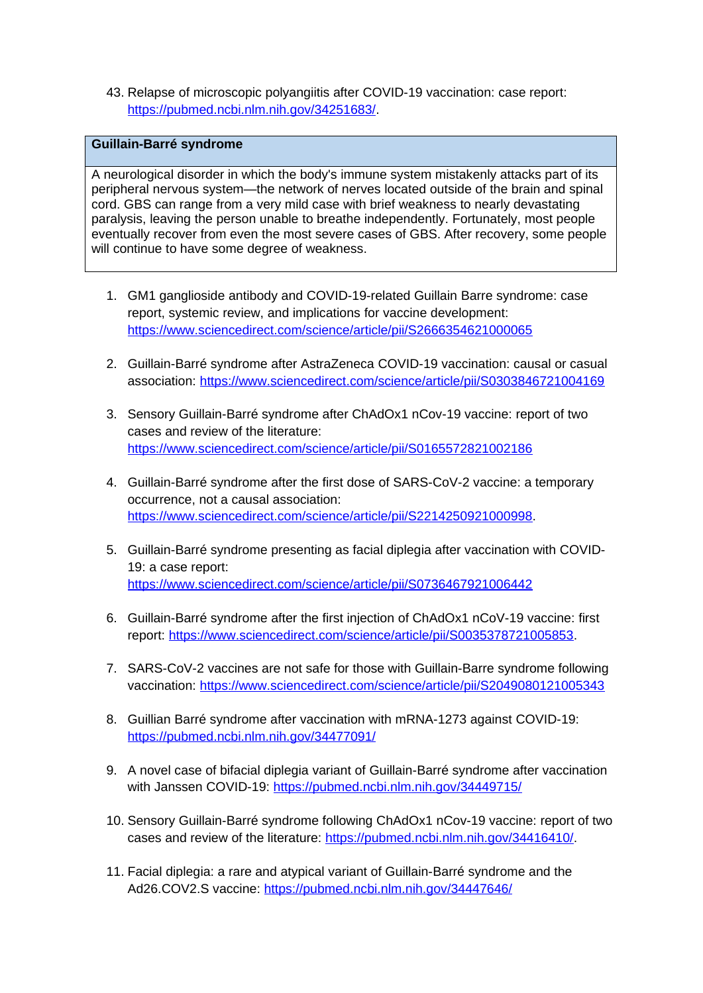43. Relapse of microscopic polyangiitis after COVID-19 vaccination: case report: <https://pubmed.ncbi.nlm.nih.gov/34251683/>.

### **Guillain-Barré syndrome**

A neurological disorder in which the body's immune system mistakenly attacks part of its peripheral nervous system—the network of nerves located outside of the brain and spinal cord. GBS can range from a very mild case with brief weakness to nearly devastating paralysis, leaving the person unable to breathe independently. Fortunately, most people eventually recover from even the most severe cases of GBS. After recovery, some people will continue to have some degree of weakness.

- 1. GM1 ganglioside antibody and COVID-19-related Guillain Barre syndrome: case report, systemic review, and implications for vaccine development: <https://www.sciencedirect.com/science/article/pii/S2666354621000065>
- 2. Guillain-Barré syndrome after AstraZeneca COVID-19 vaccination: causal or casual association:<https://www.sciencedirect.com/science/article/pii/S0303846721004169>
- 3. Sensory Guillain-Barré syndrome after ChAdOx1 nCov-19 vaccine: report of two cases and review of the literature: <https://www.sciencedirect.com/science/article/pii/S0165572821002186>
- 4. Guillain-Barré syndrome after the first dose of SARS-CoV-2 vaccine: a temporary occurrence, not a causal association: <https://www.sciencedirect.com/science/article/pii/S2214250921000998>.
- 5. Guillain-Barré syndrome presenting as facial diplegia after vaccination with COVID-19: a case report: <https://www.sciencedirect.com/science/article/pii/S0736467921006442>
- 6. Guillain-Barré syndrome after the first injection of ChAdOx1 nCoV-19 vaccine: first report: <https://www.sciencedirect.com/science/article/pii/S0035378721005853>.
- 7. SARS-CoV-2 vaccines are not safe for those with Guillain-Barre syndrome following vaccination:<https://www.sciencedirect.com/science/article/pii/S2049080121005343>
- 8. Guillian Barré syndrome after vaccination with mRNA-1273 against COVID-19: <https://pubmed.ncbi.nlm.nih.gov/34477091/>
- 9. A novel case of bifacial diplegia variant of Guillain-Barré syndrome after vaccination with Janssen COVID-19:<https://pubmed.ncbi.nlm.nih.gov/34449715/>
- 10. Sensory Guillain-Barré syndrome following ChAdOx1 nCov-19 vaccine: report of two cases and review of the literature: <https://pubmed.ncbi.nlm.nih.gov/34416410/>.
- 11. Facial diplegia: a rare and atypical variant of Guillain-Barré syndrome and the Ad26.COV2.S vaccine: <https://pubmed.ncbi.nlm.nih.gov/34447646/>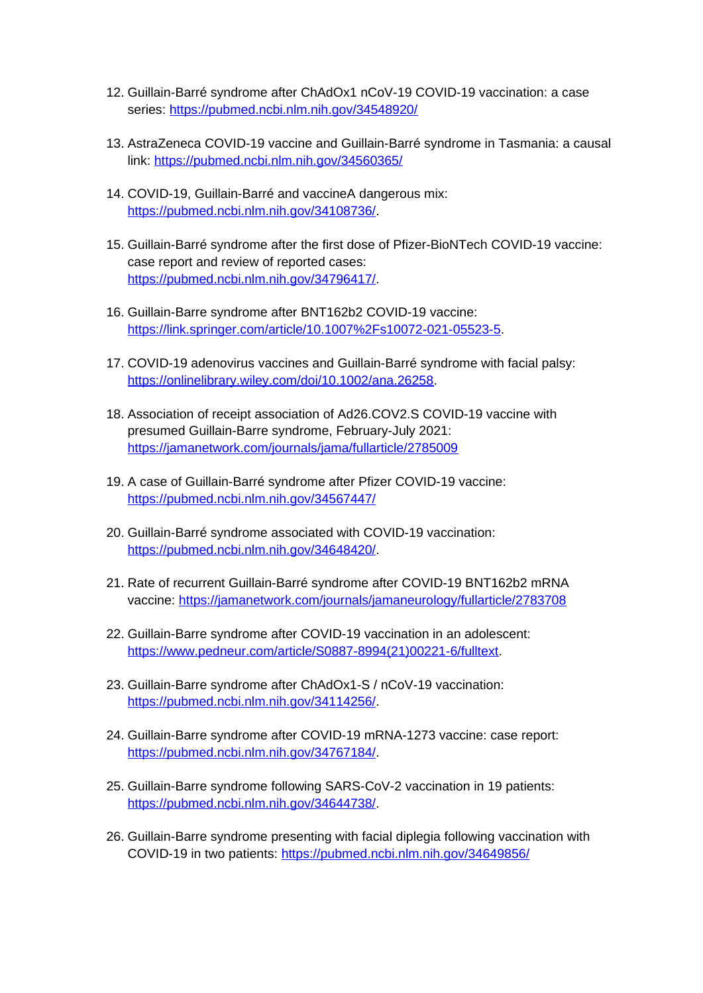- 12. Guillain-Barré syndrome after ChAdOx1 nCoV-19 COVID-19 vaccination: a case series:<https://pubmed.ncbi.nlm.nih.gov/34548920/>
- 13. AstraZeneca COVID-19 vaccine and Guillain-Barré syndrome in Tasmania: a causal link: <https://pubmed.ncbi.nlm.nih.gov/34560365/>
- 14. COVID-19, Guillain-Barré and vaccineA dangerous mix: <https://pubmed.ncbi.nlm.nih.gov/34108736/>.
- 15. Guillain-Barré syndrome after the first dose of Pfizer-BioNTech COVID-19 vaccine: case report and review of reported cases: <https://pubmed.ncbi.nlm.nih.gov/34796417/>.
- 16. Guillain-Barre syndrome after BNT162b2 COVID-19 vaccine: <https://link.springer.com/article/10.1007%2Fs10072-021-05523-5>.
- 17. COVID-19 adenovirus vaccines and Guillain-Barré syndrome with facial palsy: <https://onlinelibrary.wiley.com/doi/10.1002/ana.26258>.
- 18. Association of receipt association of Ad26.COV2.S COVID-19 vaccine with presumed Guillain-Barre syndrome, February-July 2021: <https://jamanetwork.com/journals/jama/fullarticle/2785009>
- 19. A case of Guillain-Barré syndrome after Pfizer COVID-19 vaccine: <https://pubmed.ncbi.nlm.nih.gov/34567447/>
- 20. Guillain-Barré syndrome associated with COVID-19 vaccination: <https://pubmed.ncbi.nlm.nih.gov/34648420/>.
- 21. Rate of recurrent Guillain-Barré syndrome after COVID-19 BNT162b2 mRNA vaccine:<https://jamanetwork.com/journals/jamaneurology/fullarticle/2783708>
- 22. Guillain-Barre syndrome after COVID-19 vaccination in an adolescent: [https://www.pedneur.com/article/S0887-8994\(21\)00221-6/fulltext](https://www.pedneur.com/article/S0887-8994(21)00221-6/fulltext).
- 23. Guillain-Barre syndrome after ChAdOx1-S / nCoV-19 vaccination: <https://pubmed.ncbi.nlm.nih.gov/34114256/>.
- 24. Guillain-Barre syndrome after COVID-19 mRNA-1273 vaccine: case report: <https://pubmed.ncbi.nlm.nih.gov/34767184/>.
- 25. Guillain-Barre syndrome following SARS-CoV-2 vaccination in 19 patients: <https://pubmed.ncbi.nlm.nih.gov/34644738/>.
- 26. Guillain-Barre syndrome presenting with facial diplegia following vaccination with COVID-19 in two patients:<https://pubmed.ncbi.nlm.nih.gov/34649856/>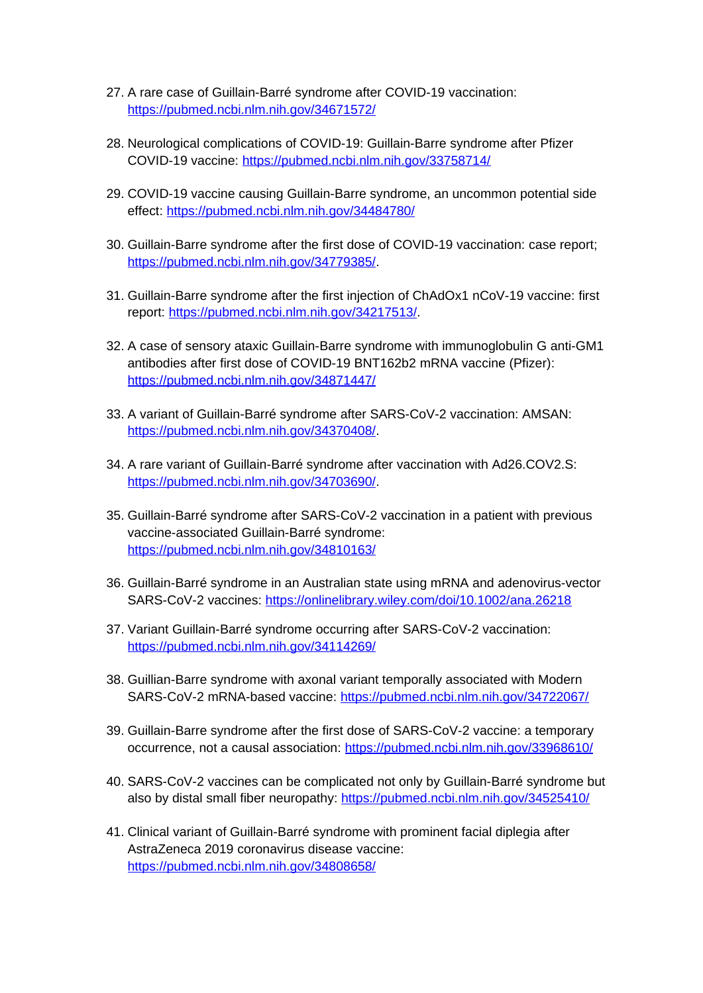- 27. A rare case of Guillain-Barré syndrome after COVID-19 vaccination: <https://pubmed.ncbi.nlm.nih.gov/34671572/>
- 28. Neurological complications of COVID-19: Guillain-Barre syndrome after Pfizer COVID-19 vaccine:<https://pubmed.ncbi.nlm.nih.gov/33758714/>
- 29. COVID-19 vaccine causing Guillain-Barre syndrome, an uncommon potential side effect:<https://pubmed.ncbi.nlm.nih.gov/34484780/>
- 30. Guillain-Barre syndrome after the first dose of COVID-19 vaccination: case report; <https://pubmed.ncbi.nlm.nih.gov/34779385/>.
- 31. Guillain-Barre syndrome after the first injection of ChAdOx1 nCoV-19 vaccine: first report: <https://pubmed.ncbi.nlm.nih.gov/34217513/>.
- 32. A case of sensory ataxic Guillain-Barre syndrome with immunoglobulin G anti-GM1 antibodies after first dose of COVID-19 BNT162b2 mRNA vaccine (Pfizer): <https://pubmed.ncbi.nlm.nih.gov/34871447/>
- 33. A variant of Guillain-Barré syndrome after SARS-CoV-2 vaccination: AMSAN: <https://pubmed.ncbi.nlm.nih.gov/34370408/>.
- 34. A rare variant of Guillain-Barré syndrome after vaccination with Ad26.COV2.S: <https://pubmed.ncbi.nlm.nih.gov/34703690/>.
- 35. Guillain-Barré syndrome after SARS-CoV-2 vaccination in a patient with previous vaccine-associated Guillain-Barré syndrome: <https://pubmed.ncbi.nlm.nih.gov/34810163/>
- 36. Guillain-Barré syndrome in an Australian state using mRNA and adenovirus-vector SARS-CoV-2 vaccines: <https://onlinelibrary.wiley.com/doi/10.1002/ana.26218>
- 37. Variant Guillain-Barré syndrome occurring after SARS-CoV-2 vaccination: <https://pubmed.ncbi.nlm.nih.gov/34114269/>
- 38. Guillian-Barre syndrome with axonal variant temporally associated with Modern SARS-CoV-2 mRNA-based vaccine:<https://pubmed.ncbi.nlm.nih.gov/34722067/>
- 39. Guillain-Barre syndrome after the first dose of SARS-CoV-2 vaccine: a temporary occurrence, not a causal association:<https://pubmed.ncbi.nlm.nih.gov/33968610/>
- 40. SARS-CoV-2 vaccines can be complicated not only by Guillain-Barré syndrome but also by distal small fiber neuropathy:<https://pubmed.ncbi.nlm.nih.gov/34525410/>
- 41. Clinical variant of Guillain-Barré syndrome with prominent facial diplegia after AstraZeneca 2019 coronavirus disease vaccine: <https://pubmed.ncbi.nlm.nih.gov/34808658/>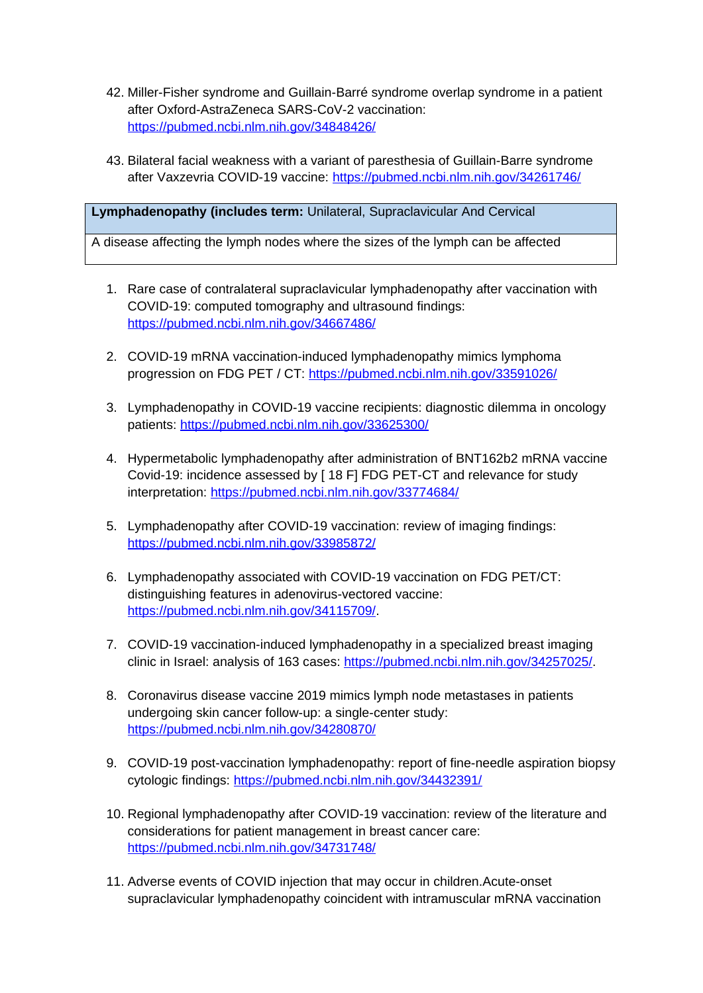- 42. Miller-Fisher syndrome and Guillain-Barré syndrome overlap syndrome in a patient after Oxford-AstraZeneca SARS-CoV-2 vaccination: <https://pubmed.ncbi.nlm.nih.gov/34848426/>
- 43. Bilateral facial weakness with a variant of paresthesia of Guillain-Barre syndrome after Vaxzevria COVID-19 vaccine: <https://pubmed.ncbi.nlm.nih.gov/34261746/>

**Lymphadenopathy (includes term:** Unilateral, Supraclavicular And Cervical

A disease affecting the lymph nodes where the sizes of the lymph can be affected

- 1. Rare case of contralateral supraclavicular lymphadenopathy after vaccination with COVID-19: computed tomography and ultrasound findings: <https://pubmed.ncbi.nlm.nih.gov/34667486/>
- 2. COVID-19 mRNA vaccination-induced lymphadenopathy mimics lymphoma progression on FDG PET / CT:<https://pubmed.ncbi.nlm.nih.gov/33591026/>
- 3. Lymphadenopathy in COVID-19 vaccine recipients: diagnostic dilemma in oncology patients: <https://pubmed.ncbi.nlm.nih.gov/33625300/>
- 4. Hypermetabolic lymphadenopathy after administration of BNT162b2 mRNA vaccine Covid-19: incidence assessed by [ 18 F] FDG PET-CT and relevance for study interpretation:<https://pubmed.ncbi.nlm.nih.gov/33774684/>
- 5. Lymphadenopathy after COVID-19 vaccination: review of imaging findings: <https://pubmed.ncbi.nlm.nih.gov/33985872/>
- 6. Lymphadenopathy associated with COVID-19 vaccination on FDG PET/CT: distinguishing features in adenovirus-vectored vaccine: <https://pubmed.ncbi.nlm.nih.gov/34115709/>.
- 7. COVID-19 vaccination-induced lymphadenopathy in a specialized breast imaging clinic in Israel: analysis of 163 cases: [https://pubmed.ncbi.nlm.nih.gov/34257025/.](https://pubmed.ncbi.nlm.nih.gov/34257025/)
- 8. Coronavirus disease vaccine 2019 mimics lymph node metastases in patients undergoing skin cancer follow-up: a single-center study: <https://pubmed.ncbi.nlm.nih.gov/34280870/>
- 9. COVID-19 post-vaccination lymphadenopathy: report of fine-needle aspiration biopsy cytologic findings: <https://pubmed.ncbi.nlm.nih.gov/34432391/>
- 10. Regional lymphadenopathy after COVID-19 vaccination: review of the literature and considerations for patient management in breast cancer care: <https://pubmed.ncbi.nlm.nih.gov/34731748/>
- 11. Adverse events of COVID injection that may occur in children.Acute-onset supraclavicular lymphadenopathy coincident with intramuscular mRNA vaccination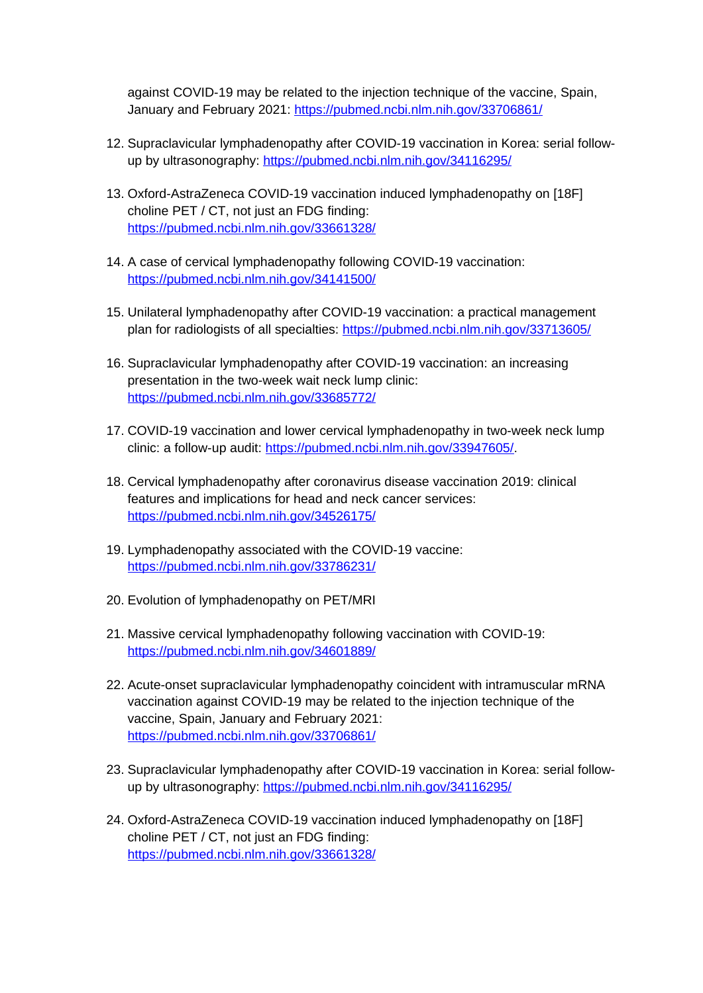against COVID-19 may be related to the injection technique of the vaccine, Spain, January and February 2021:<https://pubmed.ncbi.nlm.nih.gov/33706861/>

- 12. Supraclavicular lymphadenopathy after COVID-19 vaccination in Korea: serial followup by ultrasonography:<https://pubmed.ncbi.nlm.nih.gov/34116295/>
- 13. Oxford-AstraZeneca COVID-19 vaccination induced lymphadenopathy on [18F] choline PET / CT, not just an FDG finding: <https://pubmed.ncbi.nlm.nih.gov/33661328/>
- 14. A case of cervical lymphadenopathy following COVID-19 vaccination: <https://pubmed.ncbi.nlm.nih.gov/34141500/>
- 15. Unilateral lymphadenopathy after COVID-19 vaccination: a practical management plan for radiologists of all specialties:<https://pubmed.ncbi.nlm.nih.gov/33713605/>
- 16. Supraclavicular lymphadenopathy after COVID-19 vaccination: an increasing presentation in the two-week wait neck lump clinic: <https://pubmed.ncbi.nlm.nih.gov/33685772/>
- 17. COVID-19 vaccination and lower cervical lymphadenopathy in two-week neck lump clinic: a follow-up audit: <https://pubmed.ncbi.nlm.nih.gov/33947605/>.
- 18. Cervical lymphadenopathy after coronavirus disease vaccination 2019: clinical features and implications for head and neck cancer services: <https://pubmed.ncbi.nlm.nih.gov/34526175/>
- 19. Lymphadenopathy associated with the COVID-19 vaccine: <https://pubmed.ncbi.nlm.nih.gov/33786231/>
- 20. Evolution of lymphadenopathy on PET/MRI
- 21. Massive cervical lymphadenopathy following vaccination with COVID-19: <https://pubmed.ncbi.nlm.nih.gov/34601889/>
- 22. Acute-onset supraclavicular lymphadenopathy coincident with intramuscular mRNA vaccination against COVID-19 may be related to the injection technique of the vaccine, Spain, January and February 2021: <https://pubmed.ncbi.nlm.nih.gov/33706861/>
- 23. Supraclavicular lymphadenopathy after COVID-19 vaccination in Korea: serial followup by ultrasonography:<https://pubmed.ncbi.nlm.nih.gov/34116295/>
- 24. Oxford-AstraZeneca COVID-19 vaccination induced lymphadenopathy on [18F] choline PET / CT, not just an FDG finding: <https://pubmed.ncbi.nlm.nih.gov/33661328/>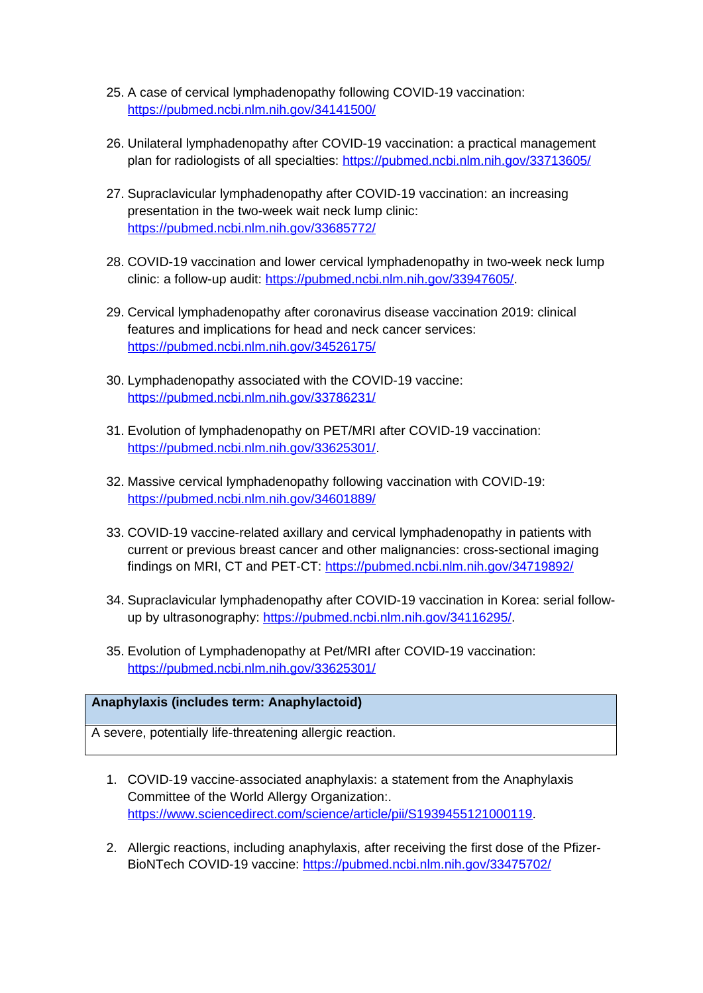- 25. A case of cervical lymphadenopathy following COVID-19 vaccination: <https://pubmed.ncbi.nlm.nih.gov/34141500/>
- 26. Unilateral lymphadenopathy after COVID-19 vaccination: a practical management plan for radiologists of all specialties:<https://pubmed.ncbi.nlm.nih.gov/33713605/>
- 27. Supraclavicular lymphadenopathy after COVID-19 vaccination: an increasing presentation in the two-week wait neck lump clinic: <https://pubmed.ncbi.nlm.nih.gov/33685772/>
- 28. COVID-19 vaccination and lower cervical lymphadenopathy in two-week neck lump clinic: a follow-up audit: <https://pubmed.ncbi.nlm.nih.gov/33947605/>.
- 29. Cervical lymphadenopathy after coronavirus disease vaccination 2019: clinical features and implications for head and neck cancer services: <https://pubmed.ncbi.nlm.nih.gov/34526175/>
- 30. Lymphadenopathy associated with the COVID-19 vaccine: <https://pubmed.ncbi.nlm.nih.gov/33786231/>
- 31. Evolution of lymphadenopathy on PET/MRI after COVID-19 vaccination: <https://pubmed.ncbi.nlm.nih.gov/33625301/>.
- 32. Massive cervical lymphadenopathy following vaccination with COVID-19: <https://pubmed.ncbi.nlm.nih.gov/34601889/>
- 33. COVID-19 vaccine-related axillary and cervical lymphadenopathy in patients with current or previous breast cancer and other malignancies: cross-sectional imaging findings on MRI, CT and PET-CT:<https://pubmed.ncbi.nlm.nih.gov/34719892/>
- 34. Supraclavicular lymphadenopathy after COVID-19 vaccination in Korea: serial followup by ultrasonography:<https://pubmed.ncbi.nlm.nih.gov/34116295/>.
- 35. Evolution of Lymphadenopathy at Pet/MRI after COVID-19 vaccination: <https://pubmed.ncbi.nlm.nih.gov/33625301/>

# **Anaphylaxis (includes term: Anaphylactoid)**

A severe, potentially life-threatening allergic reaction.

- 1. COVID-19 vaccine-associated anaphylaxis: a statement from the Anaphylaxis Committee of the World Allergy Organization:. <https://www.sciencedirect.com/science/article/pii/S1939455121000119>.
- 2. Allergic reactions, including anaphylaxis, after receiving the first dose of the Pfizer-BioNTech COVID-19 vaccine: <https://pubmed.ncbi.nlm.nih.gov/33475702/>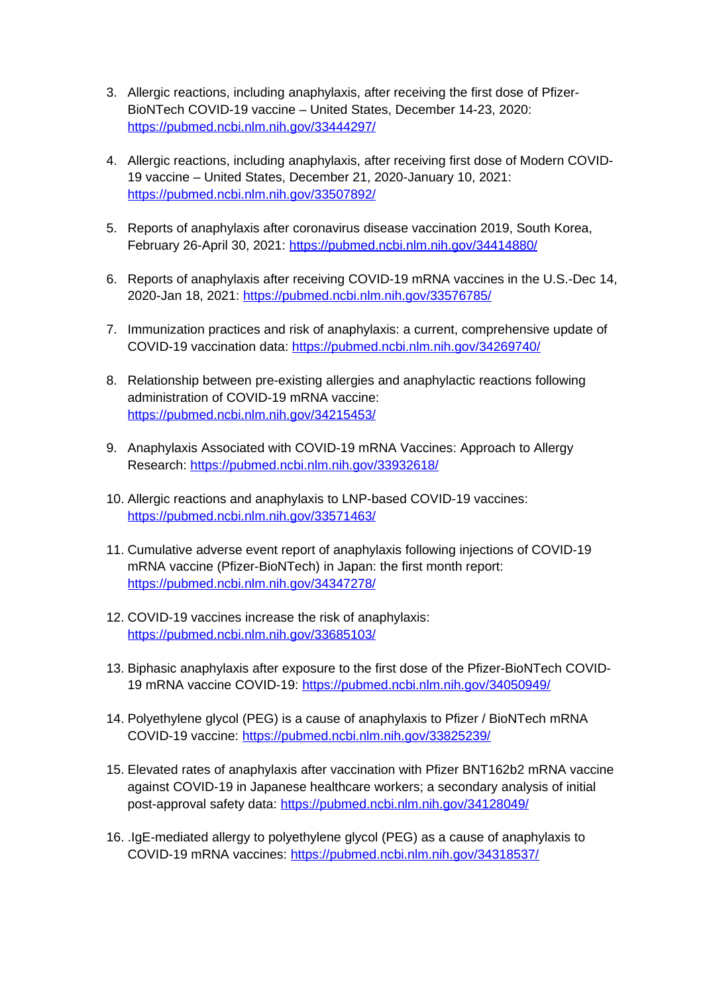- 3. Allergic reactions, including anaphylaxis, after receiving the first dose of Pfizer-BioNTech COVID-19 vaccine – United States, December 14-23, 2020: <https://pubmed.ncbi.nlm.nih.gov/33444297/>
- 4. Allergic reactions, including anaphylaxis, after receiving first dose of Modern COVID-19 vaccine – United States, December 21, 2020-January 10, 2021: <https://pubmed.ncbi.nlm.nih.gov/33507892/>
- 5. Reports of anaphylaxis after coronavirus disease vaccination 2019, South Korea, February 26-April 30, 2021:<https://pubmed.ncbi.nlm.nih.gov/34414880/>
- 6. Reports of anaphylaxis after receiving COVID-19 mRNA vaccines in the U.S.-Dec 14, 2020-Jan 18, 2021: <https://pubmed.ncbi.nlm.nih.gov/33576785/>
- 7. Immunization practices and risk of anaphylaxis: a current, comprehensive update of COVID-19 vaccination data:<https://pubmed.ncbi.nlm.nih.gov/34269740/>
- 8. Relationship between pre-existing allergies and anaphylactic reactions following administration of COVID-19 mRNA vaccine: <https://pubmed.ncbi.nlm.nih.gov/34215453/>
- 9. Anaphylaxis Associated with COVID-19 mRNA Vaccines: Approach to Allergy Research:<https://pubmed.ncbi.nlm.nih.gov/33932618/>
- 10. Allergic reactions and anaphylaxis to LNP-based COVID-19 vaccines: <https://pubmed.ncbi.nlm.nih.gov/33571463/>
- 11. Cumulative adverse event report of anaphylaxis following injections of COVID-19 mRNA vaccine (Pfizer-BioNTech) in Japan: the first month report: <https://pubmed.ncbi.nlm.nih.gov/34347278/>
- 12. COVID-19 vaccines increase the risk of anaphylaxis: <https://pubmed.ncbi.nlm.nih.gov/33685103/>
- 13. Biphasic anaphylaxis after exposure to the first dose of the Pfizer-BioNTech COVID-19 mRNA vaccine COVID-19: <https://pubmed.ncbi.nlm.nih.gov/34050949/>
- 14. Polyethylene glycol (PEG) is a cause of anaphylaxis to Pfizer / BioNTech mRNA COVID-19 vaccine:<https://pubmed.ncbi.nlm.nih.gov/33825239/>
- 15. Elevated rates of anaphylaxis after vaccination with Pfizer BNT162b2 mRNA vaccine against COVID-19 in Japanese healthcare workers; a secondary analysis of initial post-approval safety data: <https://pubmed.ncbi.nlm.nih.gov/34128049/>
- 16. .IgE-mediated allergy to polyethylene glycol (PEG) as a cause of anaphylaxis to COVID-19 mRNA vaccines:<https://pubmed.ncbi.nlm.nih.gov/34318537/>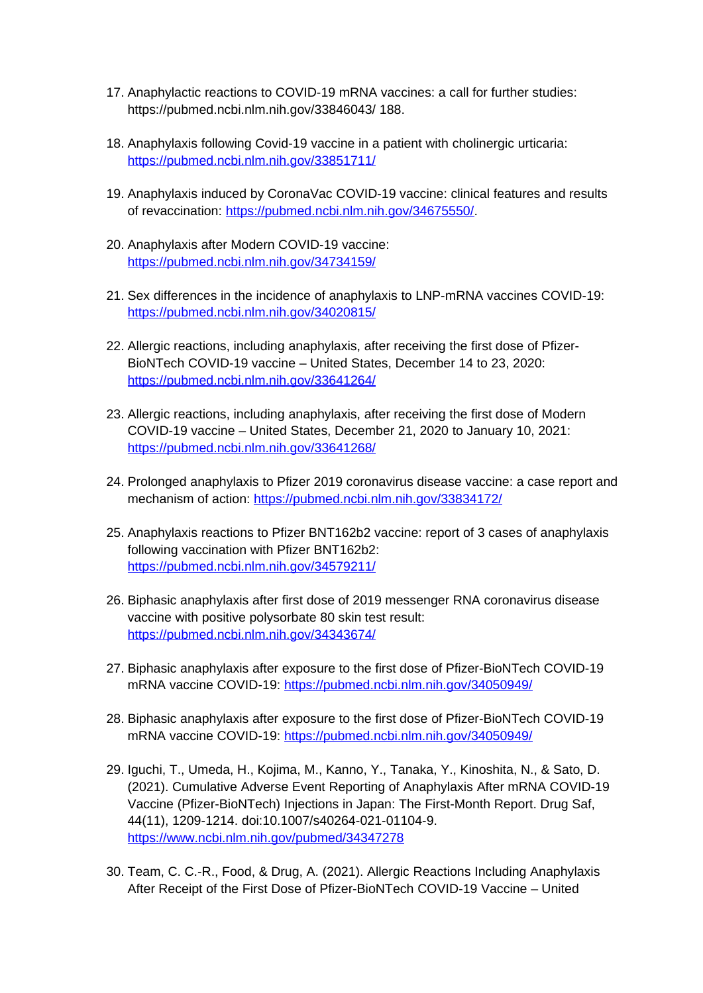- 17. Anaphylactic reactions to COVID-19 mRNA vaccines: a call for further studies: https://pubmed.ncbi.nlm.nih.gov/33846043/ 188.
- 18. Anaphylaxis following Covid-19 vaccine in a patient with cholinergic urticaria: <https://pubmed.ncbi.nlm.nih.gov/33851711/>
- 19. Anaphylaxis induced by CoronaVac COVID-19 vaccine: clinical features and results of revaccination: [https://pubmed.ncbi.nlm.nih.gov/34675550/.](https://pubmed.ncbi.nlm.nih.gov/34675550/)
- 20. Anaphylaxis after Modern COVID-19 vaccine: <https://pubmed.ncbi.nlm.nih.gov/34734159/>
- 21. Sex differences in the incidence of anaphylaxis to LNP-mRNA vaccines COVID-19: <https://pubmed.ncbi.nlm.nih.gov/34020815/>
- 22. Allergic reactions, including anaphylaxis, after receiving the first dose of Pfizer-BioNTech COVID-19 vaccine – United States, December 14 to 23, 2020: <https://pubmed.ncbi.nlm.nih.gov/33641264/>
- 23. Allergic reactions, including anaphylaxis, after receiving the first dose of Modern COVID-19 vaccine – United States, December 21, 2020 to January 10, 2021: <https://pubmed.ncbi.nlm.nih.gov/33641268/>
- 24. Prolonged anaphylaxis to Pfizer 2019 coronavirus disease vaccine: a case report and mechanism of action:<https://pubmed.ncbi.nlm.nih.gov/33834172/>
- 25. Anaphylaxis reactions to Pfizer BNT162b2 vaccine: report of 3 cases of anaphylaxis following vaccination with Pfizer BNT162b2: <https://pubmed.ncbi.nlm.nih.gov/34579211/>
- 26. Biphasic anaphylaxis after first dose of 2019 messenger RNA coronavirus disease vaccine with positive polysorbate 80 skin test result: <https://pubmed.ncbi.nlm.nih.gov/34343674/>
- 27. Biphasic anaphylaxis after exposure to the first dose of Pfizer-BioNTech COVID-19 mRNA vaccine COVID-19: <https://pubmed.ncbi.nlm.nih.gov/34050949/>
- 28. Biphasic anaphylaxis after exposure to the first dose of Pfizer-BioNTech COVID-19 mRNA vaccine COVID-19: <https://pubmed.ncbi.nlm.nih.gov/34050949/>
- 29. Iguchi, T., Umeda, H., Kojima, M., Kanno, Y., Tanaka, Y., Kinoshita, N., & Sato, D. (2021). Cumulative Adverse Event Reporting of Anaphylaxis After mRNA COVID-19 Vaccine (Pfizer-BioNTech) Injections in Japan: The First-Month Report. Drug Saf, 44(11), 1209-1214. doi:10.1007/s40264-021-01104-9. <https://www.ncbi.nlm.nih.gov/pubmed/34347278>
- 30. Team, C. C.-R., Food, & Drug, A. (2021). Allergic Reactions Including Anaphylaxis After Receipt of the First Dose of Pfizer-BioNTech COVID-19 Vaccine – United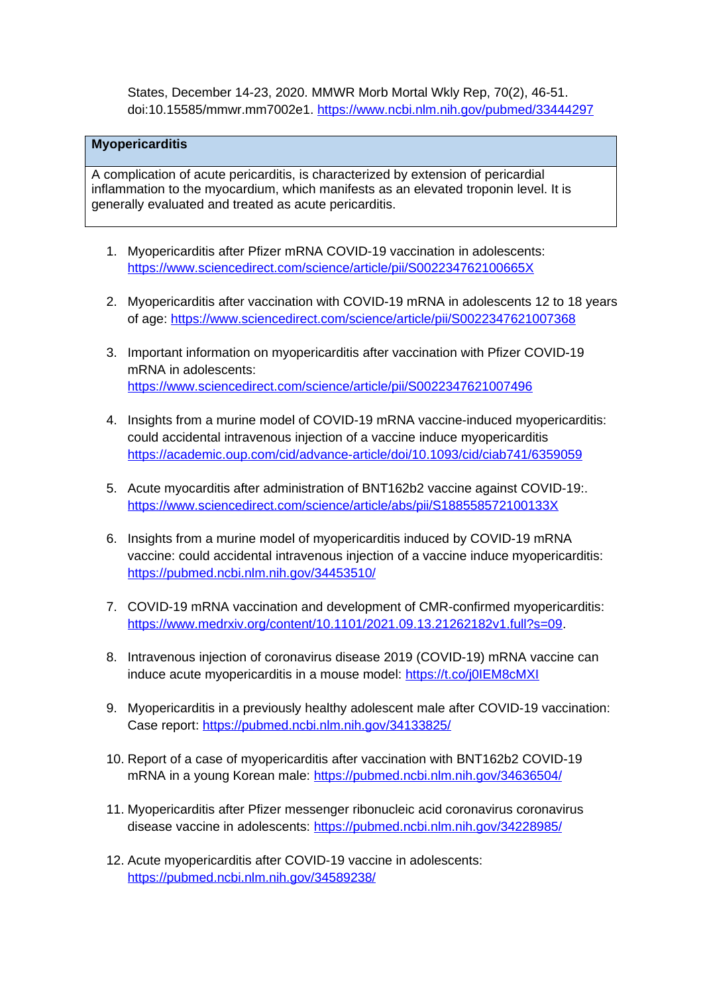States, December 14-23, 2020. MMWR Morb Mortal Wkly Rep, 70(2), 46-51. doi:10.15585/mmwr.mm7002e1. <https://www.ncbi.nlm.nih.gov/pubmed/33444297>

## **Myopericarditis**

A complication of acute pericarditis, is characterized by extension of pericardial inflammation to the myocardium, which manifests as an elevated troponin level. It is generally evaluated and treated as acute pericarditis.

- 1. Myopericarditis after Pfizer mRNA COVID-19 vaccination in adolescents: <https://www.sciencedirect.com/science/article/pii/S002234762100665X>
- 2. Myopericarditis after vaccination with COVID-19 mRNA in adolescents 12 to 18 years of age: <https://www.sciencedirect.com/science/article/pii/S0022347621007368>
- 3. Important information on myopericarditis after vaccination with Pfizer COVID-19 mRNA in adolescents: <https://www.sciencedirect.com/science/article/pii/S0022347621007496>
- 4. Insights from a murine model of COVID-19 mRNA vaccine-induced myopericarditis: could accidental intravenous injection of a vaccine induce myopericarditis <https://academic.oup.com/cid/advance-article/doi/10.1093/cid/ciab741/6359059>
- 5. Acute myocarditis after administration of BNT162b2 vaccine against COVID-19:. <https://www.sciencedirect.com/science/article/abs/pii/S188558572100133X>
- 6. Insights from a murine model of myopericarditis induced by COVID-19 mRNA vaccine: could accidental intravenous injection of a vaccine induce myopericarditis: <https://pubmed.ncbi.nlm.nih.gov/34453510/>
- 7. COVID-19 mRNA vaccination and development of CMR-confirmed myopericarditis: [https://www.medrxiv.org/content/10.1101/2021.09.13.21262182v1.full?s=09.](https://www.medrxiv.org/content/10.1101/2021.09.13.21262182v1.full?s=09)
- 8. Intravenous injection of coronavirus disease 2019 (COVID-19) mRNA vaccine can induce acute myopericarditis in a mouse model:<https://t.co/j0IEM8cMXI>
- 9. Myopericarditis in a previously healthy adolescent male after COVID-19 vaccination: Case report: <https://pubmed.ncbi.nlm.nih.gov/34133825/>
- 10. Report of a case of myopericarditis after vaccination with BNT162b2 COVID-19 mRNA in a young Korean male: <https://pubmed.ncbi.nlm.nih.gov/34636504/>
- 11. Myopericarditis after Pfizer messenger ribonucleic acid coronavirus coronavirus disease vaccine in adolescents: <https://pubmed.ncbi.nlm.nih.gov/34228985/>
- 12. Acute myopericarditis after COVID-19 vaccine in adolescents: <https://pubmed.ncbi.nlm.nih.gov/34589238/>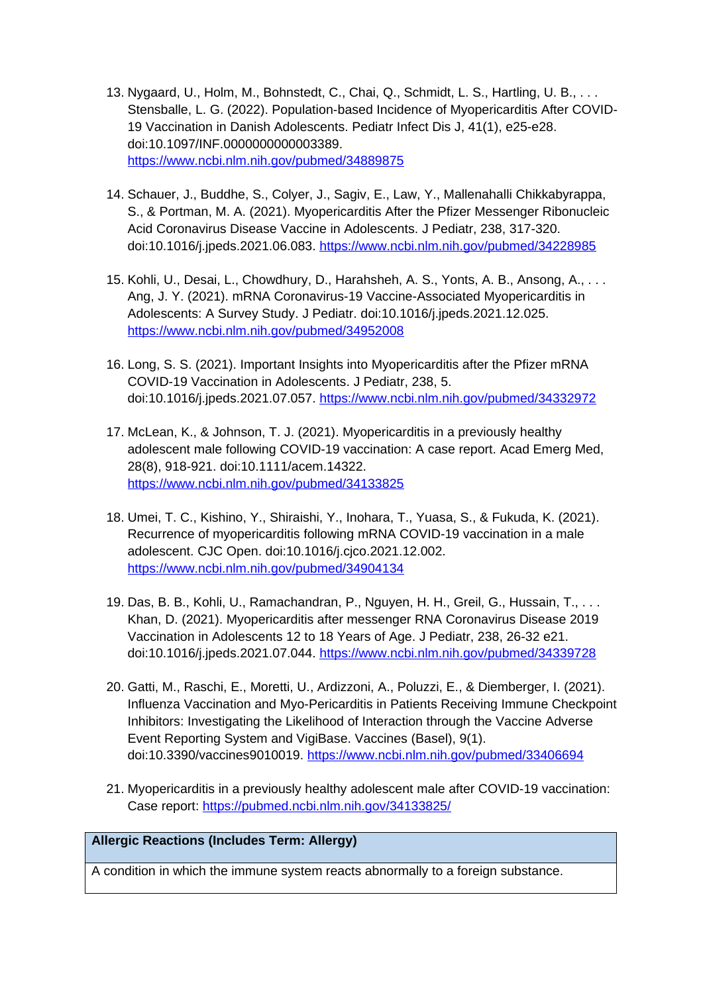- 13. Nygaard, U., Holm, M., Bohnstedt, C., Chai, Q., Schmidt, L. S., Hartling, U. B., . . . Stensballe, L. G. (2022). Population-based Incidence of Myopericarditis After COVID-19 Vaccination in Danish Adolescents. Pediatr Infect Dis J, 41(1), e25-e28. doi:10.1097/INF.0000000000003389. <https://www.ncbi.nlm.nih.gov/pubmed/34889875>
- 14. Schauer, J., Buddhe, S., Colyer, J., Sagiv, E., Law, Y., Mallenahalli Chikkabyrappa, S., & Portman, M. A. (2021). Myopericarditis After the Pfizer Messenger Ribonucleic Acid Coronavirus Disease Vaccine in Adolescents. J Pediatr, 238, 317-320. doi:10.1016/j.jpeds.2021.06.083. <https://www.ncbi.nlm.nih.gov/pubmed/34228985>
- 15. Kohli, U., Desai, L., Chowdhury, D., Harahsheh, A. S., Yonts, A. B., Ansong, A., . . . Ang, J. Y. (2021). mRNA Coronavirus-19 Vaccine-Associated Myopericarditis in Adolescents: A Survey Study. J Pediatr. doi:10.1016/j.jpeds.2021.12.025. <https://www.ncbi.nlm.nih.gov/pubmed/34952008>
- 16. Long, S. S. (2021). Important Insights into Myopericarditis after the Pfizer mRNA COVID-19 Vaccination in Adolescents. J Pediatr, 238, 5. doi:10.1016/j.jpeds.2021.07.057. <https://www.ncbi.nlm.nih.gov/pubmed/34332972>
- 17. McLean, K., & Johnson, T. J. (2021). Myopericarditis in a previously healthy adolescent male following COVID-19 vaccination: A case report. Acad Emerg Med, 28(8), 918-921. doi:10.1111/acem.14322. <https://www.ncbi.nlm.nih.gov/pubmed/34133825>
- 18. Umei, T. C., Kishino, Y., Shiraishi, Y., Inohara, T., Yuasa, S., & Fukuda, K. (2021). Recurrence of myopericarditis following mRNA COVID-19 vaccination in a male adolescent. CJC Open. doi:10.1016/j.cjco.2021.12.002. <https://www.ncbi.nlm.nih.gov/pubmed/34904134>
- 19. Das, B. B., Kohli, U., Ramachandran, P., Nguyen, H. H., Greil, G., Hussain, T., . . . Khan, D. (2021). Myopericarditis after messenger RNA Coronavirus Disease 2019 Vaccination in Adolescents 12 to 18 Years of Age. J Pediatr, 238, 26-32 e21. doi:10.1016/j.jpeds.2021.07.044. <https://www.ncbi.nlm.nih.gov/pubmed/34339728>
- 20. Gatti, M., Raschi, E., Moretti, U., Ardizzoni, A., Poluzzi, E., & Diemberger, I. (2021). Influenza Vaccination and Myo-Pericarditis in Patients Receiving Immune Checkpoint Inhibitors: Investigating the Likelihood of Interaction through the Vaccine Adverse Event Reporting System and VigiBase. Vaccines (Basel), 9(1). doi:10.3390/vaccines9010019.<https://www.ncbi.nlm.nih.gov/pubmed/33406694>
- 21. Myopericarditis in a previously healthy adolescent male after COVID-19 vaccination: Case report: <https://pubmed.ncbi.nlm.nih.gov/34133825/>

## **Allergic Reactions (Includes Term: Allergy)**

A condition in which the immune system reacts abnormally to a foreign substance.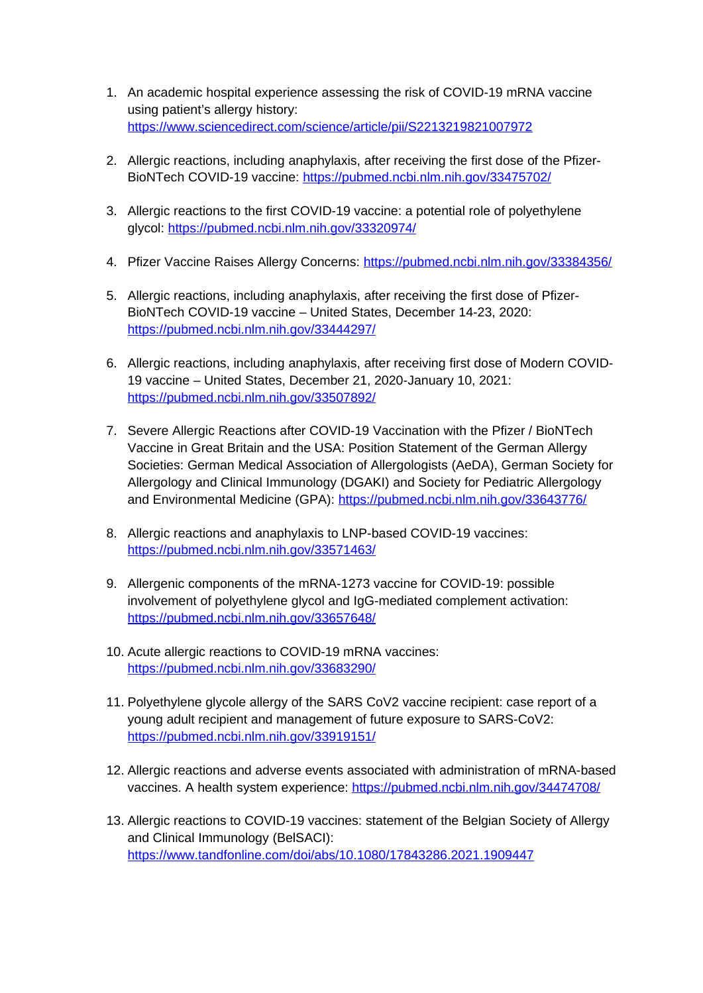- 1. An academic hospital experience assessing the risk of COVID-19 mRNA vaccine using patient's allergy history: <https://www.sciencedirect.com/science/article/pii/S2213219821007972>
- 2. Allergic reactions, including anaphylaxis, after receiving the first dose of the Pfizer-BioNTech COVID-19 vaccine: <https://pubmed.ncbi.nlm.nih.gov/33475702/>
- 3. Allergic reactions to the first COVID-19 vaccine: a potential role of polyethylene glycol:<https://pubmed.ncbi.nlm.nih.gov/33320974/>
- 4. Pfizer Vaccine Raises Allergy Concerns: <https://pubmed.ncbi.nlm.nih.gov/33384356/>
- 5. Allergic reactions, including anaphylaxis, after receiving the first dose of Pfizer-BioNTech COVID-19 vaccine – United States, December 14-23, 2020: <https://pubmed.ncbi.nlm.nih.gov/33444297/>
- 6. Allergic reactions, including anaphylaxis, after receiving first dose of Modern COVID-19 vaccine – United States, December 21, 2020-January 10, 2021: <https://pubmed.ncbi.nlm.nih.gov/33507892/>
- 7. Severe Allergic Reactions after COVID-19 Vaccination with the Pfizer / BioNTech Vaccine in Great Britain and the USA: Position Statement of the German Allergy Societies: German Medical Association of Allergologists (AeDA), German Society for Allergology and Clinical Immunology (DGAKI) and Society for Pediatric Allergology and Environmental Medicine (GPA): <https://pubmed.ncbi.nlm.nih.gov/33643776/>
- 8. Allergic reactions and anaphylaxis to LNP-based COVID-19 vaccines: <https://pubmed.ncbi.nlm.nih.gov/33571463/>
- 9. Allergenic components of the mRNA-1273 vaccine for COVID-19: possible involvement of polyethylene glycol and IgG-mediated complement activation: <https://pubmed.ncbi.nlm.nih.gov/33657648/>
- 10. Acute allergic reactions to COVID-19 mRNA vaccines: <https://pubmed.ncbi.nlm.nih.gov/33683290/>
- 11. Polyethylene glycole allergy of the SARS CoV2 vaccine recipient: case report of a young adult recipient and management of future exposure to SARS-CoV2: <https://pubmed.ncbi.nlm.nih.gov/33919151/>
- 12. Allergic reactions and adverse events associated with administration of mRNA-based vaccines. A health system experience:<https://pubmed.ncbi.nlm.nih.gov/34474708/>
- 13. Allergic reactions to COVID-19 vaccines: statement of the Belgian Society of Allergy and Clinical Immunology (BelSACI): <https://www.tandfonline.com/doi/abs/10.1080/17843286.2021.1909447>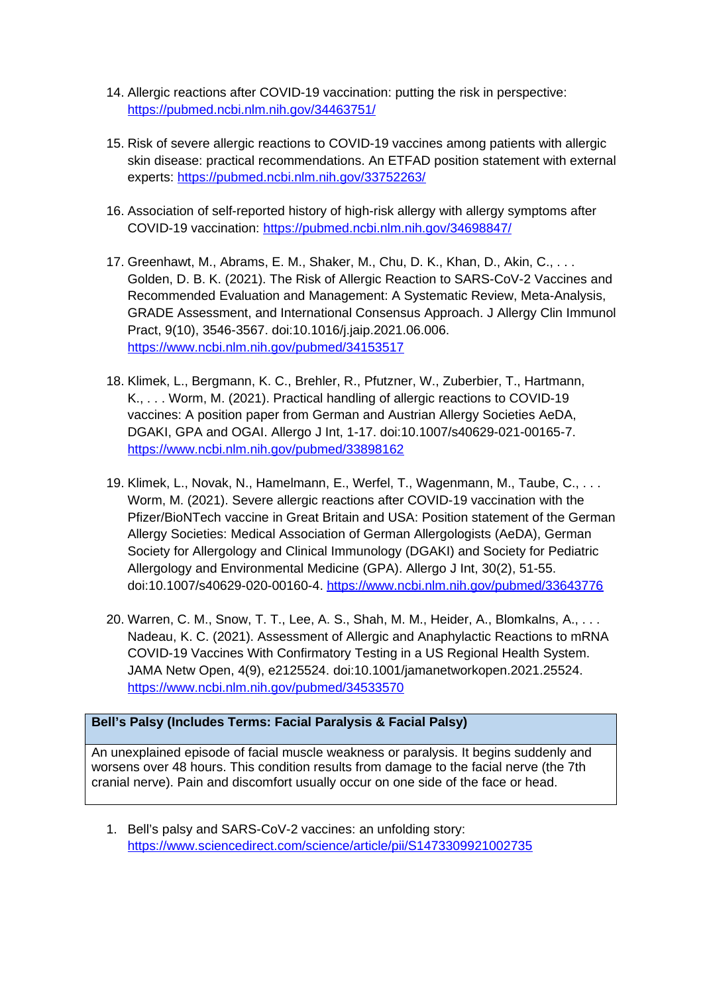- 14. Allergic reactions after COVID-19 vaccination: putting the risk in perspective: <https://pubmed.ncbi.nlm.nih.gov/34463751/>
- 15. Risk of severe allergic reactions to COVID-19 vaccines among patients with allergic skin disease: practical recommendations. An ETFAD position statement with external experts:<https://pubmed.ncbi.nlm.nih.gov/33752263/>
- 16. Association of self-reported history of high-risk allergy with allergy symptoms after COVID-19 vaccination:<https://pubmed.ncbi.nlm.nih.gov/34698847/>
- 17. Greenhawt, M., Abrams, E. M., Shaker, M., Chu, D. K., Khan, D., Akin, C., . . . Golden, D. B. K. (2021). The Risk of Allergic Reaction to SARS-CoV-2 Vaccines and Recommended Evaluation and Management: A Systematic Review, Meta-Analysis, GRADE Assessment, and International Consensus Approach. J Allergy Clin Immunol Pract, 9(10), 3546-3567. doi:10.1016/j.jaip.2021.06.006. <https://www.ncbi.nlm.nih.gov/pubmed/34153517>
- 18. Klimek, L., Bergmann, K. C., Brehler, R., Pfutzner, W., Zuberbier, T., Hartmann, K., . . . Worm, M. (2021). Practical handling of allergic reactions to COVID-19 vaccines: A position paper from German and Austrian Allergy Societies AeDA, DGAKI, GPA and OGAI. Allergo J Int, 1-17. doi:10.1007/s40629-021-00165-7. <https://www.ncbi.nlm.nih.gov/pubmed/33898162>
- 19. Klimek, L., Novak, N., Hamelmann, E., Werfel, T., Wagenmann, M., Taube, C., . . . Worm, M. (2021). Severe allergic reactions after COVID-19 vaccination with the Pfizer/BioNTech vaccine in Great Britain and USA: Position statement of the German Allergy Societies: Medical Association of German Allergologists (AeDA), German Society for Allergology and Clinical Immunology (DGAKI) and Society for Pediatric Allergology and Environmental Medicine (GPA). Allergo J Int, 30(2), 51-55. doi:10.1007/s40629-020-00160-4. <https://www.ncbi.nlm.nih.gov/pubmed/33643776>
- 20. Warren, C. M., Snow, T. T., Lee, A. S., Shah, M. M., Heider, A., Blomkalns, A., . . . Nadeau, K. C. (2021). Assessment of Allergic and Anaphylactic Reactions to mRNA COVID-19 Vaccines With Confirmatory Testing in a US Regional Health System. JAMA Netw Open, 4(9), e2125524. doi:10.1001/jamanetworkopen.2021.25524. <https://www.ncbi.nlm.nih.gov/pubmed/34533570>

# **Bell's Palsy (Includes Terms: Facial Paralysis & Facial Palsy)**

An unexplained episode of facial muscle weakness or paralysis. It begins suddenly and worsens over 48 hours. This condition results from damage to the facial nerve (the 7th cranial nerve). Pain and discomfort usually occur on one side of the face or head.

1. Bell's palsy and SARS-CoV-2 vaccines: an unfolding story: <https://www.sciencedirect.com/science/article/pii/S1473309921002735>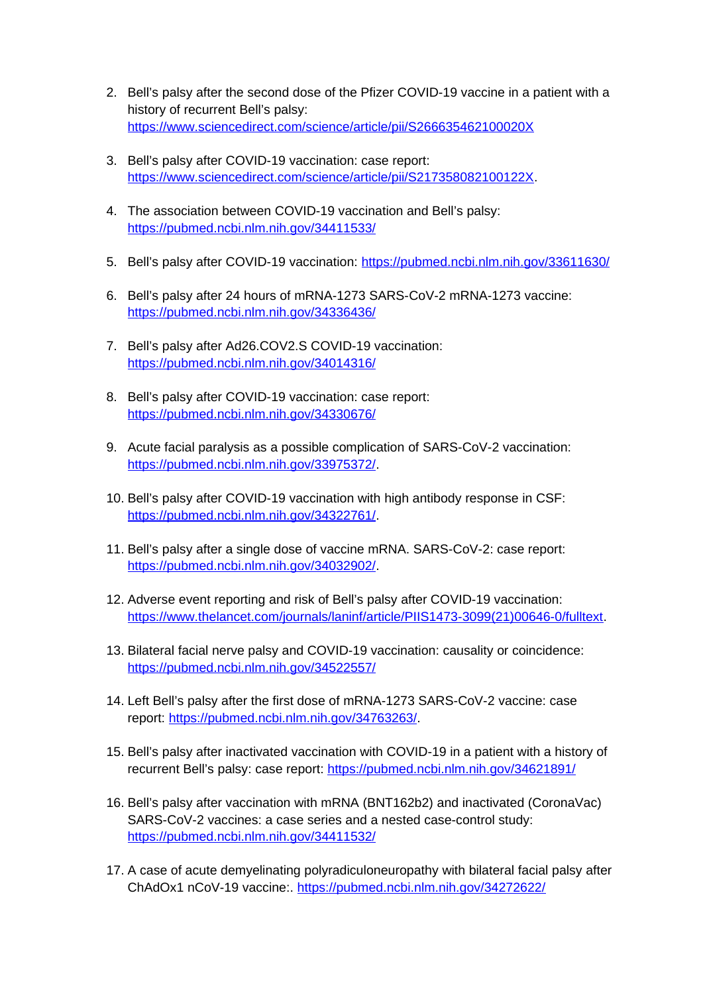- 2. Bell's palsy after the second dose of the Pfizer COVID-19 vaccine in a patient with a history of recurrent Bell's palsy: <https://www.sciencedirect.com/science/article/pii/S266635462100020X>
- 3. Bell's palsy after COVID-19 vaccination: case report: <https://www.sciencedirect.com/science/article/pii/S217358082100122X>.
- 4. The association between COVID-19 vaccination and Bell's palsy: <https://pubmed.ncbi.nlm.nih.gov/34411533/>
- 5. Bell's palsy after COVID-19 vaccination:<https://pubmed.ncbi.nlm.nih.gov/33611630/>
- 6. Bell's palsy after 24 hours of mRNA-1273 SARS-CoV-2 mRNA-1273 vaccine: <https://pubmed.ncbi.nlm.nih.gov/34336436/>
- 7. Bell's palsy after Ad26.COV2.S COVID-19 vaccination: <https://pubmed.ncbi.nlm.nih.gov/34014316/>
- 8. Bell's palsy after COVID-19 vaccination: case report: <https://pubmed.ncbi.nlm.nih.gov/34330676/>
- 9. Acute facial paralysis as a possible complication of SARS-CoV-2 vaccination: <https://pubmed.ncbi.nlm.nih.gov/33975372/>.
- 10. Bell's palsy after COVID-19 vaccination with high antibody response in CSF: <https://pubmed.ncbi.nlm.nih.gov/34322761/>.
- 11. Bell's palsy after a single dose of vaccine mRNA. SARS-CoV-2: case report: <https://pubmed.ncbi.nlm.nih.gov/34032902/>.
- 12. Adverse event reporting and risk of Bell's palsy after COVID-19 vaccination: [https://www.thelancet.com/journals/laninf/article/PIIS1473-3099\(21\)00646-0/fulltext](https://www.thelancet.com/journals/laninf/article/PIIS1473-3099(21)00646-0/fulltext).
- 13. Bilateral facial nerve palsy and COVID-19 vaccination: causality or coincidence: <https://pubmed.ncbi.nlm.nih.gov/34522557/>
- 14. Left Bell's palsy after the first dose of mRNA-1273 SARS-CoV-2 vaccine: case report: <https://pubmed.ncbi.nlm.nih.gov/34763263/>.
- 15. Bell's palsy after inactivated vaccination with COVID-19 in a patient with a history of recurrent Bell's palsy: case report:<https://pubmed.ncbi.nlm.nih.gov/34621891/>
- 16. Bell's palsy after vaccination with mRNA (BNT162b2) and inactivated (CoronaVac) SARS-CoV-2 vaccines: a case series and a nested case-control study: <https://pubmed.ncbi.nlm.nih.gov/34411532/>
- 17. A case of acute demyelinating polyradiculoneuropathy with bilateral facial palsy after ChAdOx1 nCoV-19 vaccine:. <https://pubmed.ncbi.nlm.nih.gov/34272622/>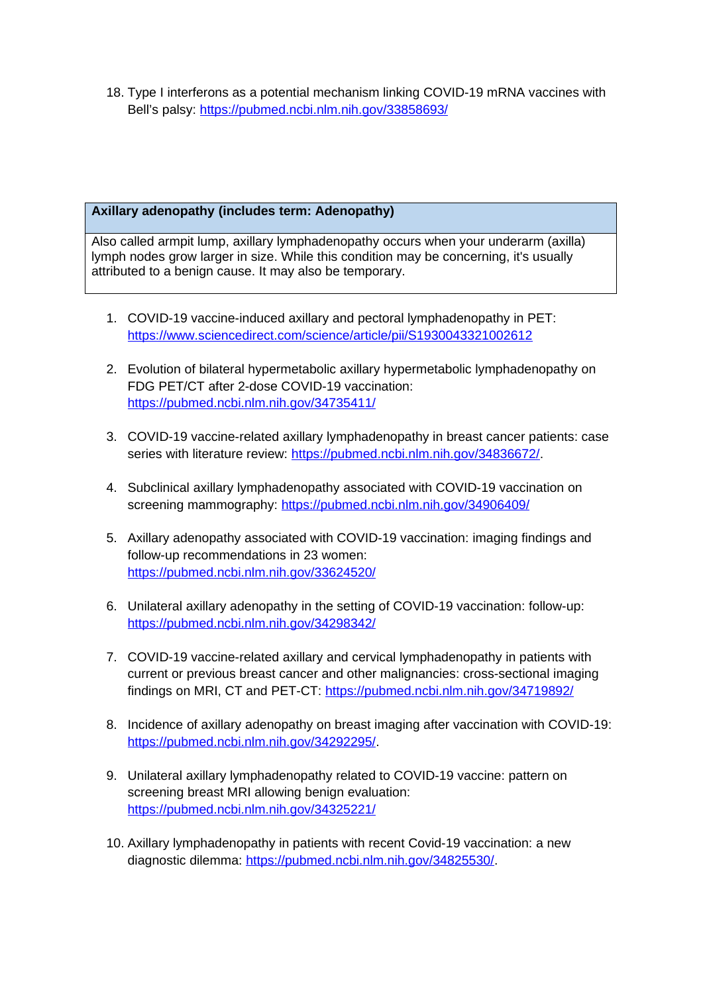18. Type I interferons as a potential mechanism linking COVID-19 mRNA vaccines with Bell's palsy:<https://pubmed.ncbi.nlm.nih.gov/33858693/>

# **Axillary adenopathy (includes term: Adenopathy)**

Also called armpit lump, axillary lymphadenopathy occurs when your underarm (axilla) lymph nodes grow larger in size. While this condition may be concerning, it's usually attributed to a benign cause. It may also be temporary.

- 1. COVID-19 vaccine-induced axillary and pectoral lymphadenopathy in PET: <https://www.sciencedirect.com/science/article/pii/S1930043321002612>
- 2. Evolution of bilateral hypermetabolic axillary hypermetabolic lymphadenopathy on FDG PET/CT after 2-dose COVID-19 vaccination: <https://pubmed.ncbi.nlm.nih.gov/34735411/>
- 3. COVID-19 vaccine-related axillary lymphadenopathy in breast cancer patients: case series with literature review: <https://pubmed.ncbi.nlm.nih.gov/34836672/>.
- 4. Subclinical axillary lymphadenopathy associated with COVID-19 vaccination on screening mammography:<https://pubmed.ncbi.nlm.nih.gov/34906409/>
- 5. Axillary adenopathy associated with COVID-19 vaccination: imaging findings and follow-up recommendations in 23 women: <https://pubmed.ncbi.nlm.nih.gov/33624520/>
- 6. Unilateral axillary adenopathy in the setting of COVID-19 vaccination: follow-up: <https://pubmed.ncbi.nlm.nih.gov/34298342/>
- 7. COVID-19 vaccine-related axillary and cervical lymphadenopathy in patients with current or previous breast cancer and other malignancies: cross-sectional imaging findings on MRI, CT and PET-CT:<https://pubmed.ncbi.nlm.nih.gov/34719892/>
- 8. Incidence of axillary adenopathy on breast imaging after vaccination with COVID-19: <https://pubmed.ncbi.nlm.nih.gov/34292295/>.
- 9. Unilateral axillary lymphadenopathy related to COVID-19 vaccine: pattern on screening breast MRI allowing benign evaluation: <https://pubmed.ncbi.nlm.nih.gov/34325221/>
- 10. Axillary lymphadenopathy in patients with recent Covid-19 vaccination: a new diagnostic dilemma: [https://pubmed.ncbi.nlm.nih.gov/34825530/.](https://pubmed.ncbi.nlm.nih.gov/34825530/)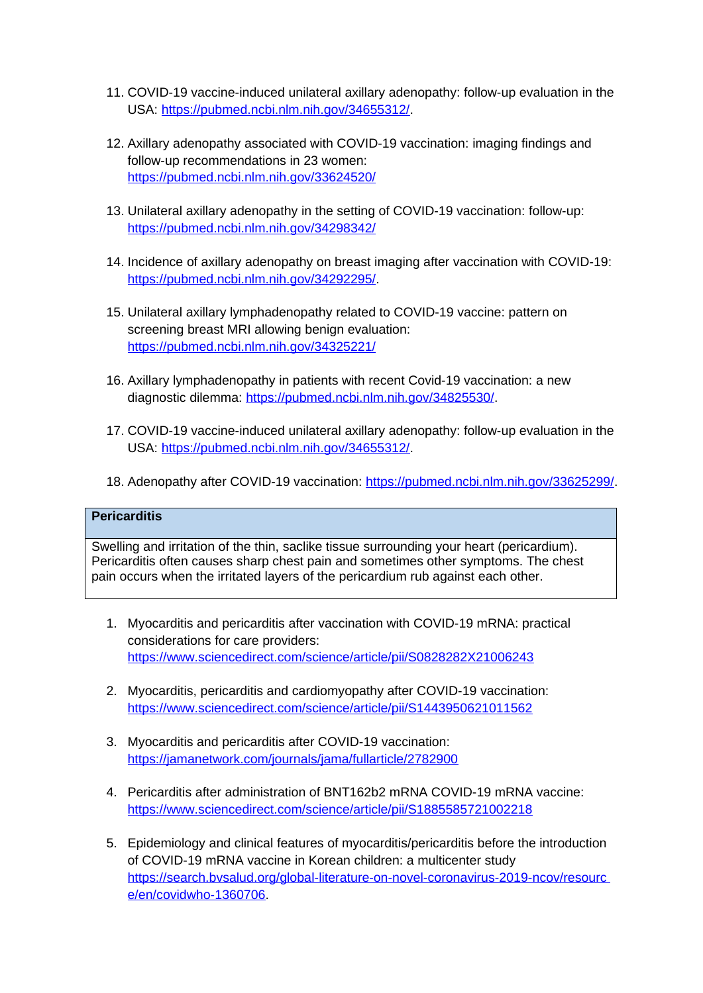- 11. COVID-19 vaccine-induced unilateral axillary adenopathy: follow-up evaluation in the USA: <https://pubmed.ncbi.nlm.nih.gov/34655312/>.
- 12. Axillary adenopathy associated with COVID-19 vaccination: imaging findings and follow-up recommendations in 23 women: <https://pubmed.ncbi.nlm.nih.gov/33624520/>
- 13. Unilateral axillary adenopathy in the setting of COVID-19 vaccination: follow-up: <https://pubmed.ncbi.nlm.nih.gov/34298342/>
- 14. Incidence of axillary adenopathy on breast imaging after vaccination with COVID-19: <https://pubmed.ncbi.nlm.nih.gov/34292295/>.
- 15. Unilateral axillary lymphadenopathy related to COVID-19 vaccine: pattern on screening breast MRI allowing benign evaluation: <https://pubmed.ncbi.nlm.nih.gov/34325221/>
- 16. Axillary lymphadenopathy in patients with recent Covid-19 vaccination: a new diagnostic dilemma: [https://pubmed.ncbi.nlm.nih.gov/34825530/.](https://pubmed.ncbi.nlm.nih.gov/34825530/)
- 17. COVID-19 vaccine-induced unilateral axillary adenopathy: follow-up evaluation in the USA: <https://pubmed.ncbi.nlm.nih.gov/34655312/>.
- 18. Adenopathy after COVID-19 vaccination: <https://pubmed.ncbi.nlm.nih.gov/33625299/>.

# **Pericarditis**

Swelling and irritation of the thin, saclike tissue surrounding your heart (pericardium). Pericarditis often causes sharp chest pain and sometimes other symptoms. The chest pain occurs when the irritated layers of the pericardium rub against each other.

- 1. Myocarditis and pericarditis after vaccination with COVID-19 mRNA: practical considerations for care providers: <https://www.sciencedirect.com/science/article/pii/S0828282X21006243>
- 2. Myocarditis, pericarditis and cardiomyopathy after COVID-19 vaccination: <https://www.sciencedirect.com/science/article/pii/S1443950621011562>
- 3. Myocarditis and pericarditis after COVID-19 vaccination: <https://jamanetwork.com/journals/jama/fullarticle/2782900>
- 4. Pericarditis after administration of BNT162b2 mRNA COVID-19 mRNA vaccine: <https://www.sciencedirect.com/science/article/pii/S1885585721002218>
- 5. Epidemiology and clinical features of myocarditis/pericarditis before the introduction of COVID-19 mRNA vaccine in Korean children: a multicenter study [https://search.bvsalud.org/global-literature-on-novel-coronavirus-2019-ncov/resourc](https://search.bvsalud.org/global-literature-on-novel-coronavirus-2019-ncov/resourc%20e/en/covidwho-1360706)  [e/en/covidwho-1360706.](https://search.bvsalud.org/global-literature-on-novel-coronavirus-2019-ncov/resourc%20e/en/covidwho-1360706)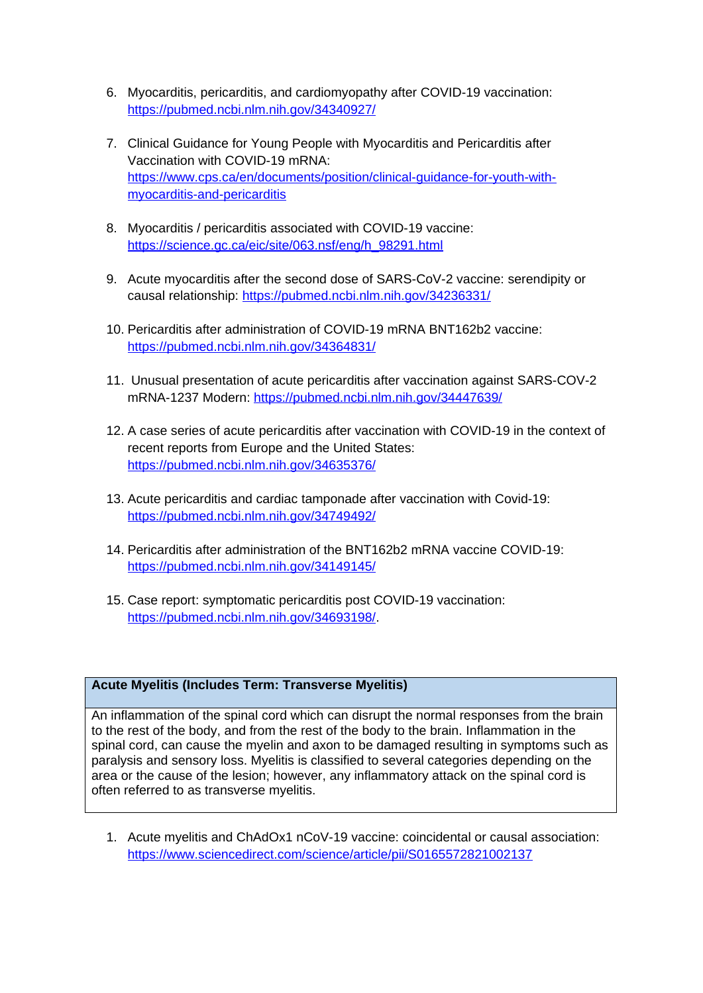- 6. Myocarditis, pericarditis, and cardiomyopathy after COVID-19 vaccination: <https://pubmed.ncbi.nlm.nih.gov/34340927/>
- 7. Clinical Guidance for Young People with Myocarditis and Pericarditis after Vaccination with COVID-19 mRNA: [https://www.cps.ca/en/documents/position/clinical-guidance-for-youth-with](https://www.cps.ca/en/documents/position/clinical-guidance-for-youth-with-myocarditis-and-pericarditis)[myocarditis-and-pericarditis](https://www.cps.ca/en/documents/position/clinical-guidance-for-youth-with-myocarditis-and-pericarditis)
- 8. Myocarditis / pericarditis associated with COVID-19 vaccine: [https://science.gc.ca/eic/site/063.nsf/eng/h\\_98291.html](https://science.gc.ca/eic/site/063.nsf/eng/h_98291.html)
- 9. Acute myocarditis after the second dose of SARS-CoV-2 vaccine: serendipity or causal relationship:<https://pubmed.ncbi.nlm.nih.gov/34236331/>
- 10. Pericarditis after administration of COVID-19 mRNA BNT162b2 vaccine: <https://pubmed.ncbi.nlm.nih.gov/34364831/>
- 11. Unusual presentation of acute pericarditis after vaccination against SARS-COV-2 mRNA-1237 Modern:<https://pubmed.ncbi.nlm.nih.gov/34447639/>
- 12. A case series of acute pericarditis after vaccination with COVID-19 in the context of recent reports from Europe and the United States: <https://pubmed.ncbi.nlm.nih.gov/34635376/>
- 13. Acute pericarditis and cardiac tamponade after vaccination with Covid-19: <https://pubmed.ncbi.nlm.nih.gov/34749492/>
- 14. Pericarditis after administration of the BNT162b2 mRNA vaccine COVID-19: <https://pubmed.ncbi.nlm.nih.gov/34149145/>
- 15. Case report: symptomatic pericarditis post COVID-19 vaccination: <https://pubmed.ncbi.nlm.nih.gov/34693198/>.

# **Acute Myelitis (Includes Term: Transverse Myelitis)**

An inflammation of the spinal cord which can disrupt the normal responses from the brain to the rest of the body, and from the rest of the body to the brain. Inflammation in the spinal cord, can cause the myelin and axon to be damaged resulting in symptoms such as paralysis and sensory loss. Myelitis is classified to several categories depending on the area or the cause of the lesion; however, any inflammatory attack on the spinal cord is often referred to as transverse myelitis.

1. Acute myelitis and ChAdOx1 nCoV-19 vaccine: coincidental or causal association: <https://www.sciencedirect.com/science/article/pii/S0165572821002137>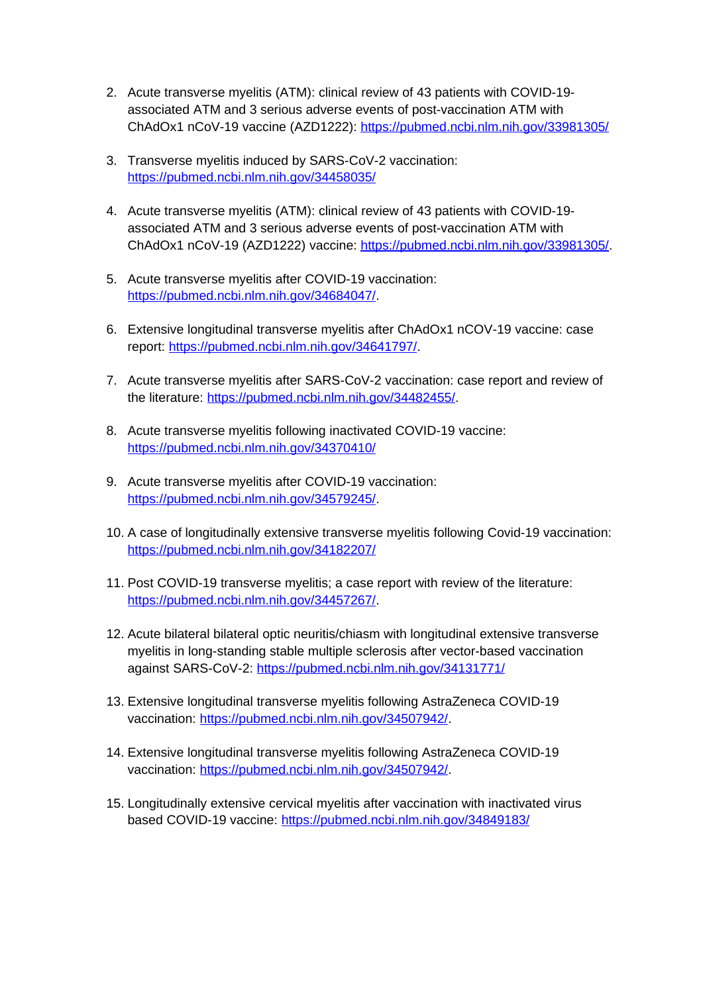- 2. Acute transverse myelitis (ATM): clinical review of 43 patients with COVID-19 associated ATM and 3 serious adverse events of post-vaccination ATM with ChAdOx1 nCoV-19 vaccine (AZD1222):<https://pubmed.ncbi.nlm.nih.gov/33981305/>
- 3. Transverse myelitis induced by SARS-CoV-2 vaccination: <https://pubmed.ncbi.nlm.nih.gov/34458035/>
- 4. Acute transverse myelitis (ATM): clinical review of 43 patients with COVID-19 associated ATM and 3 serious adverse events of post-vaccination ATM with ChAdOx1 nCoV-19 (AZD1222) vaccine: [https://pubmed.ncbi.nlm.nih.gov/33981305/.](https://pubmed.ncbi.nlm.nih.gov/33981305/)
- 5. Acute transverse myelitis after COVID-19 vaccination: <https://pubmed.ncbi.nlm.nih.gov/34684047/>.
- 6. Extensive longitudinal transverse myelitis after ChAdOx1 nCOV-19 vaccine: case report: <https://pubmed.ncbi.nlm.nih.gov/34641797/>.
- 7. Acute transverse myelitis after SARS-CoV-2 vaccination: case report and review of the literature: [https://pubmed.ncbi.nlm.nih.gov/34482455/.](https://pubmed.ncbi.nlm.nih.gov/34482455/)
- 8. Acute transverse myelitis following inactivated COVID-19 vaccine: <https://pubmed.ncbi.nlm.nih.gov/34370410/>
- 9. Acute transverse myelitis after COVID-19 vaccination: <https://pubmed.ncbi.nlm.nih.gov/34579245/>.
- 10. A case of longitudinally extensive transverse myelitis following Covid-19 vaccination: <https://pubmed.ncbi.nlm.nih.gov/34182207/>
- 11. Post COVID-19 transverse myelitis; a case report with review of the literature: <https://pubmed.ncbi.nlm.nih.gov/34457267/>.
- 12. Acute bilateral bilateral optic neuritis/chiasm with longitudinal extensive transverse myelitis in long-standing stable multiple sclerosis after vector-based vaccination against SARS-CoV-2:<https://pubmed.ncbi.nlm.nih.gov/34131771/>
- 13. Extensive longitudinal transverse myelitis following AstraZeneca COVID-19 vaccination: [https://pubmed.ncbi.nlm.nih.gov/34507942/.](https://pubmed.ncbi.nlm.nih.gov/34507942/)
- 14. Extensive longitudinal transverse myelitis following AstraZeneca COVID-19 vaccination: [https://pubmed.ncbi.nlm.nih.gov/34507942/.](https://pubmed.ncbi.nlm.nih.gov/34507942/)
- 15. Longitudinally extensive cervical myelitis after vaccination with inactivated virus based COVID-19 vaccine:<https://pubmed.ncbi.nlm.nih.gov/34849183/>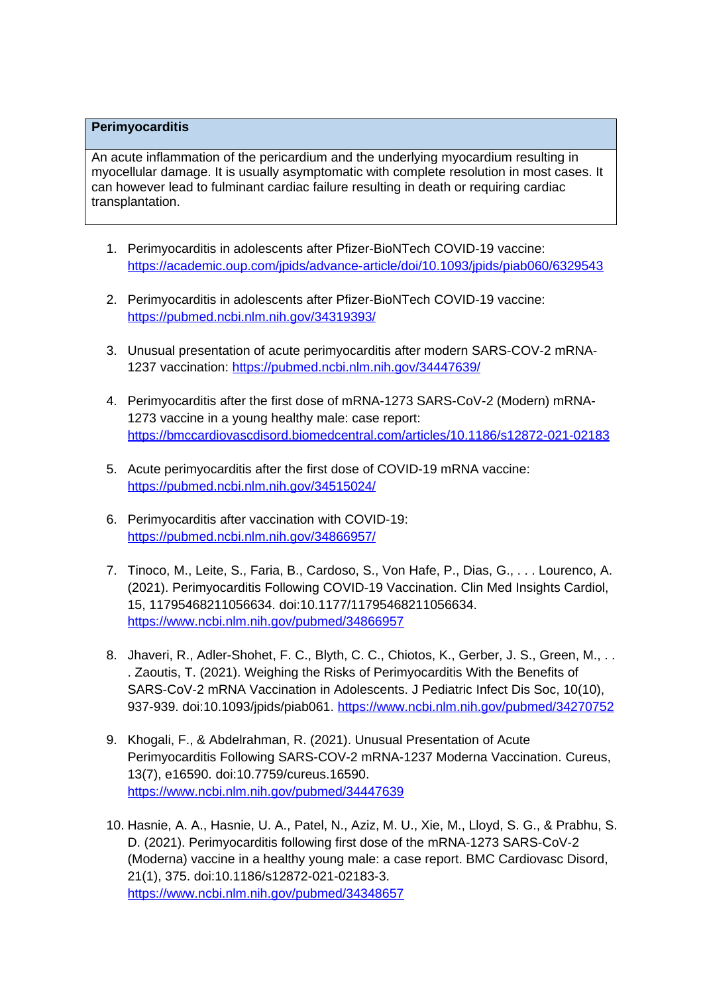## **Perimyocarditis**

An acute inflammation of the pericardium and the underlying myocardium resulting in myocellular damage. It is usually asymptomatic with complete resolution in most cases. It can however lead to fulminant cardiac failure resulting in death or requiring cardiac transplantation.

- 1. Perimyocarditis in adolescents after Pfizer-BioNTech COVID-19 vaccine: <https://academic.oup.com/jpids/advance-article/doi/10.1093/jpids/piab060/6329543>
- 2. Perimyocarditis in adolescents after Pfizer-BioNTech COVID-19 vaccine: <https://pubmed.ncbi.nlm.nih.gov/34319393/>
- 3. Unusual presentation of acute perimyocarditis after modern SARS-COV-2 mRNA-1237 vaccination: <https://pubmed.ncbi.nlm.nih.gov/34447639/>
- 4. Perimyocarditis after the first dose of mRNA-1273 SARS-CoV-2 (Modern) mRNA-1273 vaccine in a young healthy male: case report: <https://bmccardiovascdisord.biomedcentral.com/articles/10.1186/s12872-021-02183>
- 5. Acute perimyocarditis after the first dose of COVID-19 mRNA vaccine: <https://pubmed.ncbi.nlm.nih.gov/34515024/>
- 6. Perimyocarditis after vaccination with COVID-19: <https://pubmed.ncbi.nlm.nih.gov/34866957/>
- 7. Tinoco, M., Leite, S., Faria, B., Cardoso, S., Von Hafe, P., Dias, G., . . . Lourenco, A. (2021). Perimyocarditis Following COVID-19 Vaccination. Clin Med Insights Cardiol, 15, 11795468211056634. doi:10.1177/11795468211056634. <https://www.ncbi.nlm.nih.gov/pubmed/34866957>
- 8. Jhaveri, R., Adler-Shohet, F. C., Blyth, C. C., Chiotos, K., Gerber, J. S., Green, M., .. . Zaoutis, T. (2021). Weighing the Risks of Perimyocarditis With the Benefits of SARS-CoV-2 mRNA Vaccination in Adolescents. J Pediatric Infect Dis Soc, 10(10), 937-939. doi:10.1093/jpids/piab061.<https://www.ncbi.nlm.nih.gov/pubmed/34270752>
- 9. Khogali, F., & Abdelrahman, R. (2021). Unusual Presentation of Acute Perimyocarditis Following SARS-COV-2 mRNA-1237 Moderna Vaccination. Cureus, 13(7), e16590. doi:10.7759/cureus.16590. <https://www.ncbi.nlm.nih.gov/pubmed/34447639>
- 10. Hasnie, A. A., Hasnie, U. A., Patel, N., Aziz, M. U., Xie, M., Lloyd, S. G., & Prabhu, S. D. (2021). Perimyocarditis following first dose of the mRNA-1273 SARS-CoV-2 (Moderna) vaccine in a healthy young male: a case report. BMC Cardiovasc Disord, 21(1), 375. doi:10.1186/s12872-021-02183-3. <https://www.ncbi.nlm.nih.gov/pubmed/34348657>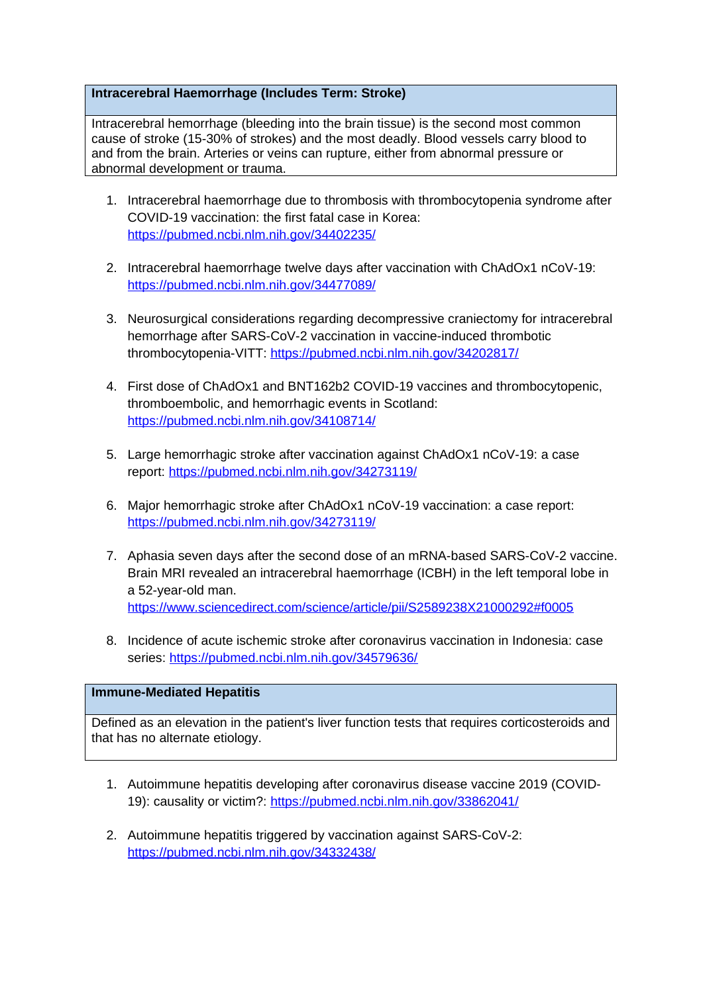## **Intracerebral Haemorrhage (Includes Term: Stroke)**

Intracerebral hemorrhage (bleeding into the brain tissue) is the second most common cause of stroke (15-30% of strokes) and the most deadly. Blood vessels carry blood to and from the brain. Arteries or veins can rupture, either from abnormal pressure or abnormal development or trauma.

- 1. Intracerebral haemorrhage due to thrombosis with thrombocytopenia syndrome after COVID-19 vaccination: the first fatal case in Korea: <https://pubmed.ncbi.nlm.nih.gov/34402235/>
- 2. Intracerebral haemorrhage twelve days after vaccination with ChAdOx1 nCoV-19: <https://pubmed.ncbi.nlm.nih.gov/34477089/>
- 3. Neurosurgical considerations regarding decompressive craniectomy for intracerebral hemorrhage after SARS-CoV-2 vaccination in vaccine-induced thrombotic thrombocytopenia-VITT:<https://pubmed.ncbi.nlm.nih.gov/34202817/>
- 4. First dose of ChAdOx1 and BNT162b2 COVID-19 vaccines and thrombocytopenic, thromboembolic, and hemorrhagic events in Scotland: <https://pubmed.ncbi.nlm.nih.gov/34108714/>
- 5. Large hemorrhagic stroke after vaccination against ChAdOx1 nCoV-19: a case report: <https://pubmed.ncbi.nlm.nih.gov/34273119/>
- 6. Major hemorrhagic stroke after ChAdOx1 nCoV-19 vaccination: a case report: <https://pubmed.ncbi.nlm.nih.gov/34273119/>
- 7. Aphasia seven days after the second dose of an mRNA-based SARS-CoV-2 vaccine. Brain MRI revealed an intracerebral haemorrhage (ICBH) in the left temporal lobe in a 52-year-old man. <https://www.sciencedirect.com/science/article/pii/S2589238X21000292#f0005>
- 8. Incidence of acute ischemic stroke after coronavirus vaccination in Indonesia: case series:<https://pubmed.ncbi.nlm.nih.gov/34579636/>

#### **Immune-Mediated Hepatitis**

Defined as an elevation in the patient's liver function tests that requires corticosteroids and that has no alternate etiology.

- 1. Autoimmune hepatitis developing after coronavirus disease vaccine 2019 (COVID-19): causality or victim?:<https://pubmed.ncbi.nlm.nih.gov/33862041/>
- 2. Autoimmune hepatitis triggered by vaccination against SARS-CoV-2: <https://pubmed.ncbi.nlm.nih.gov/34332438/>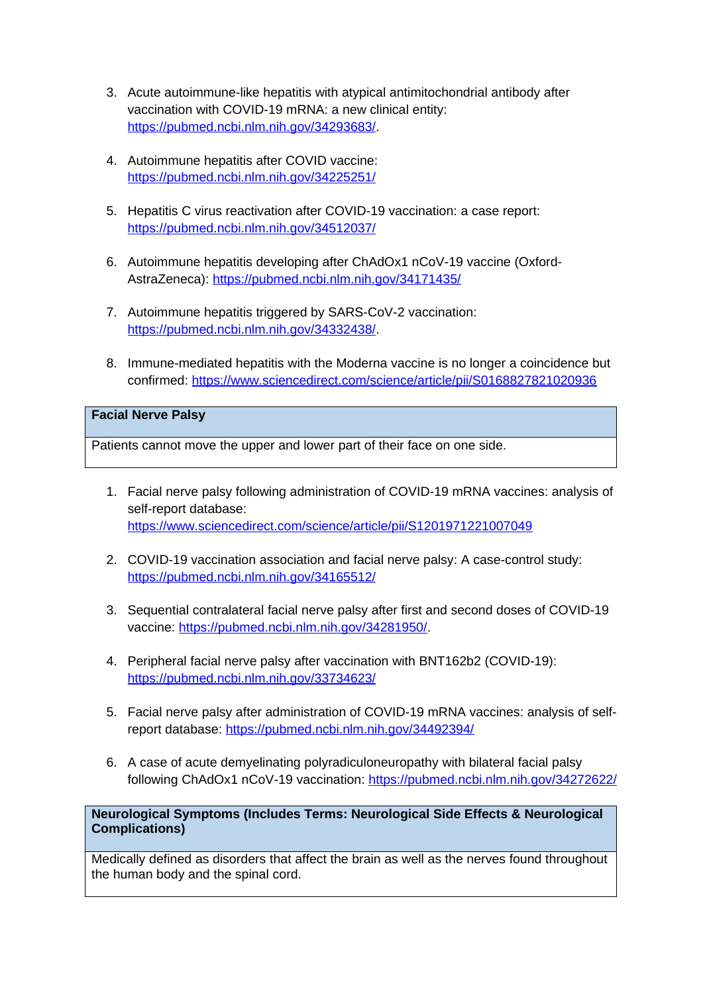- 3. Acute autoimmune-like hepatitis with atypical antimitochondrial antibody after vaccination with COVID-19 mRNA: a new clinical entity: <https://pubmed.ncbi.nlm.nih.gov/34293683/>.
- 4. Autoimmune hepatitis after COVID vaccine: <https://pubmed.ncbi.nlm.nih.gov/34225251/>
- 5. Hepatitis C virus reactivation after COVID-19 vaccination: a case report: <https://pubmed.ncbi.nlm.nih.gov/34512037/>
- 6. Autoimmune hepatitis developing after ChAdOx1 nCoV-19 vaccine (Oxford-AstraZeneca):<https://pubmed.ncbi.nlm.nih.gov/34171435/>
- 7. Autoimmune hepatitis triggered by SARS-CoV-2 vaccination: <https://pubmed.ncbi.nlm.nih.gov/34332438/>.
- 8. Immune-mediated hepatitis with the Moderna vaccine is no longer a coincidence but confirmed:<https://www.sciencedirect.com/science/article/pii/S0168827821020936>

## **Facial Nerve Palsy**

Patients cannot move the upper and lower part of their face on one side.

- 1. Facial nerve palsy following administration of COVID-19 mRNA vaccines: analysis of self-report database: <https://www.sciencedirect.com/science/article/pii/S1201971221007049>
- 2. COVID-19 vaccination association and facial nerve palsy: A case-control study: <https://pubmed.ncbi.nlm.nih.gov/34165512/>
- 3. Sequential contralateral facial nerve palsy after first and second doses of COVID-19 vaccine: [https://pubmed.ncbi.nlm.nih.gov/34281950/.](https://pubmed.ncbi.nlm.nih.gov/34281950/)
- 4. Peripheral facial nerve palsy after vaccination with BNT162b2 (COVID-19): <https://pubmed.ncbi.nlm.nih.gov/33734623/>
- 5. Facial nerve palsy after administration of COVID-19 mRNA vaccines: analysis of selfreport database:<https://pubmed.ncbi.nlm.nih.gov/34492394/>
- 6. A case of acute demyelinating polyradiculoneuropathy with bilateral facial palsy following ChAdOx1 nCoV-19 vaccination:<https://pubmed.ncbi.nlm.nih.gov/34272622/>

**Neurological Symptoms (Includes Terms: Neurological Side Effects & Neurological Complications)**

Medically defined as disorders that affect the brain as well as the nerves found throughout the human body and the spinal cord.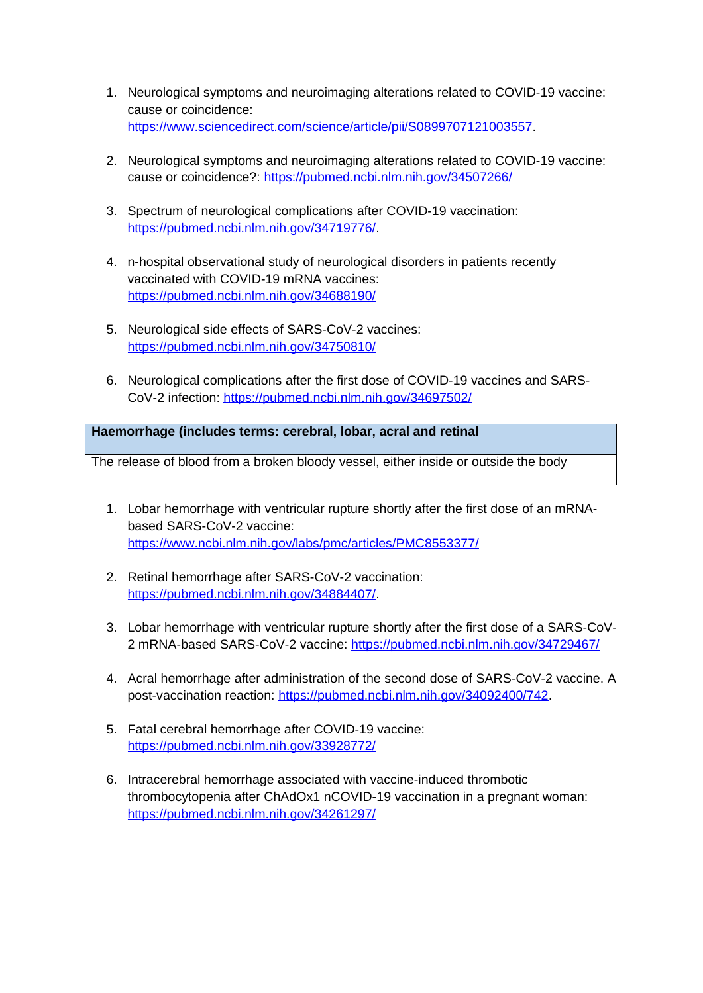- 1. Neurological symptoms and neuroimaging alterations related to COVID-19 vaccine: cause or coincidence: <https://www.sciencedirect.com/science/article/pii/S0899707121003557>.
- 2. Neurological symptoms and neuroimaging alterations related to COVID-19 vaccine: cause or coincidence?: <https://pubmed.ncbi.nlm.nih.gov/34507266/>
- 3. Spectrum of neurological complications after COVID-19 vaccination: <https://pubmed.ncbi.nlm.nih.gov/34719776/>.
- 4. n-hospital observational study of neurological disorders in patients recently vaccinated with COVID-19 mRNA vaccines: <https://pubmed.ncbi.nlm.nih.gov/34688190/>
- 5. Neurological side effects of SARS-CoV-2 vaccines: <https://pubmed.ncbi.nlm.nih.gov/34750810/>
- 6. Neurological complications after the first dose of COVID-19 vaccines and SARS-CoV-2 infection:<https://pubmed.ncbi.nlm.nih.gov/34697502/>

# **Haemorrhage (includes terms: cerebral, lobar, acral and retinal**

The release of blood from a broken bloody vessel, either inside or outside the body

- 1. Lobar hemorrhage with ventricular rupture shortly after the first dose of an mRNAbased SARS-CoV-2 vaccine: <https://www.ncbi.nlm.nih.gov/labs/pmc/articles/PMC8553377/>
- 2. Retinal hemorrhage after SARS-CoV-2 vaccination: <https://pubmed.ncbi.nlm.nih.gov/34884407/>.
- 3. Lobar hemorrhage with ventricular rupture shortly after the first dose of a SARS-CoV-2 mRNA-based SARS-CoV-2 vaccine:<https://pubmed.ncbi.nlm.nih.gov/34729467/>
- 4. Acral hemorrhage after administration of the second dose of SARS-CoV-2 vaccine. A post-vaccination reaction: [https://pubmed.ncbi.nlm.nih.gov/34092400/742.](https://pubmed.ncbi.nlm.nih.gov/34092400/742)
- 5. Fatal cerebral hemorrhage after COVID-19 vaccine: <https://pubmed.ncbi.nlm.nih.gov/33928772/>
- 6. Intracerebral hemorrhage associated with vaccine-induced thrombotic thrombocytopenia after ChAdOx1 nCOVID-19 vaccination in a pregnant woman: <https://pubmed.ncbi.nlm.nih.gov/34261297/>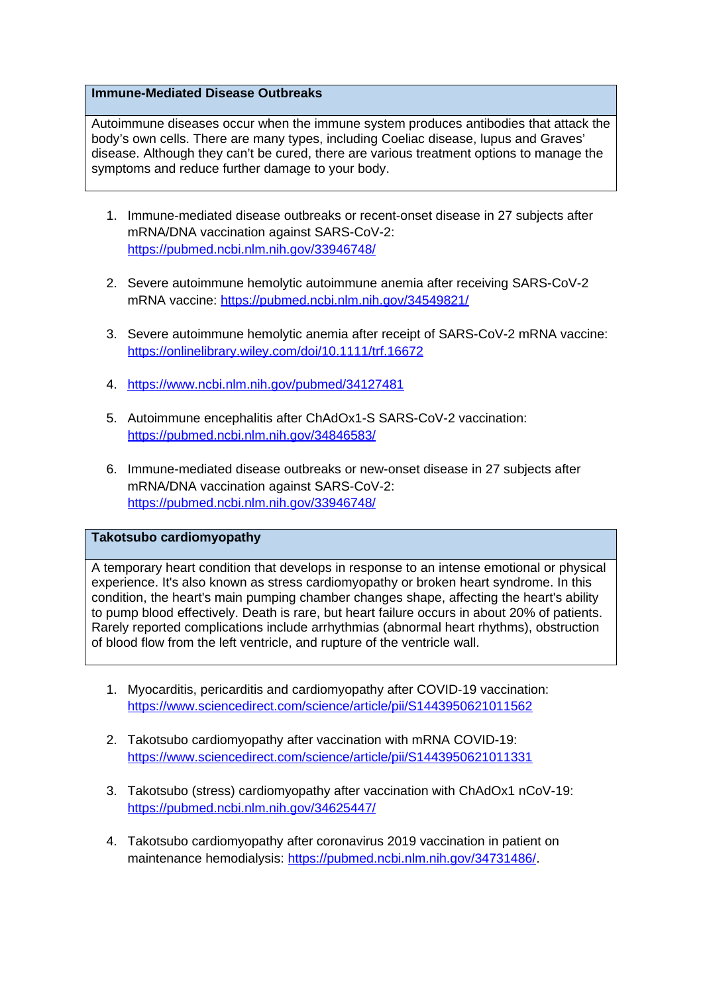## **Immune-Mediated Disease Outbreaks**

Autoimmune diseases occur when the immune system produces antibodies that attack the body's own cells. There are many types, including Coeliac disease, lupus and Graves' disease. Although they can't be cured, there are various treatment options to manage the symptoms and reduce further damage to your body.

- 1. Immune-mediated disease outbreaks or recent-onset disease in 27 subjects after mRNA/DNA vaccination against SARS-CoV-2: <https://pubmed.ncbi.nlm.nih.gov/33946748/>
- 2. Severe autoimmune hemolytic autoimmune anemia after receiving SARS-CoV-2 mRNA vaccine: <https://pubmed.ncbi.nlm.nih.gov/34549821/>
- 3. Severe autoimmune hemolytic anemia after receipt of SARS-CoV-2 mRNA vaccine: <https://onlinelibrary.wiley.com/doi/10.1111/trf.16672>
- 4.<https://www.ncbi.nlm.nih.gov/pubmed/34127481>
- 5. Autoimmune encephalitis after ChAdOx1-S SARS-CoV-2 vaccination: <https://pubmed.ncbi.nlm.nih.gov/34846583/>
- 6. Immune-mediated disease outbreaks or new-onset disease in 27 subjects after mRNA/DNA vaccination against SARS-CoV-2: <https://pubmed.ncbi.nlm.nih.gov/33946748/>

# **Takotsubo cardiomyopathy**

A temporary heart condition that develops in response to an intense emotional or physical experience. It's also known as stress cardiomyopathy or broken heart syndrome. In this condition, the heart's main pumping chamber changes shape, affecting the heart's ability to pump blood effectively. Death is rare, but heart failure occurs in about 20% of patients. Rarely reported complications include arrhythmias (abnormal heart rhythms), obstruction of blood flow from the left ventricle, and rupture of the ventricle wall.

- 1. Myocarditis, pericarditis and cardiomyopathy after COVID-19 vaccination: <https://www.sciencedirect.com/science/article/pii/S1443950621011562>
- 2. Takotsubo cardiomyopathy after vaccination with mRNA COVID-19: <https://www.sciencedirect.com/science/article/pii/S1443950621011331>
- 3. Takotsubo (stress) cardiomyopathy after vaccination with ChAdOx1 nCoV-19: <https://pubmed.ncbi.nlm.nih.gov/34625447/>
- 4. Takotsubo cardiomyopathy after coronavirus 2019 vaccination in patient on maintenance hemodialysis: <https://pubmed.ncbi.nlm.nih.gov/34731486/>.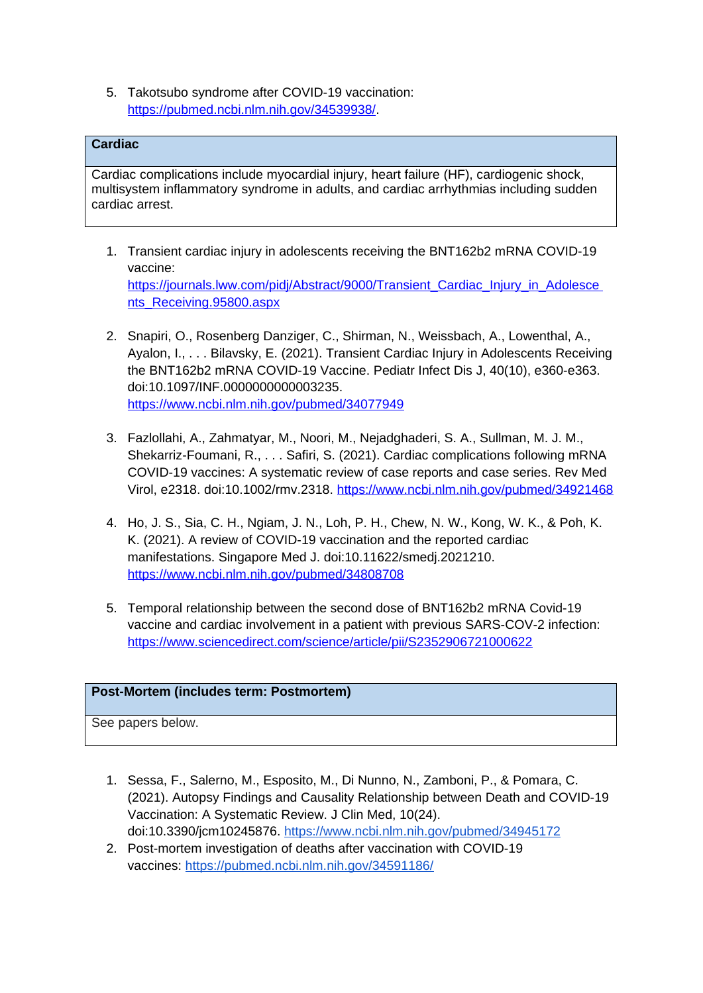5. Takotsubo syndrome after COVID-19 vaccination: <https://pubmed.ncbi.nlm.nih.gov/34539938/>.

# **Cardiac**

Cardiac complications include myocardial injury, heart failure (HF), cardiogenic shock, multisystem inflammatory syndrome in adults, and cardiac arrhythmias including sudden cardiac arrest.

- 1. Transient cardiac injury in adolescents receiving the BNT162b2 mRNA COVID-19 vaccine: https://journals.lww.com/pidj/Abstract/9000/Transient\_Cardiac\_Injury\_in\_Adolesce [nts\\_Receiving.95800.aspx](https://journals.lww.com/pidj/Abstract/9000/Transient_Cardiac_Injury_in_Adolesce%20nts_Receiving.95800.aspx)
- 2. Snapiri, O., Rosenberg Danziger, C., Shirman, N., Weissbach, A., Lowenthal, A., Ayalon, I., . . . Bilavsky, E. (2021). Transient Cardiac Injury in Adolescents Receiving the BNT162b2 mRNA COVID-19 Vaccine. Pediatr Infect Dis J, 40(10), e360-e363. doi:10.1097/INF.0000000000003235. <https://www.ncbi.nlm.nih.gov/pubmed/34077949>
- 3. Fazlollahi, A., Zahmatyar, M., Noori, M., Nejadghaderi, S. A., Sullman, M. J. M., Shekarriz-Foumani, R., . . . Safiri, S. (2021). Cardiac complications following mRNA COVID-19 vaccines: A systematic review of case reports and case series. Rev Med Virol, e2318. doi:10.1002/rmv.2318.<https://www.ncbi.nlm.nih.gov/pubmed/34921468>
- 4. Ho, J. S., Sia, C. H., Ngiam, J. N., Loh, P. H., Chew, N. W., Kong, W. K., & Poh, K. K. (2021). A review of COVID-19 vaccination and the reported cardiac manifestations. Singapore Med J. doi:10.11622/smedj.2021210. <https://www.ncbi.nlm.nih.gov/pubmed/34808708>
- 5. Temporal relationship between the second dose of BNT162b2 mRNA Covid-19 vaccine and cardiac involvement in a patient with previous SARS-COV-2 infection: <https://www.sciencedirect.com/science/article/pii/S2352906721000622>

## **Post-Mortem (includes term: Postmortem)**

See papers below.

- 1. Sessa, F., Salerno, M., Esposito, M., Di Nunno, N., Zamboni, P., & Pomara, C. (2021). Autopsy Findings and Causality Relationship between Death and COVID-19 Vaccination: A Systematic Review. J Clin Med, 10(24). doi:10.3390/jcm10245876. <https://www.ncbi.nlm.nih.gov/pubmed/34945172>
- 2. Post-mortem investigation of deaths after vaccination with COVID-19 vaccines: <https://pubmed.ncbi.nlm.nih.gov/34591186/>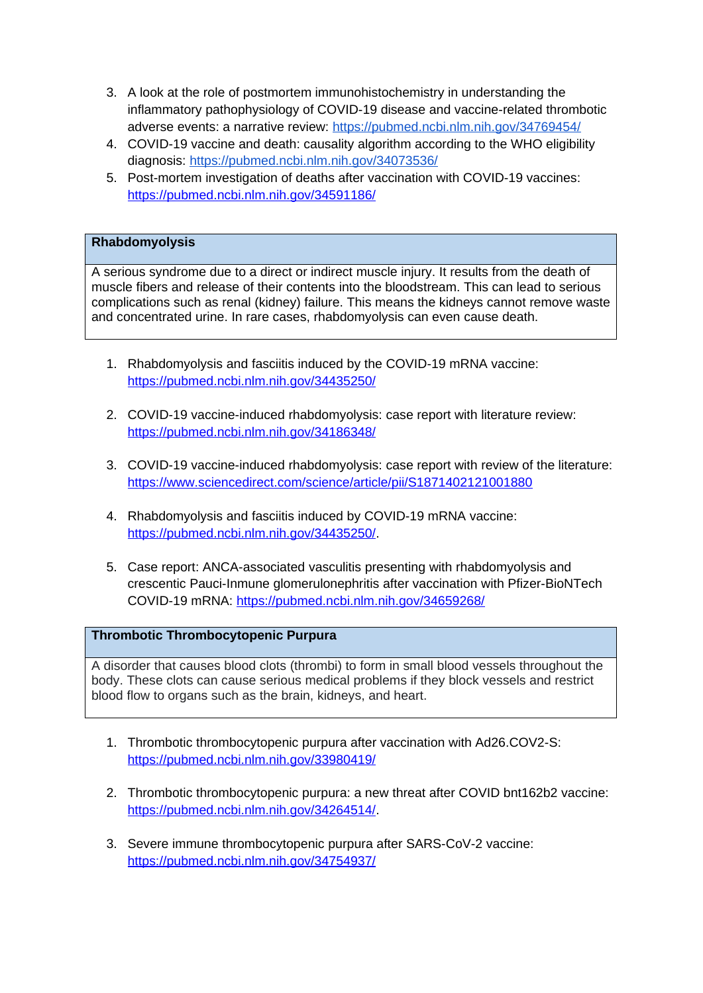- 3. A look at the role of postmortem immunohistochemistry in understanding the inflammatory pathophysiology of COVID-19 disease and vaccine-related thrombotic adverse events: a narrative review: <https://pubmed.ncbi.nlm.nih.gov/34769454/>
- 4. COVID-19 vaccine and death: causality algorithm according to the WHO eligibility diagnosis: <https://pubmed.ncbi.nlm.nih.gov/34073536/>
- 5. Post-mortem investigation of deaths after vaccination with COVID-19 vaccines: <https://pubmed.ncbi.nlm.nih.gov/34591186/>

# **Rhabdomyolysis**

A serious syndrome due to a direct or indirect muscle injury. It results from the death of muscle fibers and release of their contents into the bloodstream. This can lead to serious complications such as renal (kidney) failure. This means the kidneys cannot remove waste and concentrated urine. In rare cases, rhabdomyolysis can even cause death.

- 1. Rhabdomyolysis and fasciitis induced by the COVID-19 mRNA vaccine: <https://pubmed.ncbi.nlm.nih.gov/34435250/>
- 2. COVID-19 vaccine-induced rhabdomyolysis: case report with literature review: <https://pubmed.ncbi.nlm.nih.gov/34186348/>
- 3. COVID-19 vaccine-induced rhabdomyolysis: case report with review of the literature: <https://www.sciencedirect.com/science/article/pii/S1871402121001880>
- 4. Rhabdomyolysis and fasciitis induced by COVID-19 mRNA vaccine: <https://pubmed.ncbi.nlm.nih.gov/34435250/>.
- 5. Case report: ANCA-associated vasculitis presenting with rhabdomyolysis and crescentic Pauci-Inmune glomerulonephritis after vaccination with Pfizer-BioNTech COVID-19 mRNA:<https://pubmed.ncbi.nlm.nih.gov/34659268/>

## **Thrombotic Thrombocytopenic Purpura**

A disorder that causes blood clots (thrombi) to form in small blood vessels throughout the body. These clots can cause serious medical problems if they block vessels and restrict blood flow to organs such as the brain, kidneys, and heart.

- 1. Thrombotic thrombocytopenic purpura after vaccination with Ad26.COV2-S: <https://pubmed.ncbi.nlm.nih.gov/33980419/>
- 2. Thrombotic thrombocytopenic purpura: a new threat after COVID bnt162b2 vaccine: <https://pubmed.ncbi.nlm.nih.gov/34264514/>.
- 3. Severe immune thrombocytopenic purpura after SARS-CoV-2 vaccine: <https://pubmed.ncbi.nlm.nih.gov/34754937/>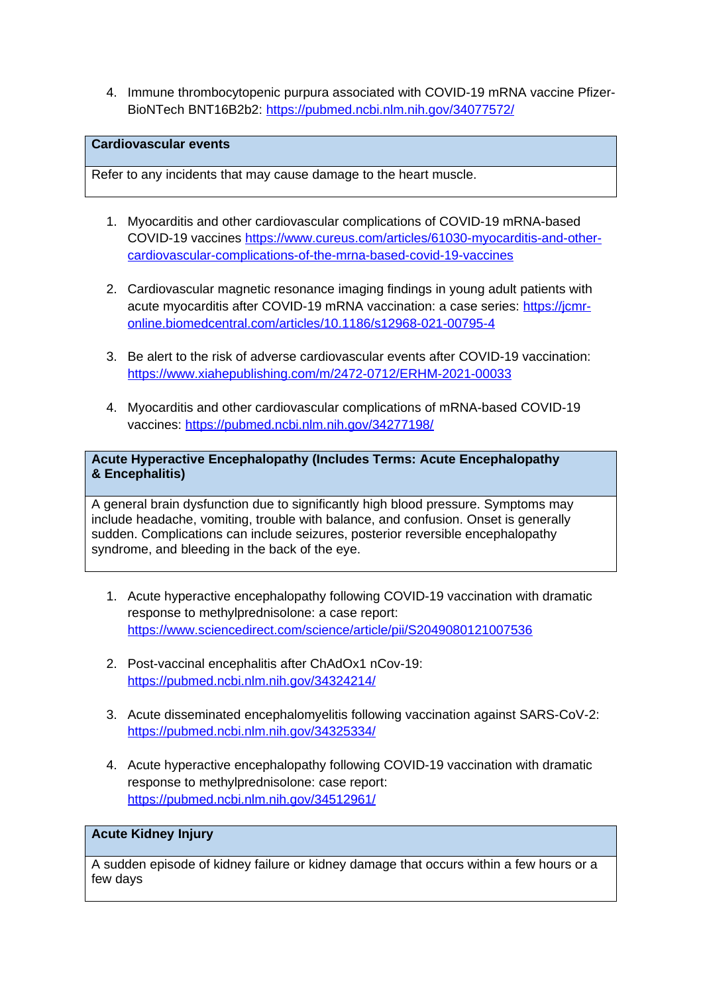4. Immune thrombocytopenic purpura associated with COVID-19 mRNA vaccine Pfizer-BioNTech BNT16B2b2:<https://pubmed.ncbi.nlm.nih.gov/34077572/>

# **Cardiovascular events**

Refer to any incidents that may cause damage to the heart muscle.

- 1. Myocarditis and other cardiovascular complications of COVID-19 mRNA-based COVID-19 vaccines [https://www.cureus.com/articles/61030-myocarditis-and-other](https://www.cureus.com/articles/61030-myocarditis-and-other-cardiovascular-complications-of-the-mrna-based-covid-19-vaccines)[cardiovascular-complications-of-the-mrna-based-covid-19-vaccines](https://www.cureus.com/articles/61030-myocarditis-and-other-cardiovascular-complications-of-the-mrna-based-covid-19-vaccines)
- 2. Cardiovascular magnetic resonance imaging findings in young adult patients with acute myocarditis after COVID-19 mRNA vaccination: a case series: [https://jcmr](https://jcmr-online.biomedcentral.com/articles/10.1186/s12968-021-00795-4)[online.biomedcentral.com/articles/10.1186/s12968-021-00795-4](https://jcmr-online.biomedcentral.com/articles/10.1186/s12968-021-00795-4)
- 3. Be alert to the risk of adverse cardiovascular events after COVID-19 vaccination: <https://www.xiahepublishing.com/m/2472-0712/ERHM-2021-00033>
- 4. Myocarditis and other cardiovascular complications of mRNA-based COVID-19 vaccines:<https://pubmed.ncbi.nlm.nih.gov/34277198/>

**Acute Hyperactive Encephalopathy (Includes Terms: Acute Encephalopathy & Encephalitis)**

A general brain dysfunction due to significantly high blood pressure. Symptoms may include headache, vomiting, trouble with balance, and confusion. Onset is generally sudden. Complications can include seizures, posterior reversible encephalopathy syndrome, and bleeding in the back of the eye.

- 1. Acute hyperactive encephalopathy following COVID-19 vaccination with dramatic response to methylprednisolone: a case report: <https://www.sciencedirect.com/science/article/pii/S2049080121007536>
- 2. Post-vaccinal encephalitis after ChAdOx1 nCov-19: <https://pubmed.ncbi.nlm.nih.gov/34324214/>
- 3. Acute disseminated encephalomyelitis following vaccination against SARS-CoV-2: <https://pubmed.ncbi.nlm.nih.gov/34325334/>
- 4. Acute hyperactive encephalopathy following COVID-19 vaccination with dramatic response to methylprednisolone: case report: <https://pubmed.ncbi.nlm.nih.gov/34512961/>

# **Acute Kidney Injury**

A sudden episode of kidney failure or kidney damage that occurs within a few hours or a few days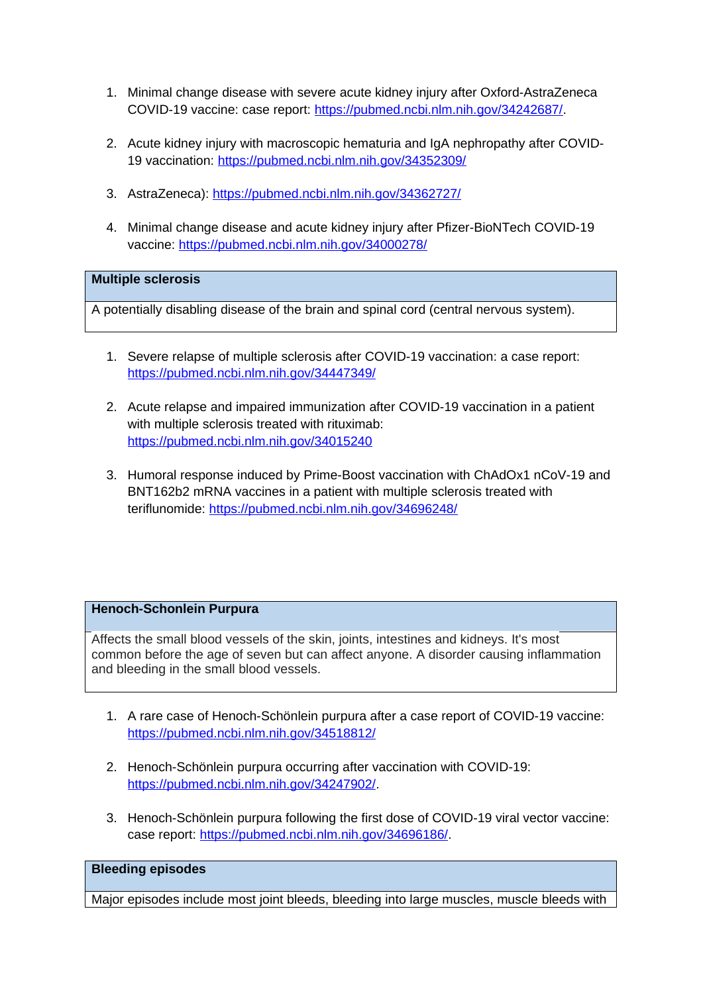- 1. Minimal change disease with severe acute kidney injury after Oxford-AstraZeneca COVID-19 vaccine: case report: [https://pubmed.ncbi.nlm.nih.gov/34242687/.](https://pubmed.ncbi.nlm.nih.gov/34242687/)
- 2. Acute kidney injury with macroscopic hematuria and IgA nephropathy after COVID-19 vaccination:<https://pubmed.ncbi.nlm.nih.gov/34352309/>
- 3. AstraZeneca):<https://pubmed.ncbi.nlm.nih.gov/34362727/>
- 4. Minimal change disease and acute kidney injury after Pfizer-BioNTech COVID-19 vaccine:<https://pubmed.ncbi.nlm.nih.gov/34000278/>

## **Multiple sclerosis**

A potentially disabling disease of the brain and spinal cord (central nervous system).

- 1. Severe relapse of multiple sclerosis after COVID-19 vaccination: a case report: <https://pubmed.ncbi.nlm.nih.gov/34447349/>
- 2. Acute relapse and impaired immunization after COVID-19 vaccination in a patient with multiple sclerosis treated with rituximab: <https://pubmed.ncbi.nlm.nih.gov/34015240>
- 3. Humoral response induced by Prime-Boost vaccination with ChAdOx1 nCoV-19 and BNT162b2 mRNA vaccines in a patient with multiple sclerosis treated with teriflunomide:<https://pubmed.ncbi.nlm.nih.gov/34696248/>

## **Henoch-Schonlein Purpura**

Affects the small blood vessels of the skin, joints, intestines and kidneys. It's most common before the age of seven but can affect anyone. A disorder causing inflammation and bleeding in the small blood vessels.

- 1. A rare case of Henoch-Schönlein purpura after a case report of COVID-19 vaccine: <https://pubmed.ncbi.nlm.nih.gov/34518812/>
- 2. Henoch-Schönlein purpura occurring after vaccination with COVID-19: <https://pubmed.ncbi.nlm.nih.gov/34247902/>.
- 3. Henoch-Schönlein purpura following the first dose of COVID-19 viral vector vaccine: case report: [https://pubmed.ncbi.nlm.nih.gov/34696186/.](https://pubmed.ncbi.nlm.nih.gov/34696186/)

#### **Bleeding episodes**

Major episodes include most joint bleeds, bleeding into large muscles, muscle bleeds with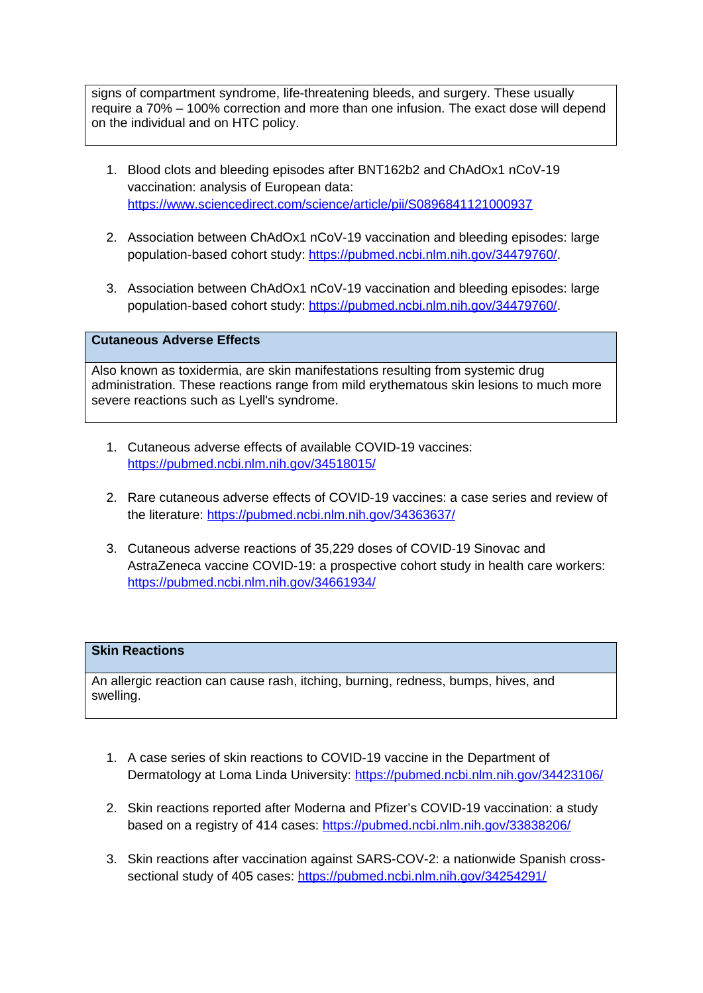signs of compartment syndrome, life-threatening bleeds, and surgery. These usually require a 70% – 100% correction and more than one infusion. The exact dose will depend on the individual and on HTC policy.

- 1. Blood clots and bleeding episodes after BNT162b2 and ChAdOx1 nCoV-19 vaccination: analysis of European data: <https://www.sciencedirect.com/science/article/pii/S0896841121000937>
- 2. Association between ChAdOx1 nCoV-19 vaccination and bleeding episodes: large population-based cohort study:<https://pubmed.ncbi.nlm.nih.gov/34479760/>.
- 3. Association between ChAdOx1 nCoV-19 vaccination and bleeding episodes: large population-based cohort study:<https://pubmed.ncbi.nlm.nih.gov/34479760/>.

## **Cutaneous Adverse Effects**

Also known as toxidermia, are skin manifestations resulting from systemic drug administration. These reactions range from mild erythematous skin lesions to much more severe reactions such as Lyell's syndrome.

- 1. Cutaneous adverse effects of available COVID-19 vaccines: <https://pubmed.ncbi.nlm.nih.gov/34518015/>
- 2. Rare cutaneous adverse effects of COVID-19 vaccines: a case series and review of the literature:<https://pubmed.ncbi.nlm.nih.gov/34363637/>
- 3. Cutaneous adverse reactions of 35,229 doses of COVID-19 Sinovac and AstraZeneca vaccine COVID-19: a prospective cohort study in health care workers: <https://pubmed.ncbi.nlm.nih.gov/34661934/>

## **Skin Reactions**

An allergic reaction can cause rash, itching, burning, redness, bumps, hives, and swelling.

- 1. A case series of skin reactions to COVID-19 vaccine in the Department of Dermatology at Loma Linda University: <https://pubmed.ncbi.nlm.nih.gov/34423106/>
- 2. Skin reactions reported after Moderna and Pfizer's COVID-19 vaccination: a study based on a registry of 414 cases:<https://pubmed.ncbi.nlm.nih.gov/33838206/>
- 3. Skin reactions after vaccination against SARS-COV-2: a nationwide Spanish crosssectional study of 405 cases:<https://pubmed.ncbi.nlm.nih.gov/34254291/>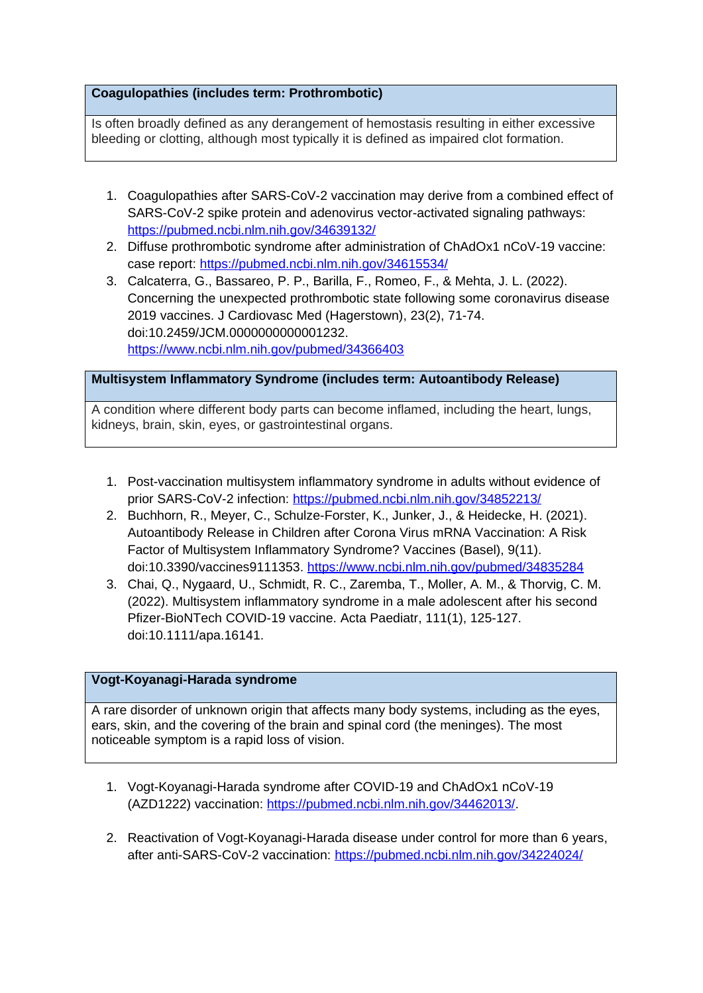# **Coagulopathies (includes term: Prothrombotic)**

Is often broadly defined as any derangement of hemostasis resulting in either excessive bleeding or clotting, although most typically it is defined as impaired clot formation.

- 1. Coagulopathies after SARS-CoV-2 vaccination may derive from a combined effect of SARS-CoV-2 spike protein and adenovirus vector-activated signaling pathways: <https://pubmed.ncbi.nlm.nih.gov/34639132/>
- 2. Diffuse prothrombotic syndrome after administration of ChAdOx1 nCoV-19 vaccine: case report:<https://pubmed.ncbi.nlm.nih.gov/34615534/>
- 3. Calcaterra, G., Bassareo, P. P., Barilla, F., Romeo, F., & Mehta, J. L. (2022). Concerning the unexpected prothrombotic state following some coronavirus disease 2019 vaccines. J Cardiovasc Med (Hagerstown), 23(2), 71-74. doi:10.2459/JCM.0000000000001232. <https://www.ncbi.nlm.nih.gov/pubmed/34366403>

# **Multisystem Inflammatory Syndrome (includes term: Autoantibody Release)**

A condition where different body parts can become inflamed, including the heart, lungs, kidneys, brain, skin, eyes, or gastrointestinal organs.

- 1. Post-vaccination multisystem inflammatory syndrome in adults without evidence of prior SARS-CoV-2 infection:<https://pubmed.ncbi.nlm.nih.gov/34852213/>
- 2. Buchhorn, R., Meyer, C., Schulze-Forster, K., Junker, J., & Heidecke, H. (2021). Autoantibody Release in Children after Corona Virus mRNA Vaccination: A Risk Factor of Multisystem Inflammatory Syndrome? Vaccines (Basel), 9(11). doi:10.3390/vaccines9111353.<https://www.ncbi.nlm.nih.gov/pubmed/34835284>
- 3. Chai, Q., Nygaard, U., Schmidt, R. C., Zaremba, T., Moller, A. M., & Thorvig, C. M. (2022). Multisystem inflammatory syndrome in a male adolescent after his second Pfizer-BioNTech COVID-19 vaccine. Acta Paediatr, 111(1), 125-127. doi:10.1111/apa.16141.

# **Vogt-Koyanagi-Harada syndrome**

A rare disorder of unknown origin that affects many body systems, including as the eyes, ears, skin, and the covering of the brain and spinal cord (the meninges). The most noticeable symptom is a rapid loss of vision.

- 1. Vogt-Koyanagi-Harada syndrome after COVID-19 and ChAdOx1 nCoV-19 (AZD1222) vaccination:<https://pubmed.ncbi.nlm.nih.gov/34462013/>.
- 2. Reactivation of Vogt-Koyanagi-Harada disease under control for more than 6 years, after anti-SARS-CoV-2 vaccination:<https://pubmed.ncbi.nlm.nih.gov/34224024/>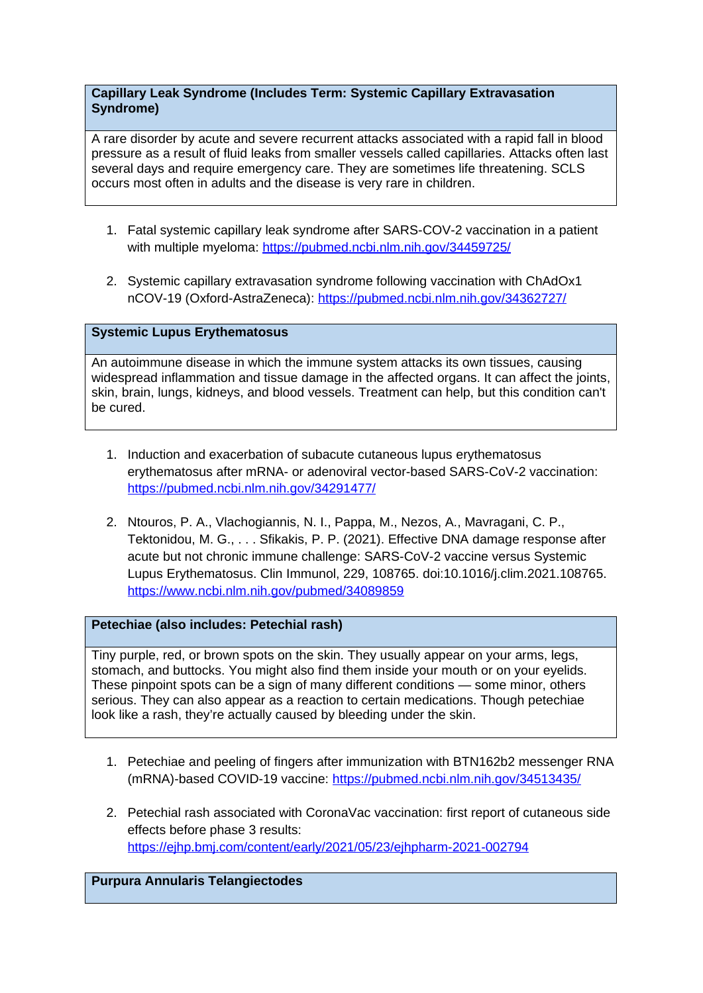## **Capillary Leak Syndrome (Includes Term: Systemic Capillary Extravasation Syndrome)**

A rare disorder by acute and severe recurrent attacks associated with a rapid fall in blood pressure as a result of fluid leaks from smaller vessels called capillaries. Attacks often last several days and require emergency care. They are sometimes life threatening. SCLS occurs most often in adults and the disease is very rare in children.

- 1. Fatal systemic capillary leak syndrome after SARS-COV-2 vaccination in a patient with multiple myeloma:<https://pubmed.ncbi.nlm.nih.gov/34459725/>
- 2. Systemic capillary extravasation syndrome following vaccination with ChAdOx1 nCOV-19 (Oxford-AstraZeneca):<https://pubmed.ncbi.nlm.nih.gov/34362727/>

# **Systemic Lupus Erythematosus**

An autoimmune disease in which the immune system attacks its own tissues, causing widespread inflammation and tissue damage in the affected organs. It can affect the joints, skin, brain, lungs, kidneys, and blood vessels. Treatment can help, but this condition can't be cured.

- 1. Induction and exacerbation of subacute cutaneous lupus erythematosus erythematosus after mRNA- or adenoviral vector-based SARS-CoV-2 vaccination: <https://pubmed.ncbi.nlm.nih.gov/34291477/>
- 2. Ntouros, P. A., Vlachogiannis, N. I., Pappa, M., Nezos, A., Mavragani, C. P., Tektonidou, M. G., . . . Sfikakis, P. P. (2021). Effective DNA damage response after acute but not chronic immune challenge: SARS-CoV-2 vaccine versus Systemic Lupus Erythematosus. Clin Immunol, 229, 108765. doi:10.1016/j.clim.2021.108765. <https://www.ncbi.nlm.nih.gov/pubmed/34089859>

## **Petechiae (also includes: Petechial rash)**

Tiny purple, red, or brown spots on the skin. They usually appear on your arms, legs, stomach, and buttocks. You might also find them inside your mouth or on your eyelids. These pinpoint spots can be a sign of many different conditions — some minor, others serious. They can also appear as a reaction to certain medications. Though petechiae look like a rash, they're actually caused by bleeding under the skin.

- 1. Petechiae and peeling of fingers after immunization with BTN162b2 messenger RNA (mRNA)-based COVID-19 vaccine: <https://pubmed.ncbi.nlm.nih.gov/34513435/>
- 2. Petechial rash associated with CoronaVac vaccination: first report of cutaneous side effects before phase 3 results: <https://ejhp.bmj.com/content/early/2021/05/23/ejhpharm-2021-002794>

## **Purpura Annularis Telangiectodes**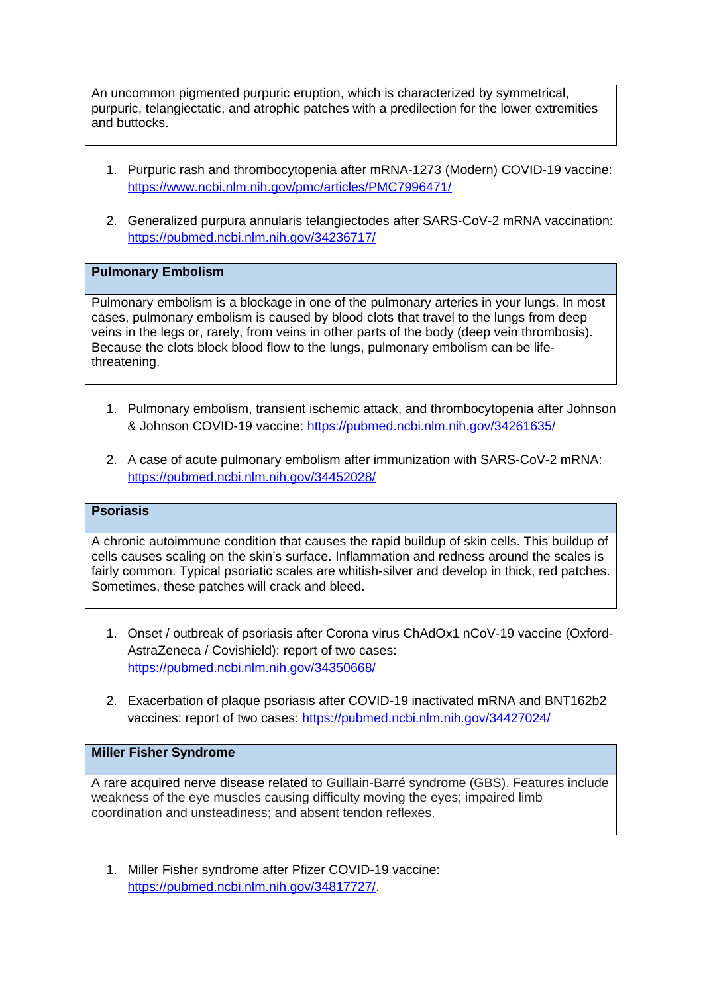An uncommon pigmented purpuric eruption, which is characterized by symmetrical, purpuric, telangiectatic, and atrophic patches with a predilection for the lower extremities and buttocks.

- 1. Purpuric rash and thrombocytopenia after mRNA-1273 (Modern) COVID-19 vaccine: <https://www.ncbi.nlm.nih.gov/pmc/articles/PMC7996471/>
- 2. Generalized purpura annularis telangiectodes after SARS-CoV-2 mRNA vaccination: <https://pubmed.ncbi.nlm.nih.gov/34236717/>

### **Pulmonary Embolism**

Pulmonary embolism is a blockage in one of the pulmonary arteries in your lungs. In most cases, pulmonary embolism is caused by blood clots that travel to the lungs from deep veins in the legs or, rarely, from veins in other parts of the body (deep vein thrombosis). Because the clots block blood flow to the lungs, pulmonary embolism can be lifethreatening.

- 1. Pulmonary embolism, transient ischemic attack, and thrombocytopenia after Johnson & Johnson COVID-19 vaccine:<https://pubmed.ncbi.nlm.nih.gov/34261635/>
- 2. A case of acute pulmonary embolism after immunization with SARS-CoV-2 mRNA: <https://pubmed.ncbi.nlm.nih.gov/34452028/>

## **Psoriasis**

A chronic autoimmune condition that causes the rapid buildup of skin cells. This buildup of cells causes scaling on the skin's surface. Inflammation and redness around the scales is fairly common. Typical psoriatic scales are whitish-silver and develop in thick, red patches. Sometimes, these patches will crack and bleed.

- 1. Onset / outbreak of psoriasis after Corona virus ChAdOx1 nCoV-19 vaccine (Oxford-AstraZeneca / Covishield): report of two cases: <https://pubmed.ncbi.nlm.nih.gov/34350668/>
- 2. Exacerbation of plaque psoriasis after COVID-19 inactivated mRNA and BNT162b2 vaccines: report of two cases:<https://pubmed.ncbi.nlm.nih.gov/34427024/>

#### **Miller Fisher Syndrome**

A rare acquired nerve disease related to Guillain-Barré syndrome (GBS). Features include weakness of the eye muscles causing difficulty moving the eyes; impaired limb coordination and unsteadiness; and absent tendon reflexes.

1. Miller Fisher syndrome after Pfizer COVID-19 vaccine: <https://pubmed.ncbi.nlm.nih.gov/34817727/>.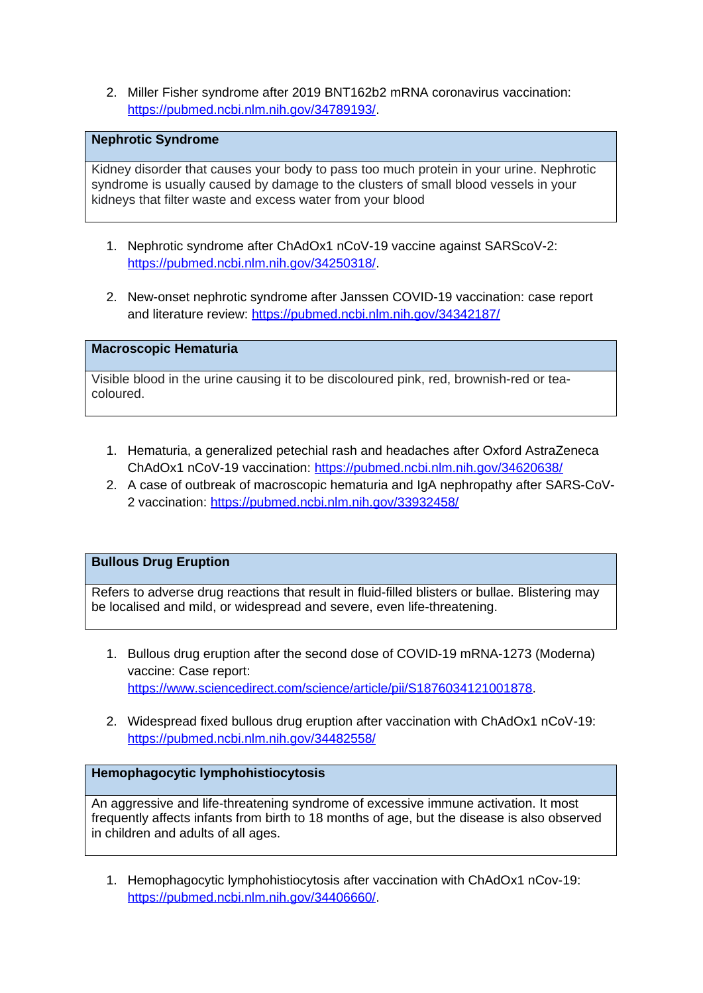2. Miller Fisher syndrome after 2019 BNT162b2 mRNA coronavirus vaccination: <https://pubmed.ncbi.nlm.nih.gov/34789193/>.

# **Nephrotic Syndrome**

Kidney disorder that causes your body to pass too much protein in your urine. Nephrotic syndrome is usually caused by damage to the clusters of small blood vessels in your kidneys that filter waste and excess water from your blood

- 1. Nephrotic syndrome after ChAdOx1 nCoV-19 vaccine against SARScoV-2: <https://pubmed.ncbi.nlm.nih.gov/34250318/>.
- 2. New-onset nephrotic syndrome after Janssen COVID-19 vaccination: case report and literature review:<https://pubmed.ncbi.nlm.nih.gov/34342187/>

**Macroscopic Hematuria** 

Visible blood in the urine causing it to be discoloured pink, red, brownish-red or teacoloured.

- 1. Hematuria, a generalized petechial rash and headaches after Oxford AstraZeneca ChAdOx1 nCoV-19 vaccination:<https://pubmed.ncbi.nlm.nih.gov/34620638/>
- 2. A case of outbreak of macroscopic hematuria and IgA nephropathy after SARS-CoV-2 vaccination:<https://pubmed.ncbi.nlm.nih.gov/33932458/>

## **Bullous Drug Eruption**

Refers to adverse drug reactions that result in fluid-filled blisters or bullae. Blistering may be localised and mild, or widespread and severe, even life-threatening.

- 1. Bullous drug eruption after the second dose of COVID-19 mRNA-1273 (Moderna) vaccine: Case report: <https://www.sciencedirect.com/science/article/pii/S1876034121001878>.
- 2. Widespread fixed bullous drug eruption after vaccination with ChAdOx1 nCoV-19: <https://pubmed.ncbi.nlm.nih.gov/34482558/>

#### **Hemophagocytic lymphohistiocytosis**

An aggressive and life-threatening syndrome of excessive immune activation. It most frequently affects infants from birth to 18 months of age, but the disease is also observed in children and adults of all ages.

1. Hemophagocytic lymphohistiocytosis after vaccination with ChAdOx1 nCov-19: <https://pubmed.ncbi.nlm.nih.gov/34406660/>.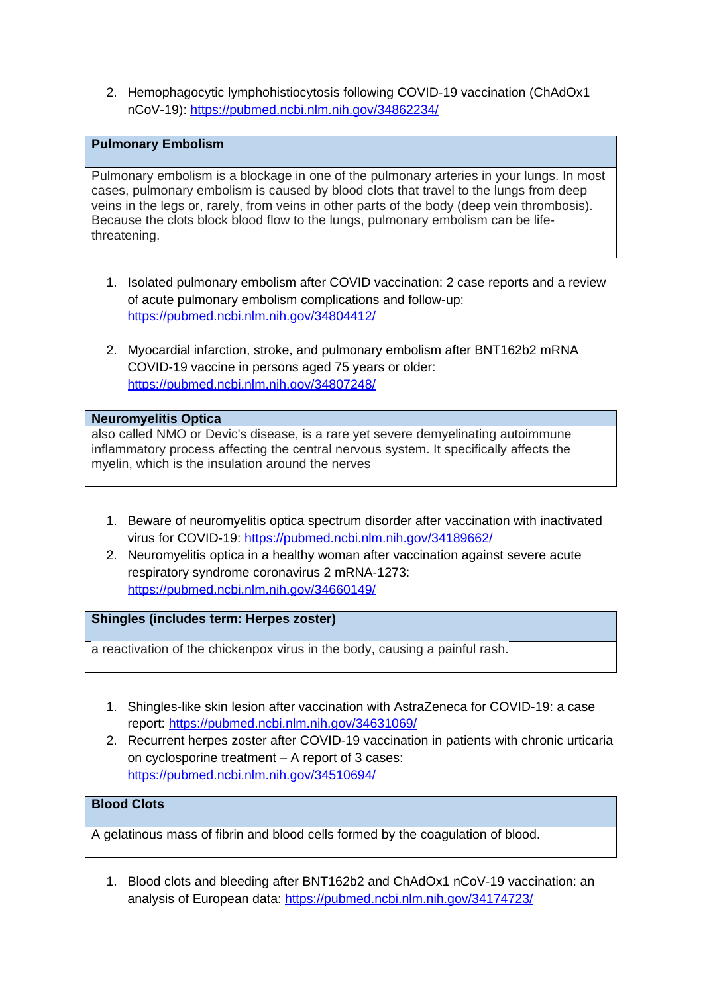2. Hemophagocytic lymphohistiocytosis following COVID-19 vaccination (ChAdOx1 nCoV-19):<https://pubmed.ncbi.nlm.nih.gov/34862234/>

## **Pulmonary Embolism**

Pulmonary embolism is a blockage in one of the pulmonary arteries in your lungs. In most cases, pulmonary embolism is caused by blood clots that travel to the lungs from deep veins in the legs or, rarely, from veins in other parts of the body (deep vein thrombosis). Because the clots block blood flow to the lungs, pulmonary embolism can be lifethreatening.

- 1. Isolated pulmonary embolism after COVID vaccination: 2 case reports and a review of acute pulmonary embolism complications and follow-up: <https://pubmed.ncbi.nlm.nih.gov/34804412/>
- 2. Myocardial infarction, stroke, and pulmonary embolism after BNT162b2 mRNA COVID-19 vaccine in persons aged 75 years or older: <https://pubmed.ncbi.nlm.nih.gov/34807248/>

### **Neuromyelitis Optica**

also called NMO or Devic's disease, is a rare yet severe demyelinating autoimmune inflammatory process affecting the central nervous system. It specifically affects the myelin, which is the insulation around the nerves

- 1. Beware of neuromyelitis optica spectrum disorder after vaccination with inactivated virus for COVID-19:<https://pubmed.ncbi.nlm.nih.gov/34189662/>
- 2. Neuromyelitis optica in a healthy woman after vaccination against severe acute respiratory syndrome coronavirus 2 mRNA-1273: <https://pubmed.ncbi.nlm.nih.gov/34660149/>

# **Shingles (includes term: Herpes zoster)**

a reactivation of the chickenpox virus in the body, causing a painful rash.

- 1. Shingles-like skin lesion after vaccination with AstraZeneca for COVID-19: a case report: <https://pubmed.ncbi.nlm.nih.gov/34631069/>
- 2. Recurrent herpes zoster after COVID-19 vaccination in patients with chronic urticaria on cyclosporine treatment – A report of 3 cases: <https://pubmed.ncbi.nlm.nih.gov/34510694/>

# **Blood Clots**

A gelatinous mass of fibrin and blood cells formed by the coagulation of blood.

1. Blood clots and bleeding after BNT162b2 and ChAdOx1 nCoV-19 vaccination: an analysis of European data:<https://pubmed.ncbi.nlm.nih.gov/34174723/>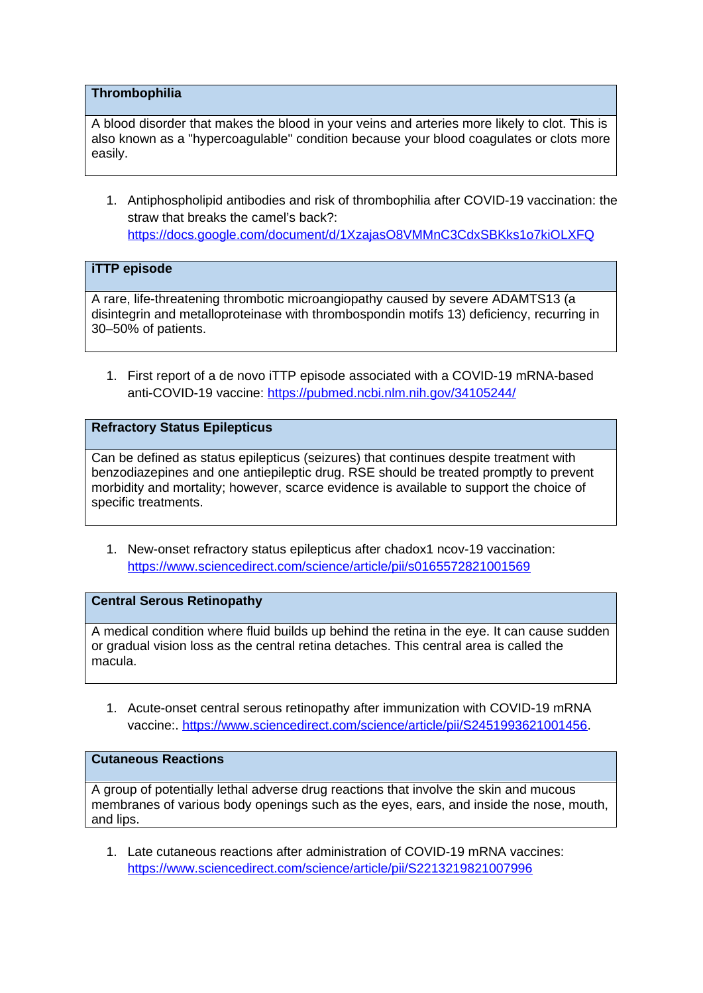### **Thrombophilia**

A blood disorder that makes the blood in your veins and arteries more likely to clot. This is also known as a "hypercoagulable" condition because your blood coagulates or clots more easily.

1. Antiphospholipid antibodies and risk of thrombophilia after COVID-19 vaccination: the straw that breaks the camel's back?: <https://docs.google.com/document/d/1XzajasO8VMMnC3CdxSBKks1o7kiOLXFQ>

## **iTTP episode**

A rare, life-threatening thrombotic microangiopathy caused by severe ADAMTS13 (a disintegrin and metalloproteinase with thrombospondin motifs 13) deficiency, recurring in 30–50% of patients.

1. First report of a de novo iTTP episode associated with a COVID-19 mRNA-based anti-COVID-19 vaccine: <https://pubmed.ncbi.nlm.nih.gov/34105244/>

## **Refractory Status Epilepticus**

Can be defined as status epilepticus (seizures) that continues despite treatment with benzodiazepines and one antiepileptic drug. RSE should be treated promptly to prevent morbidity and mortality; however, scarce evidence is available to support the choice of specific treatments.

1. New-onset refractory status epilepticus after chadox1 ncov-19 vaccination: [https://www.sciencedirect.com/science/article/pii/s0165572821001569](https://www.sciencedirect.com/science/article/pii/S0165572821001569)

#### **Central Serous Retinopathy**

A medical condition where fluid builds up behind the retina in the eye. It can cause sudden or gradual vision loss as the central retina detaches. This central area is called the macula.

1. Acute-onset central serous retinopathy after immunization with COVID-19 mRNA vaccine:. [https://www.sciencedirect.com/science/article/pii/S2451993621001456.](https://www.sciencedirect.com/science/article/pii/S2451993621001456)

#### **Cutaneous Reactions**

A group of potentially lethal adverse drug reactions that involve the skin and mucous membranes of various body openings such as the eyes, ears, and inside the nose, mouth, and lips.

1. Late cutaneous reactions after administration of COVID-19 mRNA vaccines: <https://www.sciencedirect.com/science/article/pii/S2213219821007996>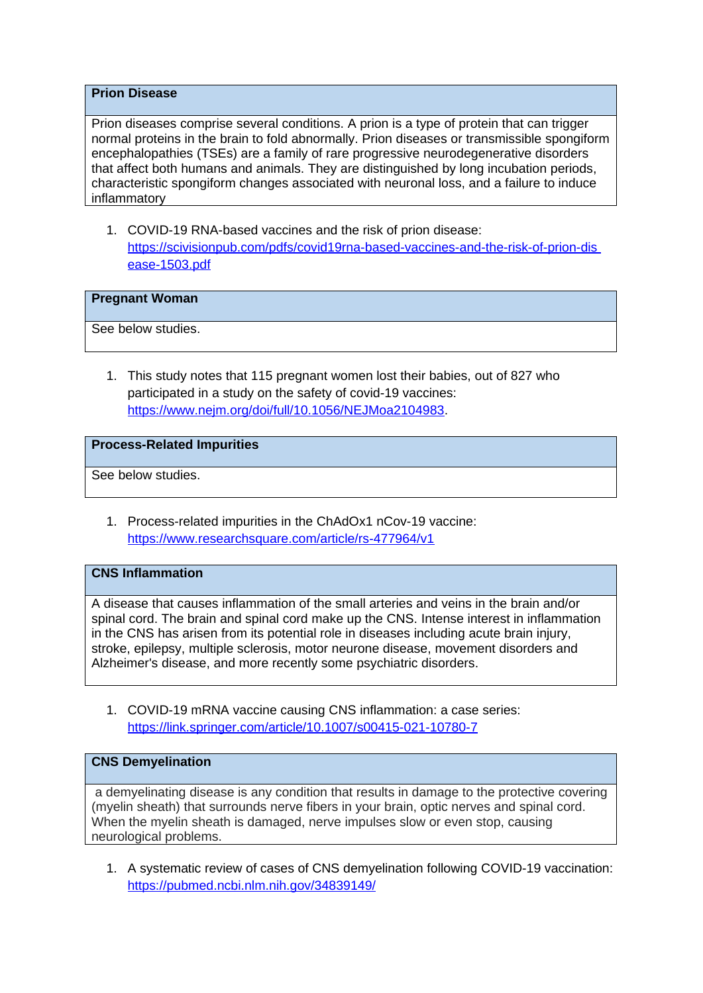### **Prion Disease**

Prion diseases comprise several conditions. A prion is a type of protein that can trigger normal proteins in the brain to fold abnormally. Prion diseases or transmissible spongiform encephalopathies (TSEs) are a family of rare progressive neurodegenerative disorders that affect both humans and animals. They are distinguished by long incubation periods, characteristic spongiform changes associated with neuronal loss, and a failure to induce inflammatory

1. COVID-19 RNA-based vaccines and the risk of prion disease: [https://scivisionpub.com/pdfs/covid19rna-based-vaccines-and-the-risk-of-prion-dis](https://scivisionpub.com/pdfs/covid19rna-based-vaccines-and-the-risk-of-prion-dis%20ease-1503.pdf)  [ease-1503.pdf](https://scivisionpub.com/pdfs/covid19rna-based-vaccines-and-the-risk-of-prion-dis%20ease-1503.pdf)

## **Pregnant Woman**

See below studies.

1. This study notes that 115 pregnant women lost their babies, out of 827 who participated in a study on the safety of covid-19 vaccines: [https://www.nejm.org/doi/full/10.1056/NEJMoa2104983.](https://www.nejm.org/doi/full/10.1056/NEJMoa2104983)

### **Process-Related Impurities**

See below studies.

1. Process-related impurities in the ChAdOx1 nCov-19 vaccine: <https://www.researchsquare.com/article/rs-477964/v1>

## **CNS Inflammation**

A disease that causes inflammation of the small arteries and veins in the brain and/or spinal cord. The brain and spinal cord make up the CNS. Intense interest in inflammation in the CNS has arisen from its potential role in diseases including acute brain injury, stroke, epilepsy, multiple sclerosis, motor neurone disease, movement disorders and Alzheimer's disease, and more recently some psychiatric disorders.

1. COVID-19 mRNA vaccine causing CNS inflammation: a case series: <https://link.springer.com/article/10.1007/s00415-021-10780-7>

## **CNS Demyelination**

a demyelinating disease is any condition that results in damage to the protective covering (myelin sheath) that surrounds nerve fibers in your brain, optic nerves and spinal cord. When the myelin sheath is damaged, nerve impulses slow or even stop, causing neurological problems.

1. A systematic review of cases of CNS demyelination following COVID-19 vaccination: <https://pubmed.ncbi.nlm.nih.gov/34839149/>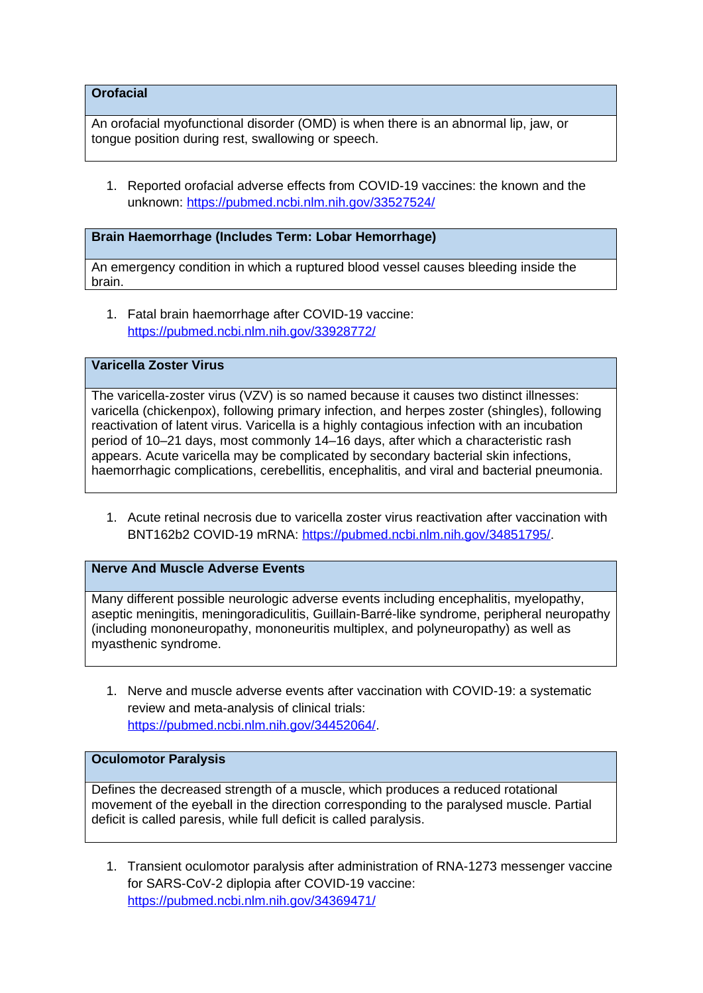**Orofacial**

An orofacial myofunctional disorder (OMD) is when there is an abnormal lip, jaw, or tongue position during rest, swallowing or speech.

1. Reported orofacial adverse effects from COVID-19 vaccines: the known and the unknown:<https://pubmed.ncbi.nlm.nih.gov/33527524/>

### **Brain Haemorrhage (Includes Term: Lobar Hemorrhage)**

An emergency condition in which a ruptured blood vessel causes bleeding inside the brain.

1. Fatal brain haemorrhage after COVID-19 vaccine: <https://pubmed.ncbi.nlm.nih.gov/33928772/>

### **Varicella Zoster Virus**

The varicella-zoster virus (VZV) is so named because it causes two distinct illnesses: varicella (chickenpox), following primary infection, and herpes zoster (shingles), following reactivation of latent virus. Varicella is a highly contagious infection with an incubation period of 10–21 days, most commonly 14–16 days, after which a characteristic rash appears. Acute varicella may be complicated by secondary bacterial skin infections, haemorrhagic complications, cerebellitis, encephalitis, and viral and bacterial pneumonia.

1. Acute retinal necrosis due to varicella zoster virus reactivation after vaccination with BNT162b2 COVID-19 mRNA: <https://pubmed.ncbi.nlm.nih.gov/34851795/>.

## **Nerve And Muscle Adverse Events**

Many different possible neurologic adverse events including encephalitis, myelopathy, aseptic meningitis, meningoradiculitis, Guillain-Barré-like syndrome, peripheral neuropathy (including mononeuropathy, mononeuritis multiplex, and polyneuropathy) as well as myasthenic syndrome.

1. Nerve and muscle adverse events after vaccination with COVID-19: a systematic review and meta-analysis of clinical trials: <https://pubmed.ncbi.nlm.nih.gov/34452064/>.

#### **Oculomotor Paralysis**

Defines the decreased strength of a muscle, which produces a reduced rotational movement of the eyeball in the direction corresponding to the paralysed muscle. Partial deficit is called paresis, while full deficit is called paralysis.

1. Transient oculomotor paralysis after administration of RNA-1273 messenger vaccine for SARS-CoV-2 diplopia after COVID-19 vaccine: <https://pubmed.ncbi.nlm.nih.gov/34369471/>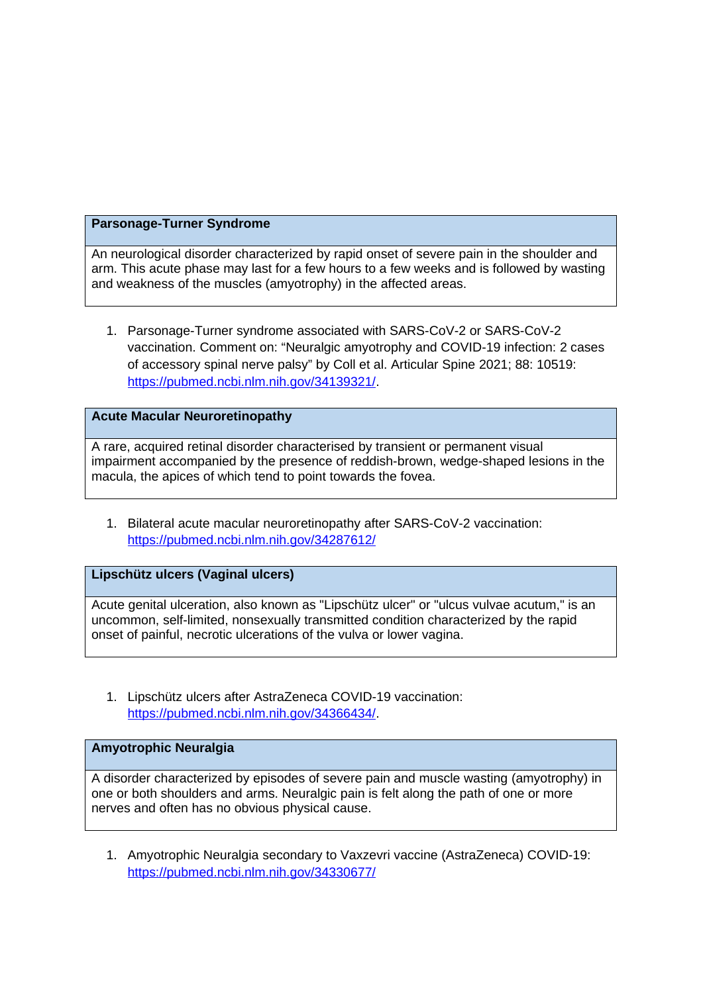### **Parsonage-Turner Syndrome**

An neurological disorder characterized by rapid onset of severe pain in the shoulder and arm. This acute phase may last for a few hours to a few weeks and is followed by wasting and weakness of the muscles (amyotrophy) in the affected areas.

1. Parsonage-Turner syndrome associated with SARS-CoV-2 or SARS-CoV-2 vaccination. Comment on: "Neuralgic amyotrophy and COVID-19 infection: 2 cases of accessory spinal nerve palsy" by Coll et al. Articular Spine 2021; 88: 10519: <https://pubmed.ncbi.nlm.nih.gov/34139321/>.

## **Acute Macular Neuroretinopathy**

A rare, acquired retinal disorder characterised by transient or permanent visual impairment accompanied by the presence of reddish-brown, wedge-shaped lesions in the macula, the apices of which tend to point towards the fovea.

1. Bilateral acute macular neuroretinopathy after SARS-CoV-2 vaccination: <https://pubmed.ncbi.nlm.nih.gov/34287612/>

# **Lipschütz ulcers (Vaginal ulcers)**

Acute genital ulceration, also known as "Lipschütz ulcer" or "ulcus vulvae acutum," is an uncommon, self-limited, nonsexually transmitted condition characterized by the rapid onset of painful, necrotic ulcerations of the vulva or lower vagina.

1. Lipschütz ulcers after AstraZeneca COVID-19 vaccination: <https://pubmed.ncbi.nlm.nih.gov/34366434/>.

## **Amyotrophic Neuralgia**

A disorder characterized by episodes of severe pain and muscle wasting (amyotrophy) in one or both shoulders and arms. Neuralgic pain is felt along the path of one or more nerves and often has no obvious physical cause.

1. Amyotrophic Neuralgia secondary to Vaxzevri vaccine (AstraZeneca) COVID-19: <https://pubmed.ncbi.nlm.nih.gov/34330677/>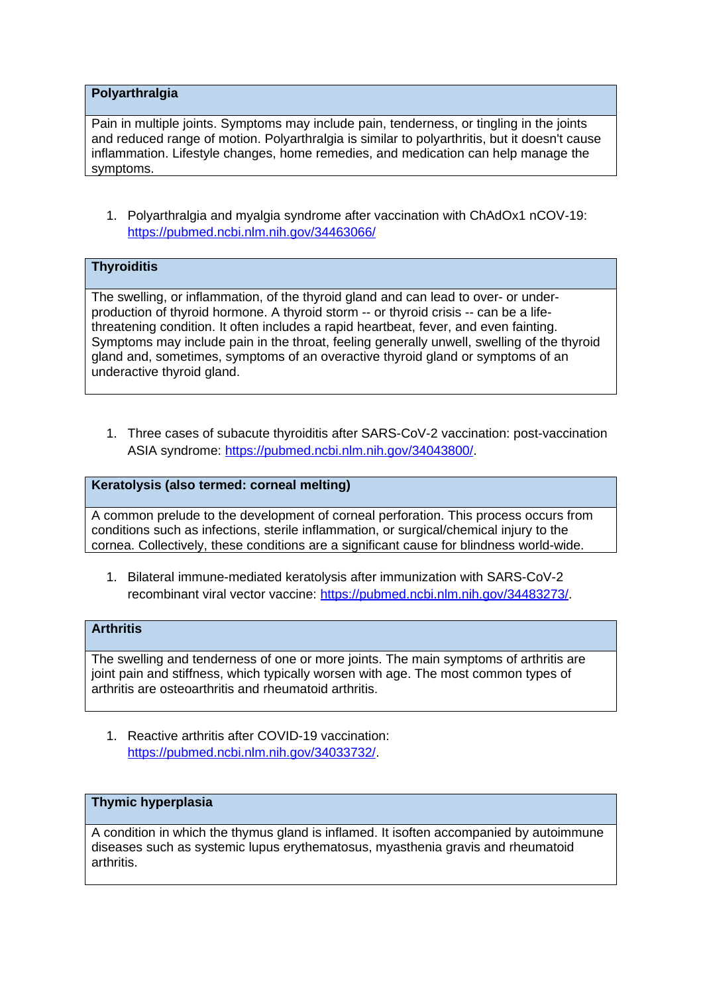### **Polyarthralgia**

Pain in multiple joints. Symptoms may include pain, tenderness, or tingling in the joints and reduced range of motion. Polyarthralgia is similar to polyarthritis, but it doesn't cause inflammation. Lifestyle changes, home remedies, and medication can help manage the symptoms.

1. Polyarthralgia and myalgia syndrome after vaccination with ChAdOx1 nCOV-19: <https://pubmed.ncbi.nlm.nih.gov/34463066/>

# **Thyroiditis**

The swelling, or inflammation, of the thyroid gland and can lead to over- or underproduction of thyroid hormone. A thyroid storm -- or thyroid crisis -- can be a lifethreatening condition. It often includes a rapid heartbeat, fever, and even fainting. Symptoms may include pain in the throat, feeling generally unwell, swelling of the thyroid gland and, sometimes, symptoms of an overactive thyroid gland or symptoms of an underactive thyroid gland.

1. Three cases of subacute thyroiditis after SARS-CoV-2 vaccination: post-vaccination ASIA syndrome: <https://pubmed.ncbi.nlm.nih.gov/34043800/>.

# **Keratolysis (also termed: corneal melting)**

A common prelude to the development of corneal perforation. This process occurs from conditions such as infections, sterile inflammation, or surgical/chemical injury to the cornea. Collectively, these conditions are a significant cause for blindness world-wide.

1. Bilateral immune-mediated keratolysis after immunization with SARS-CoV-2 recombinant viral vector vaccine: [https://pubmed.ncbi.nlm.nih.gov/34483273/.](https://pubmed.ncbi.nlm.nih.gov/34483273/)

## **Arthritis**

The swelling and tenderness of one or more joints. The main symptoms of arthritis are joint pain and stiffness, which typically worsen with age. The most common types of arthritis are osteoarthritis and rheumatoid arthritis.

1. Reactive arthritis after COVID-19 vaccination: <https://pubmed.ncbi.nlm.nih.gov/34033732/>.

# **Thymic hyperplasia**

A condition in which the thymus gland is inflamed. It isoften accompanied by autoimmune diseases such as systemic lupus erythematosus, myasthenia gravis and rheumatoid arthritis.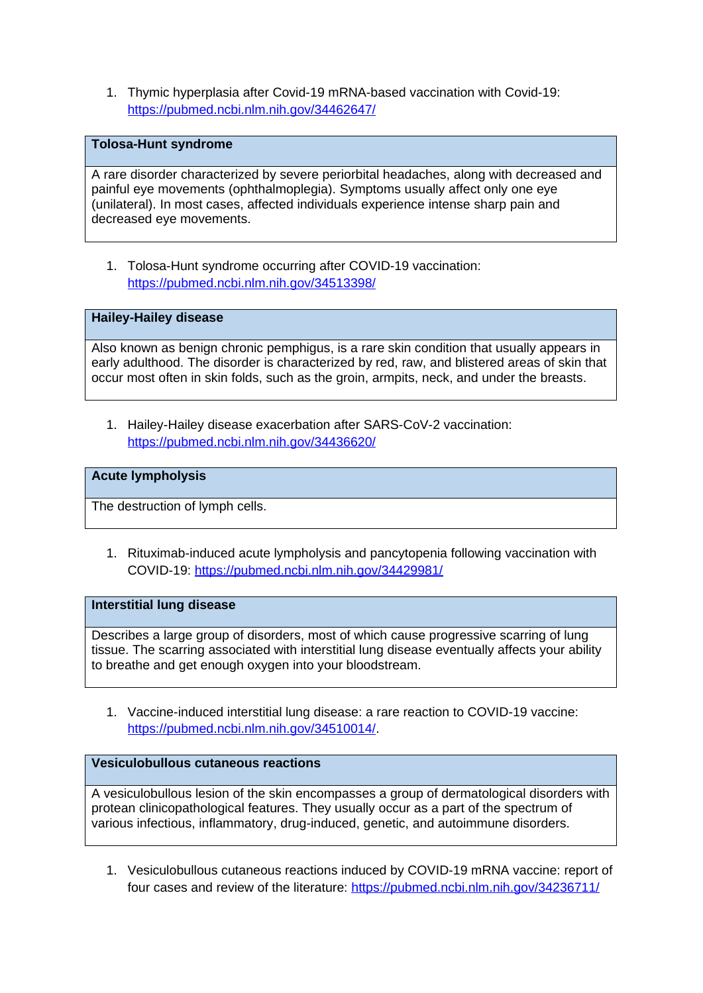1. Thymic hyperplasia after Covid-19 mRNA-based vaccination with Covid-19: <https://pubmed.ncbi.nlm.nih.gov/34462647/>

#### **Tolosa-Hunt syndrome**

A rare disorder characterized by severe periorbital headaches, along with decreased and painful eye movements (ophthalmoplegia). Symptoms usually affect only one eye (unilateral). In most cases, affected individuals experience intense sharp pain and decreased eye movements.

1. Tolosa-Hunt syndrome occurring after COVID-19 vaccination: <https://pubmed.ncbi.nlm.nih.gov/34513398/>

## **Hailey-Hailey disease**

Also known as benign chronic pemphigus, is a rare skin condition that usually appears in early adulthood. The disorder is characterized by red, raw, and blistered areas of skin that occur most often in skin folds, such as the groin, armpits, neck, and under the breasts.

1. Hailey-Hailey disease exacerbation after SARS-CoV-2 vaccination: <https://pubmed.ncbi.nlm.nih.gov/34436620/>

### **Acute lympholysis**

The destruction of lymph cells.

1. Rituximab-induced acute lympholysis and pancytopenia following vaccination with COVID-19: <https://pubmed.ncbi.nlm.nih.gov/34429981/>

#### **Interstitial lung disease**

Describes a large group of disorders, most of which cause progressive scarring of lung tissue. The scarring associated with interstitial lung disease eventually affects your ability to breathe and get enough oxygen into your bloodstream.

1. Vaccine-induced interstitial lung disease: a rare reaction to COVID-19 vaccine: <https://pubmed.ncbi.nlm.nih.gov/34510014/>.

# **Vesiculobullous cutaneous reactions**

A vesiculobullous lesion of the skin encompasses a group of dermatological disorders with protean clinicopathological features. They usually occur as a part of the spectrum of various infectious, inflammatory, drug-induced, genetic, and autoimmune disorders.

1. Vesiculobullous cutaneous reactions induced by COVID-19 mRNA vaccine: report of four cases and review of the literature: <https://pubmed.ncbi.nlm.nih.gov/34236711/>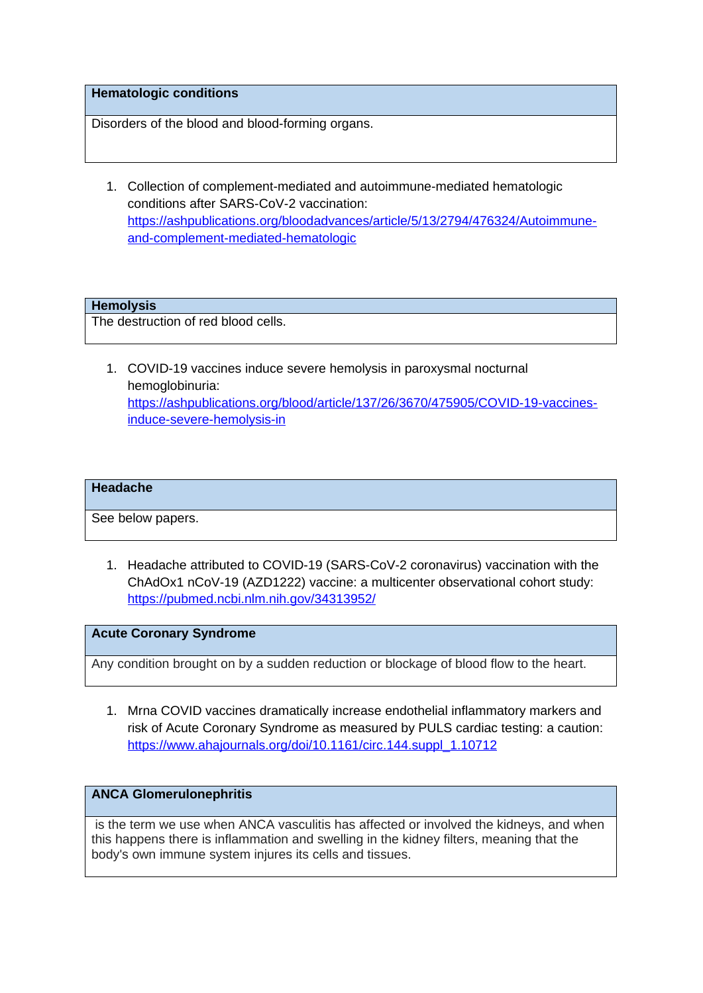#### **Hematologic conditions**

Disorders of the blood and blood-forming organs.

1. Collection of complement-mediated and autoimmune-mediated hematologic conditions after SARS-CoV-2 vaccination: [https://ashpublications.org/bloodadvances/article/5/13/2794/476324/Autoimmune](https://ashpublications.org/bloodadvances/article/5/13/2794/476324/Autoimmune-and-complement-mediated-hematologic)[and-complement-mediated-hematologic](https://ashpublications.org/bloodadvances/article/5/13/2794/476324/Autoimmune-and-complement-mediated-hematologic)

## **Hemolysis**

The destruction of red blood cells.

1. COVID-19 vaccines induce severe hemolysis in paroxysmal nocturnal hemoglobinuria: [https://ashpublications.org/blood/article/137/26/3670/475905/COVID-19-vaccines](https://ashpublications.org/blood/article/137/26/3670/475905/COVID-19-vaccines-induce-severe-hemolysis-in)[induce-severe-hemolysis-in](https://ashpublications.org/blood/article/137/26/3670/475905/COVID-19-vaccines-induce-severe-hemolysis-in)

#### **Headache**

See below papers.

1. Headache attributed to COVID-19 (SARS-CoV-2 coronavirus) vaccination with the ChAdOx1 nCoV-19 (AZD1222) vaccine: a multicenter observational cohort study: <https://pubmed.ncbi.nlm.nih.gov/34313952/>

**Acute Coronary Syndrome** 

Any condition brought on by a sudden reduction or blockage of blood flow to the heart.

1. Mrna COVID vaccines dramatically increase endothelial inflammatory markers and risk of Acute Coronary Syndrome as measured by PULS cardiac testing: a caution: [https://www.ahajournals.org/doi/10.1161/circ.144.suppl\\_1.10712](https://www.ahajournals.org/doi/10.1161/circ.144.suppl_1.10712)

# **ANCA Glomerulonephritis**

is the term we use when ANCA vasculitis has affected or involved the kidneys, and when this happens there is inflammation and swelling in the kidney filters, meaning that the body's own immune system injures its cells and tissues.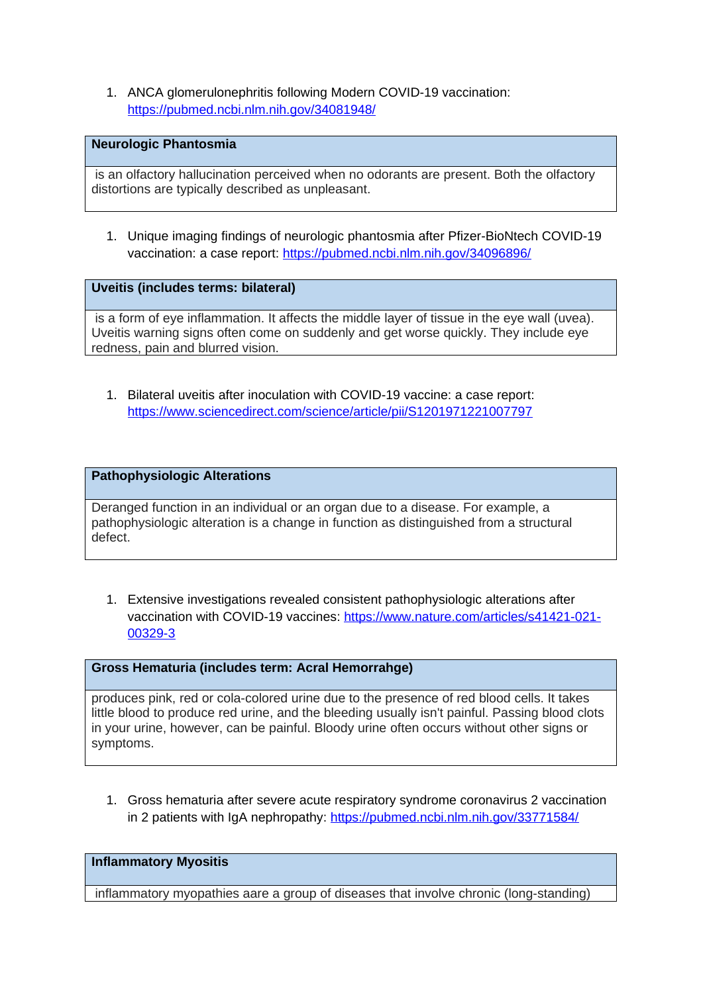1. ANCA glomerulonephritis following Modern COVID-19 vaccination: <https://pubmed.ncbi.nlm.nih.gov/34081948/>

#### **Neurologic Phantosmia**

is an olfactory hallucination perceived when no odorants are present. Both the olfactory distortions are typically described as unpleasant.

1. Unique imaging findings of neurologic phantosmia after Pfizer-BioNtech COVID-19 vaccination: a case report:<https://pubmed.ncbi.nlm.nih.gov/34096896/>

**Uveitis (includes terms: bilateral)** 

is a form of eye inflammation. It affects the middle layer of tissue in the eye wall (uvea). Uveitis warning signs often come on suddenly and get worse quickly. They include eye redness, pain and blurred vision.

1. Bilateral uveitis after inoculation with COVID-19 vaccine: a case report: <https://www.sciencedirect.com/science/article/pii/S1201971221007797>

### **Pathophysiologic Alterations**

Deranged function in an individual or an organ due to a disease. For example, a pathophysiologic alteration is a change in function as distinguished from a structural defect.

1. Extensive investigations revealed consistent pathophysiologic alterations after vaccination with COVID-19 vaccines: [https://www.nature.com/articles/s41421-021-](https://www.nature.com/articles/s41421-021-00329-3) [00329-3](https://www.nature.com/articles/s41421-021-00329-3)

#### **Gross Hematuria (includes term: Acral Hemorrahge)**

produces pink, red or cola-colored urine due to the presence of red blood cells. It takes little blood to produce red urine, and the bleeding usually isn't painful. Passing blood clots in your urine, however, can be painful. Bloody urine often occurs without other signs or symptoms.

1. Gross hematuria after severe acute respiratory syndrome coronavirus 2 vaccination in 2 patients with IgA nephropathy: <https://pubmed.ncbi.nlm.nih.gov/33771584/>

**Inflammatory Myositis** 

inflammatory myopathies aare a group of diseases that involve chronic (long-standing)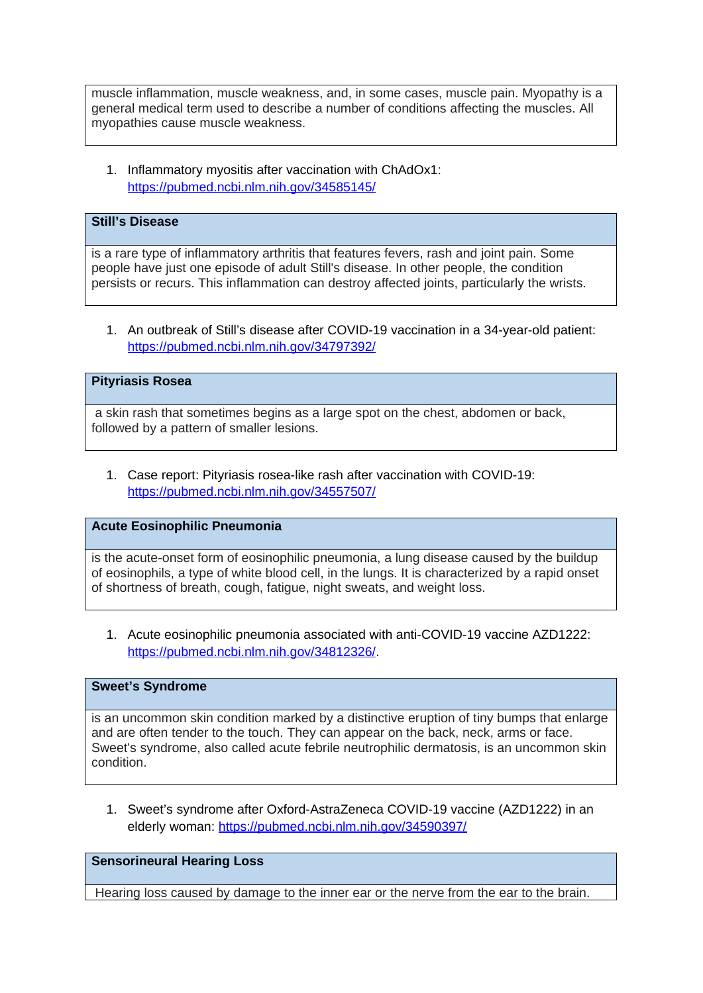muscle inflammation, muscle weakness, and, in some cases, muscle pain. Myopathy is a general medical term used to describe a number of conditions affecting the muscles. All myopathies cause muscle weakness.

1. Inflammatory myositis after vaccination with ChAdOx1: <https://pubmed.ncbi.nlm.nih.gov/34585145/>

# **Still's Disease**

is a rare type of inflammatory arthritis that features fevers, rash and joint pain. Some people have just one episode of adult Still's disease. In other people, the condition persists or recurs. This inflammation can destroy affected joints, particularly the wrists.

1. An outbreak of Still's disease after COVID-19 vaccination in a 34-year-old patient: <https://pubmed.ncbi.nlm.nih.gov/34797392/>

## **Pityriasis Rosea**

a skin rash that sometimes begins as a large spot on the chest, abdomen or back, followed by a pattern of smaller lesions.

1. Case report: Pityriasis rosea-like rash after vaccination with COVID-19: <https://pubmed.ncbi.nlm.nih.gov/34557507/>

#### **Acute Eosinophilic Pneumonia**

is the acute-onset form of eosinophilic pneumonia, a lung disease caused by the buildup of eosinophils, a type of white blood cell, in the lungs. It is characterized by a rapid onset of shortness of breath, cough, fatigue, night sweats, and weight loss.

1. Acute eosinophilic pneumonia associated with anti-COVID-19 vaccine AZD1222: <https://pubmed.ncbi.nlm.nih.gov/34812326/>.

### **Sweet's Syndrome**

is an uncommon skin condition marked by a distinctive eruption of tiny bumps that enlarge and are often tender to the touch. They can appear on the back, neck, arms or face. Sweet's syndrome, also called acute febrile neutrophilic dermatosis, is an uncommon skin condition.

1. Sweet's syndrome after Oxford-AstraZeneca COVID-19 vaccine (AZD1222) in an elderly woman:<https://pubmed.ncbi.nlm.nih.gov/34590397/>

#### **Sensorineural Hearing Loss**

Hearing loss caused by damage to the inner ear or the nerve from the ear to the brain.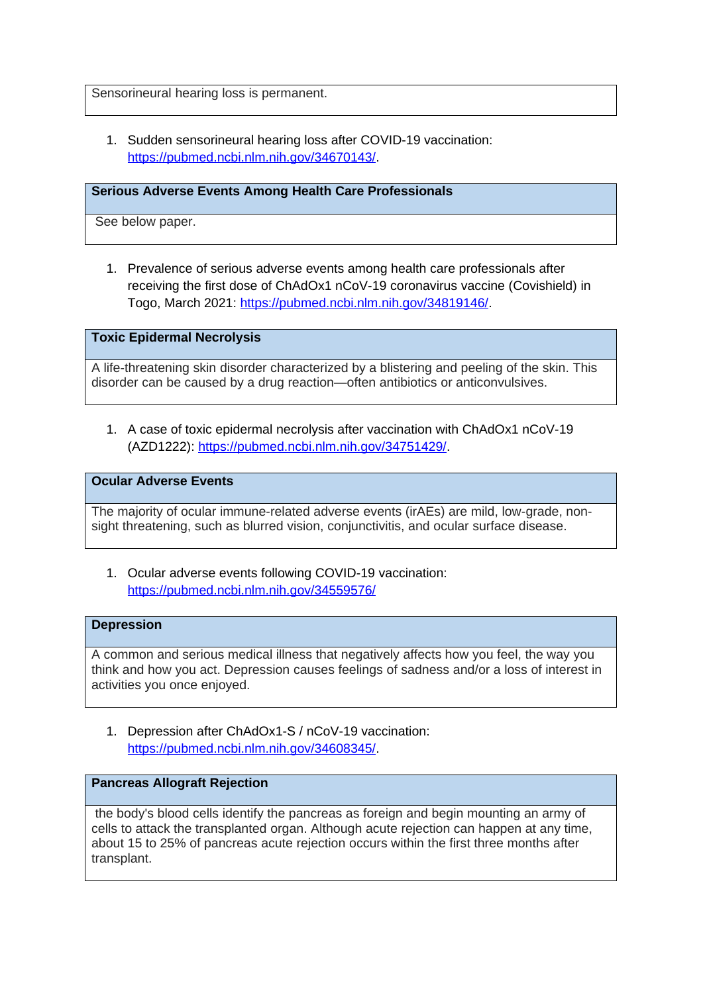Sensorineural hearing loss is permanent.

1. Sudden sensorineural hearing loss after COVID-19 vaccination: <https://pubmed.ncbi.nlm.nih.gov/34670143/>.

#### **Serious Adverse Events Among Health Care Professionals**

See below paper.

1. Prevalence of serious adverse events among health care professionals after receiving the first dose of ChAdOx1 nCoV-19 coronavirus vaccine (Covishield) in Togo, March 2021: [https://pubmed.ncbi.nlm.nih.gov/34819146/.](https://pubmed.ncbi.nlm.nih.gov/34819146/)

### **Toxic Epidermal Necrolysis**

A life-threatening skin disorder characterized by a blistering and peeling of the skin. This disorder can be caused by a drug reaction—often antibiotics or anticonvulsives.

1. A case of toxic epidermal necrolysis after vaccination with ChAdOx1 nCoV-19 (AZD1222):<https://pubmed.ncbi.nlm.nih.gov/34751429/>.

#### **Ocular Adverse Events**

The majority of ocular immune-related adverse events (irAEs) are mild, low-grade, nonsight threatening, such as blurred vision, conjunctivitis, and ocular surface disease.

1. Ocular adverse events following COVID-19 vaccination: <https://pubmed.ncbi.nlm.nih.gov/34559576/>

#### **Depression**

A common and serious medical illness that negatively affects how you feel, the way you think and how you act. Depression causes feelings of sadness and/or a loss of interest in activities you once enjoyed.

1. Depression after ChAdOx1-S / nCoV-19 vaccination: <https://pubmed.ncbi.nlm.nih.gov/34608345/>.

#### **Pancreas Allograft Rejection**

the body's blood cells identify the pancreas as foreign and begin mounting an army of cells to attack the transplanted organ. Although acute rejection can happen at any time, about 15 to 25% of pancreas acute rejection occurs within the first three months after transplant.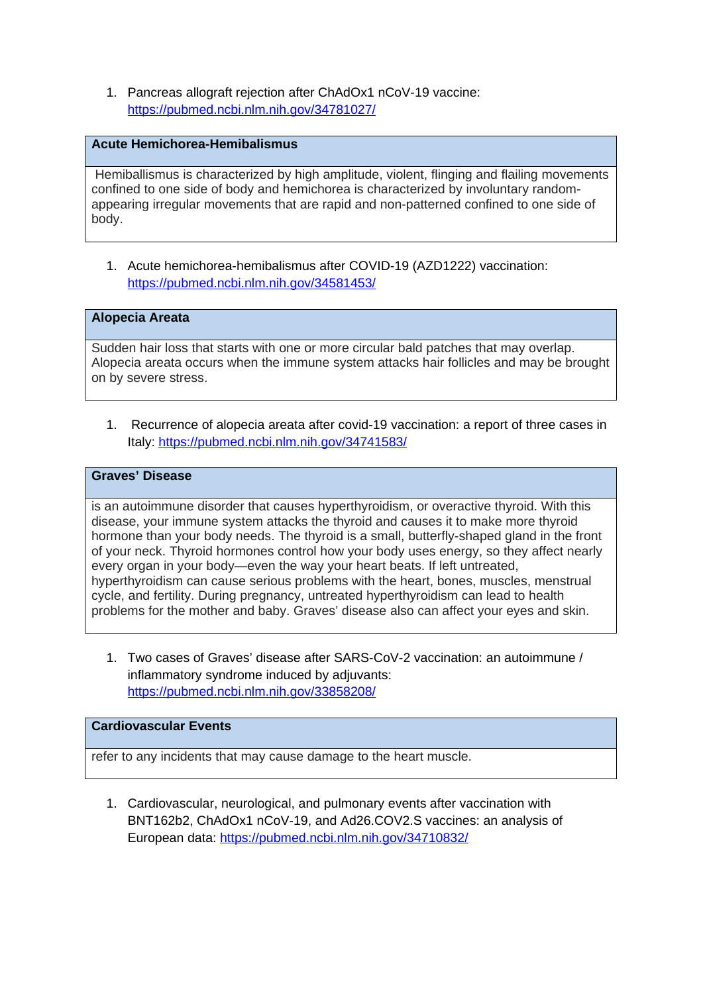1. Pancreas allograft rejection after ChAdOx1 nCoV-19 vaccine: <https://pubmed.ncbi.nlm.nih.gov/34781027/>

# **Acute Hemichorea-Hemibalismus**

Hemiballismus is characterized by high amplitude, violent, flinging and flailing movements confined to one side of body and hemichorea is characterized by involuntary randomappearing irregular movements that are rapid and non-patterned confined to one side of body.

1. Acute hemichorea-hemibalismus after COVID-19 (AZD1222) vaccination: <https://pubmed.ncbi.nlm.nih.gov/34581453/>

### **Alopecia Areata**

Sudden hair loss that starts with one or more circular bald patches that may overlap. Alopecia areata occurs when the immune system attacks hair follicles and may be brought on by severe stress.

1. Recurrence of alopecia areata after covid-19 vaccination: a report of three cases in Italy:<https://pubmed.ncbi.nlm.nih.gov/34741583/>

## **Graves' Disease**

is an autoimmune disorder that causes hyperthyroidism, or overactive thyroid. With this disease, your immune system attacks the thyroid and causes it to make more thyroid hormone than your body needs. The thyroid is a small, butterfly-shaped gland in the front of your neck. Thyroid hormones control how your body uses energy, so they affect nearly every organ in your body—even the way your heart beats. If left untreated, hyperthyroidism can cause serious problems with the heart, bones, muscles, menstrual cycle, and fertility. During pregnancy, untreated hyperthyroidism can lead to health problems for the mother and baby. Graves' disease also can affect your eyes and skin.

1. Two cases of Graves' disease after SARS-CoV-2 vaccination: an autoimmune / inflammatory syndrome induced by adjuvants: <https://pubmed.ncbi.nlm.nih.gov/33858208/>

## **Cardiovascular Events**

refer to any incidents that may cause damage to the heart muscle.

1. Cardiovascular, neurological, and pulmonary events after vaccination with BNT162b2, ChAdOx1 nCoV-19, and Ad26.COV2.S vaccines: an analysis of European data:<https://pubmed.ncbi.nlm.nih.gov/34710832/>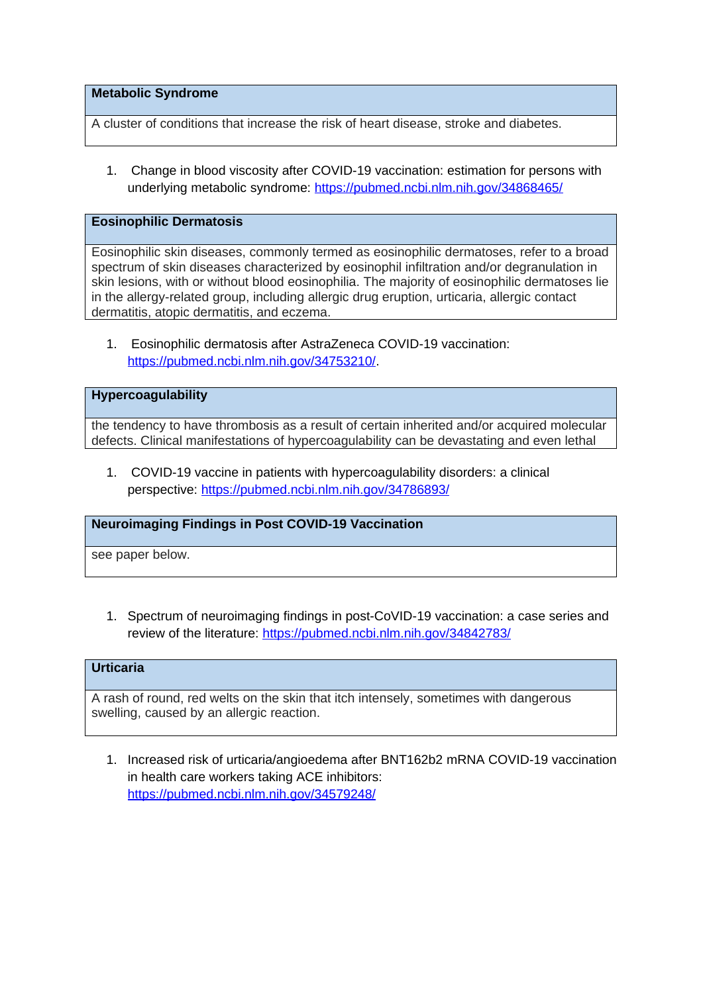**Metabolic Syndrome** 

A cluster of conditions that increase the risk of heart disease, stroke and diabetes.

1. Change in blood viscosity after COVID-19 vaccination: estimation for persons with underlying metabolic syndrome:<https://pubmed.ncbi.nlm.nih.gov/34868465/>

#### **Eosinophilic Dermatosis**

Eosinophilic skin diseases, commonly termed as eosinophilic dermatoses, refer to a broad spectrum of skin diseases characterized by eosinophil infiltration and/or degranulation in skin lesions, with or without blood eosinophilia. The majority of eosinophilic dermatoses lie in the allergy-related group, including allergic drug eruption, urticaria, allergic contact dermatitis, atopic dermatitis, and eczema.

1. Eosinophilic dermatosis after AstraZeneca COVID-19 vaccination: <https://pubmed.ncbi.nlm.nih.gov/34753210/>.

## **Hypercoagulability**

the tendency to have thrombosis as a result of certain inherited and/or acquired molecular defects. Clinical manifestations of hypercoagulability can be devastating and even lethal

1. COVID-19 vaccine in patients with hypercoagulability disorders: a clinical perspective:<https://pubmed.ncbi.nlm.nih.gov/34786893/>

### **Neuroimaging Findings in Post COVID-19 Vaccination**

see paper below.

1. Spectrum of neuroimaging findings in post-CoVID-19 vaccination: a case series and review of the literature:<https://pubmed.ncbi.nlm.nih.gov/34842783/>

# **Urticaria**

A rash of round, red welts on the skin that itch intensely, sometimes with dangerous swelling, caused by an allergic reaction.

1. Increased risk of urticaria/angioedema after BNT162b2 mRNA COVID-19 vaccination in health care workers taking ACE inhibitors: <https://pubmed.ncbi.nlm.nih.gov/34579248/>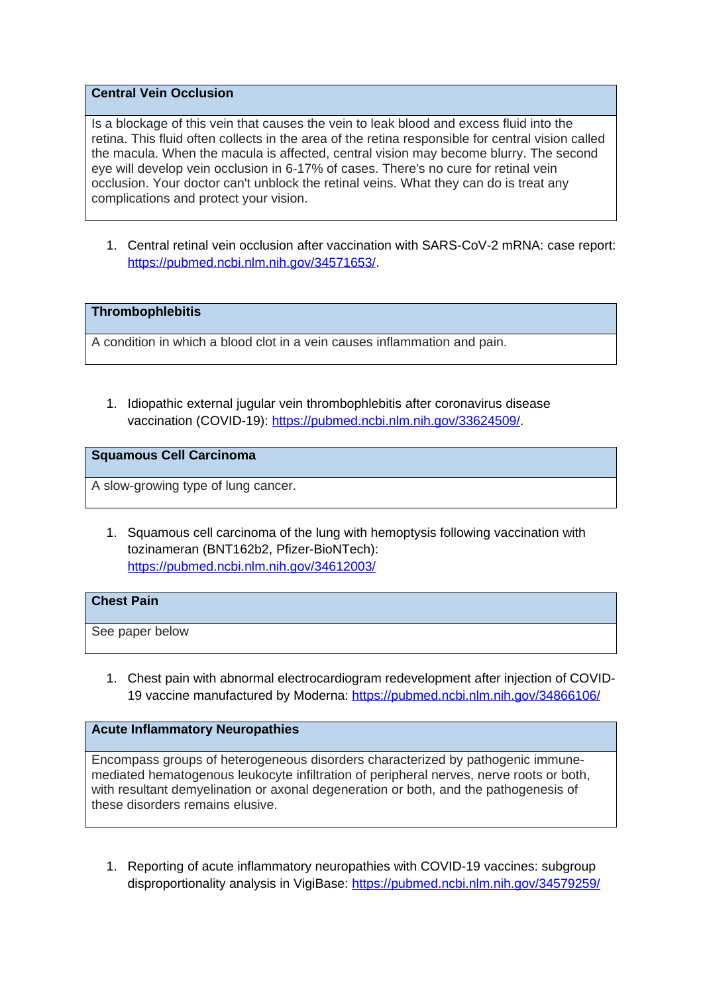# **Central Vein Occlusion**

Is a blockage of this vein that causes the vein to leak blood and excess fluid into the retina. This fluid often collects in the area of the retina responsible for central vision called the macula. When the macula is affected, central vision may become blurry. The second eye will develop vein occlusion in 6-17% of cases. There's no cure for retinal vein occlusion. Your doctor can't unblock the retinal veins. What they can do is treat any complications and protect your vision.

1. Central retinal vein occlusion after vaccination with SARS-CoV-2 mRNA: case report: <https://pubmed.ncbi.nlm.nih.gov/34571653/>.

## **Thrombophlebitis**

A condition in which a blood clot in a vein causes inflammation and pain.

1. Idiopathic external jugular vein thrombophlebitis after coronavirus disease vaccination (COVID-19): [https://pubmed.ncbi.nlm.nih.gov/33624509/.](https://pubmed.ncbi.nlm.nih.gov/33624509/)

## **Squamous Cell Carcinoma**

A slow-growing type of lung cancer.

1. Squamous cell carcinoma of the lung with hemoptysis following vaccination with tozinameran (BNT162b2, Pfizer-BioNTech): <https://pubmed.ncbi.nlm.nih.gov/34612003/>

#### **Chest Pain**

See paper below

1. Chest pain with abnormal electrocardiogram redevelopment after injection of COVID-19 vaccine manufactured by Moderna:<https://pubmed.ncbi.nlm.nih.gov/34866106/>

## **Acute Inflammatory Neuropathies**

Encompass groups of heterogeneous disorders characterized by pathogenic immunemediated hematogenous leukocyte infiltration of peripheral nerves, nerve roots or both, with resultant demyelination or axonal degeneration or both, and the pathogenesis of these disorders remains elusive.

1. Reporting of acute inflammatory neuropathies with COVID-19 vaccines: subgroup disproportionality analysis in VigiBase:<https://pubmed.ncbi.nlm.nih.gov/34579259/>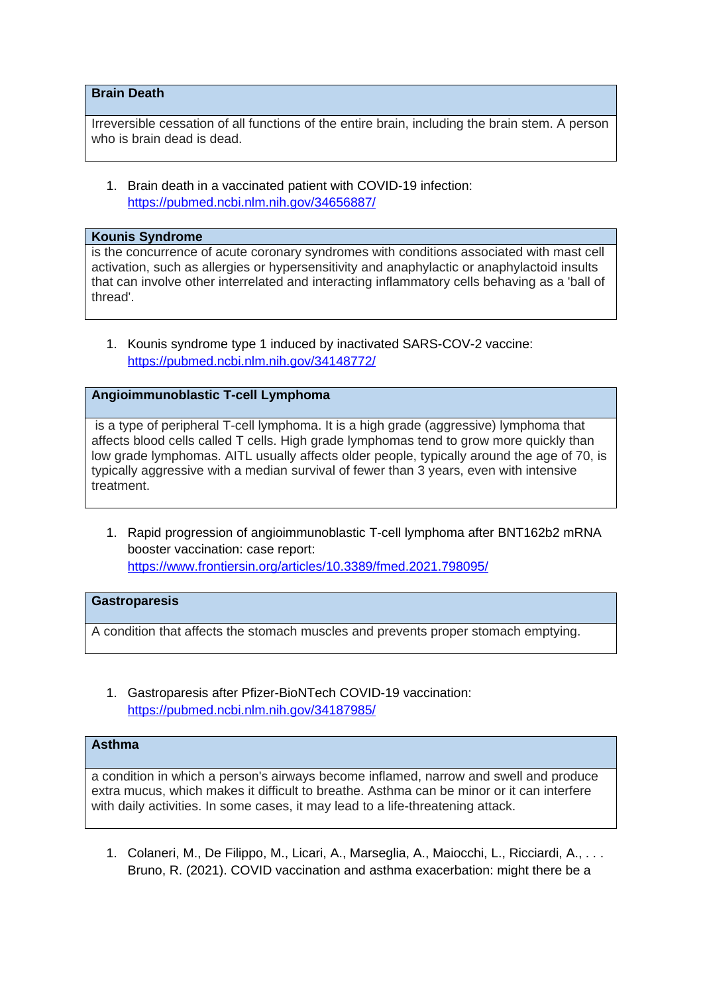## **Brain Death**

Irreversible cessation of all functions of the entire brain, including the brain stem. A person who is brain dead is dead.

1. Brain death in a vaccinated patient with COVID-19 infection: <https://pubmed.ncbi.nlm.nih.gov/34656887/>

#### **Kounis Syndrome**

is the concurrence of acute coronary syndromes with conditions associated with mast cell activation, such as allergies or hypersensitivity and anaphylactic or anaphylactoid insults that can involve other interrelated and interacting inflammatory cells behaving as a 'ball of thread'.

1. Kounis syndrome type 1 induced by inactivated SARS-COV-2 vaccine: <https://pubmed.ncbi.nlm.nih.gov/34148772/>

# **Angioimmunoblastic T-cell Lymphoma**

is a type of peripheral T-cell lymphoma. It is a high grade (aggressive) lymphoma that affects blood cells called T cells. High grade lymphomas tend to grow more quickly than low grade lymphomas. AITL usually affects older people, typically around the age of 70, is typically aggressive with a median survival of fewer than 3 years, even with intensive treatment.

1. Rapid progression of angioimmunoblastic T-cell lymphoma after BNT162b2 mRNA booster vaccination: case report: <https://www.frontiersin.org/articles/10.3389/fmed.2021.798095/>

## **Gastroparesis**

A condition that affects the stomach muscles and prevents proper stomach emptying.

1. Gastroparesis after Pfizer-BioNTech COVID-19 vaccination: <https://pubmed.ncbi.nlm.nih.gov/34187985/>

### **Asthma**

a condition in which a person's airways become inflamed, narrow and swell and produce extra mucus, which makes it difficult to breathe. Asthma can be minor or it can interfere with daily activities. In some cases, it may lead to a life-threatening attack.

1. Colaneri, M., De Filippo, M., Licari, A., Marseglia, A., Maiocchi, L., Ricciardi, A., . . . Bruno, R. (2021). COVID vaccination and asthma exacerbation: might there be a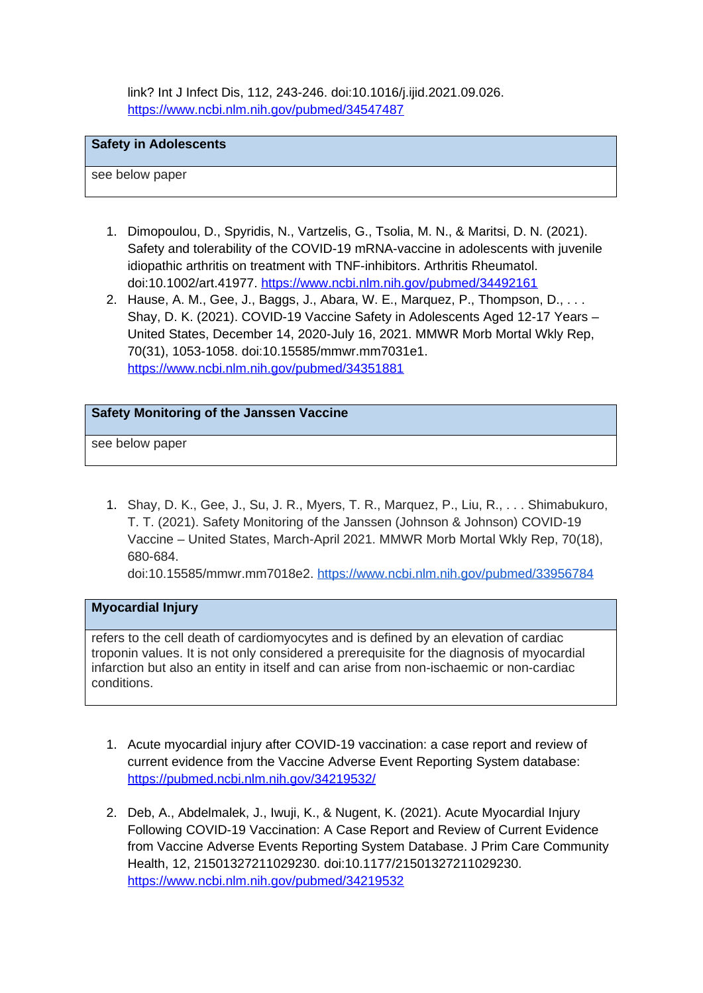link? Int J Infect Dis, 112, 243-246. doi:10.1016/j.ijid.2021.09.026. <https://www.ncbi.nlm.nih.gov/pubmed/34547487>

#### **Safety in Adolescents**

see below paper

- 1. Dimopoulou, D., Spyridis, N., Vartzelis, G., Tsolia, M. N., & Maritsi, D. N. (2021). Safety and tolerability of the COVID-19 mRNA-vaccine in adolescents with juvenile idiopathic arthritis on treatment with TNF-inhibitors. Arthritis Rheumatol. doi:10.1002/art.41977.<https://www.ncbi.nlm.nih.gov/pubmed/34492161>
- 2. Hause, A. M., Gee, J., Baggs, J., Abara, W. E., Marquez, P., Thompson, D., . . . Shay, D. K. (2021). COVID-19 Vaccine Safety in Adolescents Aged 12-17 Years – United States, December 14, 2020-July 16, 2021. MMWR Morb Mortal Wkly Rep, 70(31), 1053-1058. doi:10.15585/mmwr.mm7031e1. <https://www.ncbi.nlm.nih.gov/pubmed/34351881>

### **Safety Monitoring of the Janssen Vaccine**

see below paper

1. Shay, D. K., Gee, J., Su, J. R., Myers, T. R., Marquez, P., Liu, R., . . . Shimabukuro, T. T. (2021). Safety Monitoring of the Janssen (Johnson & Johnson) COVID-19 Vaccine – United States, March-April 2021. MMWR Morb Mortal Wkly Rep, 70(18), 680-684.

doi:10.15585/mmwr.mm7018e2. <https://www.ncbi.nlm.nih.gov/pubmed/33956784>

## **Myocardial Injury**

refers to the cell death of cardiomyocytes and is defined by an elevation of cardiac troponin values. It is not only considered a prerequisite for the diagnosis of myocardial infarction but also an entity in itself and can arise from non-ischaemic or non-cardiac conditions.

- 1. Acute myocardial injury after COVID-19 vaccination: a case report and review of current evidence from the Vaccine Adverse Event Reporting System database: <https://pubmed.ncbi.nlm.nih.gov/34219532/>
- 2. Deb, A., Abdelmalek, J., Iwuji, K., & Nugent, K. (2021). Acute Myocardial Injury Following COVID-19 Vaccination: A Case Report and Review of Current Evidence from Vaccine Adverse Events Reporting System Database. J Prim Care Community Health, 12, 21501327211029230. doi:10.1177/21501327211029230. <https://www.ncbi.nlm.nih.gov/pubmed/34219532>